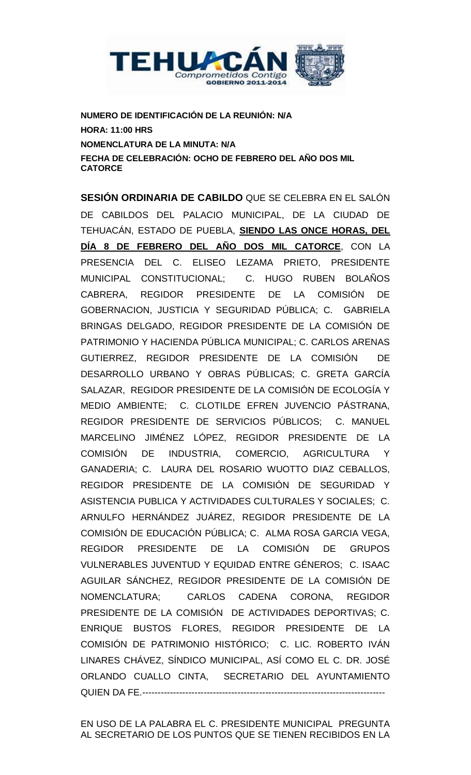

**NUMERO DE IDENTIFICACIÓN DE LA REUNIÓN: N/A HORA: 11:00 HRS NOMENCLATURA DE LA MINUTA: N/A FECHA DE CELEBRACIÓN: OCHO DE FEBRERO DEL AÑO DOS MIL CATORCE**

**SESIÓN ORDINARIA DE CABILDO** QUE SE CELEBRA EN EL SALÓN DE CABILDOS DEL PALACIO MUNICIPAL, DE LA CIUDAD DE TEHUACÁN, ESTADO DE PUEBLA, **SIENDO LAS ONCE HORAS, DEL DÍA 8 DE FEBRERO DEL AÑO DOS MIL CATORCE**, CON LA PRESENCIA DEL C. ELISEO LEZAMA PRIETO, PRESIDENTE MUNICIPAL CONSTITUCIONAL; C. HUGO RUBEN BOLAÑOS CABRERA, REGIDOR PRESIDENTE DE LA COMISIÓN DE GOBERNACION, JUSTICIA Y SEGURIDAD PÚBLICA; C. GABRIELA BRINGAS DELGADO, REGIDOR PRESIDENTE DE LA COMISIÓN DE PATRIMONIO Y HACIENDA PÚBLICA MUNICIPAL; C. CARLOS ARENAS GUTIERREZ, REGIDOR PRESIDENTE DE LA COMISIÓN DE DESARROLLO URBANO Y OBRAS PÚBLICAS; C. GRETA GARCÍA SALAZAR, REGIDOR PRESIDENTE DE LA COMISIÓN DE ECOLOGÍA Y MEDIO AMBIENTE; C. CLOTILDE EFREN JUVENCIO PÁSTRANA, REGIDOR PRESIDENTE DE SERVICIOS PÚBLICOS; C. MANUEL MARCELINO JIMÉNEZ LÓPEZ, REGIDOR PRESIDENTE DE LA COMISIÓN DE INDUSTRIA, COMERCIO, AGRICULTURA Y GANADERIA; C. LAURA DEL ROSARIO WUOTTO DIAZ CEBALLOS, REGIDOR PRESIDENTE DE LA COMISIÓN DE SEGURIDAD Y ASISTENCIA PUBLICA Y ACTIVIDADES CULTURALES Y SOCIALES; C. ARNULFO HERNÁNDEZ JUÁREZ, REGIDOR PRESIDENTE DE LA COMISIÓN DE EDUCACIÓN PÚBLICA; C. ALMA ROSA GARCIA VEGA, REGIDOR PRESIDENTE DE LA COMISIÓN DE GRUPOS VULNERABLES JUVENTUD Y EQUIDAD ENTRE GÉNEROS; C. ISAAC AGUILAR SÁNCHEZ, REGIDOR PRESIDENTE DE LA COMISIÓN DE NOMENCLATURA; CARLOS CADENA CORONA, REGIDOR PRESIDENTE DE LA COMISIÓN DE ACTIVIDADES DEPORTIVAS; C. ENRIQUE BUSTOS FLORES, REGIDOR PRESIDENTE DE LA COMISIÓN DE PATRIMONIO HISTÓRICO; C. LIC. ROBERTO IVÁN LINARES CHÁVEZ, SÍNDICO MUNICIPAL, ASÍ COMO EL C. DR. JOSÉ ORLANDO CUALLO CINTA, SECRETARIO DEL AYUNTAMIENTO QUIEN DA FE.-------------------------------------------------------------------------------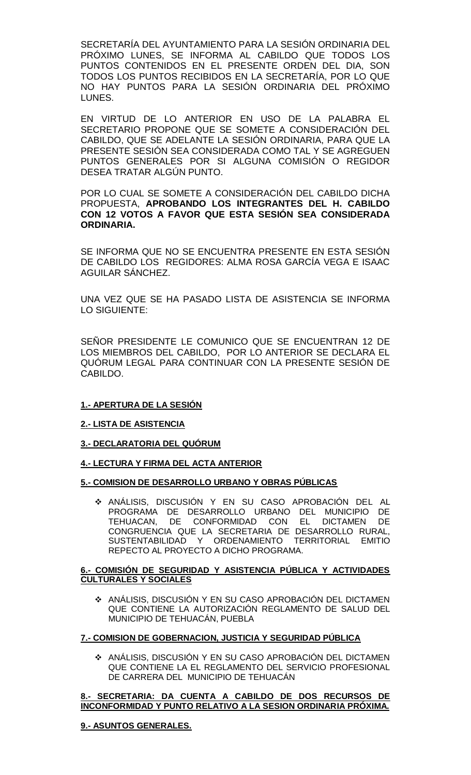SECRETARÍA DEL AYUNTAMIENTO PARA LA SESIÓN ORDINARIA DEL PRÓXIMO LUNES, SE INFORMA AL CABILDO QUE TODOS LOS PUNTOS CONTENIDOS EN EL PRESENTE ORDEN DEL DIA, SON TODOS LOS PUNTOS RECIBIDOS EN LA SECRETARÍA, POR LO QUE NO HAY PUNTOS PARA LA SESIÓN ORDINARIA DEL PRÓXIMO LUNES.

EN VIRTUD DE LO ANTERIOR EN USO DE LA PALABRA EL SECRETARIO PROPONE QUE SE SOMETE A CONSIDERACIÓN DEL CABILDO, QUE SE ADELANTE LA SESIÓN ORDINARIA, PARA QUE LA PRESENTE SESIÓN SEA CONSIDERADA COMO TAL Y SE AGREGUEN PUNTOS GENERALES POR SI ALGUNA COMISIÓN O REGIDOR DESEA TRATAR ALGÚN PUNTO.

POR LO CUAL SE SOMETE A CONSIDERACIÓN DEL CABILDO DICHA PROPUESTA, **APROBANDO LOS INTEGRANTES DEL H. CABILDO CON 12 VOTOS A FAVOR QUE ESTA SESIÓN SEA CONSIDERADA ORDINARIA.** 

SE INFORMA QUE NO SE ENCUENTRA PRESENTE EN ESTA SESIÓN DE CABILDO LOS REGIDORES: ALMA ROSA GARCÍA VEGA E ISAAC AGUILAR SÁNCHEZ.

UNA VEZ QUE SE HA PASADO LISTA DE ASISTENCIA SE INFORMA LO SIGUIENTE:

SEÑOR PRESIDENTE LE COMUNICO QUE SE ENCUENTRAN 12 DE LOS MIEMBROS DEL CABILDO, POR LO ANTERIOR SE DECLARA EL QUÓRUM LEGAL PARA CONTINUAR CON LA PRESENTE SESIÓN DE CABILDO.

#### **1.- APERTURA DE LA SESIÓN**

#### **2.- LISTA DE ASISTENCIA**

#### **3.- DECLARATORIA DEL QUÓRUM**

#### **4.- LECTURA Y FIRMA DEL ACTA ANTERIOR**

#### **5.- COMISION DE DESARROLLO URBANO Y OBRAS PÚBLICAS**

 ANÁLISIS, DISCUSIÓN Y EN SU CASO APROBACIÓN DEL AL PROGRAMA DE DESARROLLO URBANO DEL MUNICIPIO DE TEHUACAN, DE CONFORMIDAD CON EL DICTAMEN DE CONGRUENCIA QUE LA SECRETARIA DE DESARROLLO RURAL, SUSTENTABILIDAD Y ORDENAMIENTO TERRITORIAL EMITIO REPECTO AL PROYECTO A DICHO PROGRAMA.

#### **6.- COMISIÓN DE SEGURIDAD Y ASISTENCIA PÚBLICA Y ACTIVIDADES CULTURALES Y SOCIALES**

 ANÁLISIS, DISCUSIÓN Y EN SU CASO APROBACIÓN DEL DICTAMEN QUE CONTIENE LA AUTORIZACIÓN REGLAMENTO DE SALUD DEL MUNICIPIO DE TEHUACÁN, PUEBLA

#### **7.- COMISION DE GOBERNACION, JUSTICIA Y SEGURIDAD PÚBLICA**

 ANÁLISIS, DISCUSIÓN Y EN SU CASO APROBACIÓN DEL DICTAMEN QUE CONTIENE LA EL REGLAMENTO DEL SERVICIO PROFESIONAL DE CARRERA DEL MUNICIPIO DE TEHUACÁN

#### **8.- SECRETARIA: DA CUENTA A CABILDO DE DOS RECURSOS DE INCONFORMIDAD Y PUNTO RELATIVO A LA SESION ORDINARIA PRÓXIMA.**

**9.- ASUNTOS GENERALES.**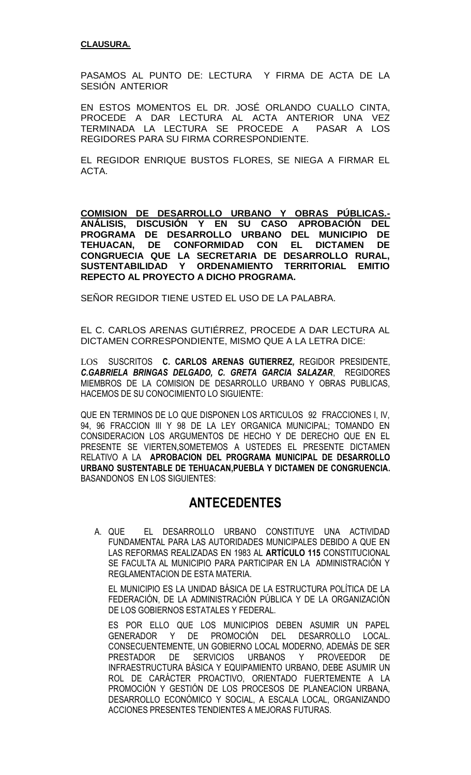#### **CLAUSURA.**

PASAMOS AL PUNTO DE: LECTURA Y FIRMA DE ACTA DE LA SESIÓN ANTERIOR

EN ESTOS MOMENTOS EL DR. JOSÉ ORLANDO CUALLO CINTA, PROCEDE A DAR LECTURA AL ACTA ANTERIOR UNA VEZ TERMINADA LA LECTURA SE PROCEDE A PASAR A LOS REGIDORES PARA SU FIRMA CORRESPONDIENTE.

EL REGIDOR ENRIQUE BUSTOS FLORES, SE NIEGA A FIRMAR EL ACTA.

**COMISION DE DESARROLLO URBANO Y OBRAS PÚBLICAS.- ANÁLISIS, DISCUSIÓN Y EN SU CASO APROBACIÓN DEL PROGRAMA DE DESARROLLO URBANO DEL MUNICIPIO DE TEHUACAN, DE CONFORMIDAD CON EL DICTAMEN DE CONGRUECIA QUE LA SECRETARIA DE DESARROLLO RURAL, SUSTENTABILIDAD Y ORDENAMIENTO TERRITORIAL EMITIO REPECTO AL PROYECTO A DICHO PROGRAMA.** 

SEÑOR REGIDOR TIENE USTED EL USO DE LA PALABRA.

EL C. CARLOS ARENAS GUTIÉRREZ, PROCEDE A DAR LECTURA AL DICTAMEN CORRESPONDIENTE, MISMO QUE A LA LETRA DICE:

LOS SUSCRITOS **C. CARLOS ARENAS GUTIERREZ***,* REGIDOR PRESIDENTE, *C.GABRIELA BRINGAS DELGADO, C. GRETA GARCIA SALAZAR*, REGIDORES MIEMBROS DE LA COMISION DE DESARROLLO URBANO Y OBRAS PUBLICAS, HACEMOS DE SU CONOCIMIENTO LO SIGUIENTE:

QUE EN TERMINOS DE LO QUE DISPONEN LOS ARTICULOS 92 FRACCIONES I, IV, 94, 96 FRACCION III Y 98 DE LA LEY ORGANICA MUNICIPAL; TOMANDO EN CONSIDERACION LOS ARGUMENTOS DE HECHO Y DE DERECHO QUE EN EL PRESENTE SE VIERTEN,SOMETEMOS A USTEDES EL PRESENTE DICTAMEN RELATIVO A LA **APROBACION DEL PROGRAMA MUNICIPAL DE DESARROLLO URBANO SUSTENTABLE DE TEHUACAN,PUEBLA Y DICTAMEN DE CONGRUENCIA.** BASANDONOS EN LOS SIGUIENTES:

## **ANTECEDENTES**

A. QUE EL DESARROLLO URBANO CONSTITUYE UNA ACTIVIDAD FUNDAMENTAL PARA LAS AUTORIDADES MUNICIPALES DEBIDO A QUE EN LAS REFORMAS REALIZADAS EN 1983 AL **ARTÍCULO 115** CONSTITUCIONAL SE FACULTA AL MUNICIPIO PARA PARTICIPAR EN LA ADMINISTRACIÓN Y REGLAMENTACION DE ESTA MATERIA.

EL MUNICIPIO ES LA UNIDAD BÁSICA DE LA ESTRUCTURA POLÍTICA DE LA FEDERACIÓN, DE LA ADMINISTRACIÓN PÚBLICA Y DE LA ORGANIZACIÓN DE LOS GOBIERNOS ESTATALES Y FEDERAL.

ES POR ELLO QUE LOS MUNICIPIOS DEBEN ASUMIR UN PAPEL GENERADOR Y DE PROMOCIÓN DEL DESARROLLO LOCAL. CONSECUENTEMENTE, UN GOBIERNO LOCAL MODERNO, ADEMÁS DE SER PRESTADOR DE SERVICIOS URBANOS Y PROVEEDOR DE INFRAESTRUCTURA BÁSICA Y EQUIPAMIENTO URBANO, DEBE ASUMIR UN ROL DE CARÁCTER PROACTIVO, ORIENTADO FUERTEMENTE A LA PROMOCIÓN Y GESTIÓN DE LOS PROCESOS DE PLANEACION URBANA, DESARROLLO ECONÓMICO Y SOCIAL, A ESCALA LOCAL, ORGANIZANDO ACCIONES PRESENTES TENDIENTES A MEJORAS FUTURAS.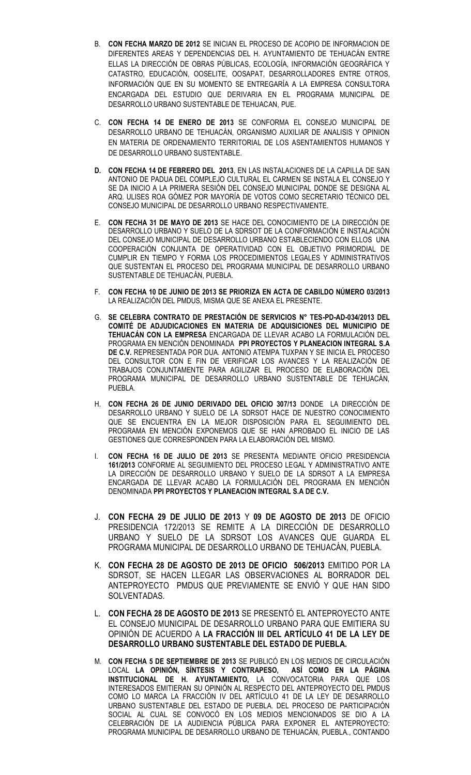- B. **CON FECHA MARZO DE 2012** SE INICIAN EL PROCESO DE ACOPIO DE INFORMACION DE DIFERENTES AREAS Y DEPENDENCIAS DEL H. AYUNTAMIENTO DE TEHUACÁN ENTRE ELLAS LA DIRECCIÓN DE OBRAS PÚBLICAS, ECOLOGÍA, INFORMACIÓN GEOGRÁFICA Y CATASTRO, EDUCACIÓN, OOSELITE, OOSAPAT, DESARROLLADORES ENTRE OTROS, INFORMACIÓN QUE EN SU MOMENTO SE ENTREGARÍA A LA EMPRESA CONSULTORA ENCARGADA DEL ESTUDIO QUE DERIVARIA EN EL PROGRAMA MUNICIPAL DE DESARROLLO URBANO SUSTENTABLE DE TEHUACAN, PUE.
- C. **CON FECHA 14 DE ENERO DE 2013** SE CONFORMA EL CONSEJO MUNICIPAL DE DESARROLLO URBANO DE TEHUACÁN, ORGANISMO AUXILIAR DE ANALISIS Y OPINION EN MATERIA DE ORDENAMIENTO TERRITORIAL DE LOS ASENTAMIENTOS HUMANOS Y DE DESARROLLO URBANO SUSTENTABLE.
- **D. CON FECHA 14 DE FEBRERO DEL 2013**, EN LAS INSTALACIONES DE LA CAPILLA DE SAN ANTONIO DE PADUA DEL COMPLEJO CULTURAL EL CARMEN SE INSTALA EL CONSEJO Y SE DA INICIO A LA PRIMERA SESIÓN DEL CONSEJO MUNICIPAL DONDE SE DESIGNA AL ARQ. ULISES ROA GÓMEZ POR MAYORÍA DE VOTOS COMO SECRETARIO TÉCNICO DEL CONSEJO MUNICIPAL DE DESARROLLO URBANO RESPECTIVAMENTE.
- E. **CON FECHA 31 DE MAYO DE 2013** SE HACE DEL CONOCIMIENTO DE LA DIRECCIÓN DE DESARROLLO URBANO Y SUELO DE LA SDRSOT DE LA CONFORMACIÓN E INSTALACIÓN DEL CONSEJO MUNICIPAL DE DESARROLLO URBANO ESTABLECIENDO CON ELLOS UNA COOPERACIÓN CONJUNTA DE OPERATIVIDAD CON EL OBJETIVO PRIMORDIAL DE CUMPLIR EN TIEMPO Y FORMA LOS PROCEDIMIENTOS LEGALES Y ADMINISTRATIVOS QUE SUSTENTAN EL PROCESO DEL PROGRAMA MUNICIPAL DE DESARROLLO URBANO SUSTENTABLE DE TEHUACÁN, PUEBLA.
- F. **CON FECHA 10 DE JUNIO DE 2013 SE PRIORIZA EN ACTA DE CABILDO NÚMERO 03/2013**  LA REALIZACIÓN DEL PMDUS, MISMA QUE SE ANEXA EL PRESENTE.
- G. **SE CELEBRA CONTRATO DE PRESTACIÓN DE SERVICIOS N° TES-PD-AD-034/2013 DEL COMITÉ DE ADJUDICACIONES EN MATERIA DE ADQUISICIONES DEL MUNICIPIO DE TEHUACÁN CON LA EMPRESA** ENCARGADA DE LLEVAR ACABO LA FORMULACIÓN DEL PROGRAMA EN MENCIÓN DENOMINADA **PPI PROYECTOS Y PLANEACION INTEGRAL S.A DE C.V.** REPRESENTADA POR DUA. ANTONIO ATEMPA TUXPAN Y SE INICIA EL PROCESO DEL CONSULTOR CON E FIN DE VERIFICAR LOS AVANCES Y LA REALIZACIÓN DE TRABAJOS CONJUNTAMENTE PARA AGILIZAR EL PROCESO DE ELABORACIÓN DEL PROGRAMA MUNICIPAL DE DESARROLLO URBANO SUSTENTABLE DE TEHUACÁN, PUEBLA.
- H. **CON FECHA 26 DE JUNIO DERIVADO DEL OFICIO 307/13** DONDE LA DIRECCIÓN DE DESARROLLO URBANO Y SUELO DE LA SDRSOT HACE DE NUESTRO CONOCIMIENTO QUE SE ENCUENTRA EN LA MEJOR DISPOSICIÓN PARA EL SEGUIMIENTO DEL PROGRAMA EN MENCIÓN EXPONEMOS QUE SE HAN APROBADO EL INICIO DE LAS GESTIONES QUE CORRESPONDEN PARA LA ELABORACIÓN DEL MISMO.
- I. **CON FECHA 16 DE JULIO DE 2013** SE PRESENTA MEDIANTE OFICIO PRESIDENCIA **161/2013** CONFORME AL SEGUIMIENTO DEL PROCESO LEGAL Y ADMINISTRATIVO ANTE LA DIRECCIÓN DE DESARROLLO URBANO Y SUELO DE LA SDRSOT A LA EMPRESA ENCARGADA DE LLEVAR ACABO LA FORMULACIÓN DEL PROGRAMA EN MENCIÓN DENOMINADA **PPI PROYECTOS Y PLANEACION INTEGRAL S.A DE C.V.**
- J. **CON FECHA 29 DE JULIO DE 2013** Y **09 DE AGOSTO DE 2013** DE OFICIO PRESIDENCIA 172/2013 SE REMITE A LA DIRECCIÓN DE DESARROLLO URBANO Y SUELO DE LA SDRSOT LOS AVANCES QUE GUARDA EL PROGRAMA MUNICIPAL DE DESARROLLO URBANO DE TEHUACÁN, PUEBLA.
- K. **CON FECHA 28 DE AGOSTO DE 2013 DE OFICIO 506/2013** EMITIDO POR LA SDRSOT, SE HACEN LLEGAR LAS OBSERVACIONES AL BORRADOR DEL ANTEPROYECTO PMDUS QUE PREVIAMENTE SE ENVIÓ Y QUE HAN SIDO SOLVENTADAS.
- L. **CON FECHA 28 DE AGOSTO DE 2013** SE PRESENTÓ EL ANTEPROYECTO ANTE EL CONSEJO MUNICIPAL DE DESARROLLO URBANO PARA QUE EMITIERA SU OPINIÓN DE ACUERDO A **LA FRACCIÓN III DEL ARTÍCULO 41 DE LA LEY DE DESARROLLO URBANO SUSTENTABLE DEL ESTADO DE PUEBLA.**
- M. **CON FECHA 5 DE SEPTIEMBRE DE 2013** SE PUBLICÓ EN LOS MEDIOS DE CIRCULACIÓN LOCAL **LA OPINIÓN, SÍNTESIS Y CONTRAPESO, ASÍ COMO EN LA PÁGINA INSTITUCIONAL DE H. AYUNTAMIENTO,** LA CONVOCATORIA PARA QUE LOS INTERESADOS EMITIERAN SU OPINIÓN AL RESPECTO DEL ANTEPROYECTO DEL PMDUS COMO LO MARCA LA FRACCIÓN IV DEL ARTÍCULO 41 DE LA LEY DE DESARROLLO URBANO SUSTENTABLE DEL ESTADO DE PUEBLA. DEL PROCESO DE PARTICIPACIÓN SOCIAL AL CUAL SE CONVOCÓ EN LOS MEDIOS MENCIONADOS SE DIO A LA CELEBRACIÓN DE LA AUDIENCIA PÚBLICA PARA EXPONER EL ANTEPROYECTO: PROGRAMA MUNICIPAL DE DESARROLLO URBANO DE TEHUACÁN, PUEBLA., CONTANDO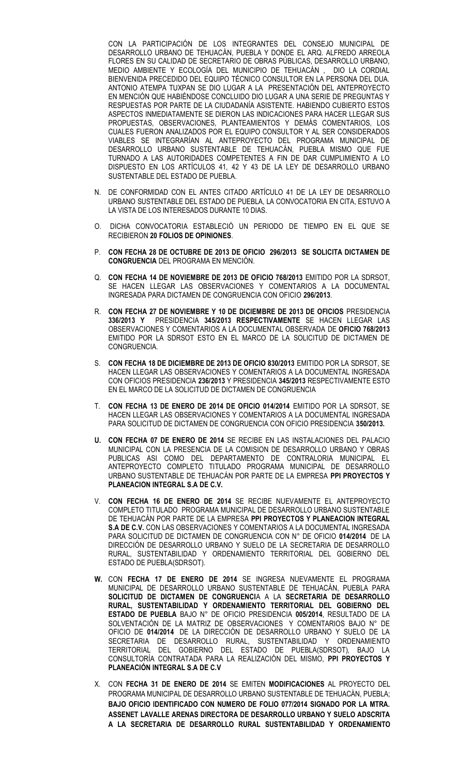CON LA PARTICIPACIÓN DE LOS INTEGRANTES DEL CONSEJO MUNICIPAL DE DESARROLLO URBANO DE TEHUACÁN, PUEBLA Y DONDE EL ARQ. ALFREDO ARREOLA FLORES EN SU CALIDAD DE SECRETARIO DE OBRAS PÚBLICAS, DESARROLLO URBANO, MEDIO AMBIENTE Y ECOLOGÍA DEL MUNICIPIO DE TEHUACÁN , DIO LA CORDIAL BIENVENIDA PRECEDIDO DEL EQUIPO TÉCNICO CONSULTOR EN LA PERSONA DEL DUA. ANTONIO ATEMPA TUXPAN SE DIO LUGAR A LA PRESENTACIÓN DEL ANTEPROYECTO EN MENCIÓN QUE HABIÉNDOSE CONCLUIDO DIO LUGAR A UNA SERIE DE PREGUNTAS Y RESPUESTAS POR PARTE DE LA CIUDADANÍA ASISTENTE. HABIENDO CUBIERTO ESTOS ASPECTOS INMEDIATAMENTE SE DIERON LAS INDICACIONES PARA HACER LLEGAR SUS PROPUESTAS, OBSERVACIONES, PLANTEAMIENTOS Y DEMÁS COMENTARIOS, LOS CUALES FUERON ANALIZADOS POR EL EQUIPO CONSULTOR Y AL SER CONSIDERADOS VIABLES SE INTEGRARÍAN AL ANTEPROYECTO DEL PROGRAMA MUNICIPAL DE DESARROLLO URBANO SUSTENTABLE DE TEHUACÁN, PUEBLA MISMO QUE FUE TURNADO A LAS AUTORIDADES COMPETENTES A FIN DE DAR CUMPLIMIENTO A LO DISPUESTO EN LOS ARTÍCULOS 41, 42 Y 43 DE LA LEY DE DESARROLLO URBANO SUSTENTABLE DEL ESTADO DE PUEBLA.

- N. DE CONFORMIDAD CON EL ANTES CITADO ARTÍCULO 41 DE LA LEY DE DESARROLLO URBANO SUSTENTABLE DEL ESTADO DE PUEBLA, LA CONVOCATORIA EN CITA, ESTUVO A LA VISTA DE LOS INTERESADOS DURANTE 10 DIAS.
- O. DICHA CONVOCATORIA ESTABLECIÓ UN PERIODO DE TIEMPO EN EL QUE SE RECIBIERON **20 FOLIOS DE OPINIONES**.
- P. **CON FECHA 28 DE OCTUBRE DE 2013 DE OFICIO 296/2013 SE SOLICITA DICTAMEN DE CONGRUENCIA** DEL PROGRAMA EN MENCIÓN.
- Q. **CON FECHA 14 DE NOVIEMBRE DE 2013 DE OFICIO 768/2013** EMITIDO POR LA SDRSOT, SE HACEN LLEGAR LAS OBSERVACIONES Y COMENTARIOS A LA DOCUMENTAL INGRESADA PARA DICTAMEN DE CONGRUENCIA CON OFICIO **296/2013**.
- R. **CON FECHA 27 DE NOVIEMBRE Y 10 DE DICIEMBRE DE 2013 DE OFICIOS** PRESIDENCIA **336/2013 Y** PRESIDENCIA **345/2013 RESPECTIVAMENTE** SE HACEN LLEGAR LAS OBSERVACIONES Y COMENTARIOS A LA DOCUMENTAL OBSERVADA DE **OFICIO 768/2013**  EMITIDO POR LA SDRSOT ESTO EN EL MARCO DE LA SOLICITUD DE DICTAMEN DE CONGRUENCIA.
- S. **CON FECHA 18 DE DICIEMBRE DE 2013 DE OFICIO 830/2013** EMITIDO POR LA SDRSOT, SE HACEN LLEGAR LAS OBSERVACIONES Y COMENTARIOS A LA DOCUMENTAL INGRESADA CON OFICIOS PRESIDENCIA **236/2013** Y PRESIDENCIA **345/2013** RESPECTIVAMENTE ESTO EN EL MARCO DE LA SOLICITUD DE DICTAMEN DE CONGRUENCIA
- T. **CON FECHA 13 DE ENERO DE 2014 DE OFICIO 014/2014** EMITIDO POR LA SDRSOT, SE HACEN LLEGAR LAS OBSERVACIONES Y COMENTARIOS A LA DOCUMENTAL INGRESADA PARA SOLICITUD DE DICTAMEN DE CONGRUENCIA CON OFICIO PRESIDENCIA **350/2013.**
- **U. CON FECHA 07 DE ENERO DE 2014** SE RECIBE EN LAS INSTALACIONES DEL PALACIO MUNICIPAL CON LA PRESENCIA DE LA COMISION DE DESARROLLO URBANO Y OBRAS PUBLICAS ASI COMO DEL DEPARTAMENTO DE CONTRALORIA MUNICIPAL EL ANTEPROYECTO COMPLETO TITULADO PROGRAMA MUNICIPAL DE DESARROLLO URBANO SUSTENTABLE DE TEHUACÁN POR PARTE DE LA EMPRESA **PPI PROYECTOS Y PLANEACION INTEGRAL S.A DE C.V.**
- V. **CON FECHA 16 DE ENERO DE 2014** SE RECIBE NUEVAMENTE EL ANTEPROYECTO COMPLETO TITULADO PROGRAMA MUNICIPAL DE DESARROLLO URBANO SUSTENTABLE DE TEHUACÁN POR PARTE DE LA EMPRESA **PPI PROYECTOS Y PLANEACION INTEGRAL S.A DE C.V.** CON LAS OBSERVACIONES Y COMENTARIOS A LA DOCUMENTAL INGRESADA PARA SOLICITUD DE DICTAMEN DE CONGRUENCIA CON N° DE OFICIO **014/2014** DE LA DIRECCIÓN DE DESARROLLO URBANO Y SUELO DE LA SECRETARIA DE DESARROLLO RURAL, SUSTENTABILIDAD Y ORDENAMIENTO TERRITORIAL DEL GOBIERNO DEL ESTADO DE PUEBLA(SDRSOT).
- **W.** CON **FECHA 17 DE ENERO DE 2014** SE INGRESA NUEVAMENTE EL PROGRAMA MUNICIPAL DE DESARROLLO URBANO SUSTENTABLE DE TEHUACÁN, PUEBLA PARA **SOLICITUD DE DICTAMEN DE CONGRUENCI**A A LA **SECRETARIA DE DESARROLLO RURAL, SUSTENTABILIDAD Y ORDENAMIENTO TERRITORIAL DEL GOBIERNO DEL ESTADO DE PUEBLA** BAJO N° DE OFICIO PRESIDENCIA **005/2014**, RESULTADO DE LA SOLVENTACIÓN DE LA MATRIZ DE OBSERVACIONES Y COMENTARIOS BAJO N° DE OFICIO DE **014/2014** DE LA DIRECCIÓN DE DESARROLLO URBANO Y SUELO DE LA SECRETARIA DE DESARROLLO RURAL, SUSTENTABILIDAD Y ORDENAMIENTO TERRITORIAL DEL GOBIERNO DEL ESTADO DE PUEBLA(SDRSOT), BAJO LA CONSULTORÍA CONTRATADA PARA LA REALIZACIÓN DEL MISMO, **PPI PROYECTOS Y PLANEACIÓN INTEGRAL S.A DE C.V**
- X. CON **FECHA 31 DE ENERO DE 2014** SE EMITEN **MODIFICACIONES** AL PROYECTO DEL PROGRAMA MUNICIPAL DE DESARROLLO URBANO SUSTENTABLE DE TEHUACÁN, PUEBLA; **BAJO OFICIO IDENTIFICADO CON NUMERO DE FOLIO 077/2014 SIGNADO POR LA MTRA. ASSENET LAVALLE ARENAS DIRECTORA DE DESARROLLO URBANO Y SUELO ADSCRITA A LA SECRETARIA DE DESARROLLO RURAL SUSTENTABILIDAD Y ORDENAMIENTO**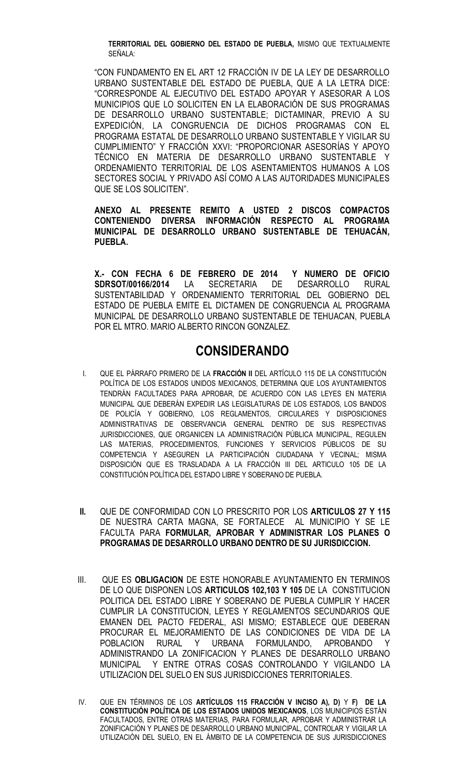**TERRITORIAL DEL GOBIERNO DEL ESTADO DE PUEBLA,** MISMO QUE TEXTUALMENTE SEÑALA:

"CON FUNDAMENTO EN EL ART 12 FRACCIÓN IV DE LA LEY DE DESARROLLO URBANO SUSTENTABLE DEL ESTADO DE PUEBLA, QUE A LA LETRA DICE: "CORRESPONDE AL EJECUTIVO DEL ESTADO APOYAR Y ASESORAR A LOS MUNICIPIOS QUE LO SOLICITEN EN LA ELABORACIÓN DE SUS PROGRAMAS DE DESARROLLO URBANO SUSTENTABLE; DICTAMINAR, PREVIO A SU EXPEDICIÓN, LA CONGRUENCIA DE DICHOS PROGRAMAS CON EL PROGRAMA ESTATAL DE DESARROLLO URBANO SUSTENTABLE Y VIGILAR SU CUMPLIMIENTO" Y FRACCIÓN XXVI: "PROPORCIONAR ASESORÍAS Y APOYO TÉCNICO EN MATERIA DE DESARROLLO URBANO SUSTENTABLE Y ORDENAMIENTO TERRITORIAL DE LOS ASENTAMIENTOS HUMANOS A LOS SECTORES SOCIAL Y PRIVADO ASÍ COMO A LAS AUTORIDADES MUNICIPALES QUE SE LOS SOLICITEN".

**ANEXO AL PRESENTE REMITO A USTED 2 DISCOS COMPACTOS CONTENIENDO DIVERSA INFORMACIÓN RESPECTO AL PROGRAMA MUNICIPAL DE DESARROLLO URBANO SUSTENTABLE DE TEHUACÁN, PUEBLA.**

**X.- CON FECHA 6 DE FEBRERO DE 2014 Y NUMERO DE OFICIO SDRSOT/00166/2014** LA SECRETARIA DE DESARROLLO RURAL SUSTENTABILIDAD Y ORDENAMIENTO TERRITORIAL DEL GOBIERNO DEL ESTADO DE PUEBLA EMITE EL DICTAMEN DE CONGRUENCIA AL PROGRAMA MUNICIPAL DE DESARROLLO URBANO SUSTENTABLE DE TEHUACAN, PUEBLA POR EL MTRO. MARIO ALBERTO RINCON GONZALEZ.

# **CONSIDERANDO**

- I. QUE EL PÁRRAFO PRIMERO DE LA **FRACCIÓN II** DEL ARTÍCULO 115 DE LA CONSTITUCIÓN POLÍTICA DE LOS ESTADOS UNIDOS MEXICANOS, DETERMINA QUE LOS AYUNTAMIENTOS TENDRÁN FACULTADES PARA APROBAR, DE ACUERDO CON LAS LEYES EN MATERIA MUNICIPAL QUE DEBERÁN EXPEDIR LAS LEGISLATURAS DE LOS ESTADOS, LOS BANDOS DE POLICÍA Y GOBIERNO, LOS REGLAMENTOS, CIRCULARES Y DISPOSICIONES ADMINISTRATIVAS DE OBSERVANCIA GENERAL DENTRO DE SUS RESPECTIVAS JURISDICCIONES, QUE ORGANICEN LA ADMINISTRACIÓN PÚBLICA MUNICIPAL, REGULEN LAS MATERIAS, PROCEDIMIENTOS, FUNCIONES Y SERVICIOS PÚBLICOS DE SU COMPETENCIA Y ASEGUREN LA PARTICIPACIÓN CIUDADANA Y VECINAL; MISMA DISPOSICIÓN QUE ES TRASLADADA A LA FRACCIÓN III DEL ARTICULO 105 DE LA CONSTITUCIÓN POLÍTICA DEL ESTADO LIBRE Y SOBERANO DE PUEBLA.
- **II.** QUE DE CONFORMIDAD CON LO PRESCRITO POR LOS **ARTICULOS 27 Y 115** DE NUESTRA CARTA MAGNA, SE FORTALECE AL MUNICIPIO Y SE LE FACULTA PARA **FORMULAR, APROBAR Y ADMINISTRAR LOS PLANES O PROGRAMAS DE DESARROLLO URBANO DENTRO DE SU JURISDICCION.**
- III. QUE ES **OBLIGACION** DE ESTE HONORABLE AYUNTAMIENTO EN TERMINOS DE LO QUE DISPONEN LOS **ARTICULOS 102,103 Y 105** DE LA CONSTITUCION POLITICA DEL ESTADO LIBRE Y SOBERANO DE PUEBLA CUMPLIR Y HACER CUMPLIR LA CONSTITUCION, LEYES Y REGLAMENTOS SECUNDARIOS QUE EMANEN DEL PACTO FEDERAL, ASI MISMO; ESTABLECE QUE DEBERAN PROCURAR EL MEJORAMIENTO DE LAS CONDICIONES DE VIDA DE LA POBLACION RURAL Y URBANA FORMULANDO, APROBANDO Y ADMINISTRANDO LA ZONIFICACION Y PLANES DE DESARROLLO URBANO MUNICIPAL Y ENTRE OTRAS COSAS CONTROLANDO Y VIGILANDO LA UTILIZACION DEL SUELO EN SUS JURISDICCIONES TERRITORIALES.
- IV. QUE EN TÉRMINOS DE LOS **ARTÍCULOS 115 FRACCIÓN V INCISO A), D)** Y **F) DE LA CONSTITUCIÓN POLÍTICA DE LOS ESTADOS UNIDOS MEXICANOS**, LOS MUNICIPIOS ESTÁN FACULTADOS, ENTRE OTRAS MATERIAS, PARA FORMULAR, APROBAR Y ADMINISTRAR LA ZONIFICACIÓN Y PLANES DE DESARROLLO URBANO MUNICIPAL, CONTROLAR Y VIGILAR LA UTILIZACIÓN DEL SUELO, EN EL ÁMBITO DE LA COMPETENCIA DE SUS JURISDICCIONES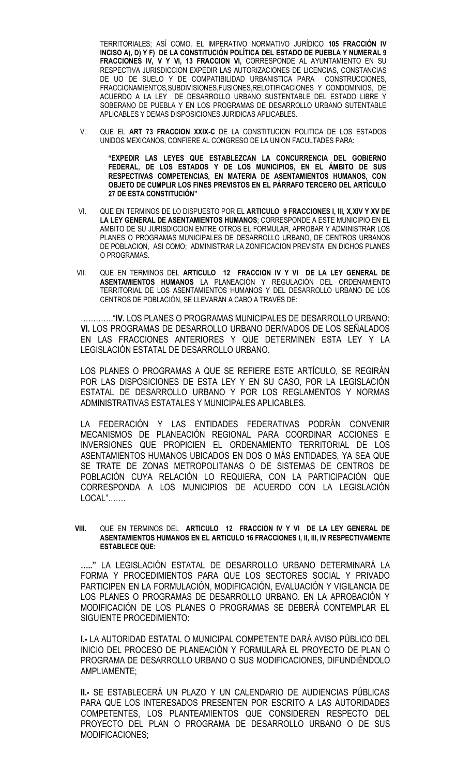TERRITORIALES; ASÍ COMO, EL IMPERATIVO NORMATIVO JURÍDICO **105 FRACCIÓN IV INCISO A), D) Y F) DE LA CONSTITUCIÓN POLÍTICA DEL ESTADO DE PUEBLA Y NUMERAL 9 FRACCIONES IV, V Y VI, 13 FRACCION VI,** CORRESPONDE AL AYUNTAMIENTO EN SU RESPECTIVA JURISDICCION EXPEDIR LAS AUTORIZACIONES DE LICENCIAS, CONSTANCIAS DE UO DE SUELO Y DE COMPATIBILIDAD URBANISTICA PARA CONSTRUCCIONES, FRACCIONAMIENTOS,SUBDIVISIONES,FUSIONES,RELOTIFICACIONES Y CONDOMINIOS, DE ACUERDO A LA LEY DE DESARROLLO URBANO SUSTENTABLE DEL ESTADO LIBRE Y SOBERANO DE PUEBLA Y EN LOS PROGRAMAS DE DESARROLLO URBANO SUTENTABLE APLICABLES Y DEMAS DISPOSICIONES JURIDICAS APLICABLES.

V. QUE EL **ART 73 FRACCION XXIX-C** DE LA CONSTITUCION POLITICA DE LOS ESTADOS UNIDOS MEXICANOS, CONFIERE AL CONGRESO DE LA UNION FACULTADES PARA:

**"EXPEDIR LAS LEYES QUE ESTABLEZCAN LA CONCURRENCIA DEL GOBIERNO FEDERAL, DE LOS ESTADOS Y DE LOS MUNICIPIOS, EN EL ÁMBITO DE SUS RESPECTIVAS COMPETENCIAS, EN MATERIA DE ASENTAMIENTOS HUMANOS, CON OBJETO DE CUMPLIR LOS FINES PREVISTOS EN EL PÁRRAFO TERCERO DEL ARTÍCULO 27 DE ESTA CONSTITUCIÓN"**

- VI. QUE EN TERMINOS DE LO DISPUESTO POR EL **ARTICULO 9 FRACCIONES I, III, X,XIV Y XV DE LA LEY GENERAL DE ASENTAMIENTOS HUMANOS**; CORRESPONDE A ESTE MUNICIPIO EN EL AMBITO DE SU JURISDICCION ENTRE OTROS EL FORMULAR, APROBAR Y ADMINISTRAR LOS PLANES O PROGRAMAS MUNICIPALES DE DESARROLLO URBANO, DE CENTROS URBANOS DE POBLACION, ASI COMO; ADMINISTRAR LA ZONIFICACION PREVISTA EN DICHOS PLANES O PROGRAMAS.
- VII. QUE EN TERMINOS DEL **ARTICULO 12 FRACCION IV Y VI DE LA LEY GENERAL DE ASENTAMIENTOS HUMANOS** LA PLANEACIÓN Y REGULACIÓN DEL ORDENAMIENTO TERRITORIAL DE LOS ASENTAMIENTOS HUMANOS Y DEL DESARROLLO URBANO DE LOS CENTROS DE POBLACIÓN, SE LLEVARÁN A CABO A TRAVÉS DE:

…………."**IV.** LOS PLANES O PROGRAMAS MUNICIPALES DE DESARROLLO URBANO: **VI.** LOS PROGRAMAS DE DESARROLLO URBANO DERIVADOS DE LOS SEÑALADOS EN LAS FRACCIONES ANTERIORES Y QUE DETERMINEN ESTA LEY Y LA LEGISLACIÓN ESTATAL DE DESARROLLO URBANO.

LOS PLANES O PROGRAMAS A QUE SE REFIERE ESTE ARTÍCULO, SE REGIRÁN POR LAS DISPOSICIONES DE ESTA LEY Y EN SU CASO, POR LA LEGISLACIÓN ESTATAL DE DESARROLLO URBANO Y POR LOS REGLAMENTOS Y NORMAS ADMINISTRATIVAS ESTATALES Y MUNICIPALES APLICABLES.

LA FEDERACIÓN Y LAS ENTIDADES FEDERATIVAS PODRÁN CONVENIR MECANISMOS DE PLANEACIÓN REGIONAL PARA COORDINAR ACCIONES E INVERSIONES QUE PROPICIEN EL ORDENAMIENTO TERRITORIAL DE LOS ASENTAMIENTOS HUMANOS UBICADOS EN DOS O MÁS ENTIDADES, YA SEA QUE SE TRATE DE ZONAS METROPOLITANAS O DE SISTEMAS DE CENTROS DE POBLACIÓN CUYA RELACIÓN LO REQUIERA, CON LA PARTICIPACIÓN QUE CORRESPONDA A LOS MUNICIPIOS DE ACUERDO CON LA LEGISLACIÓN LOCAL"…….

#### **VIII.** QUE EN TERMINOS DEL **ARTICULO 12 FRACCION IV Y VI DE LA LEY GENERAL DE ASENTAMIENTOS HUMANOS EN EL ARTICULO 16 FRACCIONES I, II, III, IV RESPECTIVAMENTE ESTABLECE QUE:**

**….."** LA LEGISLACIÓN ESTATAL DE DESARROLLO URBANO DETERMINARÁ LA FORMA Y PROCEDIMIENTOS PARA QUE LOS SECTORES SOCIAL Y PRIVADO PARTICIPEN EN LA FORMULACIÓN, MODIFICACIÓN, EVALUACIÓN Y VIGILANCIA DE LOS PLANES O PROGRAMAS DE DESARROLLO URBANO. EN LA APROBACIÓN Y MODIFICACIÓN DE LOS PLANES O PROGRAMAS SE DEBERÁ CONTEMPLAR EL SIGUIENTE PROCEDIMIENTO:

**I.-** LA AUTORIDAD ESTATAL O MUNICIPAL COMPETENTE DARÁ AVISO PÚBLICO DEL INICIO DEL PROCESO DE PLANEACIÓN Y FORMULARÁ EL PROYECTO DE PLAN O PROGRAMA DE DESARROLLO URBANO O SUS MODIFICACIONES, DIFUNDIÉNDOLO AMPLIAMENTE;

**II.-** SE ESTABLECERÁ UN PLAZO Y UN CALENDARIO DE AUDIENCIAS PÚBLICAS PARA QUE LOS INTERESADOS PRESENTEN POR ESCRITO A LAS AUTORIDADES COMPETENTES, LOS PLANTEAMIENTOS QUE CONSIDEREN RESPECTO DEL PROYECTO DEL PLAN O PROGRAMA DE DESARROLLO URBANO O DE SUS MODIFICACIONES;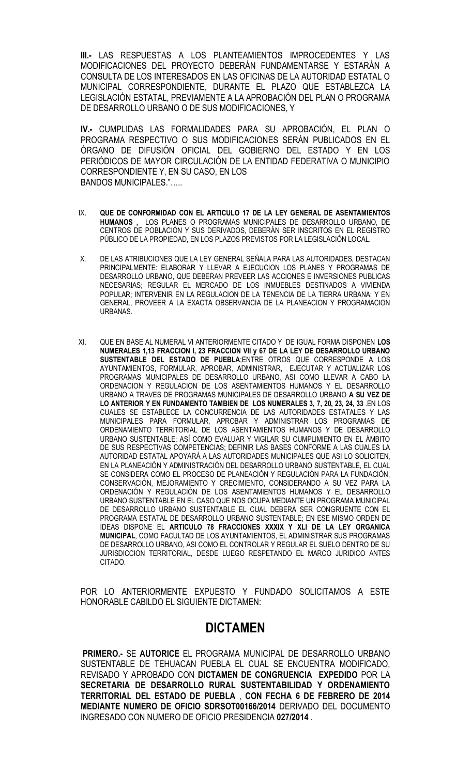**III.-** LAS RESPUESTAS A LOS PLANTEAMIENTOS IMPROCEDENTES Y LAS MODIFICACIONES DEL PROYECTO DEBERÁN FUNDAMENTARSE Y ESTARÁN A CONSULTA DE LOS INTERESADOS EN LAS OFICINAS DE LA AUTORIDAD ESTATAL O MUNICIPAL CORRESPONDIENTE, DURANTE EL PLAZO QUE ESTABLEZCA LA LEGISLACIÓN ESTATAL, PREVIAMENTE A LA APROBACIÓN DEL PLAN O PROGRAMA DE DESARROLLO URBANO O DE SUS MODIFICACIONES, Y

**IV.-** CUMPLIDAS LAS FORMALIDADES PARA SU APROBACIÓN, EL PLAN O PROGRAMA RESPECTIVO O SUS MODIFICACIONES SERÁN PUBLICADOS EN EL ÓRGANO DE DIFUSIÓN OFICIAL DEL GOBIERNO DEL ESTADO Y EN LOS PERIÓDICOS DE MAYOR CIRCULACIÓN DE LA ENTIDAD FEDERATIVA O MUNICIPIO CORRESPONDIENTE Y, EN SU CASO, EN LOS BANDOS MUNICIPALES."…..

- IX. **QUE DE CONFORMIDAD CON EL ARTICULO 17 DE LA LEY GENERAL DE ASENTAMIENTOS HUMANOS ,** LOS PLANES O PROGRAMAS MUNICIPALES DE DESARROLLO URBANO, DE CENTROS DE POBLACIÓN Y SUS DERIVADOS, DEBERÁN SER INSCRITOS EN EL REGISTRO PÚBLICO DE LA PROPIEDAD, EN LOS PLAZOS PREVISTOS POR LA LEGISLACIÓN LOCAL.
- X. DE LAS ATRIBUCIONES QUE LA LEY GENERAL SEÑALA PARA LAS AUTORIDADES, DESTACAN PRINCIPALMENTE: ELABORAR Y LLEVAR A EJECUCION LOS PLANES Y PROGRAMAS DE DESARROLLO URBANO, QUE DEBERAN PREVEER LAS ACCIONES E INVERSIONES PUBLICAS NECESARIAS; REGULAR EL MERCADO DE LOS INMUEBLES DESTINADOS A VIVIENDA POPULAR; INTERVENIR EN LA REGULACION DE LA TENENCIA DE LA TIERRA URBANA; Y EN GENERAL, PROVEER A LA EXACTA OBSERVANCIA DE LA PLANEACION Y PROGRAMACION **URBANAS**
- XI. QUE EN BASE AL NUMERAL VI ANTERIORMENTE CITADO Y DE IGUAL FORMA DISPONEN **LOS NUMERALES 1,13 FRACCION I, 23 FRACCION VII y 67 DE LA LEY DE DESARROLLO URBANO SUSTENTABLE DEL ESTADO DE PUEBLA**;ENTRE OTROS QUE CORRESPONDE A LOS AYUNTAMIENTOS, FORMULAR, APROBAR, ADMINISTRAR, EJECUTAR Y ACTUALIZAR LOS PROGRAMAS MUNICIPALES DE DESARROLLO URBANO, ASI COMO LLEVAR A CABO LA ORDENACION Y REGULACION DE LOS ASENTAMIENTOS HUMANOS Y EL DESARROLLO URBANO A TRAVES DE PROGRAMAS MUNICIPALES DE DESARROLLO URBANO **A SU VEZ DE LO ANTERIOR Y EN FUNDAMENTO TAMBIEN DE LOS NUMERALES 3, 7, 20, 23, 24, 33** .EN LOS CUALES SE ESTABLECE LA CONCURRENCIA DE LAS AUTORIDADES ESTATALES Y LAS MUNICIPALES PARA FORMULAR, APROBAR Y ADMINISTRAR LOS PROGRAMAS DE ORDENAMIENTO TERRITORIAL DE LOS ASENTAMIENTOS HUMANOS Y DE DESARROLLO URBANO SUSTENTABLE; ASÍ COMO EVALUAR Y VIGILAR SU CUMPLIMIENTO EN EL ÁMBITO DE SUS RESPECTIVAS COMPETENCIAS; DEFINIR LAS BASES CONFORME A LAS CUALES LA AUTORIDAD ESTATAL APOYARÁ A LAS AUTORIDADES MUNICIPALES QUE ASI LO SOLICITEN, EN LA PLANEACIÓN Y ADMINISTRACIÓN DEL DESARROLLO URBANO SUSTENTABLE, EL CUAL SE CONSIDERA COMO EL PROCESO DE PLANEACIÓN Y REGULACIÓN PARA LA FUNDACIÓN, CONSERVACIÓN, MEJORAMIENTO Y CRECIMIENTO, CONSIDERANDO A SU VEZ PARA LA ORDENACIÓN Y REGULACIÓN DE LOS ASENTAMIENTOS HUMANOS Y EL DESARROLLO URBANO SUSTENTABLE EN EL CASO QUE NOS OCUPA MEDIANTE UN PROGRAMA MUNICIPAL DE DESARROLLO URBANO SUSTENTABLE EL CUAL DEBERÁ SER CONGRUENTE CON EL PROGRAMA ESTATAL DE DESARROLLO URBANO SUSTENTABLE; EN ESE MISMO ORDEN DE IDEAS DISPONE EL **ARTICULO 78 FRACCIONES XXXIX Y XLI DE LA LEY ORGANICA MUNICIPAL**, COMO FACULTAD DE LOS AYUNTAMIENTOS, EL ADMINISTRAR SUS PROGRAMAS DE DESARROLLO URBANO, ASI COMO EL CONTROLAR Y REGULAR EL SUELO DENTRO DE SU JURISDICCION TERRITORIAL, DESDE LUEGO RESPETANDO EL MARCO JURIDICO ANTES CITADO.

POR LO ANTERIORMENTE EXPUESTO Y FUNDADO SOLICITAMOS A ESTE HONORABLE CABILDO EL SIGUIENTE DICTAMEN:

## **DICTAMEN**

**PRIMERO.-** SE **AUTORICE** EL PROGRAMA MUNICIPAL DE DESARROLLO URBANO SUSTENTABLE DE TEHUACAN PUEBLA EL CUAL SE ENCUENTRA MODIFICADO, REVISADO Y APROBADO CON **DICTAMEN DE CONGRUENCIA EXPEDIDO** POR LA **SECRETARIA DE DESARROLLO RURAL SUSTENTABILIDAD Y ORDENAMIENTO TERRITORIAL DEL ESTADO DE PUEBLA** , **CON FECHA 6 DE FEBRERO DE 2014 MEDIANTE NUMERO DE OFICIO SDRSOT00166/2014** DERIVADO DEL DOCUMENTO INGRESADO CON NUMERO DE OFICIO PRESIDENCIA **027/2014** .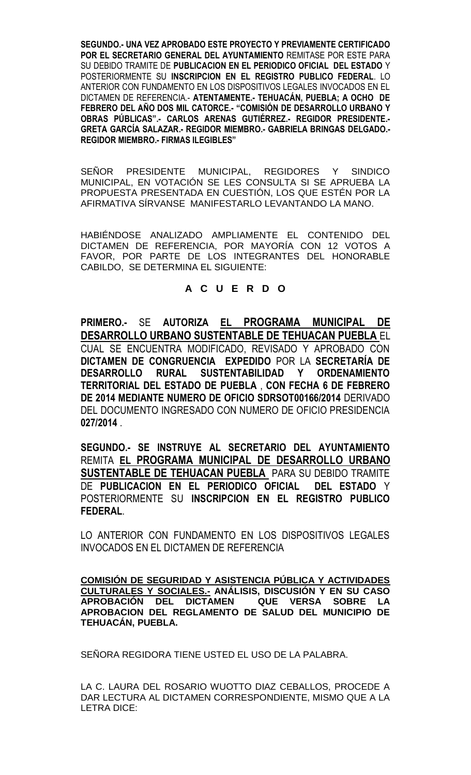**SEGUNDO.- UNA VEZ APROBADO ESTE PROYECTO Y PREVIAMENTE CERTIFICADO POR EL SECRETARIO GENERAL DEL AYUNTAMIENTO** REMITASE POR ESTE PARA SU DEBIDO TRAMITE DE **PUBLICACION EN EL PERIODICO OFICIAL DEL ESTADO** Y POSTERIORMENTE SU **INSCRIPCION EN EL REGISTRO PUBLICO FEDERAL**. LO ANTERIOR CON FUNDAMENTO EN LOS DISPOSITIVOS LEGALES INVOCADOS EN EL DICTAMEN DE REFERENCIA.- **ATENTAMENTE.- TEHUACÁN, PUEBLA; A OCHO DE FEBRERO DEL AÑO DOS MIL CATORCE.- "COMISIÓN DE DESARROLLO URBANO Y OBRAS PÚBLICAS".- CARLOS ARENAS GUTIÉRREZ.- REGIDOR PRESIDENTE.- GRETA GARCÍA SALAZAR.- REGIDOR MIEMBRO.- GABRIELA BRINGAS DELGADO.- REGIDOR MIEMBRO.- FIRMAS ILEGIBLES"**

SEÑOR PRESIDENTE MUNICIPAL, REGIDORES Y SINDICO MUNICIPAL, EN VOTACIÓN SE LES CONSULTA SI SE APRUEBA LA PROPUESTA PRESENTADA EN CUESTIÓN, LOS QUE ESTÉN POR LA AFIRMATIVA SÍRVANSE MANIFESTARLO LEVANTANDO LA MANO.

HABIÉNDOSE ANALIZADO AMPLIAMENTE EL CONTENIDO DEL DICTAMEN DE REFERENCIA, POR MAYORÍA CON 12 VOTOS A FAVOR, POR PARTE DE LOS INTEGRANTES DEL HONORABLE CABILDO, SE DETERMINA EL SIGUIENTE:

### **A C U E R D O**

**PRIMERO.-** SE **AUTORIZA EL PROGRAMA MUNICIPAL DE DESARROLLO URBANO SUSTENTABLE DE TEHUACAN PUEBLA** EL CUAL SE ENCUENTRA MODIFICADO, REVISADO Y APROBADO CON **DICTAMEN DE CONGRUENCIA EXPEDIDO** POR LA **SECRETARÍA DE DESARROLLO RURAL SUSTENTABILIDAD Y ORDENAMIENTO TERRITORIAL DEL ESTADO DE PUEBLA** , **CON FECHA 6 DE FEBRERO DE 2014 MEDIANTE NUMERO DE OFICIO SDRSOT00166/2014** DERIVADO DEL DOCUMENTO INGRESADO CON NUMERO DE OFICIO PRESIDENCIA **027/2014** .

**SEGUNDO.- SE INSTRUYE AL SECRETARIO DEL AYUNTAMIENTO**  REMITA **EL PROGRAMA MUNICIPAL DE DESARROLLO URBANO SUSTENTABLE DE TEHUACAN PUEBLA** PARA SU DEBIDO TRAMITE DE **PUBLICACION EN EL PERIODICO OFICIAL DEL ESTADO** Y POSTERIORMENTE SU **INSCRIPCION EN EL REGISTRO PUBLICO FEDERAL**.

LO ANTERIOR CON FUNDAMENTO EN LOS DISPOSITIVOS LEGALES INVOCADOS EN EL DICTAMEN DE REFERENCIA

**COMISIÓN DE SEGURIDAD Y ASISTENCIA PÚBLICA Y ACTIVIDADES CULTURALES Y SOCIALES.- ANÁLISIS, DISCUSIÓN Y EN SU CASO APROBACIÓN DEL DICTAMEN QUE VERSA SOBRE LA APROBACION DEL REGLAMENTO DE SALUD DEL MUNICIPIO DE TEHUACÁN, PUEBLA.**

SEÑORA REGIDORA TIENE USTED EL USO DE LA PALABRA.

LA C. LAURA DEL ROSARIO WUOTTO DIAZ CEBALLOS, PROCEDE A DAR LECTURA AL DICTAMEN CORRESPONDIENTE, MISMO QUE A LA LETRA DICE: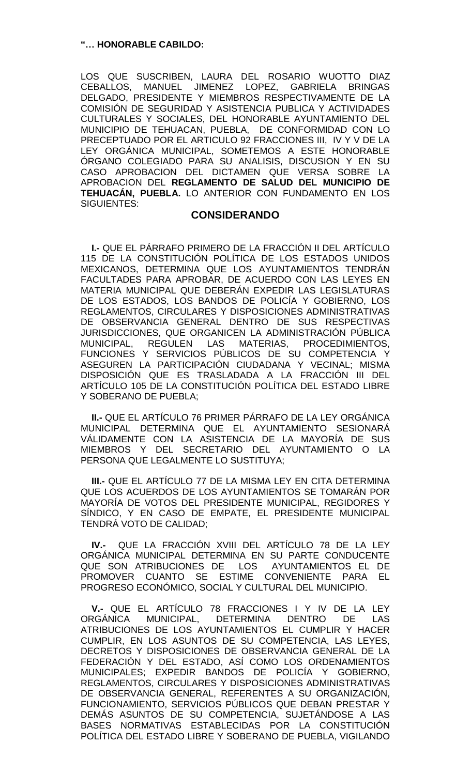LOS QUE SUSCRIBEN, LAURA DEL ROSARIO WUOTTO DIAZ CEBALLOS, MANUEL JIMENEZ LOPEZ, GABRIELA BRINGAS DELGADO, PRESIDENTE Y MIEMBROS RESPECTIVAMENTE DE LA COMISIÓN DE SEGURIDAD Y ASISTENCIA PUBLICA Y ACTIVIDADES CULTURALES Y SOCIALES, DEL HONORABLE AYUNTAMIENTO DEL MUNICIPIO DE TEHUACAN, PUEBLA, DE CONFORMIDAD CON LO PRECEPTUADO POR EL ARTICULO 92 FRACCIONES III, IV Y V DE LA LEY ORGÁNICA MUNICIPAL, SOMETEMOS A ESTE HONORABLE ÓRGANO COLEGIADO PARA SU ANALISIS, DISCUSION Y EN SU CASO APROBACION DEL DICTAMEN QUE VERSA SOBRE LA APROBACION DEL **REGLAMENTO DE SALUD DEL MUNICIPIO DE TEHUACÁN, PUEBLA.** LO ANTERIOR CON FUNDAMENTO EN LOS SIGUIENTES:

#### **CONSIDERANDO**

**I.-** QUE EL PÁRRAFO PRIMERO DE LA FRACCIÓN II DEL ARTÍCULO 115 DE LA CONSTITUCIÓN POLÍTICA DE LOS ESTADOS UNIDOS MEXICANOS, DETERMINA QUE LOS AYUNTAMIENTOS TENDRÁN FACULTADES PARA APROBAR, DE ACUERDO CON LAS LEYES EN MATERIA MUNICIPAL QUE DEBERÁN EXPEDIR LAS LEGISLATURAS DE LOS ESTADOS, LOS BANDOS DE POLICÍA Y GOBIERNO, LOS REGLAMENTOS, CIRCULARES Y DISPOSICIONES ADMINISTRATIVAS DE OBSERVANCIA GENERAL DENTRO DE SUS RESPECTIVAS JURISDICCIONES, QUE ORGANICEN LA ADMINISTRACIÓN PÚBLICA MUNICIPAL, REGULEN LAS MATERIAS, PROCEDIMIENTOS, FUNCIONES Y SERVICIOS PÚBLICOS DE SU COMPETENCIA Y ASEGUREN LA PARTICIPACIÓN CIUDADANA Y VECINAL; MISMA DISPOSICIÓN QUE ES TRASLADADA A LA FRACCIÓN III DEL ARTÍCULO 105 DE LA CONSTITUCIÓN POLÍTICA DEL ESTADO LIBRE Y SOBERANO DE PUEBLA;

**II.-** QUE EL ARTÍCULO 76 PRIMER PÁRRAFO DE LA LEY ORGÁNICA MUNICIPAL DETERMINA QUE EL AYUNTAMIENTO SESIONARÁ VÁLIDAMENTE CON LA ASISTENCIA DE LA MAYORÍA DE SUS MIEMBROS Y DEL SECRETARIO DEL AYUNTAMIENTO O LA PERSONA QUE LEGALMENTE LO SUSTITUYA;

**III.-** QUE EL ARTÍCULO 77 DE LA MISMA LEY EN CITA DETERMINA QUE LOS ACUERDOS DE LOS AYUNTAMIENTOS SE TOMARÁN POR MAYORÍA DE VOTOS DEL PRESIDENTE MUNICIPAL, REGIDORES Y SÍNDICO, Y EN CASO DE EMPATE, EL PRESIDENTE MUNICIPAL TENDRÁ VOTO DE CALIDAD;

**IV.-** QUE LA FRACCIÓN XVIII DEL ARTÍCULO 78 DE LA LEY ORGÁNICA MUNICIPAL DETERMINA EN SU PARTE CONDUCENTE QUE SON ATRIBUCIONES DE LOS AYUNTAMIENTOS EL DE PROMOVER CUANTO SE ESTIME CONVENIENTE PARA EL PROGRESO ECONÓMICO, SOCIAL Y CULTURAL DEL MUNICIPIO.

**V.-** QUE EL ARTÍCULO 78 FRACCIONES I Y IV DE LA LEY ORGÁNICA MUNICIPAL, DETERMINA DENTRO DE LAS ATRIBUCIONES DE LOS AYUNTAMIENTOS EL CUMPLIR Y HACER CUMPLIR, EN LOS ASUNTOS DE SU COMPETENCIA, LAS LEYES, DECRETOS Y DISPOSICIONES DE OBSERVANCIA GENERAL DE LA FEDERACIÓN Y DEL ESTADO, ASÍ COMO LOS ORDENAMIENTOS MUNICIPALES; EXPEDIR BANDOS DE POLICÍA Y GOBIERNO, REGLAMENTOS, CIRCULARES Y DISPOSICIONES ADMINISTRATIVAS DE OBSERVANCIA GENERAL, REFERENTES A SU ORGANIZACIÓN, FUNCIONAMIENTO, SERVICIOS PÚBLICOS QUE DEBAN PRESTAR Y DEMÁS ASUNTOS DE SU COMPETENCIA, SUJETÁNDOSE A LAS BASES NORMATIVAS ESTABLECIDAS POR LA CONSTITUCIÓN POLÍTICA DEL ESTADO LIBRE Y SOBERANO DE PUEBLA, VIGILANDO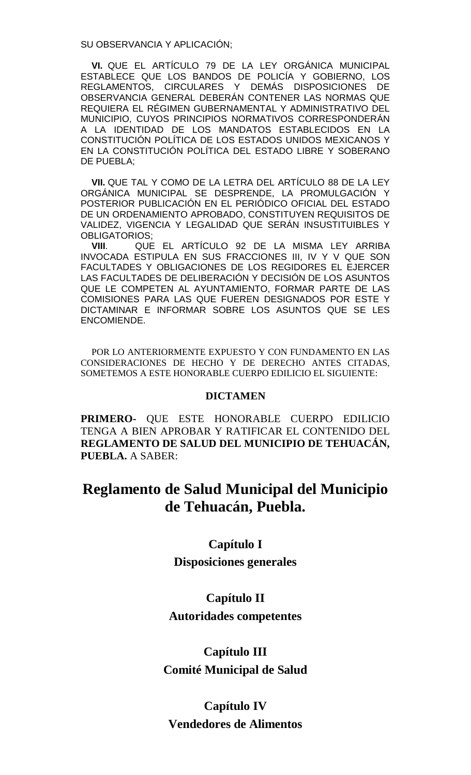SU OBSERVANCIA Y APLICACIÓN;

**VI.** QUE EL ARTÍCULO 79 DE LA LEY ORGÁNICA MUNICIPAL ESTABLECE QUE LOS BANDOS DE POLICÍA Y GOBIERNO, LOS REGLAMENTOS, CIRCULARES Y DEMÁS DISPOSICIONES DE OBSERVANCIA GENERAL DEBERÁN CONTENER LAS NORMAS QUE REQUIERA EL RÉGIMEN GUBERNAMENTAL Y ADMINISTRATIVO DEL MUNICIPIO, CUYOS PRINCIPIOS NORMATIVOS CORRESPONDERÁN A LA IDENTIDAD DE LOS MANDATOS ESTABLECIDOS EN LA CONSTITUCIÓN POLÍTICA DE LOS ESTADOS UNIDOS MEXICANOS Y EN LA CONSTITUCIÓN POLÍTICA DEL ESTADO LIBRE Y SOBERANO DE PUEBLA;

**VII.** QUE TAL Y COMO DE LA LETRA DEL ARTÍCULO 88 DE LA LEY ORGÁNICA MUNICIPAL SE DESPRENDE, LA PROMULGACIÓN Y POSTERIOR PUBLICACIÓN EN EL PERIÓDICO OFICIAL DEL ESTADO DE UN ORDENAMIENTO APROBADO, CONSTITUYEN REQUISITOS DE VALIDEZ, VIGENCIA Y LEGALIDAD QUE SERÁN INSUSTITUIBLES Y OBLIGATORIOS;

**VIII**. QUE EL ARTÍCULO 92 DE LA MISMA LEY ARRIBA INVOCADA ESTIPULA EN SUS FRACCIONES III, IV Y V QUE SON FACULTADES Y OBLIGACIONES DE LOS REGIDORES EL EJERCER LAS FACULTADES DE DELIBERACIÓN Y DECISIÓN DE LOS ASUNTOS QUE LE COMPETEN AL AYUNTAMIENTO, FORMAR PARTE DE LAS COMISIONES PARA LAS QUE FUEREN DESIGNADOS POR ESTE Y DICTAMINAR E INFORMAR SOBRE LOS ASUNTOS QUE SE LES ENCOMIENDE.

POR LO ANTERIORMENTE EXPUESTO Y CON FUNDAMENTO EN LAS CONSIDERACIONES DE HECHO Y DE DERECHO ANTES CITADAS, SOMETEMOS A ESTE HONORABLE CUERPO EDILICIO EL SIGUIENTE:

#### **DICTAMEN**

**PRIMERO-** QUE ESTE HONORABLE CUERPO EDILICIO TENGA A BIEN APROBAR Y RATIFICAR EL CONTENIDO DEL **REGLAMENTO DE SALUD DEL MUNICIPIO DE TEHUACÁN, PUEBLA.** A SABER:

# **Reglamento de Salud Municipal del Municipio de Tehuacán, Puebla.**

### **Capítulo I**

**Disposiciones generales** 

### **Capítulo II**

**Autoridades competentes** 

#### **Capítulo III**

**Comité Municipal de Salud** 

## **Capítulo IV Vendedores de Alimentos**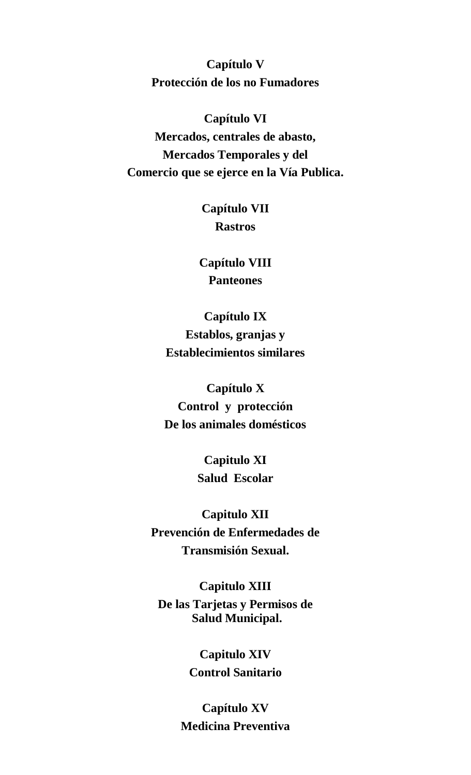**Capítulo V Protección de los no Fumadores**

**Capítulo VI Mercados, centrales de abasto, Mercados Temporales y del Comercio que se ejerce en la Vía Publica.**

> **Capítulo VII Rastros**

**Capítulo VIII Panteones** 

**Capítulo IX Establos, granjas y Establecimientos similares** 

**Capítulo X Control y protección De los animales domésticos** 

> **Capitulo XI Salud Escolar**

**Capitulo XII Prevención de Enfermedades de Transmisión Sexual.**

**Capitulo XIII De las Tarjetas y Permisos de Salud Municipal.**

> **Capitulo XIV Control Sanitario**

**Capítulo XV Medicina Preventiva**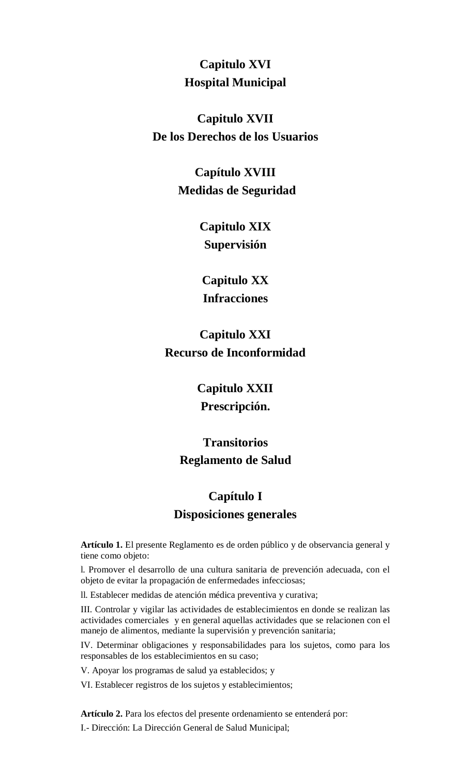# **Capitulo XVI Hospital Municipal**

## **Capitulo XVII De los Derechos de los Usuarios**

## **Capítulo XVIII Medidas de Seguridad**

**Capitulo XIX Supervisión** 

# **Capitulo XX Infracciones**

# **Capitulo XXI Recurso de Inconformidad**

## **Capitulo XXII**

**Prescripción.**

## **Transitorios Reglamento de Salud**

# **Capítulo I Disposiciones generales**

**Artículo 1.** El presente Reglamento es de orden público y de observancia general y tiene como objeto:

l. Promover el desarrollo de una cultura sanitaria de prevención adecuada, con el objeto de evitar la propagación de enfermedades infecciosas;

ll. Establecer medidas de atención médica preventiva y curativa;

III. Controlar y vigilar las actividades de establecimientos en donde se realizan las actividades comerciales y en general aquellas actividades que se relacionen con el manejo de alimentos, mediante la supervisión y prevención sanitaria;

IV. Determinar obligaciones y responsabilidades para los sujetos, como para los responsables de los establecimientos en su caso;

V. Apoyar los programas de salud ya establecidos; y

VI. Establecer registros de los sujetos y establecimientos;

**Artículo 2.** Para los efectos del presente ordenamiento se entenderá por:

I.- Dirección: La Dirección General de Salud Municipal;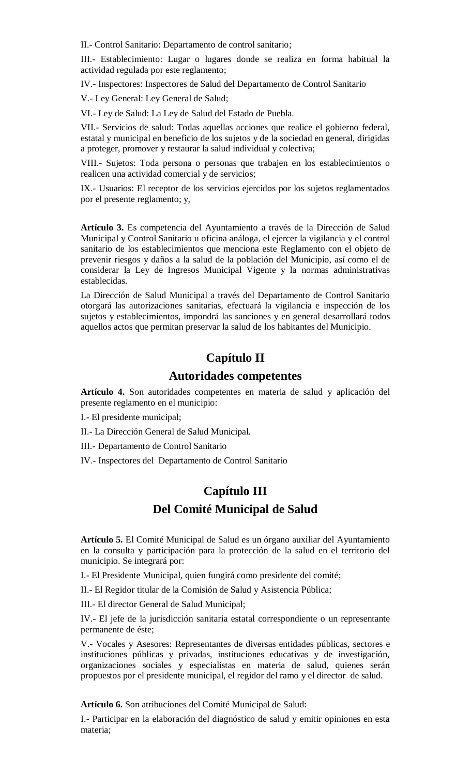II.- Control Sanitario: Departamento de control sanitario;

III.- Establecimiento: Lugar o lugares donde se realiza en forma habitual la actividad regulada por este reglamento;

IV.- Inspectores: Inspectores de Salud del Departamento de Control Sanitario

V.- Ley General: Ley General de Salud;

VI.- Ley de Salud: La Ley de Salud del Estado de Puebla.

VII.- Servicios de salud: Todas aquellas acciones que realice el gobierno federal, estatal y municipal en beneficio de los sujetos y de la sociedad en general, dirigidas a proteger, promover y restaurar la salud individual y colectiva;

VIII.- Sujetos: Toda persona o personas que trabajen en los establecimientos o realicen una actividad comercial y de servicios;

IX.- Usuarios: El receptor de los servicios ejercidos por los sujetos reglamentados por el presente reglamento; y,

**Artículo 3.** Es competencia del Ayuntamiento a través de la Dirección de Salud Municipal y Control Sanitario u oficina análoga, el ejercer la vigilancia y el control sanitario de los establecimientos que menciona este Reglamento con el objeto de prevenir riesgos y daños a la salud de la población del Municipio, así como el de considerar la Ley de Ingresos Municipal Vigente y la normas administrativas establecidas.

La Dirección de Salud Municipal a través del Departamento de Control Sanitario otorgará las autorizaciones sanitarias, efectuará la vigilancia e inspección de los sujetos y establecimientos, impondrá las sanciones y en general desarrollará todos aquellos actos que permitan preservar la salud de los habitantes del Municipio.

## **Capítulo II**

### **Autoridades competentes**

**Artículo 4.** Son autoridades competentes en materia de salud y aplicación del presente reglamento en el municipio:

I.- El presidente municipal;

II.- La Dirección General de Salud Municipal.

III.- Departamento de Control Sanitario

IV.- Inspectores del Departamento de Control Sanitario

## **Capítulo III Del Comité Municipal de Salud**

**Artículo 5.** El Comité Municipal de Salud es un órgano auxiliar del Ayuntamiento en la consulta y participación para la protección de la salud en el territorio del municipio. Se integrará por:

I.- El Presidente Municipal, quien fungirá como presidente del comité;

II.- El Regidor titular de la Comisión de Salud y Asistencia Pública;

III.- El director General de Salud Municipal;

IV.- El jefe de la jurisdicción sanitaria estatal correspondiente o un representante permanente de éste;

V.- Vocales y Asesores: Representantes de diversas entidades públicas, sectores e instituciones públicas y privadas, instituciones educativas y de investigación, organizaciones sociales y especialistas en materia de salud, quienes serán propuestos por el presidente municipal, el regidor del ramo y el director de salud.

**Artículo 6.** Son atribuciones del Comité Municipal de Salud:

I.- Participar en la elaboración del diagnóstico de salud y emitir opiniones en esta materia;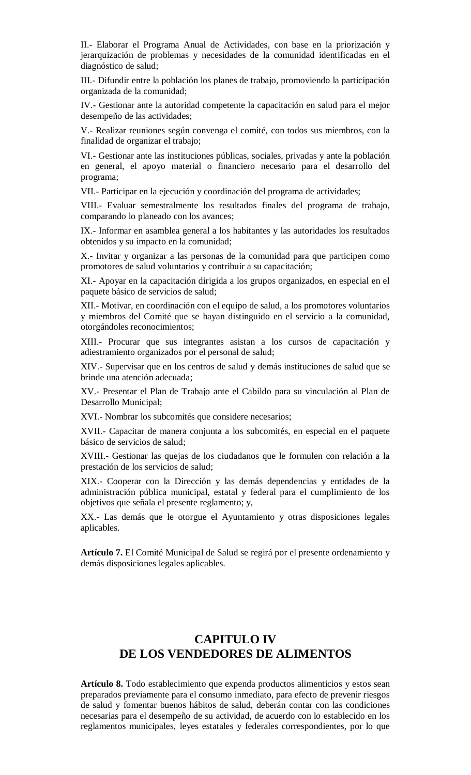II.- Elaborar el Programa Anual de Actividades, con base en la priorización y jerarquización de problemas y necesidades de la comunidad identificadas en el diagnóstico de salud;

III.- Difundir entre la población los planes de trabajo, promoviendo la participación organizada de la comunidad;

IV.- Gestionar ante la autoridad competente la capacitación en salud para el mejor desempeño de las actividades;

V.- Realizar reuniones según convenga el comité, con todos sus miembros, con la finalidad de organizar el trabajo;

VI.- Gestionar ante las instituciones públicas, sociales, privadas y ante la población en general, el apoyo material o financiero necesario para el desarrollo del programa;

VII.- Participar en la ejecución y coordinación del programa de actividades;

VIII.- Evaluar semestralmente los resultados finales del programa de trabajo, comparando lo planeado con los avances;

IX.- Informar en asamblea general a los habitantes y las autoridades los resultados obtenidos y su impacto en la comunidad;

X.- Invitar y organizar a las personas de la comunidad para que participen como promotores de salud voluntarios y contribuir a su capacitación;

XI.- Apoyar en la capacitación dirigida a los grupos organizados, en especial en el paquete básico de servicios de salud;

XII.- Motivar, en coordinación con el equipo de salud, a los promotores voluntarios y miembros del Comité que se hayan distinguido en el servicio a la comunidad, otorgándoles reconocimientos;

XIII.- Procurar que sus integrantes asistan a los cursos de capacitación y adiestramiento organizados por el personal de salud;

XIV.- Supervisar que en los centros de salud y demás instituciones de salud que se brinde una atención adecuada;

XV.- Presentar el Plan de Trabajo ante el Cabildo para su vinculación al Plan de Desarrollo Municipal;

XVI.- Nombrar los subcomités que considere necesarios;

XVII.- Capacitar de manera conjunta a los subcomités, en especial en el paquete básico de servicios de salud;

XVIII.- Gestionar las quejas de los ciudadanos que le formulen con relación a la prestación de los servicios de salud;

XIX.- Cooperar con la Dirección y las demás dependencias y entidades de la administración pública municipal, estatal y federal para el cumplimiento de los objetivos que señala el presente reglamento; y,

XX.- Las demás que le otorgue el Ayuntamiento y otras disposiciones legales aplicables.

**Artículo 7.** El Comité Municipal de Salud se regirá por el presente ordenamiento y demás disposiciones legales aplicables.

## **CAPITULO IV DE LOS VENDEDORES DE ALIMENTOS**

**Artículo 8.** Todo establecimiento que expenda productos alimenticios y estos sean preparados previamente para el consumo inmediato, para efecto de prevenir riesgos de salud y fomentar buenos hábitos de salud, deberán contar con las condiciones necesarias para el desempeño de su actividad, de acuerdo con lo establecido en los reglamentos municipales, leyes estatales y federales correspondientes, por lo que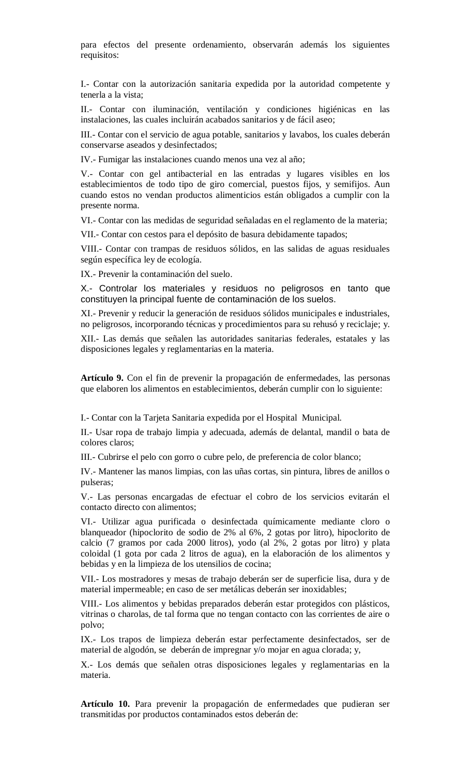para efectos del presente ordenamiento, observarán además los siguientes requisitos:

I.- Contar con la autorización sanitaria expedida por la autoridad competente y tenerla a la vista;

II.- Contar con iluminación, ventilación y condiciones higiénicas en las instalaciones, las cuales incluirán acabados sanitarios y de fácil aseo;

III.- Contar con el servicio de agua potable, sanitarios y lavabos, los cuales deberán conservarse aseados y desinfectados;

IV.- Fumigar las instalaciones cuando menos una vez al año;

V.- Contar con gel antibacterial en las entradas y lugares visibles en los establecimientos de todo tipo de giro comercial, puestos fijos, y semifijos. Aun cuando estos no vendan productos alimenticios están obligados a cumplir con la presente norma.

VI.- Contar con las medidas de seguridad señaladas en el reglamento de la materia;

VII.- Contar con cestos para el depósito de basura debidamente tapados;

VIII.- Contar con trampas de residuos sólidos, en las salidas de aguas residuales según específica ley de ecología.

IX.- Prevenir la contaminación del suelo.

X.- Controlar los materiales y residuos no peligrosos en tanto que constituyen la principal fuente de contaminación de los suelos.

XI.- Prevenir y reducir la generación de residuos sólidos municipales e industriales, no peligrosos, incorporando técnicas y procedimientos para su rehusó y reciclaje; y.

XII.- Las demás que señalen las autoridades sanitarias federales, estatales y las disposiciones legales y reglamentarias en la materia.

**Artículo 9.** Con el fin de prevenir la propagación de enfermedades, las personas que elaboren los alimentos en establecimientos, deberán cumplir con lo siguiente:

I.- Contar con la Tarjeta Sanitaria expedida por el Hospital Municipal.

II.- Usar ropa de trabajo limpia y adecuada, además de delantal, mandil o bata de colores claros;

III.- Cubrirse el pelo con gorro o cubre pelo, de preferencia de color blanco;

IV.- Mantener las manos limpias, con las uñas cortas, sin pintura, libres de anillos o pulseras;

V.- Las personas encargadas de efectuar el cobro de los servicios evitarán el contacto directo con alimentos;

VI.- Utilizar agua purificada o desinfectada químicamente mediante cloro o blanqueador (hipoclorito de sodio de 2% al 6%, 2 gotas por litro), hipoclorito de calcio (7 gramos por cada 2000 litros), yodo (al 2%, 2 gotas por litro) y plata coloidal (1 gota por cada 2 litros de agua), en la elaboración de los alimentos y bebidas y en la limpieza de los utensilios de cocina;

VII.- Los mostradores y mesas de trabajo deberán ser de superficie lisa, dura y de material impermeable; en caso de ser metálicas deberán ser inoxidables;

VIII.- Los alimentos y bebidas preparados deberán estar protegidos con plásticos, vitrinas o charolas, de tal forma que no tengan contacto con las corrientes de aire o polvo;

IX.- Los trapos de limpieza deberán estar perfectamente desinfectados, ser de material de algodón, se deberán de impregnar y/o mojar en agua clorada; y,

X.- Los demás que señalen otras disposiciones legales y reglamentarias en la materia.

**Artículo 10.** Para prevenir la propagación de enfermedades que pudieran ser transmitidas por productos contaminados estos deberán de: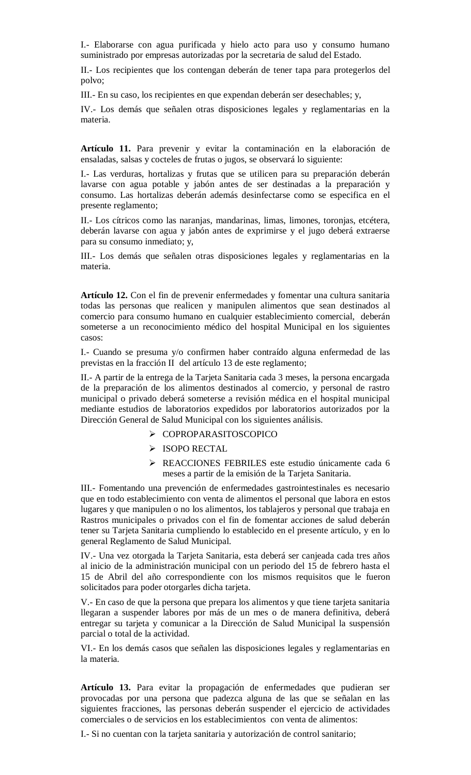I.- Elaborarse con agua purificada y hielo acto para uso y consumo humano suministrado por empresas autorizadas por la secretaria de salud del Estado.

II.- Los recipientes que los contengan deberán de tener tapa para protegerlos del polvo;

III.- En su caso, los recipientes en que expendan deberán ser desechables; y,

IV.- Los demás que señalen otras disposiciones legales y reglamentarias en la materia.

**Artículo 11.** Para prevenir y evitar la contaminación en la elaboración de ensaladas, salsas y cocteles de frutas o jugos, se observará lo siguiente:

I.- Las verduras, hortalizas y frutas que se utilicen para su preparación deberán lavarse con agua potable y jabón antes de ser destinadas a la preparación y consumo. Las hortalizas deberán además desinfectarse como se especifica en el presente reglamento;

II.- Los cítricos como las naranjas, mandarinas, limas, limones, toronjas, etcétera, deberán lavarse con agua y jabón antes de exprimirse y el jugo deberá extraerse para su consumo inmediato; y,

III.- Los demás que señalen otras disposiciones legales y reglamentarias en la materia.

**Artículo 12.** Con el fin de prevenir enfermedades y fomentar una cultura sanitaria todas las personas que realicen y manipulen alimentos que sean destinados al comercio para consumo humano en cualquier establecimiento comercial, deberán someterse a un reconocimiento médico del hospital Municipal en los siguientes casos:

I.- Cuando se presuma y/o confirmen haber contraído alguna enfermedad de las previstas en la fracción II del artículo 13 de este reglamento;

II.- A partir de la entrega de la Tarjeta Sanitaria cada 3 meses, la persona encargada de la preparación de los alimentos destinados al comercio, y personal de rastro municipal o privado deberá someterse a revisión médica en el hospital municipal mediante estudios de laboratorios expedidos por laboratorios autorizados por la Dirección General de Salud Municipal con los siguientes análisis.

- > COPROPARASITOSCOPICO
- > ISOPO RECTAL
- REACCIONES FEBRILES este estudio únicamente cada 6 meses a partir de la emisión de la Tarjeta Sanitaria.

III.- Fomentando una prevención de enfermedades gastrointestinales es necesario que en todo establecimiento con venta de alimentos el personal que labora en estos lugares y que manipulen o no los alimentos, los tablajeros y personal que trabaja en Rastros municipales o privados con el fin de fomentar acciones de salud deberán tener su Tarjeta Sanitaria cumpliendo lo establecido en el presente artículo, y en lo general Reglamento de Salud Municipal.

IV.- Una vez otorgada la Tarjeta Sanitaria, esta deberá ser canjeada cada tres años al inicio de la administración municipal con un periodo del 15 de febrero hasta el 15 de Abril del año correspondiente con los mismos requisitos que le fueron solicitados para poder otorgarles dicha tarjeta.

V.- En caso de que la persona que prepara los alimentos y que tiene tarjeta sanitaria llegaran a suspender labores por más de un mes o de manera definitiva, deberá entregar su tarjeta y comunicar a la Dirección de Salud Municipal la suspensión parcial o total de la actividad.

VI.- En los demás casos que señalen las disposiciones legales y reglamentarias en la materia.

**Artículo 13.** Para evitar la propagación de enfermedades que pudieran ser provocadas por una persona que padezca alguna de las que se señalan en las siguientes fracciones, las personas deberán suspender el ejercicio de actividades comerciales o de servicios en los establecimientos con venta de alimentos:

I.- Si no cuentan con la tarjeta sanitaria y autorización de control sanitario;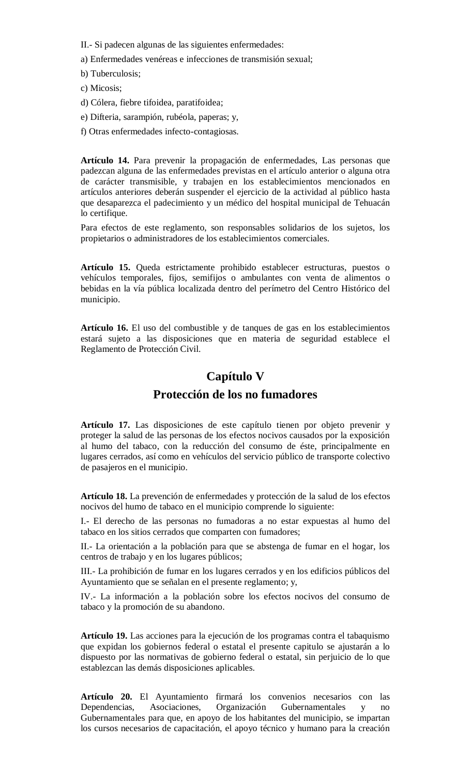- II.- Si padecen algunas de las siguientes enfermedades:
- a) Enfermedades venéreas e infecciones de transmisión sexual;
- b) Tuberculosis;
- c) Micosis;
- d) Cólera, fiebre tifoidea, paratifoidea;
- e) Difteria, sarampión, rubéola, paperas; y,
- f) Otras enfermedades infecto-contagiosas.

**Artículo 14.** Para prevenir la propagación de enfermedades, Las personas que padezcan alguna de las enfermedades previstas en el artículo anterior o alguna otra de carácter transmisible, y trabajen en los establecimientos mencionados en artículos anteriores deberán suspender el ejercicio de la actividad al público hasta que desaparezca el padecimiento y un médico del hospital municipal de Tehuacán lo certifique.

Para efectos de este reglamento, son responsables solidarios de los sujetos, los propietarios o administradores de los establecimientos comerciales.

**Artículo 15.** Queda estrictamente prohibido establecer estructuras, puestos o vehículos temporales, fijos, semifijos o ambulantes con venta de alimentos o bebidas en la vía pública localizada dentro del perímetro del Centro Histórico del municipio.

**Artículo 16.** El uso del combustible y de tanques de gas en los establecimientos estará sujeto a las disposiciones que en materia de seguridad establece el Reglamento de Protección Civil.

# **Capítulo V Protección de los no fumadores**

**Artículo 17.** Las disposiciones de este capítulo tienen por objeto prevenir y proteger la salud de las personas de los efectos nocivos causados por la exposición al humo del tabaco, con la reducción del consumo de éste, principalmente en lugares cerrados, así como en vehículos del servicio público de transporte colectivo de pasajeros en el municipio.

**Artículo 18.** La prevención de enfermedades y protección de la salud de los efectos nocivos del humo de tabaco en el municipio comprende lo siguiente:

I.- El derecho de las personas no fumadoras a no estar expuestas al humo del tabaco en los sitios cerrados que comparten con fumadores;

II.- La orientación a la población para que se abstenga de fumar en el hogar, los centros de trabajo y en los lugares públicos;

III.- La prohibición de fumar en los lugares cerrados y en los edificios públicos del Ayuntamiento que se señalan en el presente reglamento; y,

IV.- La información a la población sobre los efectos nocivos del consumo de tabaco y la promoción de su abandono.

**Artículo 19.** Las acciones para la ejecución de los programas contra el tabaquismo que expidan los gobiernos federal o estatal el presente capitulo se ajustarán a lo dispuesto por las normativas de gobierno federal o estatal, sin perjuicio de lo que establezcan las demás disposiciones aplicables.

**Artículo 20.** El Ayuntamiento firmará los convenios necesarios con las Dependencias, Asociaciones, Organización Gubernamentales y no Gubernamentales para que, en apoyo de los habitantes del municipio, se impartan los cursos necesarios de capacitación, el apoyo técnico y humano para la creación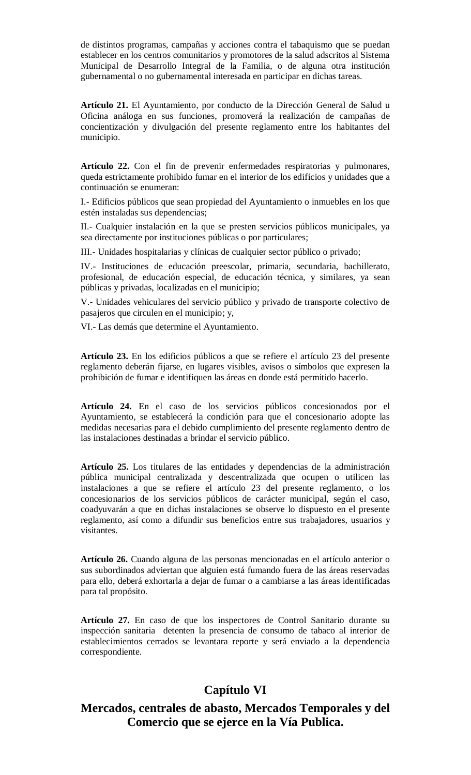de distintos programas, campañas y acciones contra el tabaquismo que se puedan establecer en los centros comunitarios y promotores de la salud adscritos al Sistema Municipal de Desarrollo Integral de la Familia, o de alguna otra institución gubernamental o no gubernamental interesada en participar en dichas tareas.

**Artículo 21.** El Ayuntamiento, por conducto de la Dirección General de Salud u Oficina análoga en sus funciones, promoverá la realización de campañas de concientización y divulgación del presente reglamento entre los habitantes del municipio.

**Artículo 22.** Con el fin de prevenir enfermedades respiratorias y pulmonares, queda estrictamente prohibido fumar en el interior de los edificios y unidades que a continuación se enumeran:

I.- Edificios públicos que sean propiedad del Ayuntamiento o inmuebles en los que estén instaladas sus dependencias;

II.- Cualquier instalación en la que se presten servicios públicos municipales, ya sea directamente por instituciones públicas o por particulares;

III.- Unidades hospitalarias y clínicas de cualquier sector público o privado;

IV.- Instituciones de educación preescolar, primaria, secundaria, bachillerato, profesional, de educación especial, de educación técnica, y similares, ya sean públicas y privadas, localizadas en el municipio;

V.- Unidades vehiculares del servicio público y privado de transporte colectivo de pasajeros que circulen en el municipio; y,

VI.- Las demás que determine el Ayuntamiento.

**Artículo 23.** En los edificios públicos a que se refiere el artículo 23 del presente reglamento deberán fijarse, en lugares visibles, avisos o símbolos que expresen la prohibición de fumar e identifiquen las áreas en donde está permitido hacerlo.

**Artículo 24.** En el caso de los servicios públicos concesionados por el Ayuntamiento, se establecerá la condición para que el concesionario adopte las medidas necesarias para el debido cumplimiento del presente reglamento dentro de las instalaciones destinadas a brindar el servicio público.

**Artículo 25.** Los titulares de las entidades y dependencias de la administración pública municipal centralizada y descentralizada que ocupen o utilicen las instalaciones a que se refiere el artículo 23 del presente reglamento, o los concesionarios de los servicios públicos de carácter municipal, según el caso, coadyuvarán a que en dichas instalaciones se observe lo dispuesto en el presente reglamento, así como a difundir sus beneficios entre sus trabajadores, usuarios y visitantes.

**Artículo 26.** Cuando alguna de las personas mencionadas en el artículo anterior o sus subordinados adviertan que alguien está fumando fuera de las áreas reservadas para ello, deberá exhortarla a dejar de fumar o a cambiarse a las áreas identificadas para tal propósito.

**Artículo 27.** En caso de que los inspectores de Control Sanitario durante su inspección sanitaria detenten la presencia de consumo de tabaco al interior de establecimientos cerrados se levantara reporte y será enviado a la dependencia correspondiente.

## **Capítulo VI**

## **Mercados, centrales de abasto, Mercados Temporales y del Comercio que se ejerce en la Vía Publica.**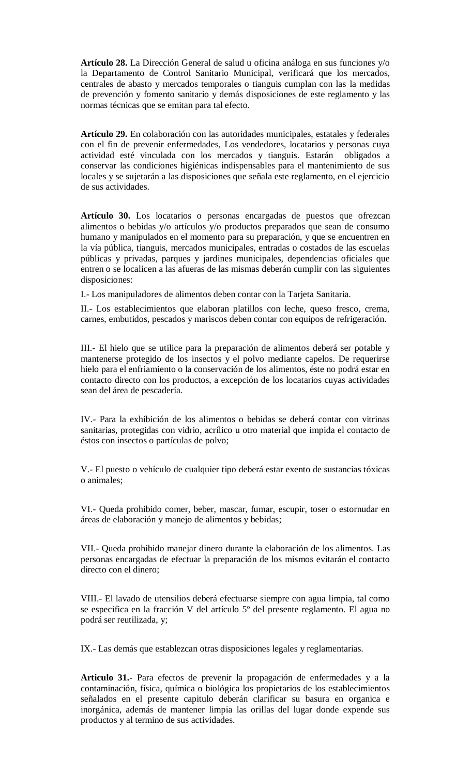**Artículo 28.** La Dirección General de salud u oficina análoga en sus funciones y/o la Departamento de Control Sanitario Municipal, verificará que los mercados, centrales de abasto y mercados temporales o tianguis cumplan con las la medidas de prevención y fomento sanitario y demás disposiciones de este reglamento y las normas técnicas que se emitan para tal efecto.

**Artículo 29.** En colaboración con las autoridades municipales, estatales y federales con el fin de prevenir enfermedades, Los vendedores, locatarios y personas cuya actividad esté vinculada con los mercados y tianguis. Estarán obligados a conservar las condiciones higiénicas indispensables para el mantenimiento de sus locales y se sujetarán a las disposiciones que señala este reglamento, en el ejercicio de sus actividades.

**Artículo 30.** Los locatarios o personas encargadas de puestos que ofrezcan alimentos o bebidas y/o artículos y/o productos preparados que sean de consumo humano y manipulados en el momento para su preparación, y que se encuentren en la vía pública, tianguis, mercados municipales, entradas o costados de las escuelas públicas y privadas, parques y jardines municipales, dependencias oficiales que entren o se localicen a las afueras de las mismas deberán cumplir con las siguientes disposiciones:

I.- Los manipuladores de alimentos deben contar con la Tarjeta Sanitaria.

II.- Los establecimientos que elaboran platillos con leche, queso fresco, crema, carnes, embutidos, pescados y mariscos deben contar con equipos de refrigeración.

III.- El hielo que se utilice para la preparación de alimentos deberá ser potable y mantenerse protegido de los insectos y el polvo mediante capelos. De requerirse hielo para el enfriamiento o la conservación de los alimentos, éste no podrá estar en contacto directo con los productos, a excepción de los locatarios cuyas actividades sean del área de pescadería.

IV.- Para la exhibición de los alimentos o bebidas se deberá contar con vitrinas sanitarias, protegidas con vidrio, acrílico u otro material que impida el contacto de éstos con insectos o partículas de polvo;

V.- El puesto o vehículo de cualquier tipo deberá estar exento de sustancias tóxicas o animales;

VI.- Queda prohibido comer, beber, mascar, fumar, escupir, toser o estornudar en áreas de elaboración y manejo de alimentos y bebidas;

VII.- Queda prohibido manejar dinero durante la elaboración de los alimentos. Las personas encargadas de efectuar la preparación de los mismos evitarán el contacto directo con el dinero;

VIII.- El lavado de utensilios deberá efectuarse siempre con agua limpia, tal como se especifica en la fracción V del artículo 5º del presente reglamento. El agua no podrá ser reutilizada, y;

IX.- Las demás que establezcan otras disposiciones legales y reglamentarias.

**Articulo 31.-** Para efectos de prevenir la propagación de enfermedades y a la contaminación, física, química o biológica los propietarios de los establecimientos señalados en el presente capitulo deberán clarificar su basura en organica e inorgánica, además de mantener limpia las orillas del lugar donde expende sus productos y al termino de sus actividades.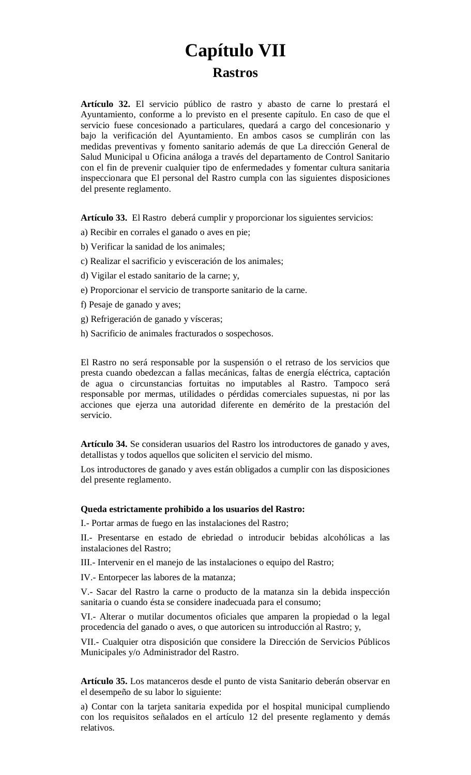# **Capítulo VII Rastros**

**Artículo 32.** El servicio público de rastro y abasto de carne lo prestará el Ayuntamiento, conforme a lo previsto en el presente capítulo. En caso de que el servicio fuese concesionado a particulares, quedará a cargo del concesionario y bajo la verificación del Ayuntamiento. En ambos casos se cumplirán con las medidas preventivas y fomento sanitario además de que La dirección General de Salud Municipal u Oficina análoga a través del departamento de Control Sanitario con el fin de prevenir cualquier tipo de enfermedades y fomentar cultura sanitaria inspeccionara que El personal del Rastro cumpla con las siguientes disposiciones del presente reglamento.

**Artículo 33.** El Rastro deberá cumplir y proporcionar los siguientes servicios:

- a) Recibir en corrales el ganado o aves en pie;
- b) Verificar la sanidad de los animales;
- c) Realizar el sacrificio y evisceración de los animales;
- d) Vigilar el estado sanitario de la carne; y,
- e) Proporcionar el servicio de transporte sanitario de la carne.
- f) Pesaje de ganado y aves;
- g) Refrigeración de ganado y vísceras;
- h) Sacrificio de animales fracturados o sospechosos.

El Rastro no será responsable por la suspensión o el retraso de los servicios que presta cuando obedezcan a fallas mecánicas, faltas de energía eléctrica, captación de agua o circunstancias fortuitas no imputables al Rastro. Tampoco será responsable por mermas, utilidades o pérdidas comerciales supuestas, ni por las acciones que ejerza una autoridad diferente en demérito de la prestación del servicio.

**Artículo 34.** Se consideran usuarios del Rastro los introductores de ganado y aves, detallistas y todos aquellos que soliciten el servicio del mismo.

Los introductores de ganado y aves están obligados a cumplir con las disposiciones del presente reglamento.

#### **Queda estrictamente prohibido a los usuarios del Rastro:**

I.- Portar armas de fuego en las instalaciones del Rastro;

II.- Presentarse en estado de ebriedad o introducir bebidas alcohólicas a las instalaciones del Rastro;

III.- Intervenir en el manejo de las instalaciones o equipo del Rastro;

IV.- Entorpecer las labores de la matanza;

V.- Sacar del Rastro la carne o producto de la matanza sin la debida inspección sanitaria o cuando ésta se considere inadecuada para el consumo;

VI.- Alterar o mutilar documentos oficiales que amparen la propiedad o la legal procedencia del ganado o aves, o que autoricen su introducción al Rastro; y,

VII.- Cualquier otra disposición que considere la Dirección de Servicios Públicos Municipales y/o Administrador del Rastro.

**Artículo 35.** Los matanceros desde el punto de vista Sanitario deberán observar en el desempeño de su labor lo siguiente:

a) Contar con la tarjeta sanitaria expedida por el hospital municipal cumpliendo con los requisitos señalados en el artículo 12 del presente reglamento y demás relativos.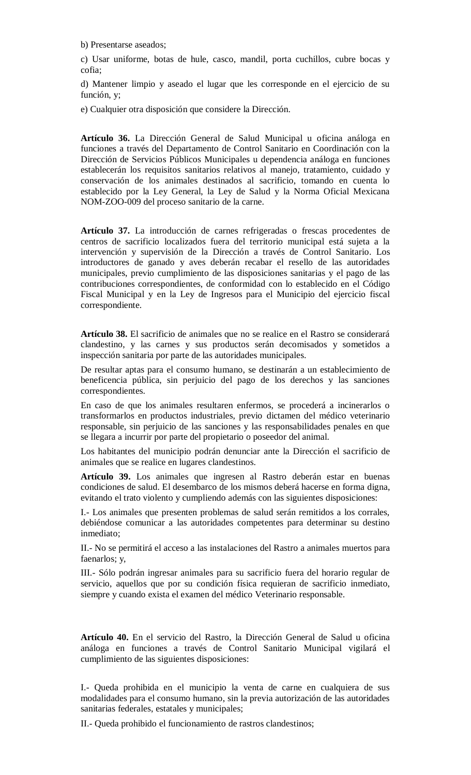b) Presentarse aseados;

c) Usar uniforme, botas de hule, casco, mandil, porta cuchillos, cubre bocas y cofia;

d) Mantener limpio y aseado el lugar que les corresponde en el ejercicio de su función, y;

e) Cualquier otra disposición que considere la Dirección.

**Artículo 36.** La Dirección General de Salud Municipal u oficina análoga en funciones a través del Departamento de Control Sanitario en Coordinación con la Dirección de Servicios Públicos Municipales u dependencia análoga en funciones establecerán los requisitos sanitarios relativos al manejo, tratamiento, cuidado y conservación de los animales destinados al sacrificio, tomando en cuenta lo establecido por la Ley General, la Ley de Salud y la Norma Oficial Mexicana NOM-ZOO-009 del proceso sanitario de la carne.

**Artículo 37.** La introducción de carnes refrigeradas o frescas procedentes de centros de sacrificio localizados fuera del territorio municipal está sujeta a la intervención y supervisión de la Dirección a través de Control Sanitario. Los introductores de ganado y aves deberán recabar el resello de las autoridades municipales, previo cumplimiento de las disposiciones sanitarias y el pago de las contribuciones correspondientes, de conformidad con lo establecido en el Código Fiscal Municipal y en la Ley de Ingresos para el Municipio del ejercicio fiscal correspondiente.

**Artículo 38.** El sacrificio de animales que no se realice en el Rastro se considerará clandestino, y las carnes y sus productos serán decomisados y sometidos a inspección sanitaria por parte de las autoridades municipales.

De resultar aptas para el consumo humano, se destinarán a un establecimiento de beneficencia pública, sin perjuicio del pago de los derechos y las sanciones correspondientes.

En caso de que los animales resultaren enfermos, se procederá a incinerarlos o transformarlos en productos industriales, previo dictamen del médico veterinario responsable, sin perjuicio de las sanciones y las responsabilidades penales en que se llegara a incurrir por parte del propietario o poseedor del animal.

Los habitantes del municipio podrán denunciar ante la Dirección el sacrificio de animales que se realice en lugares clandestinos.

**Artículo 39.** Los animales que ingresen al Rastro deberán estar en buenas condiciones de salud. El desembarco de los mismos deberá hacerse en forma digna, evitando el trato violento y cumpliendo además con las siguientes disposiciones:

I.- Los animales que presenten problemas de salud serán remitidos a los corrales, debiéndose comunicar a las autoridades competentes para determinar su destino inmediato;

II.- No se permitirá el acceso a las instalaciones del Rastro a animales muertos para faenarlos; y,

III.- Sólo podrán ingresar animales para su sacrificio fuera del horario regular de servicio, aquellos que por su condición física requieran de sacrificio inmediato, siempre y cuando exista el examen del médico Veterinario responsable.

**Artículo 40.** En el servicio del Rastro, la Dirección General de Salud u oficina análoga en funciones a través de Control Sanitario Municipal vigilará el cumplimiento de las siguientes disposiciones:

I.- Queda prohibida en el municipio la venta de carne en cualquiera de sus modalidades para el consumo humano, sin la previa autorización de las autoridades sanitarias federales, estatales y municipales;

II.- Queda prohibido el funcionamiento de rastros clandestinos;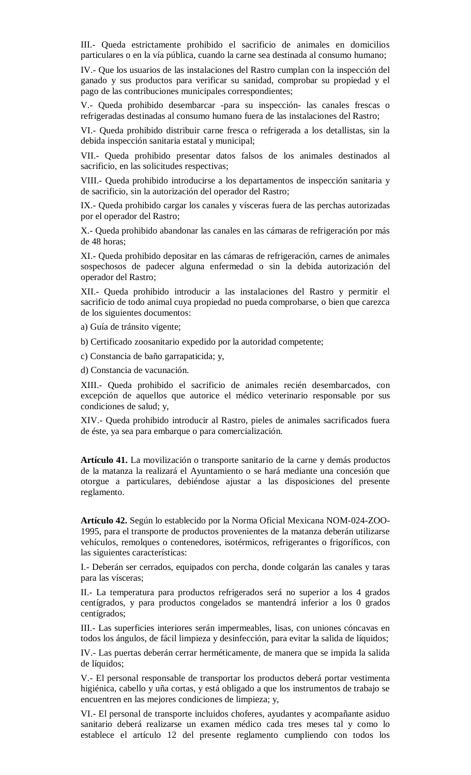III.- Queda estrictamente prohibido el sacrificio de animales en domicilios particulares o en la vía pública, cuando la carne sea destinada al consumo humano;

IV.- Que los usuarios de las instalaciones del Rastro cumplan con la inspección del ganado y sus productos para verificar su sanidad, comprobar su propiedad y el pago de las contribuciones municipales correspondientes;

V.- Queda prohibido desembarcar -para su inspección- las canales frescas o refrigeradas destinadas al consumo humano fuera de las instalaciones del Rastro;

VI.- Queda prohibido distribuir carne fresca o refrigerada a los detallistas, sin la debida inspección sanitaria estatal y municipal;

VII.- Queda prohibido presentar datos falsos de los animales destinados al sacrificio, en las solicitudes respectivas;

VIII.- Queda prohibido introducirse a los departamentos de inspección sanitaria y de sacrificio, sin la autorización del operador del Rastro;

IX.- Queda prohibido cargar los canales y vísceras fuera de las perchas autorizadas por el operador del Rastro;

X.- Queda prohibido abandonar las canales en las cámaras de refrigeración por más de 48 horas;

XI.- Queda prohibido depositar en las cámaras de refrigeración, carnes de animales sospechosos de padecer alguna enfermedad o sin la debida autorización del operador del Rastro;

XII.- Queda prohibido introducir a las instalaciones del Rastro y permitir el sacrificio de todo animal cuya propiedad no pueda comprobarse, o bien que carezca de los siguientes documentos:

a) Guía de tránsito vigente;

b) Certificado zoosanitario expedido por la autoridad competente;

c) Constancia de baño garrapaticida; y,

d) Constancia de vacunación.

XIII.- Queda prohibido el sacrificio de animales recién desembarcados, con excepción de aquellos que autorice el médico veterinario responsable por sus condiciones de salud; y,

XIV.- Queda prohibido introducir al Rastro, pieles de animales sacrificados fuera de éste, ya sea para embarque o para comercialización.

**Artículo 41.** La movilización o transporte sanitario de la carne y demás productos de la matanza la realizará el Ayuntamiento o se hará mediante una concesión que otorgue a particulares, debiéndose ajustar a las disposiciones del presente reglamento.

**Artículo 42.** Según lo establecido por la Norma Oficial Mexicana NOM-024-ZOO-1995, para el transporte de productos provenientes de la matanza deberán utilizarse vehículos, remolques o contenedores, isotérmicos, refrigerantes o frigoríficos, con las siguientes características:

I.- Deberán ser cerrados, equipados con percha, donde colgarán las canales y taras para las vísceras;

II.- La temperatura para productos refrigerados será no superior a los 4 grados centígrados, y para productos congelados se mantendrá inferior a los 0 grados centígrados;

III.- Las superficies interiores serán impermeables, lisas, con uniones cóncavas en todos los ángulos, de fácil limpieza y desinfección, para evitar la salida de líquidos;

IV.- Las puertas deberán cerrar herméticamente, de manera que se impida la salida de líquidos;

V.- El personal responsable de transportar los productos deberá portar vestimenta higiénica, cabello y uña cortas, y está obligado a que los instrumentos de trabajo se encuentren en las mejores condiciones de limpieza; y,

VI.- El personal de transporte incluidos choferes, ayudantes y acompañante asiduo sanitario deberá realizarse un examen médico cada tres meses tal y como lo establece el artículo 12 del presente reglamento cumpliendo con todos los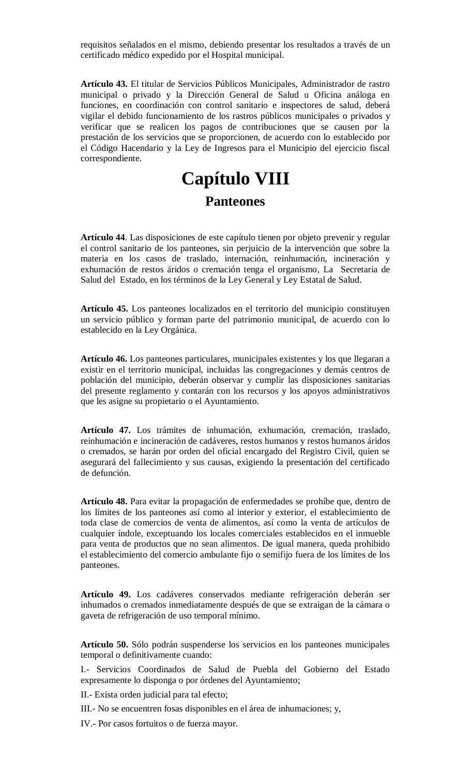requisitos señalados en el mismo, debiendo presentar los resultados a través de un certificado médico expedido por el Hospital municipal.

**Artículo 43.** El titular de Servicios Públicos Municipales, Administrador de rastro municipal o privado y la Dirección General de Salud u Oficina análoga en funciones, en coordinación con control sanitario e inspectores de salud, deberá vigilar el debido funcionamiento de los rastros públicos municipales o privados y verificar que se realicen los pagos de contribuciones que se causen por la prestación de los servicios que se proporcionen, de acuerdo con lo establecido por el Código Hacendario y la Ley de Ingresos para el Municipio del ejercicio fiscal correspondiente.

# **Capítulo VIII Panteones**

**Artículo 44**. Las disposiciones de este capítulo tienen por objeto prevenir y regular el control sanitario de los panteones, sin perjuicio de la intervención que sobre la materia en los casos de traslado, internación, reinhumación, incineración y exhumación de restos áridos o cremación tenga el organismo, La Secretaria de Salud del Estado, en los términos de la Ley General y Ley Estatal de Salud.

**Artículo 45.** Los panteones localizados en el territorio del municipio constituyen un servicio público y forman parte del patrimonio municipal, de acuerdo con lo establecido en la Ley Orgánica.

**Artículo 46.** Los panteones particulares, municipales existentes y los que llegaran a existir en el territorio municipal, incluidas las congregaciones y demás centros de población del municipio, deberán observar y cumplir las disposiciones sanitarias del presente reglamento y contarán con los recursos y los apoyos administrativos que les asigne su propietario o el Ayuntamiento.

**Artículo 47.** Los trámites de inhumación, exhumación, cremación, traslado, reinhumación e incineración de cadáveres, restos humanos y restos humanos áridos o cremados, se harán por orden del oficial encargado del Registro Civil, quien se asegurará del fallecimiento y sus causas, exigiendo la presentación del certificado de defunción.

**Artículo 48.** Para evitar la propagación de enfermedades se prohíbe que, dentro de los límites de los panteones así como al interior y exterior, el establecimiento de toda clase de comercios de venta de alimentos, así como la venta de artículos de cualquier índole, exceptuando los locales comerciales establecidos en el inmueble para venta de productos que no sean alimentos. De igual manera, queda prohibido el establecimiento del comercio ambulante fijo o semifijo fuera de los límites de los panteones.

**Artículo 49.** Los cadáveres conservados mediante refrigeración deberán ser inhumados o cremados inmediatamente después de que se extraigan de la cámara o gaveta de refrigeración de uso temporal mínimo.

**Artículo 50.** Sólo podrán suspenderse los servicios en los panteones municipales temporal o definitivamente cuando:

I.- Servicios Coordinados de Salud de Puebla del Gobierno del Estado expresamente lo disponga o por órdenes del Ayuntamiento;

II.- Exista orden judicial para tal efecto;

III.- No se encuentren fosas disponibles en el área de inhumaciones; y,

IV.- Por casos fortuitos o de fuerza mayor.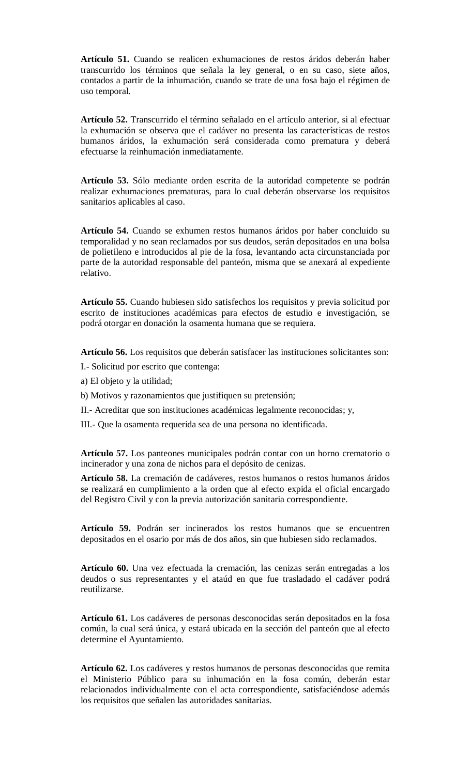**Artículo 51.** Cuando se realicen exhumaciones de restos áridos deberán haber transcurrido los términos que señala la ley general, o en su caso, siete años, contados a partir de la inhumación, cuando se trate de una fosa bajo el régimen de uso temporal.

**Artículo 52.** Transcurrido el término señalado en el artículo anterior, si al efectuar la exhumación se observa que el cadáver no presenta las características de restos humanos áridos, la exhumación será considerada como prematura y deberá efectuarse la reinhumación inmediatamente.

**Artículo 53.** Sólo mediante orden escrita de la autoridad competente se podrán realizar exhumaciones prematuras, para lo cual deberán observarse los requisitos sanitarios aplicables al caso.

**Artículo 54.** Cuando se exhumen restos humanos áridos por haber concluido su temporalidad y no sean reclamados por sus deudos, serán depositados en una bolsa de polietileno e introducidos al pie de la fosa, levantando acta circunstanciada por parte de la autoridad responsable del panteón, misma que se anexará al expediente relativo.

**Artículo 55.** Cuando hubiesen sido satisfechos los requisitos y previa solicitud por escrito de instituciones académicas para efectos de estudio e investigación, se podrá otorgar en donación la osamenta humana que se requiera.

**Artículo 56.** Los requisitos que deberán satisfacer las instituciones solicitantes son:

I.- Solicitud por escrito que contenga:

- a) El objeto y la utilidad;
- b) Motivos y razonamientos que justifiquen su pretensión;
- II.- Acreditar que son instituciones académicas legalmente reconocidas; y,
- III.- Que la osamenta requerida sea de una persona no identificada.

**Artículo 57.** Los panteones municipales podrán contar con un horno crematorio o incinerador y una zona de nichos para el depósito de cenizas.

**Artículo 58.** La cremación de cadáveres, restos humanos o restos humanos áridos se realizará en cumplimiento a la orden que al efecto expida el oficial encargado del Registro Civil y con la previa autorización sanitaria correspondiente.

**Artículo 59.** Podrán ser incinerados los restos humanos que se encuentren depositados en el osario por más de dos años, sin que hubiesen sido reclamados.

**Artículo 60.** Una vez efectuada la cremación, las cenizas serán entregadas a los deudos o sus representantes y el ataúd en que fue trasladado el cadáver podrá reutilizarse.

**Artículo 61.** Los cadáveres de personas desconocidas serán depositados en la fosa común, la cual será única, y estará ubicada en la sección del panteón que al efecto determine el Ayuntamiento.

**Artículo 62.** Los cadáveres y restos humanos de personas desconocidas que remita el Ministerio Público para su inhumación en la fosa común, deberán estar relacionados individualmente con el acta correspondiente, satisfaciéndose además los requisitos que señalen las autoridades sanitarias.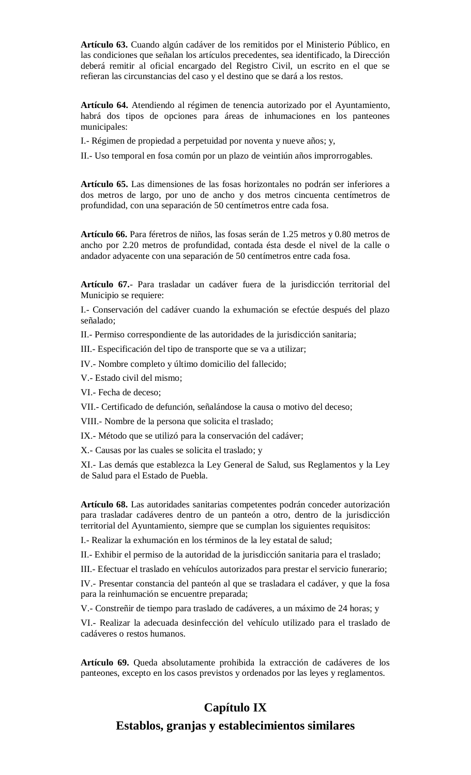**Artículo 63.** Cuando algún cadáver de los remitidos por el Ministerio Público, en las condiciones que señalan los artículos precedentes, sea identificado, la Dirección deberá remitir al oficial encargado del Registro Civil, un escrito en el que se refieran las circunstancias del caso y el destino que se dará a los restos.

**Artículo 64.** Atendiendo al régimen de tenencia autorizado por el Ayuntamiento, habrá dos tipos de opciones para áreas de inhumaciones en los panteones municipales:

I.- Régimen de propiedad a perpetuidad por noventa y nueve años; y,

II.- Uso temporal en fosa común por un plazo de veintiún años improrrogables.

**Artículo 65.** Las dimensiones de las fosas horizontales no podrán ser inferiores a dos metros de largo, por uno de ancho y dos metros cincuenta centímetros de profundidad, con una separación de 50 centímetros entre cada fosa.

**Artículo 66.** Para féretros de niños, las fosas serán de 1.25 metros y 0.80 metros de ancho por 2.20 metros de profundidad, contada ésta desde el nivel de la calle o andador adyacente con una separación de 50 centímetros entre cada fosa.

**Artículo 67.**- Para trasladar un cadáver fuera de la jurisdicción territorial del Municipio se requiere:

I.- Conservación del cadáver cuando la exhumación se efectúe después del plazo señalado;

II.- Permiso correspondiente de las autoridades de la jurisdicción sanitaria;

III.- Especificación del tipo de transporte que se va a utilizar;

IV.- Nombre completo y último domicilio del fallecido;

V.- Estado civil del mismo;

VI.- Fecha de deceso;

VII.- Certificado de defunción, señalándose la causa o motivo del deceso;

VIII.- Nombre de la persona que solicita el traslado;

IX.- Método que se utilizó para la conservación del cadáver;

X.- Causas por las cuales se solicita el traslado; y

XI.- Las demás que establezca la Ley General de Salud, sus Reglamentos y la Ley de Salud para el Estado de Puebla.

**Artículo 68.** Las autoridades sanitarias competentes podrán conceder autorización para trasladar cadáveres dentro de un panteón a otro, dentro de la jurisdicción territorial del Ayuntamiento, siempre que se cumplan los siguientes requisitos:

I.- Realizar la exhumación en los términos de la ley estatal de salud;

II.- Exhibir el permiso de la autoridad de la jurisdicción sanitaria para el traslado;

III.- Efectuar el traslado en vehículos autorizados para prestar el servicio funerario;

IV.- Presentar constancia del panteón al que se trasladara el cadáver, y que la fosa para la reinhumación se encuentre preparada;

V.- Constreñir de tiempo para traslado de cadáveres, a un máximo de 24 horas; y

VI.- Realizar la adecuada desinfección del vehículo utilizado para el traslado de cadáveres o restos humanos.

**Artículo 69.** Queda absolutamente prohibida la extracción de cadáveres de los panteones, excepto en los casos previstos y ordenados por las leyes y reglamentos.

## **Capítulo IX**

**Establos, granjas y establecimientos similares**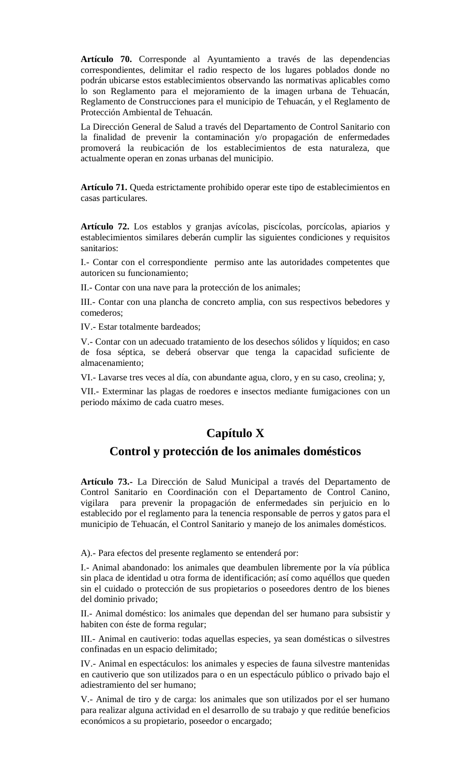**Artículo 70.** Corresponde al Ayuntamiento a través de las dependencias correspondientes, delimitar el radio respecto de los lugares poblados donde no podrán ubicarse estos establecimientos observando las normativas aplicables como lo son Reglamento para el mejoramiento de la imagen urbana de Tehuacán, Reglamento de Construcciones para el municipio de Tehuacán, y el Reglamento de Protección Ambiental de Tehuacán.

La Dirección General de Salud a través del Departamento de Control Sanitario con la finalidad de prevenir la contaminación y/o propagación de enfermedades promoverá la reubicación de los establecimientos de esta naturaleza, que actualmente operan en zonas urbanas del municipio.

**Artículo 71.** Queda estrictamente prohibido operar este tipo de establecimientos en casas particulares.

**Artículo 72.** Los establos y granjas avícolas, piscícolas, porcícolas, apiarios y establecimientos similares deberán cumplir las siguientes condiciones y requisitos sanitarios:

I.- Contar con el correspondiente permiso ante las autoridades competentes que autoricen su funcionamiento;

II.- Contar con una nave para la protección de los animales;

III.- Contar con una plancha de concreto amplia, con sus respectivos bebedores y comederos;

IV.- Estar totalmente bardeados;

V.- Contar con un adecuado tratamiento de los desechos sólidos y líquidos; en caso de fosa séptica, se deberá observar que tenga la capacidad suficiente de almacenamiento;

VI.- Lavarse tres veces al día, con abundante agua, cloro, y en su caso, creolina; y,

VII.- Exterminar las plagas de roedores e insectos mediante fumigaciones con un periodo máximo de cada cuatro meses.

## **Capítulo X**

### **Control y protección de los animales domésticos**

**Artículo 73.-** La Dirección de Salud Municipal a través del Departamento de Control Sanitario en Coordinación con el Departamento de Control Canino, vigilara para prevenir la propagación de enfermedades sin perjuicio en lo establecido por el reglamento para la tenencia responsable de perros y gatos para el municipio de Tehuacán, el Control Sanitario y manejo de los animales domésticos.

A).- Para efectos del presente reglamento se entenderá por:

I.- Animal abandonado: los animales que deambulen libremente por la vía pública sin placa de identidad u otra forma de identificación; así como aquéllos que queden sin el cuidado o protección de sus propietarios o poseedores dentro de los bienes del dominio privado;

II.- Animal doméstico: los animales que dependan del ser humano para subsistir y habiten con éste de forma regular;

III.- Animal en cautiverio: todas aquellas especies, ya sean domésticas o silvestres confinadas en un espacio delimitado;

IV.- Animal en espectáculos: los animales y especies de fauna silvestre mantenidas en cautiverio que son utilizados para o en un espectáculo público o privado bajo el adiestramiento del ser humano;

V.- Animal de tiro y de carga: los animales que son utilizados por el ser humano para realizar alguna actividad en el desarrollo de su trabajo y que reditúe beneficios económicos a su propietario, poseedor o encargado;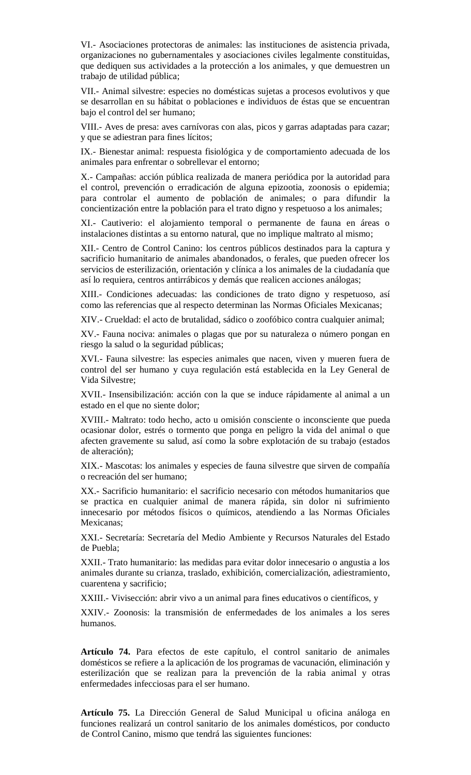VI.- Asociaciones protectoras de animales: las instituciones de asistencia privada, organizaciones no gubernamentales y asociaciones civiles legalmente constituidas, que dediquen sus actividades a la protección a los animales, y que demuestren un trabajo de utilidad pública;

VII.- Animal silvestre: especies no domésticas sujetas a procesos evolutivos y que se desarrollan en su hábitat o poblaciones e individuos de éstas que se encuentran bajo el control del ser humano;

VIII.- Aves de presa: aves carnívoras con alas, picos y garras adaptadas para cazar; y que se adiestran para fines lícitos;

IX.- Bienestar animal: respuesta fisiológica y de comportamiento adecuada de los animales para enfrentar o sobrellevar el entorno;

X.- Campañas: acción pública realizada de manera periódica por la autoridad para el control, prevención o erradicación de alguna epizootia, zoonosis o epidemia; para controlar el aumento de población de animales; o para difundir la concientización entre la población para el trato digno y respetuoso a los animales;

XI.- Cautiverio: el alojamiento temporal o permanente de fauna en áreas o instalaciones distintas a su entorno natural, que no implique maltrato al mismo;

XII.- Centro de Control Canino: los centros públicos destinados para la captura y sacrificio humanitario de animales abandonados, o ferales, que pueden ofrecer los servicios de esterilización, orientación y clínica a los animales de la ciudadanía que así lo requiera, centros antirrábicos y demás que realicen acciones análogas;

XIII.- Condiciones adecuadas: las condiciones de trato digno y respetuoso, así como las referencias que al respecto determinan las Normas Oficiales Mexicanas;

XIV.- Crueldad: el acto de brutalidad, sádico o zoofóbico contra cualquier animal;

XV.- Fauna nociva: animales o plagas que por su naturaleza o número pongan en riesgo la salud o la seguridad públicas;

XVI.- Fauna silvestre: las especies animales que nacen, viven y mueren fuera de control del ser humano y cuya regulación está establecida en la Ley General de Vida Silvestre;

XVII.- Insensibilización: acción con la que se induce rápidamente al animal a un estado en el que no siente dolor;

XVIII.- Maltrato: todo hecho, acto u omisión consciente o inconsciente que pueda ocasionar dolor, estrés o tormento que ponga en peligro la vida del animal o que afecten gravemente su salud, así como la sobre explotación de su trabajo (estados de alteración);

XIX.- Mascotas: los animales y especies de fauna silvestre que sirven de compañía o recreación del ser humano;

XX.- Sacrificio humanitario: el sacrificio necesario con métodos humanitarios que se practica en cualquier animal de manera rápida, sin dolor ni sufrimiento innecesario por métodos físicos o químicos, atendiendo a las Normas Oficiales Mexicanas;

XXI.- Secretaría: Secretaría del Medio Ambiente y Recursos Naturales del Estado de Puebla;

XXII.- Trato humanitario: las medidas para evitar dolor innecesario o angustia a los animales durante su crianza, traslado, exhibición, comercialización, adiestramiento, cuarentena y sacrificio;

XXIII.- Vivisección: abrir vivo a un animal para fines educativos o científicos, y

XXIV.- Zoonosis: la transmisión de enfermedades de los animales a los seres humanos.

**Artículo 74.** Para efectos de este capítulo, el control sanitario de animales domésticos se refiere a la aplicación de los programas de vacunación, eliminación y esterilización que se realizan para la prevención de la rabia animal y otras enfermedades infecciosas para el ser humano.

**Artículo 75.** La Dirección General de Salud Municipal u oficina análoga en funciones realizará un control sanitario de los animales domésticos, por conducto de Control Canino, mismo que tendrá las siguientes funciones: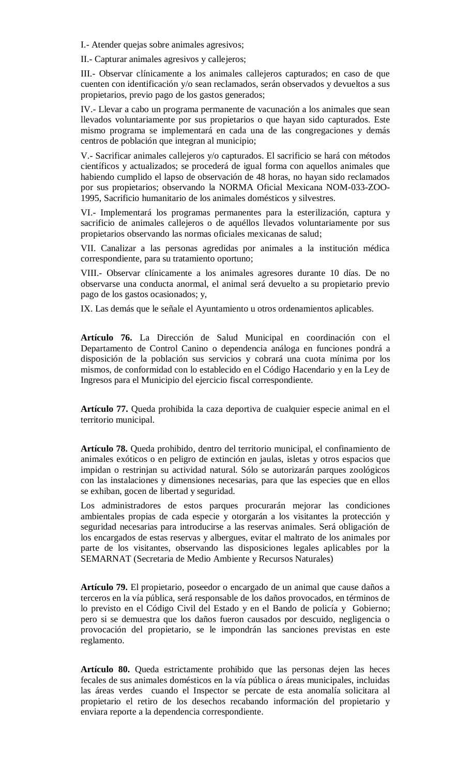I.- Atender quejas sobre animales agresivos;

II.- Capturar animales agresivos y callejeros;

III.- Observar clínicamente a los animales callejeros capturados; en caso de que cuenten con identificación y/o sean reclamados, serán observados y devueltos a sus propietarios, previo pago de los gastos generados;

IV.- Llevar a cabo un programa permanente de vacunación a los animales que sean llevados voluntariamente por sus propietarios o que hayan sido capturados. Este mismo programa se implementará en cada una de las congregaciones y demás centros de población que integran al municipio;

V.- Sacrificar animales callejeros y/o capturados. El sacrificio se hará con métodos científicos y actualizados; se procederá de igual forma con aquellos animales que habiendo cumplido el lapso de observación de 48 horas, no hayan sido reclamados por sus propietarios; observando la NORMA Oficial Mexicana NOM-033-ZOO-1995, Sacrificio humanitario de los animales domésticos y silvestres.

VI.- Implementará los programas permanentes para la esterilización, captura y sacrificio de animales callejeros o de aquéllos llevados voluntariamente por sus propietarios observando las normas oficiales mexicanas de salud;

VII. Canalizar a las personas agredidas por animales a la institución médica correspondiente, para su tratamiento oportuno;

VIII.- Observar clínicamente a los animales agresores durante 10 días. De no observarse una conducta anormal, el animal será devuelto a su propietario previo pago de los gastos ocasionados; y,

IX. Las demás que le señale el Ayuntamiento u otros ordenamientos aplicables.

**Artículo 76.** La Dirección de Salud Municipal en coordinación con el Departamento de Control Canino o dependencia análoga en funciones pondrá a disposición de la población sus servicios y cobrará una cuota mínima por los mismos, de conformidad con lo establecido en el Código Hacendario y en la Ley de Ingresos para el Municipio del ejercicio fiscal correspondiente.

**Artículo 77.** Queda prohibida la caza deportiva de cualquier especie animal en el territorio municipal.

**Artículo 78.** Queda prohibido, dentro del territorio municipal, el confinamiento de animales exóticos o en peligro de extinción en jaulas, isletas y otros espacios que impidan o restrinjan su actividad natural. Sólo se autorizarán parques zoológicos con las instalaciones y dimensiones necesarias, para que las especies que en ellos se exhiban, gocen de libertad y seguridad.

Los administradores de estos parques procurarán mejorar las condiciones ambientales propias de cada especie y otorgarán a los visitantes la protección y seguridad necesarias para introducirse a las reservas animales. Será obligación de los encargados de estas reservas y albergues, evitar el maltrato de los animales por parte de los visitantes, observando las disposiciones legales aplicables por la SEMARNAT (Secretaria de Medio Ambiente y Recursos Naturales)

**Artículo 79.** El propietario, poseedor o encargado de un animal que cause daños a terceros en la vía pública, será responsable de los daños provocados, en términos de lo previsto en el Código Civil del Estado y en el Bando de policía y Gobierno; pero si se demuestra que los daños fueron causados por descuido, negligencia o provocación del propietario, se le impondrán las sanciones previstas en este reglamento.

**Artículo 80.** Queda estrictamente prohibido que las personas dejen las heces fecales de sus animales domésticos en la vía pública o áreas municipales, incluidas las áreas verdes cuando el Inspector se percate de esta anomalía solicitara al propietario el retiro de los desechos recabando información del propietario y enviara reporte a la dependencia correspondiente.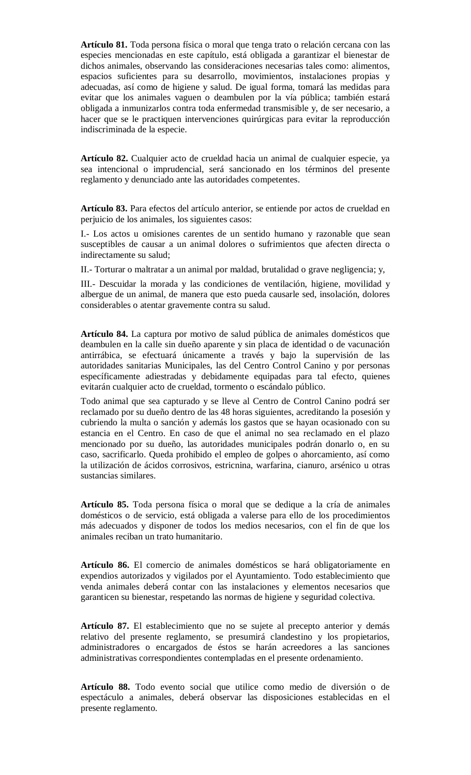**Artículo 81.** Toda persona física o moral que tenga trato o relación cercana con las especies mencionadas en este capítulo, está obligada a garantizar el bienestar de dichos animales, observando las consideraciones necesarias tales como: alimentos, espacios suficientes para su desarrollo, movimientos, instalaciones propias y adecuadas, así como de higiene y salud. De igual forma, tomará las medidas para evitar que los animales vaguen o deambulen por la vía pública; también estará obligada a inmunizarlos contra toda enfermedad transmisible y, de ser necesario, a hacer que se le practiquen intervenciones quirúrgicas para evitar la reproducción indiscriminada de la especie.

**Artículo 82.** Cualquier acto de crueldad hacia un animal de cualquier especie, ya sea intencional o imprudencial, será sancionado en los términos del presente reglamento y denunciado ante las autoridades competentes.

**Artículo 83.** Para efectos del artículo anterior, se entiende por actos de crueldad en perjuicio de los animales, los siguientes casos:

I.- Los actos u omisiones carentes de un sentido humano y razonable que sean susceptibles de causar a un animal dolores o sufrimientos que afecten directa o indirectamente su salud;

II.- Torturar o maltratar a un animal por maldad, brutalidad o grave negligencia; y,

III.- Descuidar la morada y las condiciones de ventilación, higiene, movilidad y albergue de un animal, de manera que esto pueda causarle sed, insolación, dolores considerables o atentar gravemente contra su salud.

**Artículo 84.** La captura por motivo de salud pública de animales domésticos que deambulen en la calle sin dueño aparente y sin placa de identidad o de vacunación antirrábica, se efectuará únicamente a través y bajo la supervisión de las autoridades sanitarias Municipales, las del Centro Control Canino y por personas específicamente adiestradas y debidamente equipadas para tal efecto, quienes evitarán cualquier acto de crueldad, tormento o escándalo público.

Todo animal que sea capturado y se lleve al Centro de Control Canino podrá ser reclamado por su dueño dentro de las 48 horas siguientes, acreditando la posesión y cubriendo la multa o sanción y además los gastos que se hayan ocasionado con su estancia en el Centro. En caso de que el animal no sea reclamado en el plazo mencionado por su dueño, las autoridades municipales podrán donarlo o, en su caso, sacrificarlo. Queda prohibido el empleo de golpes o ahorcamiento, así como la utilización de ácidos corrosivos, estricnina, warfarina, cianuro, arsénico u otras sustancias similares.

**Artículo 85.** Toda persona física o moral que se dedique a la cría de animales domésticos o de servicio, está obligada a valerse para ello de los procedimientos más adecuados y disponer de todos los medios necesarios, con el fin de que los animales reciban un trato humanitario.

**Artículo 86.** El comercio de animales domésticos se hará obligatoriamente en expendios autorizados y vigilados por el Ayuntamiento. Todo establecimiento que venda animales deberá contar con las instalaciones y elementos necesarios que garanticen su bienestar, respetando las normas de higiene y seguridad colectiva.

**Artículo 87.** El establecimiento que no se sujete al precepto anterior y demás relativo del presente reglamento, se presumirá clandestino y los propietarios, administradores o encargados de éstos se harán acreedores a las sanciones administrativas correspondientes contempladas en el presente ordenamiento.

**Artículo 88.** Todo evento social que utilice como medio de diversión o de espectáculo a animales, deberá observar las disposiciones establecidas en el presente reglamento.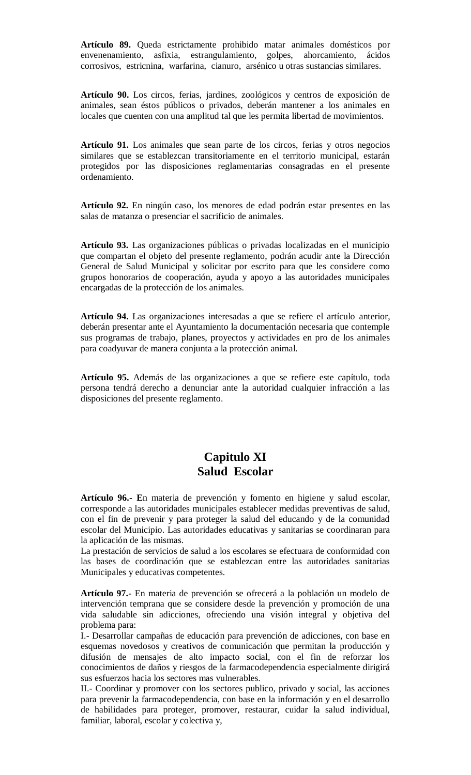**Artículo 89.** Queda estrictamente prohibido matar animales domésticos por envenenamiento, asfixia, estrangulamiento, golpes, ahorcamiento, ácidos corrosivos, estricnina, warfarina, cianuro, arsénico u otras sustancias similares.

**Artículo 90.** Los circos, ferias, jardines, zoológicos y centros de exposición de animales, sean éstos públicos o privados, deberán mantener a los animales en locales que cuenten con una amplitud tal que les permita libertad de movimientos.

**Artículo 91.** Los animales que sean parte de los circos, ferias y otros negocios similares que se establezcan transitoriamente en el territorio municipal, estarán protegidos por las disposiciones reglamentarias consagradas en el presente ordenamiento.

**Artículo 92.** En ningún caso, los menores de edad podrán estar presentes en las salas de matanza o presenciar el sacrificio de animales.

**Artículo 93.** Las organizaciones públicas o privadas localizadas en el municipio que compartan el objeto del presente reglamento, podrán acudir ante la Dirección General de Salud Municipal y solicitar por escrito para que les considere como grupos honorarios de cooperación, ayuda y apoyo a las autoridades municipales encargadas de la protección de los animales.

**Artículo 94.** Las organizaciones interesadas a que se refiere el artículo anterior, deberán presentar ante el Ayuntamiento la documentación necesaria que contemple sus programas de trabajo, planes, proyectos y actividades en pro de los animales para coadyuvar de manera conjunta a la protección animal.

**Artículo 95.** Además de las organizaciones a que se refiere este capítulo, toda persona tendrá derecho a denunciar ante la autoridad cualquier infracción a las disposiciones del presente reglamento.

## **Capitulo XI Salud Escolar**

**Artículo 96.- E**n materia de prevención y fomento en higiene y salud escolar, corresponde a las autoridades municipales establecer medidas preventivas de salud, con el fin de prevenir y para proteger la salud del educando y de la comunidad escolar del Municipio. Las autoridades educativas y sanitarias se coordinaran para la aplicación de las mismas.

La prestación de servicios de salud a los escolares se efectuara de conformidad con las bases de coordinación que se establezcan entre las autoridades sanitarias Municipales y educativas competentes.

**Artículo 97.-** En materia de prevención se ofrecerá a la población un modelo de intervención temprana que se considere desde la prevención y promoción de una vida saludable sin adicciones, ofreciendo una visión integral y objetiva del problema para:

I.- Desarrollar campañas de educación para prevención de adicciones, con base en esquemas novedosos y creativos de comunicación que permitan la producción y difusión de mensajes de alto impacto social, con el fin de reforzar los conocimientos de daños y riesgos de la farmacodependencia especialmente dirigirá sus esfuerzos hacia los sectores mas vulnerables.

II.- Coordinar y promover con los sectores publico, privado y social, las acciones para prevenir la farmacodependencia, con base en la información y en el desarrollo de habilidades para proteger, promover, restaurar, cuidar la salud individual, familiar, laboral, escolar y colectiva y,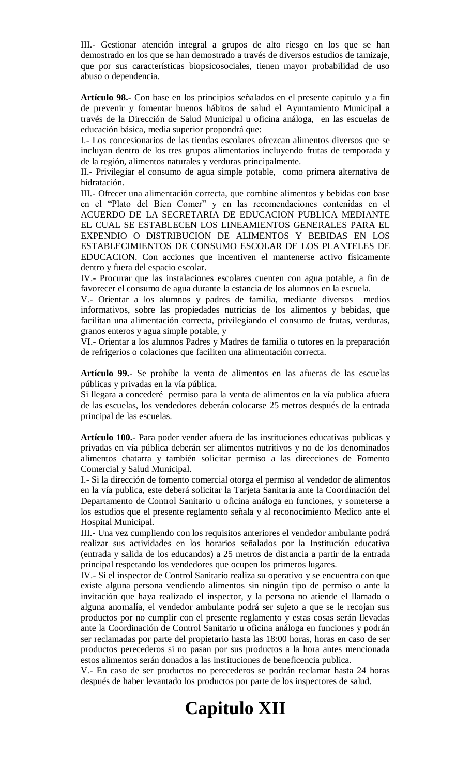III.- Gestionar atención integral a grupos de alto riesgo en los que se han demostrado en los que se han demostrado a través de diversos estudios de tamizaje, que por sus características biopsicosociales, tienen mayor probabilidad de uso abuso o dependencia.

**Artículo 98.-** Con base en los principios señalados en el presente capitulo y a fin de prevenir y fomentar buenos hábitos de salud el Ayuntamiento Municipal a través de la Dirección de Salud Municipal u oficina análoga, en las escuelas de educación básica, media superior propondrá que:

I.- Los concesionarios de las tiendas escolares ofrezcan alimentos diversos que se incluyan dentro de los tres grupos alimentarios incluyendo frutas de temporada y de la región, alimentos naturales y verduras principalmente.

II.- Privilegiar el consumo de agua simple potable, como primera alternativa de hidratación.

III.- Ofrecer una alimentación correcta, que combine alimentos y bebidas con base en el "Plato del Bien Comer" y en las recomendaciones contenidas en el ACUERDO DE LA SECRETARIA DE EDUCACION PUBLICA MEDIANTE EL CUAL SE ESTABLECEN LOS LINEAMIENTOS GENERALES PARA EL EXPENDIO O DISTRIBUCION DE ALIMENTOS Y BEBIDAS EN LOS ESTABLECIMIENTOS DE CONSUMO ESCOLAR DE LOS PLANTELES DE EDUCACION. Con acciones que incentiven el mantenerse activo físicamente dentro y fuera del espacio escolar.

IV.- Procurar que las instalaciones escolares cuenten con agua potable, a fin de favorecer el consumo de agua durante la estancia de los alumnos en la escuela.

V.- Orientar a los alumnos y padres de familia, mediante diversos medios informativos, sobre las propiedades nutricias de los alimentos y bebidas, que facilitan una alimentación correcta, privilegiando el consumo de frutas, verduras, granos enteros y agua simple potable, y

VI.- Orientar a los alumnos Padres y Madres de familia o tutores en la preparación de refrigerios o colaciones que faciliten una alimentación correcta.

**Artículo 99.-** Se prohíbe la venta de alimentos en las afueras de las escuelas públicas y privadas en la vía pública.

Si llegara a concederé permiso para la venta de alimentos en la vía publica afuera de las escuelas, los vendedores deberán colocarse 25 metros después de la entrada principal de las escuelas.

**Artículo 100.-** Para poder vender afuera de las instituciones educativas publicas y privadas en vía pública deberán ser alimentos nutritivos y no de los denominados alimentos chatarra y también solicitar permiso a las direcciones de Fomento Comercial y Salud Municipal.

I.- Si la dirección de fomento comercial otorga el permiso al vendedor de alimentos en la vía publica, este deberá solicitar la Tarjeta Sanitaria ante la Coordinación del Departamento de Control Sanitario u oficina análoga en funciones, y someterse a los estudios que el presente reglamento señala y al reconocimiento Medico ante el Hospital Municipal.

III.- Una vez cumpliendo con los requisitos anteriores el vendedor ambulante podrá realizar sus actividades en los horarios señalados por la Institución educativa (entrada y salida de los educandos) a 25 metros de distancia a partir de la entrada principal respetando los vendedores que ocupen los primeros lugares.

IV.- Si el inspector de Control Sanitario realiza su operativo y se encuentra con que existe alguna persona vendiendo alimentos sin ningún tipo de permiso o ante la invitación que haya realizado el inspector, y la persona no atiende el llamado o alguna anomalía, el vendedor ambulante podrá ser sujeto a que se le recojan sus productos por no cumplir con el presente reglamento y estas cosas serán llevadas ante la Coordinación de Control Sanitario u oficina análoga en funciones y podrán ser reclamadas por parte del propietario hasta las 18:00 horas, horas en caso de ser productos perecederos si no pasan por sus productos a la hora antes mencionada estos alimentos serán donados a las instituciones de beneficencia publica.

V.- En caso de ser productos no perecederos se podrán reclamar hasta 24 horas después de haber levantado los productos por parte de los inspectores de salud.

# **Capitulo XII**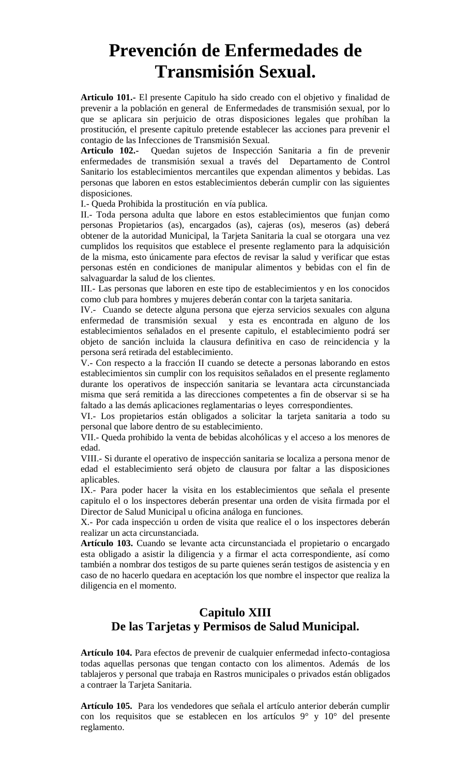# **Prevención de Enfermedades de Transmisión Sexual.**

**Articulo 101.-** El presente Capitulo ha sido creado con el objetivo y finalidad de prevenir a la población en general de Enfermedades de transmisión sexual, por lo que se aplicara sin perjuicio de otras disposiciones legales que prohíban la prostitución, el presente capitulo pretende establecer las acciones para prevenir el contagio de las Infecciones de Transmisión Sexual.

**Articulo 102.-** Quedan sujetos de Inspección Sanitaria a fin de prevenir enfermedades de transmisión sexual a través del Departamento de Control Sanitario los establecimientos mercantiles que expendan alimentos y bebidas. Las personas que laboren en estos establecimientos deberán cumplir con las siguientes disposiciones.

I.- Queda Prohibida la prostitución en vía publica.

II.- Toda persona adulta que labore en estos establecimientos que funjan como personas Propietarios (as), encargados (as), cajeras (os), meseros (as) deberá obtener de la autoridad Municipal, la Tarjeta Sanitaria la cual se otorgara una vez cumplidos los requisitos que establece el presente reglamento para la adquisición de la misma, esto únicamente para efectos de revisar la salud y verificar que estas personas estén en condiciones de manipular alimentos y bebidas con el fin de salvaguardar la salud de los clientes.

III.- Las personas que laboren en este tipo de establecimientos y en los conocidos como club para hombres y mujeres deberán contar con la tarjeta sanitaria.

IV.- Cuando se detecte alguna persona que ejerza servicios sexuales con alguna enfermedad de transmisión sexual y esta es encontrada en alguno de los establecimientos señalados en el presente capitulo, el establecimiento podrá ser objeto de sanción incluida la clausura definitiva en caso de reincidencia y la persona será retirada del establecimiento.

V.- Con respecto a la fracción II cuando se detecte a personas laborando en estos establecimientos sin cumplir con los requisitos señalados en el presente reglamento durante los operativos de inspección sanitaria se levantara acta circunstanciada misma que será remitida a las direcciones competentes a fin de observar si se ha faltado a las demás aplicaciones reglamentarias o leyes correspondientes.

VI.- Los propietarios están obligados a solicitar la tarjeta sanitaria a todo su personal que labore dentro de su establecimiento.

VII.- Queda prohibido la venta de bebidas alcohólicas y el acceso a los menores de edad.

VIII.- Si durante el operativo de inspección sanitaria se localiza a persona menor de edad el establecimiento será objeto de clausura por faltar a las disposiciones aplicables.

IX.- Para poder hacer la visita en los establecimientos que señala el presente capitulo el o los inspectores deberán presentar una orden de visita firmada por el Director de Salud Municipal u oficina análoga en funciones.

X.- Por cada inspección u orden de visita que realice el o los inspectores deberán realizar un acta circunstanciada.

**Artículo 103.** Cuando se levante acta circunstanciada el propietario o encargado esta obligado a asistir la diligencia y a firmar el acta correspondiente, así como también a nombrar dos testigos de su parte quienes serán testigos de asistencia y en caso de no hacerlo quedara en aceptación los que nombre el inspector que realiza la diligencia en el momento.

## **Capitulo XIII De las Tarjetas y Permisos de Salud Municipal.**

**Artículo 104.** Para efectos de prevenir de cualquier enfermedad infecto-contagiosa todas aquellas personas que tengan contacto con los alimentos. Además de los tablajeros y personal que trabaja en Rastros municipales o privados están obligados a contraer la Tarjeta Sanitaria.

**Artículo 105.** Para los vendedores que señala el artículo anterior deberán cumplir con los requisitos que se establecen en los artículos 9° y 10° del presente reglamento.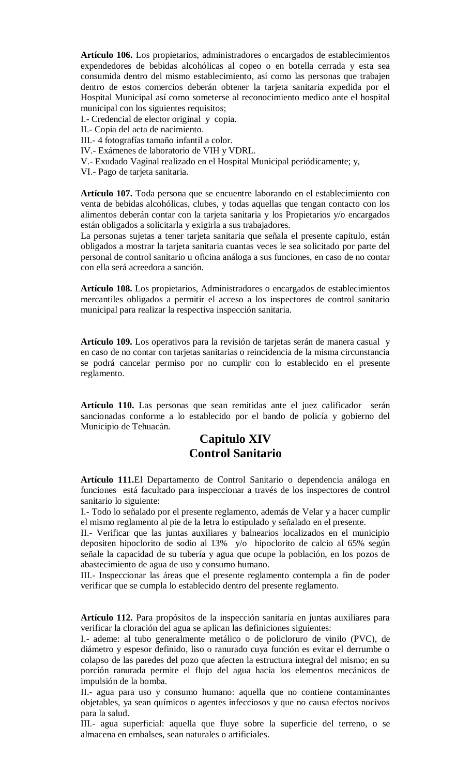**Artículo 106.** Los propietarios, administradores o encargados de establecimientos expendedores de bebidas alcohólicas al copeo o en botella cerrada y esta sea consumida dentro del mismo establecimiento, así como las personas que trabajen dentro de estos comercios deberán obtener la tarjeta sanitaria expedida por el Hospital Municipal así como someterse al reconocimiento medico ante el hospital municipal con los siguientes requisitos;

I.- Credencial de elector original y copia.

- II.- Copia del acta de nacimiento.
- III.- 4 fotografías tamaño infantil a color.
- IV.- Exámenes de laboratorio de VIH y VDRL.
- V.- Exudado Vaginal realizado en el Hospital Municipal periódicamente; y,
- VI.- Pago de tarjeta sanitaria.

**Artículo 107.** Toda persona que se encuentre laborando en el establecimiento con venta de bebidas alcohólicas, clubes, y todas aquellas que tengan contacto con los alimentos deberán contar con la tarjeta sanitaria y los Propietarios y/o encargados están obligados a solicitarla y exigirla a sus trabajadores.

La personas sujetas a tener tarjeta sanitaria que señala el presente capitulo, están obligados a mostrar la tarjeta sanitaria cuantas veces le sea solicitado por parte del personal de control sanitario u oficina análoga a sus funciones, en caso de no contar con ella será acreedora a sanción.

**Artículo 108.** Los propietarios, Administradores o encargados de establecimientos mercantiles obligados a permitir el acceso a los inspectores de control sanitario municipal para realizar la respectiva inspección sanitaria.

**Artículo 109.** Los operativos para la revisión de tarjetas serán de manera casual y en caso de no contar con tarjetas sanitarias o reincidencia de la misma circunstancia se podrá cancelar permiso por no cumplir con lo establecido en el presente reglamento.

**Artículo 110.** Las personas que sean remitidas ante el juez calificador serán sancionadas conforme a lo establecido por el bando de policía y gobierno del Municipio de Tehuacán.

## **Capitulo XIV Control Sanitario**

**Artículo 111.**El Departamento de Control Sanitario o dependencia análoga en funciones está facultado para inspeccionar a través de los inspectores de control sanitario lo siguiente:

I.- Todo lo señalado por el presente reglamento, además de Velar y a hacer cumplir el mismo reglamento al pie de la letra lo estipulado y señalado en el presente.

II.- Verificar que las juntas auxiliares y balnearios localizados en el municipio depositen hipoclorito de sodio al 13% y/o hipoclorito de calcio al 65% según señale la capacidad de su tubería y agua que ocupe la población, en los pozos de abastecimiento de agua de uso y consumo humano.

III.- Inspeccionar las áreas que el presente reglamento contempla a fin de poder verificar que se cumpla lo establecido dentro del presente reglamento.

**Artículo 112.** Para propósitos de la inspección sanitaria en juntas auxiliares para verificar la cloración del agua se aplican las definiciones siguientes:

I.- ademe: al tubo generalmente metálico o de policloruro de vinilo (PVC), de diámetro y espesor definido, liso o ranurado cuya función es evitar el derrumbe o colapso de las paredes del pozo que afecten la estructura integral del mismo; en su porción ranurada permite el flujo del agua hacia los elementos mecánicos de impulsión de la bomba.

II.- agua para uso y consumo humano: aquella que no contiene contaminantes objetables, ya sean químicos o agentes infecciosos y que no causa efectos nocivos para la salud.

III.- agua superficial: aquella que fluye sobre la superficie del terreno, o se almacena en embalses, sean naturales o artificiales.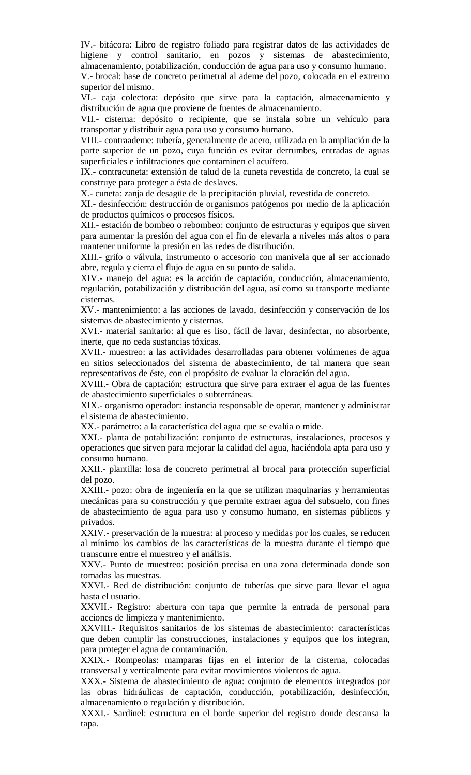IV.- bitácora: Libro de registro foliado para registrar datos de las actividades de higiene y control sanitario, en pozos y sistemas de abastecimiento, almacenamiento, potabilización, conducción de agua para uso y consumo humano.

V.- brocal: base de concreto perimetral al ademe del pozo, colocada en el extremo superior del mismo.

VI.- caja colectora: depósito que sirve para la captación, almacenamiento y distribución de agua que proviene de fuentes de almacenamiento.

VII.- cisterna: depósito o recipiente, que se instala sobre un vehículo para transportar y distribuir agua para uso y consumo humano.

VIII.- contraademe: tubería, generalmente de acero, utilizada en la ampliación de la parte superior de un pozo, cuya función es evitar derrumbes, entradas de aguas superficiales e infiltraciones que contaminen el acuífero.

IX.- contracuneta: extensión de talud de la cuneta revestida de concreto, la cual se construye para proteger a ésta de deslaves.

X.- cuneta: zanja de desagüe de la precipitación pluvial, revestida de concreto.

XI.- desinfección: destrucción de organismos patógenos por medio de la aplicación de productos químicos o procesos físicos.

XII.- estación de bombeo o rebombeo: conjunto de estructuras y equipos que sirven para aumentar la presión del agua con el fin de elevarla a niveles más altos o para mantener uniforme la presión en las redes de distribución.

XIII.- grifo o válvula, instrumento o accesorio con manivela que al ser accionado abre, regula y cierra el flujo de agua en su punto de salida.

XIV.- manejo del agua: es la acción de captación, conducción, almacenamiento, regulación, potabilización y distribución del agua, así como su transporte mediante cisternas.

XV.- mantenimiento: a las acciones de lavado, desinfección y conservación de los sistemas de abastecimiento y cisternas.

XVI.- material sanitario: al que es liso, fácil de lavar, desinfectar, no absorbente, inerte, que no ceda sustancias tóxicas.

XVII.- muestreo: a las actividades desarrolladas para obtener volúmenes de agua en sitios seleccionados del sistema de abastecimiento, de tal manera que sean representativos de éste, con el propósito de evaluar la cloración del agua.

XVIII.- Obra de captación: estructura que sirve para extraer el agua de las fuentes de abastecimiento superficiales o subterráneas.

XIX.- organismo operador: instancia responsable de operar, mantener y administrar el sistema de abastecimiento.

XX.- parámetro: a la característica del agua que se evalúa o mide.

XXI.- planta de potabilización: conjunto de estructuras, instalaciones, procesos y operaciones que sirven para mejorar la calidad del agua, haciéndola apta para uso y consumo humano.

XXII.- plantilla: losa de concreto perimetral al brocal para protección superficial del pozo.

XXIII.- pozo: obra de ingeniería en la que se utilizan maquinarias y herramientas mecánicas para su construcción y que permite extraer agua del subsuelo, con fines de abastecimiento de agua para uso y consumo humano, en sistemas públicos y privados.

XXIV.- preservación de la muestra: al proceso y medidas por los cuales, se reducen al mínimo los cambios de las características de la muestra durante el tiempo que transcurre entre el muestreo y el análisis.

XXV.- Punto de muestreo: posición precisa en una zona determinada donde son tomadas las muestras.

XXVI.- Red de distribución: conjunto de tuberías que sirve para llevar el agua hasta el usuario.

XXVII.- Registro: abertura con tapa que permite la entrada de personal para acciones de limpieza y mantenimiento.

XXVIII.- Requisitos sanitarios de los sistemas de abastecimiento: características que deben cumplir las construcciones, instalaciones y equipos que los integran, para proteger el agua de contaminación.

XXIX.- Rompeolas: mamparas fijas en el interior de la cisterna, colocadas transversal y verticalmente para evitar movimientos violentos de agua.

XXX.- Sistema de abastecimiento de agua: conjunto de elementos integrados por las obras hidráulicas de captación, conducción, potabilización, desinfección, almacenamiento o regulación y distribución.

XXXI.- Sardinel: estructura en el borde superior del registro donde descansa la tapa.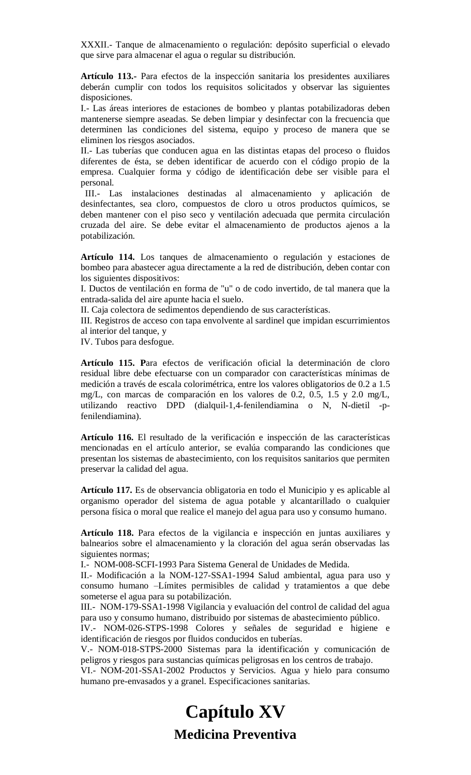XXXII.- Tanque de almacenamiento o regulación: depósito superficial o elevado que sirve para almacenar el agua o regular su distribución.

**Artículo 113.-** Para efectos de la inspección sanitaria los presidentes auxiliares deberán cumplir con todos los requisitos solicitados y observar las siguientes disposiciones.

I.- Las áreas interiores de estaciones de bombeo y plantas potabilizadoras deben mantenerse siempre aseadas. Se deben limpiar y desinfectar con la frecuencia que determinen las condiciones del sistema, equipo y proceso de manera que se eliminen los riesgos asociados.

II.- Las tuberías que conducen agua en las distintas etapas del proceso o fluidos diferentes de ésta, se deben identificar de acuerdo con el código propio de la empresa. Cualquier forma y código de identificación debe ser visible para el personal.

 III.- Las instalaciones destinadas al almacenamiento y aplicación de desinfectantes, sea cloro, compuestos de cloro u otros productos químicos, se deben mantener con el piso seco y ventilación adecuada que permita circulación cruzada del aire. Se debe evitar el almacenamiento de productos ajenos a la potabilización.

**Artículo 114.** Los tanques de almacenamiento o regulación y estaciones de bombeo para abastecer agua directamente a la red de distribución, deben contar con los siguientes dispositivos:

I. Ductos de ventilación en forma de "u" o de codo invertido, de tal manera que la entrada-salida del aire apunte hacia el suelo.

II. Caja colectora de sedimentos dependiendo de sus características.

III. Registros de acceso con tapa envolvente al sardinel que impidan escurrimientos al interior del tanque, y

IV. Tubos para desfogue.

**Artículo 115. P**ara efectos de verificación oficial la determinación de cloro residual libre debe efectuarse con un comparador con características mínimas de medición a través de escala colorimétrica, entre los valores obligatorios de 0.2 a 1.5 mg/L, con marcas de comparación en los valores de 0.2, 0.5, 1.5 y 2.0 mg/L, utilizando reactivo DPD (dialquil-1,4-fenilendiamina o N, N-dietil -pfenilendiamina).

**Artículo 116.** El resultado de la verificación e inspección de las características mencionadas en el artículo anterior, se evalúa comparando las condiciones que presentan los sistemas de abastecimiento, con los requisitos sanitarios que permiten preservar la calidad del agua.

**Artículo 117.** Es de observancia obligatoria en todo el Municipio y es aplicable al organismo operador del sistema de agua potable y alcantarillado o cualquier persona física o moral que realice el manejo del agua para uso y consumo humano.

**Artículo 118.** Para efectos de la vigilancia e inspección en juntas auxiliares y balnearios sobre el almacenamiento y la cloración del agua serán observadas las siguientes normas;

I.- NOM-008-SCFI-1993 Para Sistema General de Unidades de Medida.

II.- Modificación a la NOM-127-SSA1-1994 Salud ambiental, agua para uso y consumo humano –Límites permisibles de calidad y tratamientos a que debe someterse el agua para su potabilización.

III.- NOM-179-SSA1-1998 Vigilancia y evaluación del control de calidad del agua para uso y consumo humano, distribuido por sistemas de abastecimiento público.

IV.- NOM-026-STPS-1998 Colores y señales de seguridad e higiene e identificación de riesgos por fluidos conducidos en tuberías.

V.- NOM-018-STPS-2000 Sistemas para la identificación y comunicación de peligros y riesgos para sustancias químicas peligrosas en los centros de trabajo.

VI.- NOM-201-SSA1-2002 Productos y Servicios. Agua y hielo para consumo humano pre-envasados y a granel. Especificaciones sanitarias.

# **Capítulo XV Medicina Preventiva**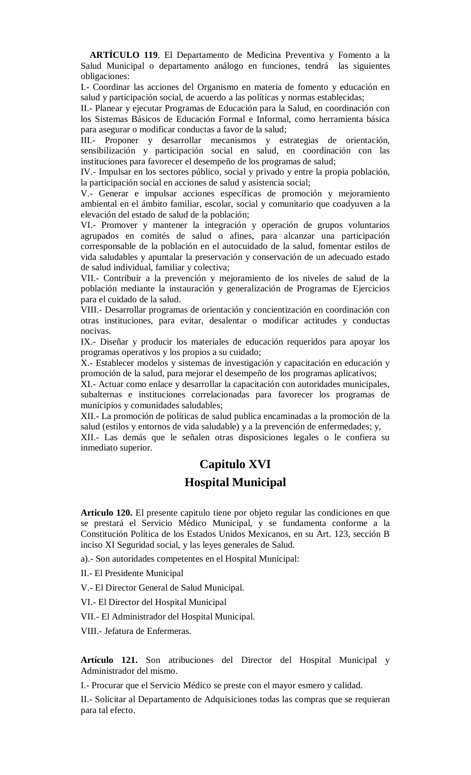**ARTÍCULO 119**. El Departamento de Medicina Preventiva y Fomento a la Salud Municipal o departamento análogo en funciones, tendrá las siguientes obligaciones:

I.- Coordinar las acciones del Organismo en materia de fomento y educación en salud y participación social, de acuerdo a las políticas y normas establecidas;

II.- Planear y ejecutar Programas de Educación para la Salud, en coordinación con los Sistemas Básicos de Educación Formal e Informal, como herramienta básica para asegurar o modificar conductas a favor de la salud;

III.- Proponer y desarrollar mecanismos y estrategias de orientación, sensibilización y participación social en salud, en coordinación con las instituciones para favorecer el desempeño de los programas de salud;

IV.- Impulsar en los sectores público, social y privado y entre la propia población, la participación social en acciones de salud y asistencia social;

V.- Generar e impulsar acciones específicas de promoción y mejoramiento ambiental en el ámbito familiar, escolar, social y comunitario que coadyuven a la elevación del estado de salud de la población;

VI.- Promover y mantener la integración y operación de grupos voluntarios agrupados en comités de salud o afines, para alcanzar una participación corresponsable de la población en el autocuidado de la salud, fomentar estilos de vida saludables y apuntalar la preservación y conservación de un adecuado estado de salud individual, familiar y colectiva;

VII.- Contribuir a la prevención y mejoramiento de los niveles de salud de la población mediante la instauración y generalización de Programas de Ejercicios para el cuidado de la salud.

VIII.- Desarrollar programas de orientación y concientización en coordinación con otras instituciones, para evitar, desalentar o modificar actitudes y conductas nocivas.

IX.- Diseñar y producir los materiales de educación requeridos para apoyar los programas operativos y los propios a su cuidado;

X.- Establecer modelos y sistemas de investigación y capacitación en educación y promoción de la salud, para mejorar el desempeño de los programas aplicativos;

XI.- Actuar como enlace y desarrollar la capacitación con autoridades municipales, subalternas e instituciones correlacionadas para favorecer los programas de municipios y comunidades saludables;

XII.- La promoción de políticas de salud publica encaminadas a la promoción de la salud (estilos y entornos de vida saludable) y a la prevención de enfermedades; y,

XII.- Las demás que le señalen otras disposiciones legales o le confiera su inmediato superior.

# **Capitulo XVI Hospital Municipal**

**Articulo 120.** El presente capitulo tiene por objeto regular las condiciones en que se prestará el Servicio Médico Municipal, y se fundamenta conforme a la Constitución Política de los Estados Unidos Mexicanos, en su Art. 123, sección B inciso XI Seguridad social, y las leyes generales de Salud.

a).- Son autoridades competentes en el Hospital Municipal:

II.- El Presidente Municipal

V.- El Director General de Salud Municipal.

VI.- El Director del Hospital Municipal

VII.- El Administrador del Hospital Municipal.

VIII.- Jefatura de Enfermeras.

**Artículo 121.** Son atribuciones del Director del Hospital Municipal y Administrador del mismo.

I.- Procurar que el Servicio Médico se preste con el mayor esmero y calidad.

II.- Solicitar al Departamento de Adquisiciones todas las compras que se requieran para tal efecto.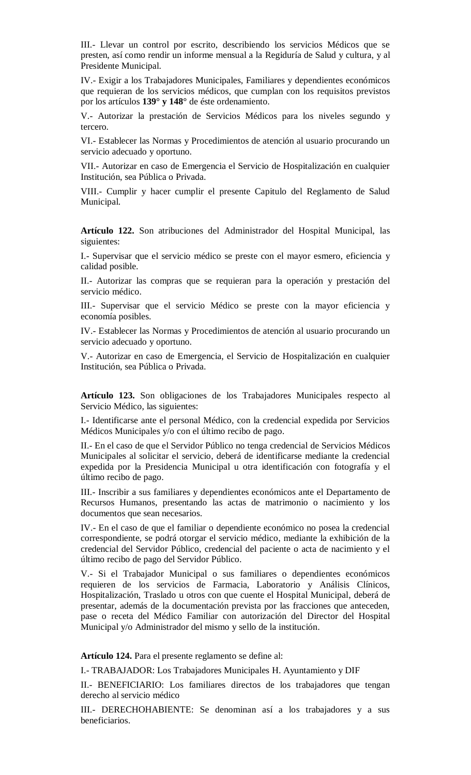III.- Llevar un control por escrito, describiendo los servicios Médicos que se presten, así como rendir un informe mensual a la Regiduría de Salud y cultura, y al Presidente Municipal.

IV.- Exigir a los Trabajadores Municipales, Familiares y dependientes económicos que requieran de los servicios médicos, que cumplan con los requisitos previstos por los artículos **139° y 148°** de éste ordenamiento.

V.- Autorizar la prestación de Servicios Médicos para los niveles segundo y tercero.

VI.- Establecer las Normas y Procedimientos de atención al usuario procurando un servicio adecuado y oportuno.

VII.- Autorizar en caso de Emergencia el Servicio de Hospitalización en cualquier Institución, sea Pública o Privada.

VIII.- Cumplir y hacer cumplir el presente Capitulo del Reglamento de Salud Municipal.

**Artículo 122.** Son atribuciones del Administrador del Hospital Municipal, las siguientes:

I.- Supervisar que el servicio médico se preste con el mayor esmero, eficiencia y calidad posible.

II.- Autorizar las compras que se requieran para la operación y prestación del servicio médico.

III.- Supervisar que el servicio Médico se preste con la mayor eficiencia y economía posibles.

IV.- Establecer las Normas y Procedimientos de atención al usuario procurando un servicio adecuado y oportuno.

V.- Autorizar en caso de Emergencia, el Servicio de Hospitalización en cualquier Institución, sea Pública o Privada.

**Artículo 123.** Son obligaciones de los Trabajadores Municipales respecto al Servicio Médico, las siguientes:

I.- Identificarse ante el personal Médico, con la credencial expedida por Servicios Médicos Municipales y/o con el último recibo de pago.

II.- En el caso de que el Servidor Público no tenga credencial de Servicios Médicos Municipales al solicitar el servicio, deberá de identificarse mediante la credencial expedida por la Presidencia Municipal u otra identificación con fotografía y el último recibo de pago.

III.- Inscribir a sus familiares y dependientes económicos ante el Departamento de Recursos Humanos, presentando las actas de matrimonio o nacimiento y los documentos que sean necesarios.

IV.- En el caso de que el familiar o dependiente económico no posea la credencial correspondiente, se podrá otorgar el servicio médico, mediante la exhibición de la credencial del Servidor Público, credencial del paciente o acta de nacimiento y el último recibo de pago del Servidor Público.

V.- Si el Trabajador Municipal o sus familiares o dependientes económicos requieren de los servicios de Farmacia, Laboratorio y Análisis Clínicos, Hospitalización, Traslado u otros con que cuente el Hospital Municipal, deberá de presentar, además de la documentación prevista por las fracciones que anteceden, pase o receta del Médico Familiar con autorización del Director del Hospital Municipal y/o Administrador del mismo y sello de la institución.

**Artículo 124.** Para el presente reglamento se define al:

I.- TRABAJADOR: Los Trabajadores Municipales H. Ayuntamiento y DIF

II.- BENEFICIARIO: Los familiares directos de los trabajadores que tengan derecho al servicio médico

III.- DERECHOHABIENTE: Se denominan así a los trabajadores y a sus beneficiarios.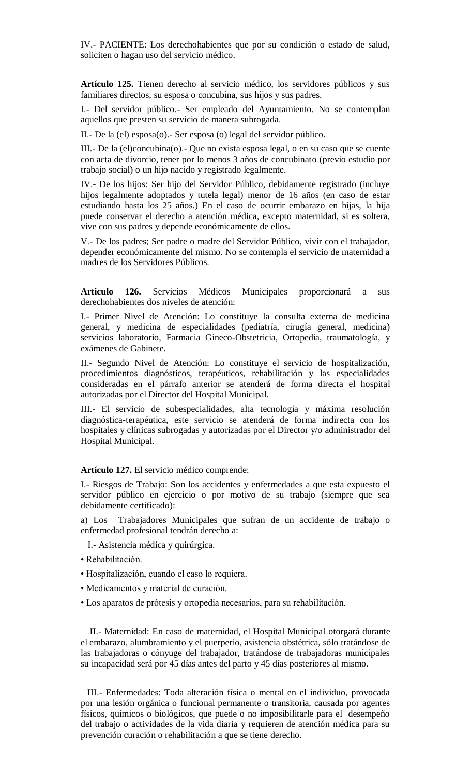IV.- PACIENTE: Los derechohabientes que por su condición o estado de salud, soliciten o hagan uso del servicio médico.

**Artículo 125.** Tienen derecho al servicio médico, los servidores públicos y sus familiares directos, su esposa o concubina, sus hijos y sus padres.

I.- Del servidor público.- Ser empleado del Ayuntamiento. No se contemplan aquellos que presten su servicio de manera subrogada.

II.- De la (el) esposa(o).- Ser esposa (o) legal del servidor público.

III.- De la (el)concubina(o).- Que no exista esposa legal, o en su caso que se cuente con acta de divorcio, tener por lo menos 3 años de concubinato (previo estudio por trabajo social) o un hijo nacido y registrado legalmente.

IV.- De los hijos: Ser hijo del Servidor Público, debidamente registrado (incluye hijos legalmente adoptados y tutela legal) menor de 16 años (en caso de estar estudiando hasta los 25 años.) En el caso de ocurrir embarazo en hijas, la hija puede conservar el derecho a atención médica, excepto maternidad, si es soltera, vive con sus padres y depende económicamente de ellos.

V.- De los padres; Ser padre o madre del Servidor Público, vivir con el trabajador, depender económicamente del mismo. No se contempla el servicio de maternidad a madres de los Servidores Públicos.

**Articulo 126.** Servicios Médicos Municipales proporcionará a sus derechohabientes dos niveles de atención:

I.- Primer Nivel de Atención: Lo constituye la consulta externa de medicina general, y medicina de especialidades (pediatría, cirugía general, medicina) servicios laboratorio, Farmacia Gineco-Obstetricia, Ortopedia, traumatología, y exámenes de Gabinete.

II.- Segundo Nivel de Atención: Lo constituye el servicio de hospitalización, procedimientos diagnósticos, terapéuticos, rehabilitación y las especialidades consideradas en el párrafo anterior se atenderá de forma directa el hospital autorizadas por el Director del Hospital Municipal.

III.- El servicio de subespecialidades, alta tecnología y máxima resolución diagnóstica-terapéutica, este servicio se atenderá de forma indirecta con los hospitales y clínicas subrogadas y autorizadas por el Director y/o administrador del Hospital Municipal.

#### **Artículo 127.** El servicio médico comprende:

I.- Riesgos de Trabajo: Son los accidentes y enfermedades a que esta expuesto el servidor público en ejercicio o por motivo de su trabajo (siempre que sea debidamente certificado):

a) Los Trabajadores Municipales que sufran de un accidente de trabajo o enfermedad profesional tendrán derecho a:

- I.- Asistencia médica y quirúrgica.
- Rehabilitación.
- Hospitalización, cuando el caso lo requiera.
- Medicamentos y material de curación.
- Los aparatos de prótesis y ortopedia necesarios, para su rehabilitación.

 II.- Maternidad: En caso de maternidad, el Hospital Municipal otorgará durante el embarazo, alumbramiento y el puerperio, asistencia obstétrica, sólo tratándose de las trabajadoras o cónyuge del trabajador, tratándose de trabajadoras municipales su incapacidad será por 45 días antes del parto y 45 días posteriores al mismo.

 III.- Enfermedades: Toda alteración física o mental en el individuo, provocada por una lesión orgánica o funcional permanente o transitoria, causada por agentes físicos, químicos o biológicos, que puede o no imposibilitarle para el desempeño del trabajo o actividades de la vida diaria y requieren de atención médica para su prevención curación o rehabilitación a que se tiene derecho.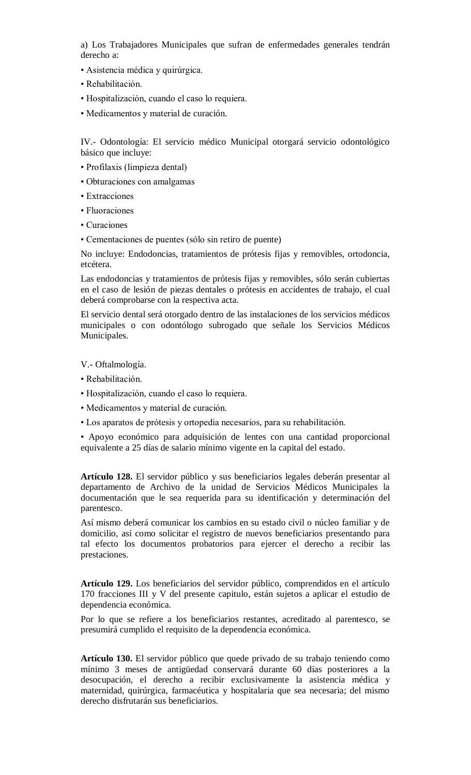a) Los Trabajadores Municipales que sufran de enfermedades generales tendrán derecho a:

- Asistencia médica y quirúrgica.
- Rehabilitación.
- Hospitalización, cuando el caso lo requiera.
- Medicamentos y material de curación.

IV.- Odontología: El servicio médico Municipal otorgará servicio odontológico básico que incluye:

- Profilaxis (limpieza dental)
- Obturaciones con amalgamas
- Extracciones
- Fluoraciones
- Curaciones

• Cementaciones de puentes (sólo sin retiro de puente)

No incluye: Endodoncias, tratamientos de prótesis fijas y removibles, ortodoncia, etcétera.

Las endodoncias y tratamientos de prótesis fijas y removibles, sólo serán cubiertas en el caso de lesión de piezas dentales o prótesis en accidentes de trabajo, el cual deberá comprobarse con la respectiva acta.

El servicio dental será otorgado dentro de las instalaciones de los servicios médicos municipales o con odontólogo subrogado que señale los Servicios Médicos Municipales.

V.- Oftalmología.

- Rehabilitación.
- Hospitalización, cuando el caso lo requiera.
- Medicamentos y material de curación.
- Los aparatos de prótesis y ortopedia necesarios, para su rehabilitación.

• Apoyo económico para adquisición de lentes con una cantidad proporcional equivalente a 25 días de salario mínimo vigente en la capital del estado.

**Artículo 128.** El servidor público y sus beneficiarios legales deberán presentar al departamento de Archivo de la unidad de Servicios Médicos Municipales la documentación que le sea requerida para su identificación y determinación del parentesco.

Así mismo deberá comunicar los cambios en su estado civil o núcleo familiar y de domicilio, así como solicitar el registro de nuevos beneficiarios presentando para tal efecto los documentos probatorios para ejercer el derecho a recibir las prestaciones.

**Artículo 129.** Los beneficiarios del servidor público, comprendidos en el artículo 170 fracciones III y V del presente capitulo, están sujetos a aplicar el estudio de dependencia económica.

Por lo que se refiere a los beneficiarios restantes, acreditado al parentesco, se presumirá cumplido el requisito de la dependencia económica.

**Artículo 130.** El servidor público que quede privado de su trabajo teniendo como mínimo 3 meses de antigüedad conservará durante 60 días posteriores a la desocupación, el derecho a recibir exclusivamente la asistencia médica y maternidad, quirúrgica, farmacéutica y hospitalaria que sea necesaria; del mismo derecho disfrutarán sus beneficiarios.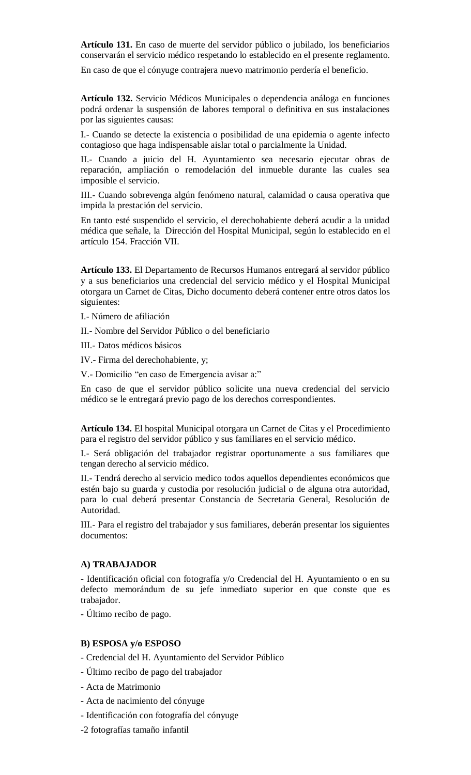**Artículo 131.** En caso de muerte del servidor público o jubilado, los beneficiarios conservarán el servicio médico respetando lo establecido en el presente reglamento.

En caso de que el cónyuge contrajera nuevo matrimonio perdería el beneficio.

**Artículo 132.** Servicio Médicos Municipales o dependencia análoga en funciones podrá ordenar la suspensión de labores temporal o definitiva en sus instalaciones por las siguientes causas:

I.- Cuando se detecte la existencia o posibilidad de una epidemia o agente infecto contagioso que haga indispensable aislar total o parcialmente la Unidad.

II.- Cuando a juicio del H. Ayuntamiento sea necesario ejecutar obras de reparación, ampliación o remodelación del inmueble durante las cuales sea imposible el servicio.

III.- Cuando sobrevenga algún fenómeno natural, calamidad o causa operativa que impida la prestación del servicio.

En tanto esté suspendido el servicio, el derechohabiente deberá acudir a la unidad médica que señale, la Dirección del Hospital Municipal, según lo establecido en el artículo 154. Fracción VII.

**Artículo 133.** El Departamento de Recursos Humanos entregará al servidor público y a sus beneficiarios una credencial del servicio médico y el Hospital Municipal otorgara un Carnet de Citas, Dicho documento deberá contener entre otros datos los siguientes:

I.- Número de afiliación

II.- Nombre del Servidor Público o del beneficiario

III.- Datos médicos básicos

IV.- Firma del derechohabiente, y;

V.- Domicilio "en caso de Emergencia avisar a:"

En caso de que el servidor público solicite una nueva credencial del servicio médico se le entregará previo pago de los derechos correspondientes.

**Artículo 134.** El hospital Municipal otorgara un Carnet de Citas y el Procedimiento para el registro del servidor público y sus familiares en el servicio médico.

I.- Será obligación del trabajador registrar oportunamente a sus familiares que tengan derecho al servicio médico.

II.- Tendrá derecho al servicio medico todos aquellos dependientes económicos que estén bajo su guarda y custodia por resolución judicial o de alguna otra autoridad, para lo cual deberá presentar Constancia de Secretaria General, Resolución de Autoridad.

III.- Para el registro del trabajador y sus familiares, deberán presentar los siguientes documentos:

#### **A) TRABAJADOR**

- Identificación oficial con fotografía y/o Credencial del H. Ayuntamiento o en su defecto memorándum de su jefe inmediato superior en que conste que es trabajador.

- Último recibo de pago.

#### **B) ESPOSA y/o ESPOSO**

- Credencial del H. Ayuntamiento del Servidor Público
- Último recibo de pago del trabajador
- Acta de Matrimonio
- Acta de nacimiento del cónyuge
- Identificación con fotografía del cónyuge
- -2 fotografías tamaño infantil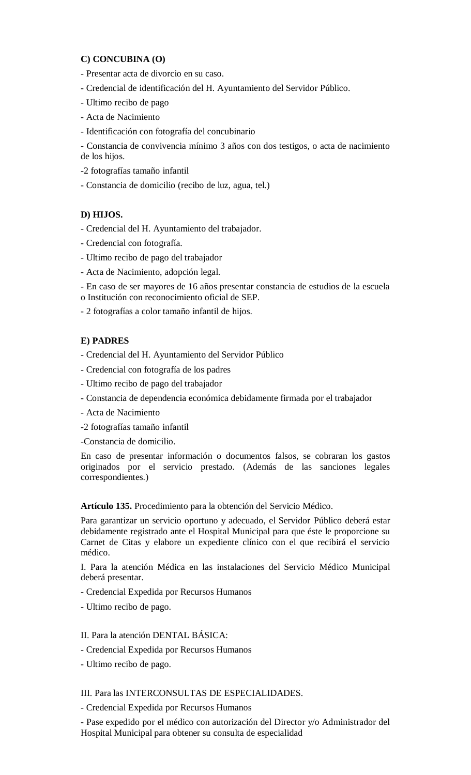## **C) CONCUBINA (O)**

- Presentar acta de divorcio en su caso.
- Credencial de identificación del H. Ayuntamiento del Servidor Público.
- Ultimo recibo de pago
- Acta de Nacimiento
- Identificación con fotografía del concubinario

- Constancia de convivencia mínimo 3 años con dos testigos, o acta de nacimiento de los hijos.

- -2 fotografías tamaño infantil
- Constancia de domicilio (recibo de luz, agua, tel.)

## **D) HIJOS.**

- Credencial del H. Ayuntamiento del trabajador.
- Credencial con fotografía.
- Ultimo recibo de pago del trabajador
- Acta de Nacimiento, adopción legal.

- En caso de ser mayores de 16 años presentar constancia de estudios de la escuela

o Institución con reconocimiento oficial de SEP.

- 2 fotografías a color tamaño infantil de hijos.

## **E) PADRES**

- Credencial del H. Ayuntamiento del Servidor Público
- Credencial con fotografía de los padres
- Ultimo recibo de pago del trabajador
- Constancia de dependencia económica debidamente firmada por el trabajador
- Acta de Nacimiento
- -2 fotografías tamaño infantil

-Constancia de domicilio.

En caso de presentar información o documentos falsos, se cobraran los gastos originados por el servicio prestado. (Además de las sanciones legales correspondientes.)

**Artículo 135.** Procedimiento para la obtención del Servicio Médico.

Para garantizar un servicio oportuno y adecuado, el Servidor Público deberá estar debidamente registrado ante el Hospital Municipal para que éste le proporcione su Carnet de Citas y elabore un expediente clínico con el que recibirá el servicio médico.

I. Para la atención Médica en las instalaciones del Servicio Médico Municipal deberá presentar.

- Credencial Expedida por Recursos Humanos
- Ultimo recibo de pago.

II. Para la atención DENTAL BÁSICA:

- Credencial Expedida por Recursos Humanos
- Ultimo recibo de pago.

## III. Para las INTERCONSULTAS DE ESPECIALIDADES.

- Credencial Expedida por Recursos Humanos

- Pase expedido por el médico con autorización del Director y/o Administrador del Hospital Municipal para obtener su consulta de especialidad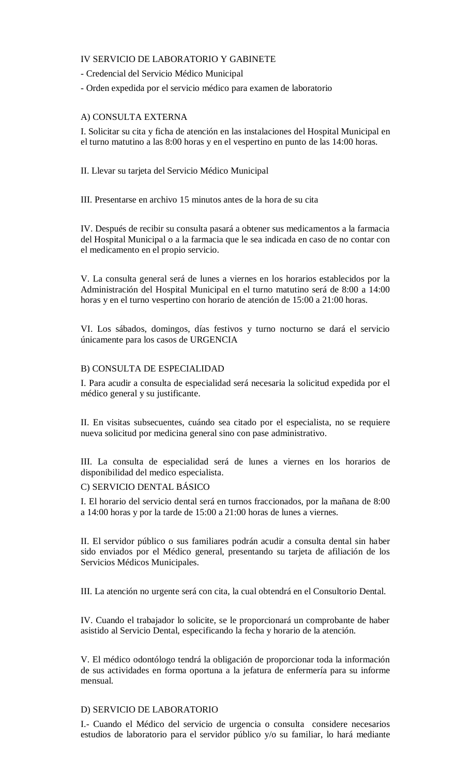## IV SERVICIO DE LABORATORIO Y GABINETE

- Credencial del Servicio Médico Municipal

- Orden expedida por el servicio médico para examen de laboratorio

#### A) CONSULTA EXTERNA

I. Solicitar su cita y ficha de atención en las instalaciones del Hospital Municipal en el turno matutino a las 8:00 horas y en el vespertino en punto de las 14:00 horas.

II. Llevar su tarjeta del Servicio Médico Municipal

III. Presentarse en archivo 15 minutos antes de la hora de su cita

IV. Después de recibir su consulta pasará a obtener sus medicamentos a la farmacia del Hospital Municipal o a la farmacia que le sea indicada en caso de no contar con el medicamento en el propio servicio.

V. La consulta general será de lunes a viernes en los horarios establecidos por la Administración del Hospital Municipal en el turno matutino será de 8:00 a 14:00 horas y en el turno vespertino con horario de atención de 15:00 a 21:00 horas.

VI. Los sábados, domingos, días festivos y turno nocturno se dará el servicio únicamente para los casos de URGENCIA

#### B) CONSULTA DE ESPECIALIDAD

I. Para acudir a consulta de especialidad será necesaria la solicitud expedida por el médico general y su justificante.

II. En visitas subsecuentes, cuándo sea citado por el especialista, no se requiere nueva solicitud por medicina general sino con pase administrativo.

III. La consulta de especialidad será de lunes a viernes en los horarios de disponibilidad del medico especialista.

#### C) SERVICIO DENTAL BÁSICO

I. El horario del servicio dental será en turnos fraccionados, por la mañana de 8:00 a 14:00 horas y por la tarde de 15:00 a 21:00 horas de lunes a viernes.

II. El servidor público o sus familiares podrán acudir a consulta dental sin haber sido enviados por el Médico general, presentando su tarjeta de afiliación de los Servicios Médicos Municipales.

III. La atención no urgente será con cita, la cual obtendrá en el Consultorio Dental.

IV. Cuando el trabajador lo solicite, se le proporcionará un comprobante de haber asistido al Servicio Dental, especificando la fecha y horario de la atención.

V. El médico odontólogo tendrá la obligación de proporcionar toda la información de sus actividades en forma oportuna a la jefatura de enfermería para su informe mensual.

#### D) SERVICIO DE LABORATORIO

I.- Cuando el Médico del servicio de urgencia o consulta considere necesarios estudios de laboratorio para el servidor público y/o su familiar, lo hará mediante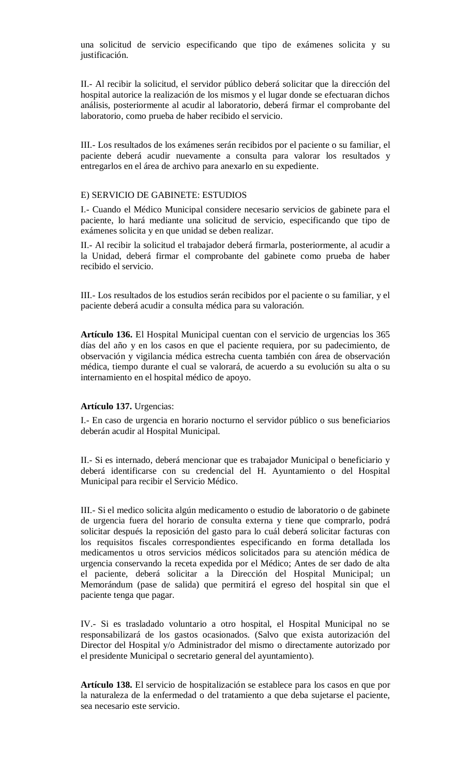una solicitud de servicio especificando que tipo de exámenes solicita y su justificación.

II.- Al recibir la solicitud, el servidor público deberá solicitar que la dirección del hospital autorice la realización de los mismos y el lugar donde se efectuaran dichos análisis, posteriormente al acudir al laboratorio, deberá firmar el comprobante del laboratorio, como prueba de haber recibido el servicio.

III.- Los resultados de los exámenes serán recibidos por el paciente o su familiar, el paciente deberá acudir nuevamente a consulta para valorar los resultados y entregarlos en el área de archivo para anexarlo en su expediente.

#### E) SERVICIO DE GABINETE: ESTUDIOS

I.- Cuando el Médico Municipal considere necesario servicios de gabinete para el paciente, lo hará mediante una solicitud de servicio, especificando que tipo de exámenes solicita y en que unidad se deben realizar.

II.- Al recibir la solicitud el trabajador deberá firmarla, posteriormente, al acudir a la Unidad, deberá firmar el comprobante del gabinete como prueba de haber recibido el servicio.

III.- Los resultados de los estudios serán recibidos por el paciente o su familiar, y el paciente deberá acudir a consulta médica para su valoración.

**Artículo 136.** El Hospital Municipal cuentan con el servicio de urgencias los 365 días del año y en los casos en que el paciente requiera, por su padecimiento, de observación y vigilancia médica estrecha cuenta también con área de observación médica, tiempo durante el cual se valorará, de acuerdo a su evolución su alta o su internamiento en el hospital médico de apoyo.

#### **Artículo 137.** Urgencias:

I.- En caso de urgencia en horario nocturno el servidor público o sus beneficiarios deberán acudir al Hospital Municipal.

II.- Si es internado, deberá mencionar que es trabajador Municipal o beneficiario y deberá identificarse con su credencial del H. Ayuntamiento o del Hospital Municipal para recibir el Servicio Médico.

III.- Si el medico solicita algún medicamento o estudio de laboratorio o de gabinete de urgencia fuera del horario de consulta externa y tiene que comprarlo, podrá solicitar después la reposición del gasto para lo cuál deberá solicitar facturas con los requisitos fiscales correspondientes especificando en forma detallada los medicamentos u otros servicios médicos solicitados para su atención médica de urgencia conservando la receta expedida por el Médico; Antes de ser dado de alta el paciente, deberá solicitar a la Dirección del Hospital Municipal; un Memorándum (pase de salida) que permitirá el egreso del hospital sin que el paciente tenga que pagar.

IV.- Si es trasladado voluntario a otro hospital, el Hospital Municipal no se responsabilizará de los gastos ocasionados. (Salvo que exista autorización del Director del Hospital y/o Administrador del mismo o directamente autorizado por el presidente Municipal o secretario general del ayuntamiento).

**Artículo 138.** El servicio de hospitalización se establece para los casos en que por la naturaleza de la enfermedad o del tratamiento a que deba sujetarse el paciente, sea necesario este servicio.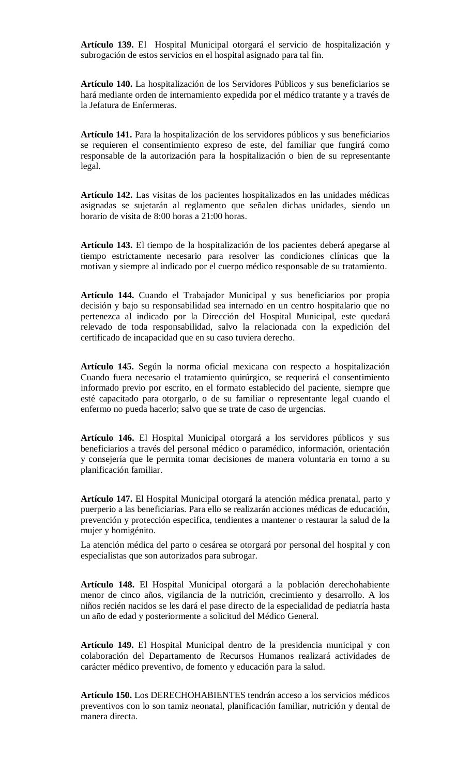**Artículo 139.** El Hospital Municipal otorgará el servicio de hospitalización y subrogación de estos servicios en el hospital asignado para tal fin.

**Artículo 140.** La hospitalización de los Servidores Públicos y sus beneficiarios se hará mediante orden de internamiento expedida por el médico tratante y a través de la Jefatura de Enfermeras.

**Artículo 141.** Para la hospitalización de los servidores públicos y sus beneficiarios se requieren el consentimiento expreso de este, del familiar que fungirá como responsable de la autorización para la hospitalización o bien de su representante legal.

**Artículo 142.** Las visitas de los pacientes hospitalizados en las unidades médicas asignadas se sujetarán al reglamento que señalen dichas unidades, siendo un horario de visita de 8:00 horas a 21:00 horas.

**Artículo 143.** El tiempo de la hospitalización de los pacientes deberá apegarse al tiempo estrictamente necesario para resolver las condiciones clínicas que la motivan y siempre al indicado por el cuerpo médico responsable de su tratamiento.

**Artículo 144.** Cuando el Trabajador Municipal y sus beneficiarios por propia decisión y bajo su responsabilidad sea internado en un centro hospitalario que no pertenezca al indicado por la Dirección del Hospital Municipal, este quedará relevado de toda responsabilidad, salvo la relacionada con la expedición del certificado de incapacidad que en su caso tuviera derecho.

**Artículo 145.** Según la norma oficial mexicana con respecto a hospitalización Cuando fuera necesario el tratamiento quirúrgico, se requerirá el consentimiento informado previo por escrito, en el formato establecido del paciente, siempre que esté capacitado para otorgarlo, o de su familiar o representante legal cuando el enfermo no pueda hacerlo; salvo que se trate de caso de urgencias.

**Artículo 146.** El Hospital Municipal otorgará a los servidores públicos y sus beneficiarios a través del personal médico o paramédico, información, orientación y consejería que le permita tomar decisiones de manera voluntaria en torno a su planificación familiar.

**Artículo 147.** El Hospital Municipal otorgará la atención médica prenatal, parto y puerperio a las beneficiarias. Para ello se realizarán acciones médicas de educación, prevención y protección especifica, tendientes a mantener o restaurar la salud de la mujer y homigénito.

La atención médica del parto o cesárea se otorgará por personal del hospital y con especialistas que son autorizados para subrogar.

**Artículo 148.** El Hospital Municipal otorgará a la población derechohabiente menor de cinco años, vigilancia de la nutrición, crecimiento y desarrollo. A los niños recién nacidos se les dará el pase directo de la especialidad de pediatría hasta un año de edad y posteriormente a solicitud del Médico General.

**Artículo 149.** El Hospital Municipal dentro de la presidencia municipal y con colaboración del Departamento de Recursos Humanos realizará actividades de carácter médico preventivo, de fomento y educación para la salud.

**Artículo 150.** Los DERECHOHABIENTES tendrán acceso a los servicios médicos preventivos con lo son tamiz neonatal, planificación familiar, nutrición y dental de manera directa.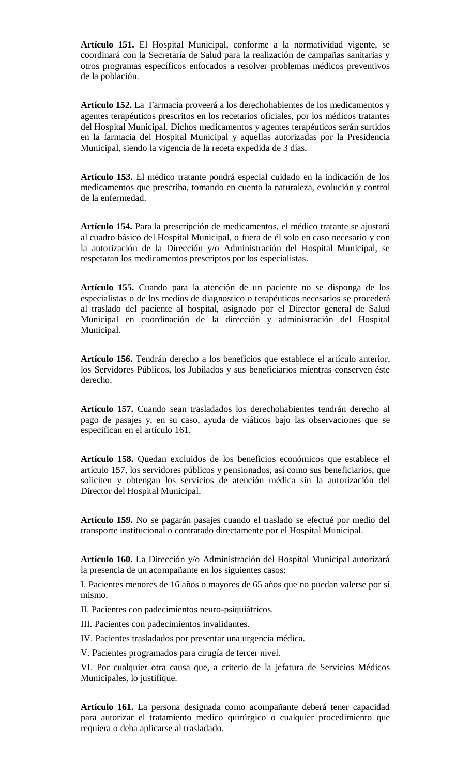**Artículo 151.** El Hospital Municipal, conforme a la normatividad vigente, se coordinará con la Secretaría de Salud para la realización de campañas sanitarias y otros programas específicos enfocados a resolver problemas médicos preventivos de la población.

**Artículo 152.** La Farmacia proveerá a los derechohabientes de los medicamentos y agentes terapéuticos prescritos en los recetarios oficiales, por los médicos tratantes del Hospital Municipal. Dichos medicamentos y agentes terapéuticos serán surtidos en la farmacia del Hospital Municipal y aquellas autorizadas por la Presidencia Municipal, siendo la vigencia de la receta expedida de 3 días.

**Artículo 153.** El médico tratante pondrá especial cuidado en la indicación de los medicamentos que prescriba, tomando en cuenta la naturaleza, evolución y control de la enfermedad.

**Artículo 154.** Para la prescripción de medicamentos, el médico tratante se ajustará al cuadro básico del Hospital Municipal, o fuera de él solo en caso necesario y con la autorización de la Dirección y/o Administración del Hospital Municipal, se respetaran los medicamentos prescriptos por los especialistas.

**Artículo 155.** Cuando para la atención de un paciente no se disponga de los especialistas o de los medios de diagnostico o terapéuticos necesarios se procederá al traslado del paciente al hospital, asignado por el Director general de Salud Municipal en coordinación de la dirección y administración del Hospital Municipal.

**Artículo 156.** Tendrán derecho a los beneficios que establece el artículo anterior, los Servidores Públicos, los Jubilados y sus beneficiarios mientras conserven éste derecho.

**Artículo 157.** Cuando sean trasladados los derechohabientes tendrán derecho al pago de pasajes y, en su caso, ayuda de viáticos bajo las observaciones que se especifican en el artículo 161.

**Artículo 158.** Quedan excluidos de los beneficios económicos que establece el artículo 157, los servidores públicos y pensionados, así como sus beneficiarios, que soliciten y obtengan los servicios de atención médica sin la autorización del Director del Hospital Municipal.

**Artículo 159.** No se pagarán pasajes cuando el traslado se efectué por medio del transporte institucional o contratado directamente por el Hospital Municipal.

**Artículo 160.** La Dirección y/o Administración del Hospital Municipal autorizará la presencia de un acompañante en los siguientes casos:

I. Pacientes menores de 16 años o mayores de 65 años que no puedan valerse por sí mismo.

II. Pacientes con padecimientos neuro-psiquiátricos.

III. Pacientes con padecimientos invalidantes.

IV. Pacientes trasladados por presentar una urgencia médica.

V. Pacientes programados para cirugía de tercer nivel.

VI. Por cualquier otra causa que, a criterio de la jefatura de Servicios Médicos Municipales, lo justifique.

**Artículo 161.** La persona designada como acompañante deberá tener capacidad para autorizar el tratamiento medico quirúrgico o cualquier procedimiento que requiera o deba aplicarse al trasladado.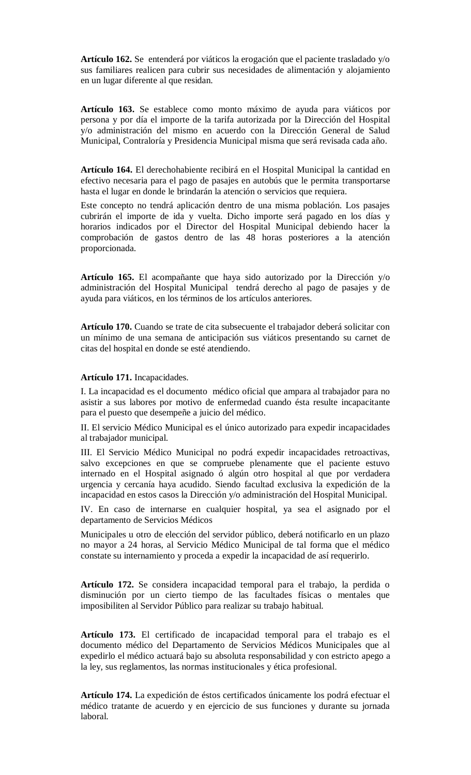**Artículo 162.** Se entenderá por viáticos la erogación que el paciente trasladado y/o sus familiares realicen para cubrir sus necesidades de alimentación y alojamiento en un lugar diferente al que residan.

**Artículo 163.** Se establece como monto máximo de ayuda para viáticos por persona y por día el importe de la tarifa autorizada por la Dirección del Hospital y/o administración del mismo en acuerdo con la Dirección General de Salud Municipal, Contraloría y Presidencia Municipal misma que será revisada cada año.

**Artículo 164.** El derechohabiente recibirá en el Hospital Municipal la cantidad en efectivo necesaria para el pago de pasajes en autobús que le permita transportarse hasta el lugar en donde le brindarán la atención o servicios que requiera.

Este concepto no tendrá aplicación dentro de una misma población. Los pasajes cubrirán el importe de ida y vuelta. Dicho importe será pagado en los días y horarios indicados por el Director del Hospital Municipal debiendo hacer la comprobación de gastos dentro de las 48 horas posteriores a la atención proporcionada.

**Artículo 165.** El acompañante que haya sido autorizado por la Dirección y/o administración del Hospital Municipal tendrá derecho al pago de pasajes y de ayuda para viáticos, en los términos de los artículos anteriores.

**Artículo 170.** Cuando se trate de cita subsecuente el trabajador deberá solicitar con un mínimo de una semana de anticipación sus viáticos presentando su carnet de citas del hospital en donde se esté atendiendo.

#### **Artículo 171.** Incapacidades.

I. La incapacidad es el documento médico oficial que ampara al trabajador para no asistir a sus labores por motivo de enfermedad cuando ésta resulte incapacitante para el puesto que desempeñe a juicio del médico.

II. El servicio Médico Municipal es el único autorizado para expedir incapacidades al trabajador municipal.

III. El Servicio Médico Municipal no podrá expedir incapacidades retroactivas, salvo excepciones en que se compruebe plenamente que el paciente estuvo internado en el Hospital asignado ó algún otro hospital al que por verdadera urgencia y cercanía haya acudido. Siendo facultad exclusiva la expedición de la incapacidad en estos casos la Dirección y/o administración del Hospital Municipal.

IV. En caso de internarse en cualquier hospital, ya sea el asignado por el departamento de Servicios Médicos

Municipales u otro de elección del servidor público, deberá notificarlo en un plazo no mayor a 24 horas, al Servicio Médico Municipal de tal forma que el médico constate su internamiento y proceda a expedir la incapacidad de así requerirlo.

**Artículo 172.** Se considera incapacidad temporal para el trabajo, la perdida o disminución por un cierto tiempo de las facultades físicas o mentales que imposibiliten al Servidor Público para realizar su trabajo habitual.

**Artículo 173.** El certificado de incapacidad temporal para el trabajo es el documento médico del Departamento de Servicios Médicos Municipales que al expedirlo el médico actuará bajo su absoluta responsabilidad y con estricto apego a la ley, sus reglamentos, las normas institucionales y ética profesional.

**Artículo 174.** La expedición de éstos certificados únicamente los podrá efectuar el médico tratante de acuerdo y en ejercicio de sus funciones y durante su jornada laboral.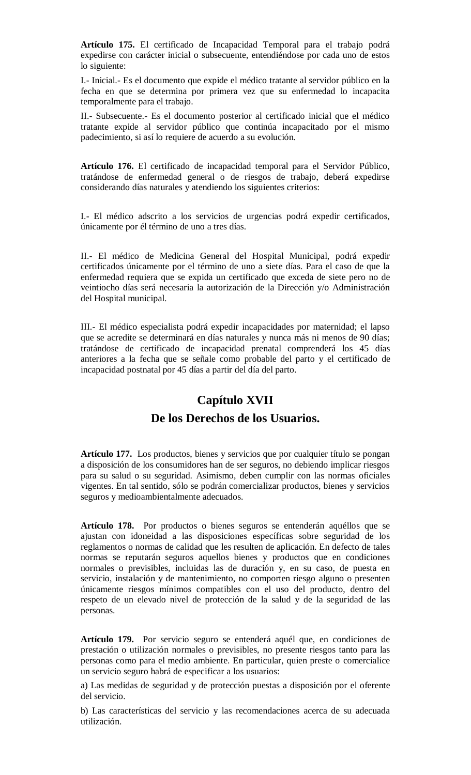**Artículo 175.** El certificado de Incapacidad Temporal para el trabajo podrá expedirse con carácter inicial o subsecuente, entendiéndose por cada uno de estos lo siguiente:

I.- Inicial.- Es el documento que expide el médico tratante al servidor público en la fecha en que se determina por primera vez que su enfermedad lo incapacita temporalmente para el trabajo.

II.- Subsecuente.- Es el documento posterior al certificado inicial que el médico tratante expide al servidor público que continúa incapacitado por el mismo padecimiento, si así lo requiere de acuerdo a su evolución.

**Artículo 176.** El certificado de incapacidad temporal para el Servidor Público, tratándose de enfermedad general o de riesgos de trabajo, deberá expedirse considerando días naturales y atendiendo los siguientes criterios:

I.- El médico adscrito a los servicios de urgencias podrá expedir certificados, únicamente por él término de uno a tres días.

II.- El médico de Medicina General del Hospital Municipal, podrá expedir certificados únicamente por el término de uno a siete días. Para el caso de que la enfermedad requiera que se expida un certificado que exceda de siete pero no de veintiocho días será necesaria la autorización de la Dirección y/o Administración del Hospital municipal.

III.- El médico especialista podrá expedir incapacidades por maternidad; el lapso que se acredite se determinará en días naturales y nunca más ni menos de 90 días; tratándose de certificado de incapacidad prenatal comprenderá los 45 días anteriores a la fecha que se señale como probable del parto y el certificado de incapacidad postnatal por 45 días a partir del día del parto.

# **Capítulo XVII De los Derechos de los Usuarios.**

**Artículo 177.** Los productos, bienes y servicios que por cualquier título se pongan a disposición de los consumidores han de ser seguros, no debiendo implicar riesgos para su salud o su seguridad. Asimismo, deben cumplir con las normas oficiales vigentes. En tal sentido, sólo se podrán comercializar productos, bienes y servicios seguros y medioambientalmente adecuados.

**Artículo 178.** Por productos o bienes seguros se entenderán aquéllos que se ajustan con idoneidad a las disposiciones específicas sobre seguridad de los reglamentos o normas de calidad que les resulten de aplicación. En defecto de tales normas se reputarán seguros aquellos bienes y productos que en condiciones normales o previsibles, incluidas las de duración y, en su caso, de puesta en servicio, instalación y de mantenimiento, no comporten riesgo alguno o presenten únicamente riesgos mínimos compatibles con el uso del producto, dentro del respeto de un elevado nivel de protección de la salud y de la seguridad de las personas.

**Artículo 179.** Por servicio seguro se entenderá aquél que, en condiciones de prestación o utilización normales o previsibles, no presente riesgos tanto para las personas como para el medio ambiente. En particular, quien preste o comercialice un servicio seguro habrá de especificar a los usuarios:

a) Las medidas de seguridad y de protección puestas a disposición por el oferente del servicio.

b) Las características del servicio y las recomendaciones acerca de su adecuada utilización.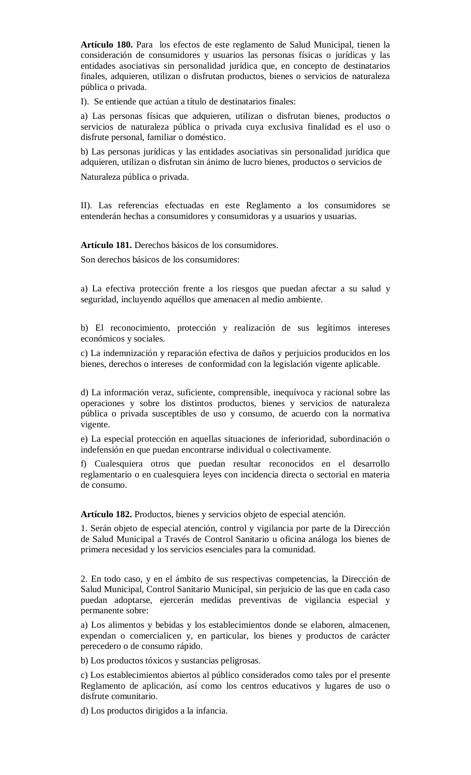**Artículo 180.** Para los efectos de este reglamento de Salud Municipal, tienen la consideración de consumidores y usuarios las personas físicas o jurídicas y las entidades asociativas sin personalidad jurídica que, en concepto de destinatarios finales, adquieren, utilizan o disfrutan productos, bienes o servicios de naturaleza pública o privada.

I). Se entiende que actúan a título de destinatarios finales:

a) Las personas físicas que adquieren, utilizan o disfrutan bienes, productos o servicios de naturaleza pública o privada cuya exclusiva finalidad es el uso o disfrute personal, familiar o doméstico.

b) Las personas jurídicas y las entidades asociativas sin personalidad jurídica que adquieren, utilizan o disfrutan sin ánimo de lucro bienes, productos o servicios de

Naturaleza pública o privada.

II). Las referencias efectuadas en este Reglamento a los consumidores se entenderán hechas a consumidores y consumidoras y a usuarios y usuarias.

**Artículo 181.** Derechos básicos de los consumidores.

Son derechos básicos de los consumidores:

a) La efectiva protección frente a los riesgos que puedan afectar a su salud y seguridad, incluyendo aquéllos que amenacen al medio ambiente.

b) El reconocimiento, protección y realización de sus legítimos intereses económicos y sociales.

c) La indemnización y reparación efectiva de daños y perjuicios producidos en los bienes, derechos o intereses de conformidad con la legislación vigente aplicable.

d) La información veraz, suficiente, comprensible, inequívoca y racional sobre las operaciones y sobre los distintos productos, bienes y servicios de naturaleza pública o privada susceptibles de uso y consumo, de acuerdo con la normativa vigente.

e) La especial protección en aquellas situaciones de inferioridad, subordinación o indefensión en que puedan encontrarse individual o colectivamente.

f) Cualesquiera otros que puedan resultar reconocidos en el desarrollo reglamentario o en cualesquiera leyes con incidencia directa o sectorial en materia de consumo.

**Artículo 182.** Productos, bienes y servicios objeto de especial atención.

1. Serán objeto de especial atención, control y vigilancia por parte de la Dirección de Salud Municipal a Través de Control Sanitario u oficina análoga los bienes de primera necesidad y los servicios esenciales para la comunidad.

2. En todo caso, y en el ámbito de sus respectivas competencias, la Dirección de Salud Municipal, Control Sanitario Municipal, sin perjuicio de las que en cada caso puedan adoptarse, ejercerán medidas preventivas de vigilancia especial y permanente sobre:

a) Los alimentos y bebidas y los establecimientos donde se elaboren, almacenen, expendan o comercialicen y, en particular, los bienes y productos de carácter perecedero o de consumo rápido.

b) Los productos tóxicos y sustancias peligrosas.

c) Los establecimientos abiertos al público considerados como tales por el presente Reglamento de aplicación, así como los centros educativos y lugares de uso o disfrute comunitario.

d) Los productos dirigidos a la infancia.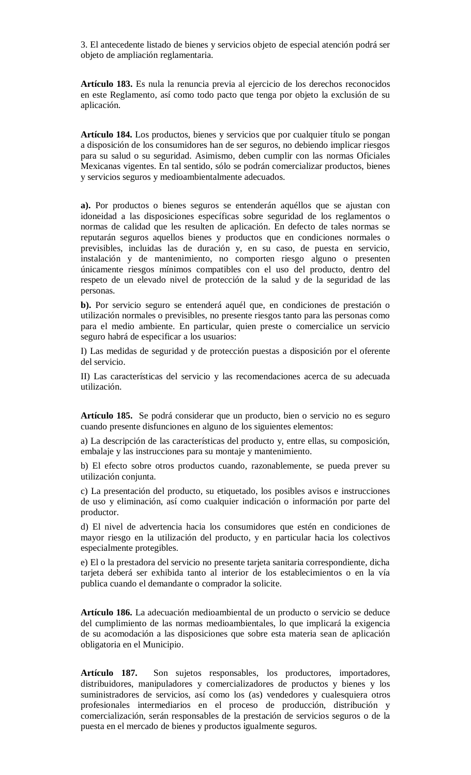3. El antecedente listado de bienes y servicios objeto de especial atención podrá ser objeto de ampliación reglamentaria.

**Artículo 183.** Es nula la renuncia previa al ejercicio de los derechos reconocidos en este Reglamento, así como todo pacto que tenga por objeto la exclusión de su aplicación.

**Artículo 184.** Los productos, bienes y servicios que por cualquier título se pongan a disposición de los consumidores han de ser seguros, no debiendo implicar riesgos para su salud o su seguridad. Asimismo, deben cumplir con las normas Oficiales Mexicanas vigentes. En tal sentido, sólo se podrán comercializar productos, bienes y servicios seguros y medioambientalmente adecuados.

**a).** Por productos o bienes seguros se entenderán aquéllos que se ajustan con idoneidad a las disposiciones específicas sobre seguridad de los reglamentos o normas de calidad que les resulten de aplicación. En defecto de tales normas se reputarán seguros aquellos bienes y productos que en condiciones normales o previsibles, incluidas las de duración y, en su caso, de puesta en servicio, instalación y de mantenimiento, no comporten riesgo alguno o presenten únicamente riesgos mínimos compatibles con el uso del producto, dentro del respeto de un elevado nivel de protección de la salud y de la seguridad de las personas.

**b).** Por servicio seguro se entenderá aquél que, en condiciones de prestación o utilización normales o previsibles, no presente riesgos tanto para las personas como para el medio ambiente. En particular, quien preste o comercialice un servicio seguro habrá de especificar a los usuarios:

I) Las medidas de seguridad y de protección puestas a disposición por el oferente del servicio.

II) Las características del servicio y las recomendaciones acerca de su adecuada utilización.

**Artículo 185.** Se podrá considerar que un producto, bien o servicio no es seguro cuando presente disfunciones en alguno de los siguientes elementos:

a) La descripción de las características del producto y, entre ellas, su composición, embalaje y las instrucciones para su montaje y mantenimiento.

b) El efecto sobre otros productos cuando, razonablemente, se pueda prever su utilización conjunta.

c) La presentación del producto, su etiquetado, los posibles avisos e instrucciones de uso y eliminación, así como cualquier indicación o información por parte del productor.

d) El nivel de advertencia hacia los consumidores que estén en condiciones de mayor riesgo en la utilización del producto, y en particular hacia los colectivos especialmente protegibles.

e) El o la prestadora del servicio no presente tarjeta sanitaria correspondiente, dicha tarjeta deberá ser exhibida tanto al interior de los establecimientos o en la vía publica cuando el demandante o comprador la solicite.

**Artículo 186.** La adecuación medioambiental de un producto o servicio se deduce del cumplimiento de las normas medioambientales, lo que implicará la exigencia de su acomodación a las disposiciones que sobre esta materia sean de aplicación obligatoria en el Municipio.

**Artículo 187.** Son sujetos responsables, los productores, importadores, distribuidores, manipuladores y comercializadores de productos y bienes y los suministradores de servicios, así como los (as) vendedores y cualesquiera otros profesionales intermediarios en el proceso de producción, distribución y comercialización, serán responsables de la prestación de servicios seguros o de la puesta en el mercado de bienes y productos igualmente seguros.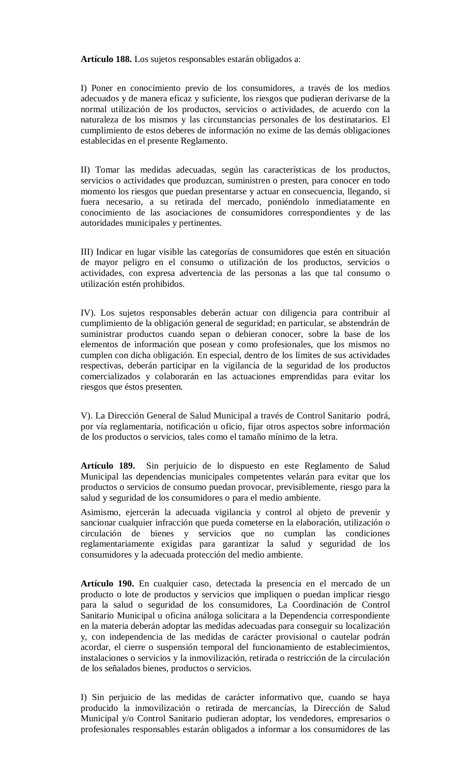**Artículo 188.** Los sujetos responsables estarán obligados a:

I) Poner en conocimiento previo de los consumidores, a través de los medios adecuados y de manera eficaz y suficiente, los riesgos que pudieran derivarse de la normal utilización de los productos, servicios o actividades, de acuerdo con la naturaleza de los mismos y las circunstancias personales de los destinatarios. El cumplimiento de estos deberes de información no exime de las demás obligaciones establecidas en el presente Reglamento.

II) Tomar las medidas adecuadas, según las características de los productos, servicios o actividades que produzcan, suministren o presten, para conocer en todo momento los riesgos que puedan presentarse y actuar en consecuencia, llegando, si fuera necesario, a su retirada del mercado, poniéndolo inmediatamente en conocimiento de las asociaciones de consumidores correspondientes y de las autoridades municipales y pertinentes.

III) Indicar en lugar visible las categorías de consumidores que estén en situación de mayor peligro en el consumo o utilización de los productos, servicios o actividades, con expresa advertencia de las personas a las que tal consumo o utilización estén prohibidos.

IV). Los sujetos responsables deberán actuar con diligencia para contribuir al cumplimiento de la obligación general de seguridad; en particular, se abstendrán de suministrar productos cuando sepan o debieran conocer, sobre la base de los elementos de información que posean y como profesionales, que los mismos no cumplen con dicha obligación. En especial, dentro de los límites de sus actividades respectivas, deberán participar en la vigilancia de la seguridad de los productos comercializados y colaborarán en las actuaciones emprendidas para evitar los riesgos que éstos presenten.

V). La Dirección General de Salud Municipal a través de Control Sanitario podrá, por vía reglamentaria, notificación u oficio, fijar otros aspectos sobre información de los productos o servicios, tales como el tamaño mínimo de la letra.

**Artículo 189.** Sin perjuicio de lo dispuesto en este Reglamento de Salud Municipal las dependencias municipales competentes velarán para evitar que los productos o servicios de consumo puedan provocar, previsiblemente, riesgo para la salud y seguridad de los consumidores o para el medio ambiente.

Asimismo, ejercerán la adecuada vigilancia y control al objeto de prevenir y sancionar cualquier infracción que pueda cometerse en la elaboración, utilización o circulación de bienes y servicios que no cumplan las condiciones reglamentariamente exigidas para garantizar la salud y seguridad de los consumidores y la adecuada protección del medio ambiente.

**Artículo 190.** En cualquier caso, detectada la presencia en el mercado de un producto o lote de productos y servicios que impliquen o puedan implicar riesgo para la salud o seguridad de los consumidores, La Coordinación de Control Sanitario Municipal u oficina análoga solicitara a la Dependencia correspondiente en la materia deberán adoptar las medidas adecuadas para conseguir su localización y, con independencia de las medidas de carácter provisional o cautelar podrán acordar, el cierre o suspensión temporal del funcionamiento de establecimientos, instalaciones o servicios y la inmovilización, retirada o restricción de la circulación de los señalados bienes, productos o servicios.

I) Sin perjuicio de las medidas de carácter informativo que, cuando se haya producido la inmovilización o retirada de mercancías, la Dirección de Salud Municipal y/o Control Sanitario pudieran adoptar, los vendedores, empresarios o profesionales responsables estarán obligados a informar a los consumidores de las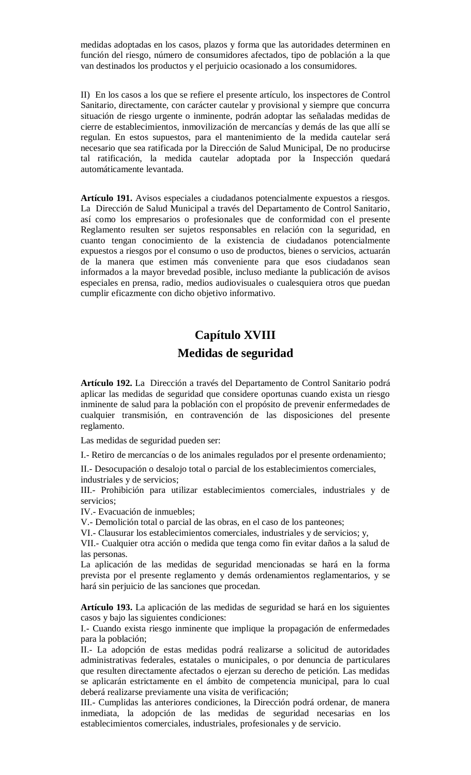medidas adoptadas en los casos, plazos y forma que las autoridades determinen en función del riesgo, número de consumidores afectados, tipo de población a la que van destinados los productos y el perjuicio ocasionado a los consumidores.

II) En los casos a los que se refiere el presente artículo, los inspectores de Control Sanitario, directamente, con carácter cautelar y provisional y siempre que concurra situación de riesgo urgente o inminente, podrán adoptar las señaladas medidas de cierre de establecimientos, inmovilización de mercancías y demás de las que allí se regulan. En estos supuestos, para el mantenimiento de la medida cautelar será necesario que sea ratificada por la Dirección de Salud Municipal, De no producirse tal ratificación, la medida cautelar adoptada por la Inspección quedará automáticamente levantada.

**Artículo 191.** Avisos especiales a ciudadanos potencialmente expuestos a riesgos. La Dirección de Salud Municipal a través del Departamento de Control Sanitario, así como los empresarios o profesionales que de conformidad con el presente Reglamento resulten ser sujetos responsables en relación con la seguridad, en cuanto tengan conocimiento de la existencia de ciudadanos potencialmente expuestos a riesgos por el consumo o uso de productos, bienes o servicios, actuarán de la manera que estimen más conveniente para que esos ciudadanos sean informados a la mayor brevedad posible, incluso mediante la publicación de avisos especiales en prensa, radio, medios audiovisuales o cualesquiera otros que puedan cumplir eficazmente con dicho objetivo informativo.

# **Capítulo XVIII**

## **Medidas de seguridad**

**Artículo 192.** La Dirección a través del Departamento de Control Sanitario podrá aplicar las medidas de seguridad que considere oportunas cuando exista un riesgo inminente de salud para la población con el propósito de prevenir enfermedades de cualquier transmisión, en contravención de las disposiciones del presente reglamento.

Las medidas de seguridad pueden ser:

I.- Retiro de mercancías o de los animales regulados por el presente ordenamiento;

II.- Desocupación o desalojo total o parcial de los establecimientos comerciales, industriales y de servicios;

III.- Prohibición para utilizar establecimientos comerciales, industriales y de servicios;

IV.- Evacuación de inmuebles;

V.- Demolición total o parcial de las obras, en el caso de los panteones;

VI.- Clausurar los establecimientos comerciales, industriales y de servicios; y,

VII.- Cualquier otra acción o medida que tenga como fin evitar daños a la salud de las personas.

La aplicación de las medidas de seguridad mencionadas se hará en la forma prevista por el presente reglamento y demás ordenamientos reglamentarios, y se hará sin perjuicio de las sanciones que procedan.

**Artículo 193.** La aplicación de las medidas de seguridad se hará en los siguientes casos y bajo las siguientes condiciones:

I.- Cuando exista riesgo inminente que implique la propagación de enfermedades para la población;

II.- La adopción de estas medidas podrá realizarse a solicitud de autoridades administrativas federales, estatales o municipales, o por denuncia de particulares que resulten directamente afectados o ejerzan su derecho de petición. Las medidas se aplicarán estrictamente en el ámbito de competencia municipal, para lo cual deberá realizarse previamente una visita de verificación;

III.- Cumplidas las anteriores condiciones, la Dirección podrá ordenar, de manera inmediata, la adopción de las medidas de seguridad necesarias en los establecimientos comerciales, industriales, profesionales y de servicio.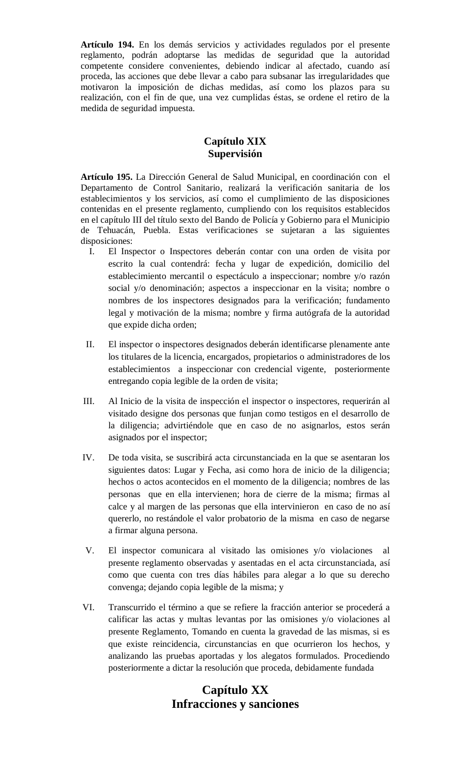**Artículo 194.** En los demás servicios y actividades regulados por el presente reglamento, podrán adoptarse las medidas de seguridad que la autoridad competente considere convenientes, debiendo indicar al afectado, cuando así proceda, las acciones que debe llevar a cabo para subsanar las irregularidades que motivaron la imposición de dichas medidas, así como los plazos para su realización, con el fin de que, una vez cumplidas éstas, se ordene el retiro de la medida de seguridad impuesta.

## **Capítulo XIX Supervisión**

**Artículo 195.** La Dirección General de Salud Municipal, en coordinación con el Departamento de Control Sanitario, realizará la verificación sanitaria de los establecimientos y los servicios, así como el cumplimiento de las disposiciones contenidas en el presente reglamento, cumpliendo con los requisitos establecidos en el capítulo III del título sexto del Bando de Policía y Gobierno para el Municipio de Tehuacán, Puebla. Estas verificaciones se sujetaran a las siguientes disposiciones:

- I. El Inspector o Inspectores deberán contar con una orden de visita por escrito la cual contendrá: fecha y lugar de expedición, domicilio del establecimiento mercantil o espectáculo a inspeccionar; nombre y/o razón social y/o denominación; aspectos a inspeccionar en la visita; nombre o nombres de los inspectores designados para la verificación; fundamento legal y motivación de la misma; nombre y firma autógrafa de la autoridad que expide dicha orden;
- II. El inspector o inspectores designados deberán identificarse plenamente ante los titulares de la licencia, encargados, propietarios o administradores de los establecimientos a inspeccionar con credencial vigente, posteriormente entregando copia legible de la orden de visita;
- III. Al Inicio de la visita de inspección el inspector o inspectores, requerirán al visitado designe dos personas que funjan como testigos en el desarrollo de la diligencia; advirtiéndole que en caso de no asignarlos, estos serán asignados por el inspector;
- IV. De toda visita, se suscribirá acta circunstanciada en la que se asentaran los siguientes datos: Lugar y Fecha, asi como hora de inicio de la diligencia; hechos o actos acontecidos en el momento de la diligencia; nombres de las personas que en ella intervienen; hora de cierre de la misma; firmas al calce y al margen de las personas que ella intervinieron en caso de no así quererlo, no restándole el valor probatorio de la misma en caso de negarse a firmar alguna persona.
- V. El inspector comunicara al visitado las omisiones y/o violaciones al presente reglamento observadas y asentadas en el acta circunstanciada, así como que cuenta con tres días hábiles para alegar a lo que su derecho convenga; dejando copia legible de la misma; y
- VI. Transcurrido el término a que se refiere la fracción anterior se procederá a calificar las actas y multas levantas por las omisiones y/o violaciones al presente Reglamento, Tomando en cuenta la gravedad de las mismas, si es que existe reincidencia, circunstancias en que ocurrieron los hechos, y analizando las pruebas aportadas y los alegatos formulados. Procediendo posteriormente a dictar la resolución que proceda, debidamente fundada

## **Capítulo XX Infracciones y sanciones**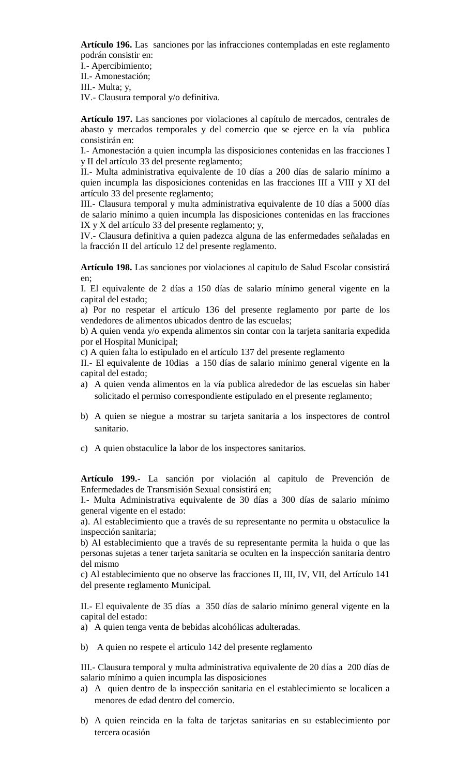**Artículo 196.** Las sanciones por las infracciones contempladas en este reglamento podrán consistir en:

I.- Apercibimiento;

II.- Amonestación;

III.- Multa; y,

IV.- Clausura temporal y/o definitiva.

**Artículo 197.** Las sanciones por violaciones al capítulo de mercados, centrales de abasto y mercados temporales y del comercio que se ejerce en la vía publica consistirán en:

I.- Amonestación a quien incumpla las disposiciones contenidas en las fracciones I y II del artículo 33 del presente reglamento;

II.- Multa administrativa equivalente de 10 días a 200 días de salario mínimo a quien incumpla las disposiciones contenidas en las fracciones III a VIII y XI del artículo 33 del presente reglamento;

III.- Clausura temporal y multa administrativa equivalente de 10 días a 5000 días de salario mínimo a quien incumpla las disposiciones contenidas en las fracciones IX y X del artículo 33 del presente reglamento; y,

IV.- Clausura definitiva a quien padezca alguna de las enfermedades señaladas en la fracción II del artículo 12 del presente reglamento.

**Artículo 198.** Las sanciones por violaciones al capitulo de Salud Escolar consistirá en;

I. El equivalente de 2 días a 150 días de salario mínimo general vigente en la capital del estado;

a) Por no respetar el artículo 136 del presente reglamento por parte de los vendedores de alimentos ubicados dentro de las escuelas;

b) A quien venda y/o expenda alimentos sin contar con la tarjeta sanitaria expedida por el Hospital Municipal;

c) A quien falta lo estipulado en el artículo 137 del presente reglamento

II.- El equivalente de 10dias a 150 días de salario mínimo general vigente en la capital del estado;

- a) A quien venda alimentos en la vía publica alrededor de las escuelas sin haber solicitado el permiso correspondiente estipulado en el presente reglamento;
- b) A quien se niegue a mostrar su tarjeta sanitaria a los inspectores de control sanitario.
- c) A quien obstaculice la labor de los inspectores sanitarios.

**Artículo 199.-** La sanción por violación al capitulo de Prevención de Enfermedades de Transmisión Sexual consistirá en;

I.- Multa Administrativa equivalente de 30 días a 300 días de salario mínimo general vigente en el estado:

a). Al establecimiento que a través de su representante no permita u obstaculice la inspección sanitaria;

b) Al establecimiento que a través de su representante permita la huida o que las personas sujetas a tener tarjeta sanitaria se oculten en la inspección sanitaria dentro del mismo

c) Al establecimiento que no observe las fracciones II, III, IV, VII, del Artículo 141 del presente reglamento Municipal.

II.- El equivalente de 35 días a 350 días de salario mínimo general vigente en la capital del estado:

a) A quien tenga venta de bebidas alcohólicas adulteradas.

b) A quien no respete el articulo 142 del presente reglamento

III.- Clausura temporal y multa administrativa equivalente de 20 días a 200 días de salario mínimo a quien incumpla las disposiciones

- a) A quien dentro de la inspección sanitaria en el establecimiento se localicen a menores de edad dentro del comercio.
- b) A quien reincida en la falta de tarjetas sanitarias en su establecimiento por tercera ocasión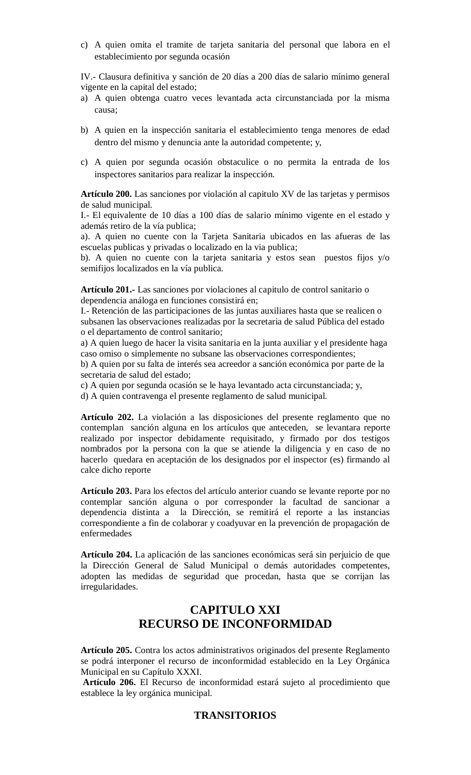c) A quien omita el tramite de tarjeta sanitaria del personal que labora en el establecimiento por segunda ocasión

IV.- Clausura definitiva y sanción de 20 días a 200 días de salario mínimo general vigente en la capital del estado;

- a) A quien obtenga cuatro veces levantada acta circunstanciada por la misma causa;
- b) A quien en la inspección sanitaria el establecimiento tenga menores de edad dentro del mismo y denuncia ante la autoridad competente; y,
- c) A quien por segunda ocasión obstaculice o no permita la entrada de los inspectores sanitarios para realizar la inspección.

**Artículo 200.** Las sanciones por violación al capitulo XV de las tarjetas y permisos de salud municipal.

I.- El equivalente de 10 días a 100 días de salario mínimo vigente en el estado y además retiro de la vía publica;

a). A quien no cuente con la Tarjeta Sanitaria ubicados en las afueras de las escuelas publicas y privadas o localizado en la via publica;

b). A quien no cuente con la tarjeta sanitaria y estos sean puestos fijos y/o semifijos localizados en la vía publica.

**Artículo 201.-** Las sanciones por violaciones al capitulo de control sanitario o dependencia análoga en funciones consistirá en;

I.- Retención de las participaciones de las juntas auxiliares hasta que se realicen o subsanen las observaciones realizadas por la secretaria de salud Pública del estado o el departamento de control sanitario;

a) A quien luego de hacer la visita sanitaria en la junta auxiliar y el presidente haga caso omiso o simplemente no subsane las observaciones correspondientes;

b) A quien por su falta de interés sea acreedor a sanción económica por parte de la secretaria de salud del estado;

c) A quien por segunda ocasión se le haya levantado acta circunstanciada; y,

d) A quien contravenga el presente reglamento de salud municipal.

**Artículo 202.** La violación a las disposiciones del presente reglamento que no contemplan sanción alguna en los artículos que anteceden, se levantara reporte realizado por inspector debidamente requisitado, y firmado por dos testigos nombrados por la persona con la que se atiende la diligencia y en caso de no hacerlo quedara en aceptación de los designados por el inspector (es) firmando al calce dicho reporte

**Artículo 203.** Para los efectos del artículo anterior cuando se levante reporte por no contemplar sanción alguna o por corresponder la facultad de sancionar a dependencia distinta a la Dirección, se remitirá el reporte a las instancias correspondiente a fin de colaborar y coadyuvar en la prevención de propagación de enfermedades

**Artículo 204.** La aplicación de las sanciones económicas será sin perjuicio de que la Dirección General de Salud Municipal o demás autoridades competentes, adopten las medidas de seguridad que procedan, hasta que se corrijan las irregularidades.

# **CAPITULO XXI RECURSO DE INCONFORMIDAD**

**Artículo 205.** Contra los actos administrativos originados del presente Reglamento se podrá interponer el recurso de inconformidad establecido en la Ley Orgánica Municipal en su Capítulo XXXI.

**Artículo 206.** El Recurso de inconformidad estará sujeto al procedimiento que establece la ley orgánica municipal.

## **TRANSITORIOS**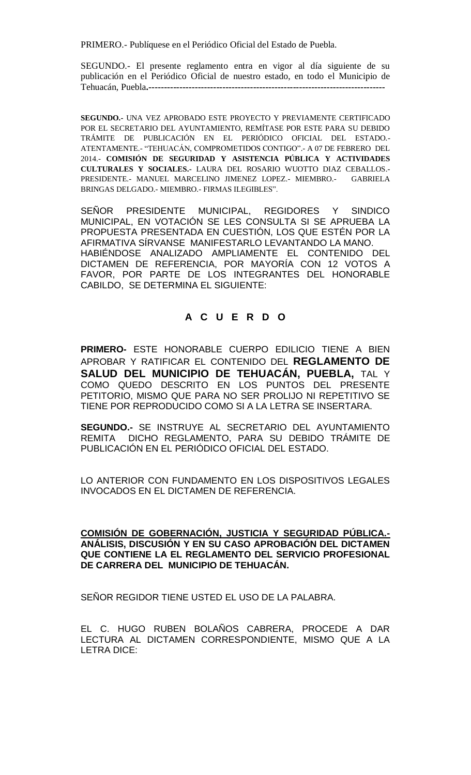PRIMERO.- Publíquese en el Periódico Oficial del Estado de Puebla.

SEGUNDO.- El presente reglamento entra en vigor al día siguiente de su publicación en el Periódico Oficial de nuestro estado, en todo el Municipio de Tehuacán, Puebla**.-----------------------------------------------------------------------------**

**SEGUNDO.-** UNA VEZ APROBADO ESTE PROYECTO Y PREVIAMENTE CERTIFICADO POR EL SECRETARIO DEL AYUNTAMIENTO, REMÍTASE POR ESTE PARA SU DEBIDO TRÁMITE DE PUBLICACIÓN EN EL PERIÓDICO OFICIAL DEL ESTADO.- ATENTAMENTE.- "TEHUACÁN, COMPROMETIDOS CONTIGO".- A 07 DE FEBRERO DEL 2014.- **COMISIÓN DE SEGURIDAD Y ASISTENCIA PÚBLICA Y ACTIVIDADES CULTURALES Y SOCIALES.-** LAURA DEL ROSARIO WUOTTO DIAZ CEBALLOS.- PRESIDENTE.- MANUEL MARCELINO JIMENEZ LOPEZ.- MIEMBRO.- GABRIELA BRINGAS DELGADO.- MIEMBRO.- FIRMAS ILEGIBLES".

SEÑOR PRESIDENTE MUNICIPAL, REGIDORES Y SINDICO MUNICIPAL, EN VOTACIÓN SE LES CONSULTA SI SE APRUEBA LA PROPUESTA PRESENTADA EN CUESTIÓN, LOS QUE ESTÉN POR LA AFIRMATIVA SÍRVANSE MANIFESTARLO LEVANTANDO LA MANO. HABIÉNDOSE ANALIZADO AMPLIAMENTE EL CONTENIDO DEL DICTAMEN DE REFERENCIA, POR MAYORÍA CON 12 VOTOS A FAVOR, POR PARTE DE LOS INTEGRANTES DEL HONORABLE CABILDO, SE DETERMINA EL SIGUIENTE:

## **A C U E R D O**

**PRIMERO-** ESTE HONORABLE CUERPO EDILICIO TIENE A BIEN APROBAR Y RATIFICAR EL CONTENIDO DEL **REGLAMENTO DE SALUD DEL MUNICIPIO DE TEHUACÁN, PUEBLA,** TAL Y COMO QUEDO DESCRITO EN LOS PUNTOS DEL PRESENTE PETITORIO, MISMO QUE PARA NO SER PROLIJO NI REPETITIVO SE TIENE POR REPRODUCIDO COMO SI A LA LETRA SE INSERTARA.

**SEGUNDO.-** SE INSTRUYE AL SECRETARIO DEL AYUNTAMIENTO REMITA DICHO REGLAMENTO, PARA SU DEBIDO TRÁMITE DE PUBLICACIÓN EN EL PERIÓDICO OFICIAL DEL ESTADO.

LO ANTERIOR CON FUNDAMENTO EN LOS DISPOSITIVOS LEGALES INVOCADOS EN EL DICTAMEN DE REFERENCIA.

**COMISIÓN DE GOBERNACIÓN, JUSTICIA Y SEGURIDAD PÚBLICA.- ANÁLISIS, DISCUSIÓN Y EN SU CASO APROBACIÓN DEL DICTAMEN QUE CONTIENE LA EL REGLAMENTO DEL SERVICIO PROFESIONAL DE CARRERA DEL MUNICIPIO DE TEHUACÁN.**

SEÑOR REGIDOR TIENE USTED EL USO DE LA PALABRA.

EL C. HUGO RUBEN BOLAÑOS CABRERA, PROCEDE A DAR LECTURA AL DICTAMEN CORRESPONDIENTE, MISMO QUE A LA LETRA DICE: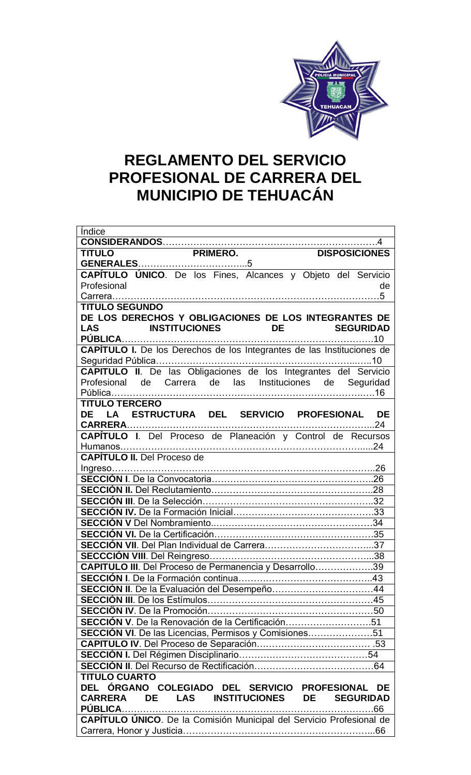

# **REGLAMENTO DEL SERVICIO PROFESIONAL DE CARRERA DEL MUNICIPIO DE TEHUACÁN**

| <i><u><b>Indice</b></u></i>                                             |
|-------------------------------------------------------------------------|
|                                                                         |
|                                                                         |
|                                                                         |
|                                                                         |
| Profesional<br>de                                                       |
|                                                                         |
| <b>TITULO SEGUNDO</b>                                                   |
| DE LOS DERECHOS Y OBLIGACIONES DE LOS INTEGRANTES DE                    |
| LAS INSTITUCIONES DE SEGURIDAD                                          |
|                                                                         |
|                                                                         |
|                                                                         |
|                                                                         |
| Profesional de Carrera de las Instituciones de Seguridad                |
|                                                                         |
| <b>TITULO TERCERO</b>                                                   |
| DE LA ESTRUCTURA DEL SERVICIO PROFESIONAL DE                            |
|                                                                         |
|                                                                         |
| <b>CAPÍTULO II.</b> Del Proceso de                                      |
|                                                                         |
|                                                                         |
|                                                                         |
|                                                                         |
|                                                                         |
|                                                                         |
|                                                                         |
|                                                                         |
|                                                                         |
|                                                                         |
|                                                                         |
| SECCIÓN II. De la Evaluación del Desempeño44                            |
|                                                                         |
|                                                                         |
| SECCIÓN V. De la Renovación de la Certificación51                       |
| <b>SECCIÓN VI</b> . De las Licencias, Permisos y Comisiones51           |
|                                                                         |
|                                                                         |
|                                                                         |
| <b>TITULO CUARTO</b>                                                    |
| DEL ÓRGANO COLEGIADO DEL SERVICIO PROFESIONAL<br><b>DE</b>              |
| <b>CARRERA</b><br>LAS INSTITUCIONES DE<br><b>DE</b><br><b>SEGURIDAD</b> |
|                                                                         |
|                                                                         |
|                                                                         |
|                                                                         |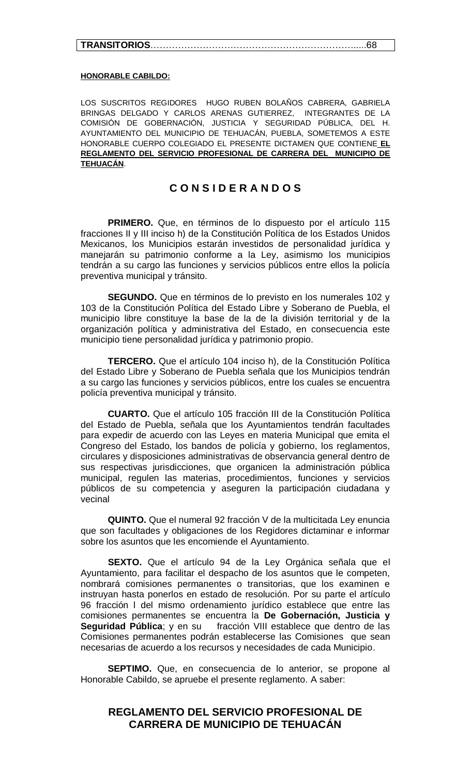#### **HONORABLE CABILDO:**

LOS SUSCRITOS REGIDORES HUGO RUBEN BOLAÑOS CABRERA, GABRIELA BRINGAS DELGADO Y CARLOS ARENAS GUTIERREZ, INTEGRANTES DE LA COMISIÓN DE GOBERNACIÓN, JUSTICIA Y SEGURIDAD PÚBLICA, DEL H. AYUNTAMIENTO DEL MUNICIPIO DE TEHUACÁN, PUEBLA, SOMETEMOS A ESTE HONORABLE CUERPO COLEGIADO EL PRESENTE DICTAMEN QUE CONTIENE **EL REGLAMENTO DEL SERVICIO PROFESIONAL DE CARRERA DEL MUNICIPIO DE TEHUACÁN**.

## **C O N S I D E R A N D O S**

**PRIMERO.** Que, en términos de lo dispuesto por el artículo 115 fracciones II y III inciso h) de la Constitución Política de los Estados Unidos Mexicanos, los Municipios estarán investidos de personalidad jurídica y manejarán su patrimonio conforme a la Ley, asimismo los municipios tendrán a su cargo las funciones y servicios públicos entre ellos la policía preventiva municipal y tránsito.

**SEGUNDO.** Que en términos de lo previsto en los numerales 102 y 103 de la Constitución Política del Estado Libre y Soberano de Puebla, el municipio libre constituye la base de la de la división territorial y de la organización política y administrativa del Estado, en consecuencia este municipio tiene personalidad jurídica y patrimonio propio.

**TERCERO.** Que el artículo 104 inciso h), de la Constitución Política del Estado Libre y Soberano de Puebla señala que los Municipios tendrán a su cargo las funciones y servicios públicos, entre los cuales se encuentra policía preventiva municipal y tránsito.

**CUARTO.** Que el artículo 105 fracción III de la Constitución Política del Estado de Puebla, señala que los Ayuntamientos tendrán facultades para expedir de acuerdo con las Leyes en materia Municipal que emita el Congreso del Estado, los bandos de policía y gobierno, los reglamentos, circulares y disposiciones administrativas de observancia general dentro de sus respectivas jurisdicciones, que organicen la administración pública municipal, regulen las materias, procedimientos, funciones y servicios públicos de su competencia y aseguren la participación ciudadana y vecinal

**QUINTO.** Que el numeral 92 fracción V de la multicitada Ley enuncia que son facultades y obligaciones de los Regidores dictaminar e informar sobre los asuntos que les encomiende el Ayuntamiento.

**SEXTO.** Que el artículo 94 de la Ley Orgánica señala que el Ayuntamiento, para facilitar el despacho de los asuntos que le competen, nombrará comisiones permanentes o transitorias, que los examinen e instruyan hasta ponerlos en estado de resolución. Por su parte el artículo 96 fracción l del mismo ordenamiento jurídico establece que entre las comisiones permanentes se encuentra la **De Gobernación, Justicia y Seguridad Pública**; y en su fracción VIII establece que dentro de las Comisiones permanentes podrán establecerse las Comisiones que sean necesarias de acuerdo a los recursos y necesidades de cada Municipio.

**SEPTIMO.** Que, en consecuencia de lo anterior, se propone al Honorable Cabildo, se apruebe el presente reglamento. A saber:

## **REGLAMENTO DEL SERVICIO PROFESIONAL DE CARRERA DE MUNICIPIO DE TEHUACÁN**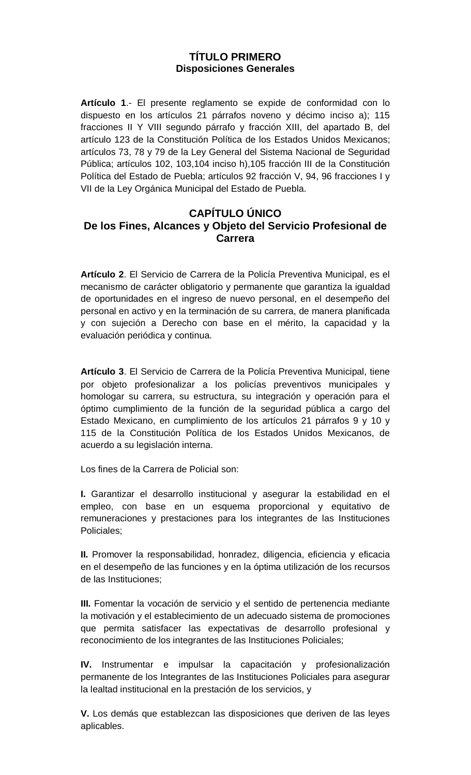## **TÍTULO PRIMERO Disposiciones Generales**

**Artículo 1**.- El presente reglamento se expide de conformidad con lo dispuesto en los artículos 21 párrafos noveno y décimo inciso a); 115 fracciones II Y VIII segundo párrafo y fracción XIII, del apartado B, del artículo 123 de la Constitución Política de los Estados Unidos Mexicanos; artículos 73, 78 y 79 de la Ley General del Sistema Nacional de Seguridad Pública; artículos 102, 103,104 inciso h),105 fracción III de la Constitución Política del Estado de Puebla; artículos 92 fracción V, 94, 96 fracciones I y VII de la Ley Orgánica Municipal del Estado de Puebla.

## **CAPÍTULO ÚNICO De los Fines, Alcances y Objeto del Servicio Profesional de Carrera**

**Artículo 2**. El Servicio de Carrera de la Policía Preventiva Municipal, es el mecanismo de carácter obligatorio y permanente que garantiza la igualdad de oportunidades en el ingreso de nuevo personal, en el desempeño del personal en activo y en la terminación de su carrera, de manera planificada y con sujeción a Derecho con base en el mérito, la capacidad y la evaluación periódica y continua.

**Artículo 3**. El Servicio de Carrera de la Policía Preventiva Municipal, tiene por objeto profesionalizar a los policías preventivos municipales y homologar su carrera, su estructura, su integración y operación para el óptimo cumplimiento de la función de la seguridad pública a cargo del Estado Mexicano, en cumplimiento de los artículos 21 párrafos 9 y 10 y 115 de la Constitución Política de los Estados Unidos Mexicanos, de acuerdo a su legislación interna.

Los fines de la Carrera de Policial son:

**I.** Garantizar el desarrollo institucional y asegurar la estabilidad en el empleo, con base en un esquema proporcional y equitativo de remuneraciones y prestaciones para los integrantes de las Instituciones Policiales;

**II.** Promover la responsabilidad, honradez, diligencia, eficiencia y eficacia en el desempeño de las funciones y en la óptima utilización de los recursos de las Instituciones;

**III.** Fomentar la vocación de servicio y el sentido de pertenencia mediante la motivación y el establecimiento de un adecuado sistema de promociones que permita satisfacer las expectativas de desarrollo profesional y reconocimiento de los integrantes de las Instituciones Policiales;

**IV.** Instrumentar e impulsar la capacitación y profesionalización permanente de los Integrantes de las Instituciones Policiales para asegurar la lealtad institucional en la prestación de los servicios, y

**V.** Los demás que establezcan las disposiciones que deriven de las leyes aplicables.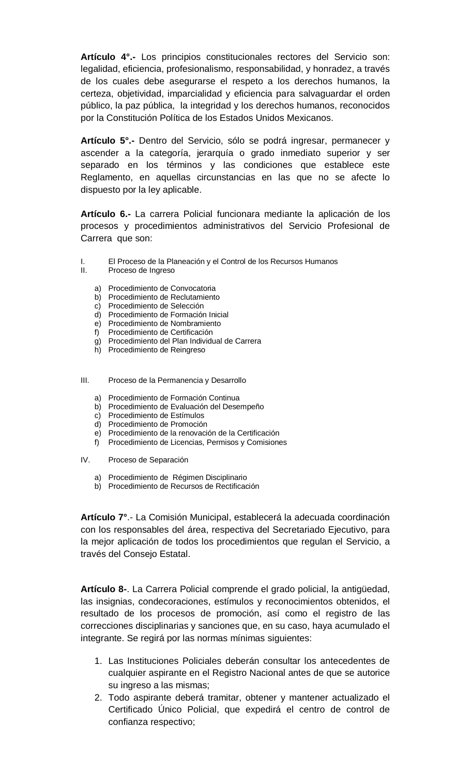**Artículo 4°.-** Los principios constitucionales rectores del Servicio son: legalidad, eficiencia, profesionalismo, responsabilidad, y honradez, a través de los cuales debe asegurarse el respeto a los derechos humanos, la certeza, objetividad, imparcialidad y eficiencia para salvaguardar el orden público, la paz pública, la integridad y los derechos humanos, reconocidos por la Constitución Política de los Estados Unidos Mexicanos.

**Artículo 5°.-** Dentro del Servicio, sólo se podrá ingresar, permanecer y ascender a la categoría, jerarquía o grado inmediato superior y ser separado en los términos y las condiciones que establece este Reglamento, en aquellas circunstancias en las que no se afecte lo dispuesto por la ley aplicable.

**Artículo 6.-** La carrera Policial funcionara mediante la aplicación de los procesos y procedimientos administrativos del Servicio Profesional de Carrera que son:

- I. El Proceso de la Planeación y el Control de los Recursos Humanos<br>II Proceso de Ingreso
- Proceso de Ingreso
	- a) Procedimiento de Convocatoria
	- b) Procedimiento de Reclutamiento
	- c) Procedimiento de Selección
	- d) Procedimiento de Formación Inicial
	- e) Procedimiento de Nombramiento
	- f) Procedimiento de Certificación
	- g) Procedimiento del Plan Individual de Carrera
	- h) Procedimiento de Reingreso
- III. Proceso de la Permanencia y Desarrollo
	- a) Procedimiento de Formación Continua
	- b) Procedimiento de Evaluación del Desempeño
	- c) Procedimiento de Estímulos
	- d) Procedimiento de Promoción
	- e) Procedimiento de la renovación de la Certificación
	- f) Procedimiento de Licencias, Permisos y Comisiones
- IV. Proceso de Separación
	- a) Procedimiento de Régimen Disciplinario
	- b) Procedimiento de Recursos de Rectificación

**Artículo 7°**.- La Comisión Municipal, establecerá la adecuada coordinación con los responsables del área, respectiva del Secretariado Ejecutivo, para la mejor aplicación de todos los procedimientos que regulan el Servicio, a través del Consejo Estatal.

**Artículo 8-**. La Carrera Policial comprende el grado policial, la antigüedad, las insignias, condecoraciones, estímulos y reconocimientos obtenidos, el resultado de los procesos de promoción, así como el registro de las correcciones disciplinarias y sanciones que, en su caso, haya acumulado el integrante. Se regirá por las normas mínimas siguientes:

- 1. Las Instituciones Policiales deberán consultar los antecedentes de cualquier aspirante en el Registro Nacional antes de que se autorice su ingreso a las mismas;
- 2. Todo aspirante deberá tramitar, obtener y mantener actualizado el Certificado Único Policial, que expedirá el centro de control de confianza respectivo;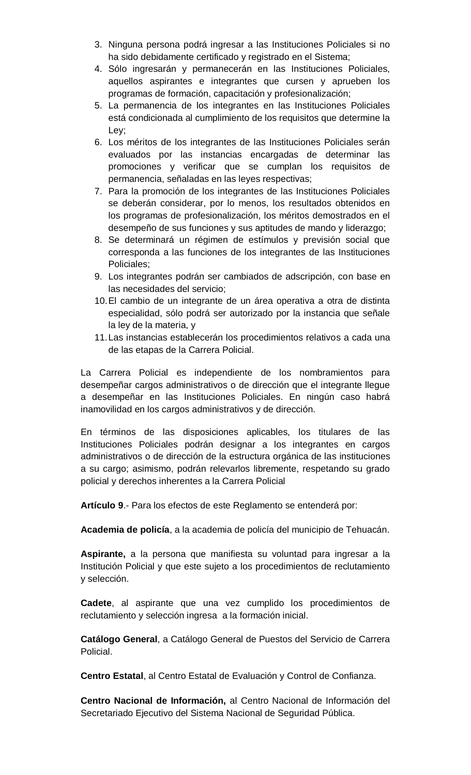- 3. Ninguna persona podrá ingresar a las Instituciones Policiales si no ha sido debidamente certificado y registrado en el Sistema;
- 4. Sólo ingresarán y permanecerán en las Instituciones Policiales, aquellos aspirantes e integrantes que cursen y aprueben los programas de formación, capacitación y profesionalización;
- 5. La permanencia de los integrantes en las Instituciones Policiales está condicionada al cumplimiento de los requisitos que determine la Ley;
- 6. Los méritos de los integrantes de las Instituciones Policiales serán evaluados por las instancias encargadas de determinar las promociones y verificar que se cumplan los requisitos de permanencia, señaladas en las leyes respectivas;
- 7. Para la promoción de los integrantes de las Instituciones Policiales se deberán considerar, por lo menos, los resultados obtenidos en los programas de profesionalización, los méritos demostrados en el desempeño de sus funciones y sus aptitudes de mando y liderazgo;
- 8. Se determinará un régimen de estímulos y previsión social que corresponda a las funciones de los integrantes de las Instituciones Policiales;
- 9. Los integrantes podrán ser cambiados de adscripción, con base en las necesidades del servicio;
- 10.El cambio de un integrante de un área operativa a otra de distinta especialidad, sólo podrá ser autorizado por la instancia que señale la ley de la materia, y
- 11.Las instancias establecerán los procedimientos relativos a cada una de las etapas de la Carrera Policial.

La Carrera Policial es independiente de los nombramientos para desempeñar cargos administrativos o de dirección que el integrante llegue a desempeñar en las Instituciones Policiales. En ningún caso habrá inamovilidad en los cargos administrativos y de dirección.

En términos de las disposiciones aplicables, los titulares de las Instituciones Policiales podrán designar a los integrantes en cargos administrativos o de dirección de la estructura orgánica de las instituciones a su cargo; asimismo, podrán relevarlos libremente, respetando su grado policial y derechos inherentes a la Carrera Policial

**Artículo 9**.- Para los efectos de este Reglamento se entenderá por:

**Academia de policía**, a la academia de policía del municipio de Tehuacán.

**Aspirante,** a la persona que manifiesta su voluntad para ingresar a la Institución Policial y que este sujeto a los procedimientos de reclutamiento y selección.

**Cadete**, al aspirante que una vez cumplido los procedimientos de reclutamiento y selección ingresa a la formación inicial.

**Catálogo General**, a Catálogo General de Puestos del Servicio de Carrera Policial.

**Centro Estatal**, al Centro Estatal de Evaluación y Control de Confianza.

**Centro Nacional de Información,** al Centro Nacional de Información del Secretariado Ejecutivo del Sistema Nacional de Seguridad Pública.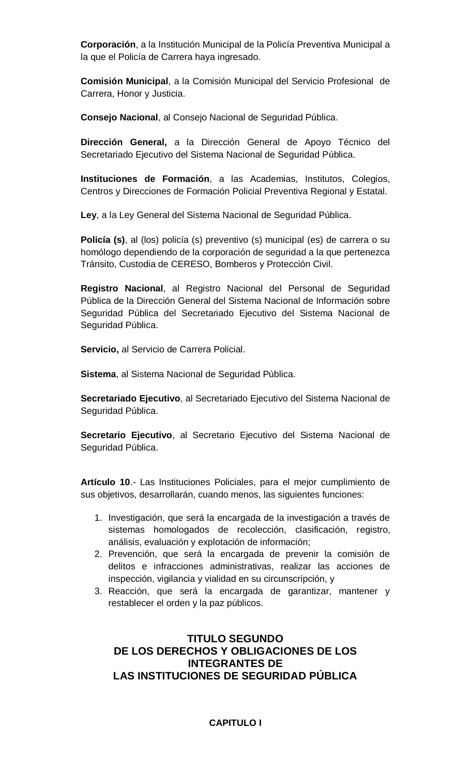**Corporación**, a la Institución Municipal de la Policía Preventiva Municipal a la que el Policía de Carrera haya ingresado.

**Comisión Municipal**, a la Comisión Municipal del Servicio Profesional de Carrera, Honor y Justicia.

**Consejo Nacional**, al Consejo Nacional de Seguridad Pública.

**Dirección General,** a la Dirección General de Apoyo Técnico del Secretariado Ejecutivo del Sistema Nacional de Seguridad Pública.

**Instituciones de Formación**, a las Academias, Institutos, Colegios, Centros y Direcciones de Formación Policial Preventiva Regional y Estatal.

**Ley**, a la Ley General del Sistema Nacional de Seguridad Pública.

**Policía (s)**, al (los) policía (s) preventivo (s) municipal (es) de carrera o su homólogo dependiendo de la corporación de seguridad a la que pertenezca Tránsito, Custodia de CERESO, Bomberos y Protección Civil.

**Registro Nacional**, al Registro Nacional del Personal de Seguridad Pública de la Dirección General del Sistema Nacional de Información sobre Seguridad Pública del Secretariado Ejecutivo del Sistema Nacional de Seguridad Pública.

**Servicio,** al Servicio de Carrera Policial.

**Sistema**, al Sistema Nacional de Seguridad Pública.

**Secretariado Ejecutivo**, al Secretariado Ejecutivo del Sistema Nacional de Seguridad Pública.

**Secretario Ejecutivo**, al Secretario Ejecutivo del Sistema Nacional de Seguridad Pública.

**Artículo 10**.- Las Instituciones Policiales, para el mejor cumplimiento de sus objetivos, desarrollarán, cuando menos, las siguientes funciones:

- 1. Investigación, que será la encargada de la investigación a través de sistemas homologados de recolección, clasificación, registro, análisis, evaluación y explotación de información;
- 2. Prevención, que será la encargada de prevenir la comisión de delitos e infracciones administrativas, realizar las acciones de inspección, vigilancia y vialidad en su circunscripción, y
- 3. Reacción, que será la encargada de garantizar, mantener y restablecer el orden y la paz públicos.

## **TITULO SEGUNDO DE LOS DERECHOS Y OBLIGACIONES DE LOS INTEGRANTES DE LAS INSTITUCIONES DE SEGURIDAD PÚBLICA**

#### **CAPITULO I**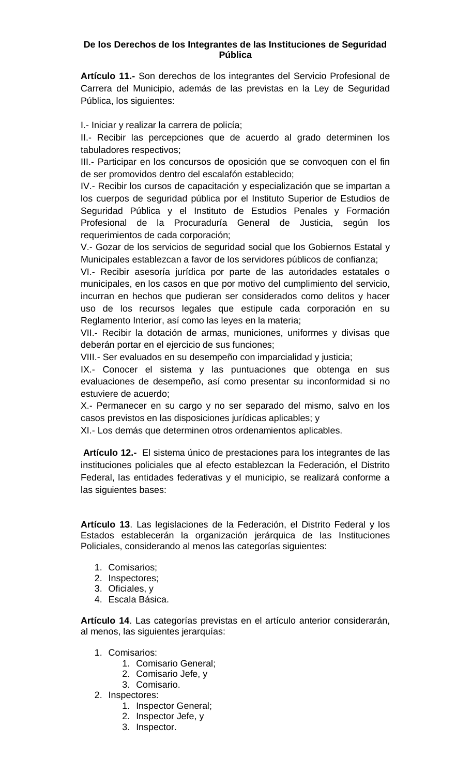#### **De los Derechos de los Integrantes de las Instituciones de Seguridad Pública**

**Artículo 11.-** Son derechos de los integrantes del Servicio Profesional de Carrera del Municipio, además de las previstas en la Ley de Seguridad Pública, los siguientes:

I.- Iniciar y realizar la carrera de policía;

II.- Recibir las percepciones que de acuerdo al grado determinen los tabuladores respectivos;

III.- Participar en los concursos de oposición que se convoquen con el fin de ser promovidos dentro del escalafón establecido;

IV.- Recibir los cursos de capacitación y especialización que se impartan a los cuerpos de seguridad pública por el Instituto Superior de Estudios de Seguridad Pública y el Instituto de Estudios Penales y Formación Profesional de la Procuraduría General de Justicia, según los requerimientos de cada corporación;

V.- Gozar de los servicios de seguridad social que los Gobiernos Estatal y Municipales establezcan a favor de los servidores públicos de confianza;

VI.- Recibir asesoría jurídica por parte de las autoridades estatales o municipales, en los casos en que por motivo del cumplimiento del servicio, incurran en hechos que pudieran ser considerados como delitos y hacer uso de los recursos legales que estipule cada corporación en su Reglamento Interior, así como las leyes en la materia;

VII.- Recibir la dotación de armas, municiones, uniformes y divisas que deberán portar en el ejercicio de sus funciones;

VIII.- Ser evaluados en su desempeño con imparcialidad y justicia;

IX.- Conocer el sistema y las puntuaciones que obtenga en sus evaluaciones de desempeño, así como presentar su inconformidad si no estuviere de acuerdo;

X.- Permanecer en su cargo y no ser separado del mismo, salvo en los casos previstos en las disposiciones jurídicas aplicables; y

XI.- Los demás que determinen otros ordenamientos aplicables.

**Artículo 12.-** El sistema único de prestaciones para los integrantes de las instituciones policiales que al efecto establezcan la Federación, el Distrito Federal, las entidades federativas y el municipio, se realizará conforme a las siguientes bases:

**Artículo 13**. Las legislaciones de la Federación, el Distrito Federal y los Estados establecerán la organización jerárquica de las Instituciones Policiales, considerando al menos las categorías siguientes:

- 1. Comisarios;
- 2. Inspectores;
- 3. Oficiales, y
- 4. Escala Básica.

**Artículo 14**. Las categorías previstas en el artículo anterior considerarán, al menos, las siguientes jerarquías:

- 1. Comisarios:
	- 1. Comisario General;
	- 2. Comisario Jefe, y
	- 3. Comisario.
- 2. Inspectores:
	- 1. Inspector General;
	- 2. Inspector Jefe, y
	- 3. Inspector.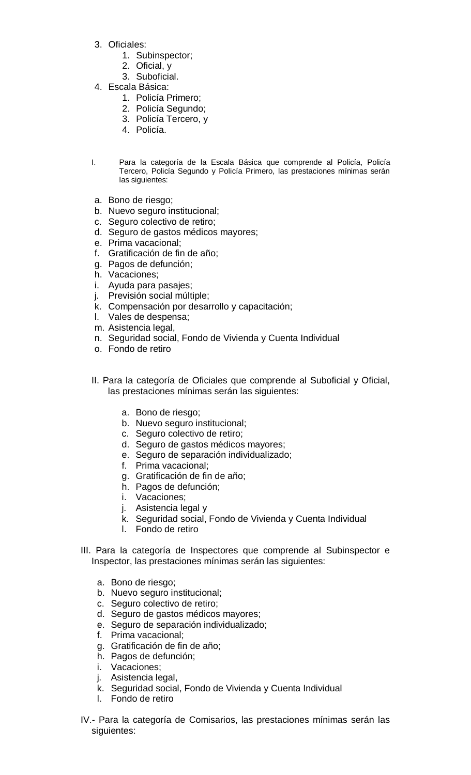- 3. Oficiales:
	- 1. Subinspector;
	- 2. Oficial, y
	- 3. Suboficial.
- 4. Escala Básica:
	- 1. Policía Primero;
	- 2. Policía Segundo;
	- 3. Policía Tercero, y
	- 4. Policía.
- I. Para la categoría de la Escala Básica que comprende al Policía, Policía Tercero, Policía Segundo y Policía Primero, las prestaciones mínimas serán las siguientes:
- a. Bono de riesgo;
- b. Nuevo seguro institucional;
- c. Seguro colectivo de retiro;
- d. Seguro de gastos médicos mayores;
- e. Prima vacacional;
- f. Gratificación de fin de año;
- g. Pagos de defunción;
- h. Vacaciones;
- i. Ayuda para pasajes;
- j. Previsión social múltiple;
- k. Compensación por desarrollo y capacitación;
- l. Vales de despensa;
- m. Asistencia legal,
- n. Seguridad social, Fondo de Vivienda y Cuenta Individual
- o. Fondo de retiro
- II. Para la categoría de Oficiales que comprende al Suboficial y Oficial, las prestaciones mínimas serán las siguientes:
	- a. Bono de riesgo;
	- b. Nuevo seguro institucional;
	- c. Seguro colectivo de retiro;
	- d. Seguro de gastos médicos mayores;
	- e. Seguro de separación individualizado;
	- f. Prima vacacional;
	- g. Gratificación de fin de año;
	- h. Pagos de defunción;
	- i. Vacaciones;
	- j. Asistencia legal y
	- k. Seguridad social, Fondo de Vivienda y Cuenta Individual
	- l. Fondo de retiro
- III. Para la categoría de Inspectores que comprende al Subinspector e Inspector, las prestaciones mínimas serán las siguientes:
	- a. Bono de riesgo;
	- b. Nuevo seguro institucional;
	- c. Seguro colectivo de retiro;
	- d. Seguro de gastos médicos mayores;
	- e. Seguro de separación individualizado;
	- f. Prima vacacional;
	- g. Gratificación de fin de año;
	- h. Pagos de defunción;
	- i. Vacaciones;
	- j. Asistencia legal,
	- k. Seguridad social, Fondo de Vivienda y Cuenta Individual
	- l. Fondo de retiro
- IV.- Para la categoría de Comisarios, las prestaciones mínimas serán las siguientes: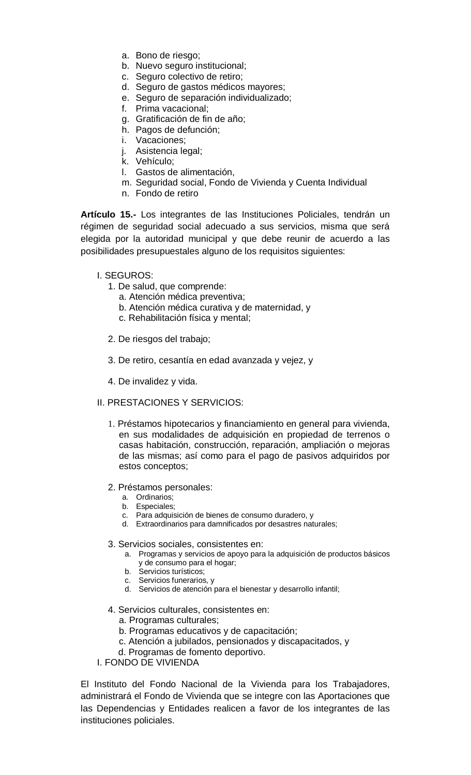- a. Bono de riesgo;
- b. Nuevo seguro institucional;
- c. Seguro colectivo de retiro;
- d. Seguro de gastos médicos mayores;
- e. Seguro de separación individualizado;
- f. Prima vacacional;
- g. Gratificación de fin de año;
- h. Pagos de defunción;
- i. Vacaciones;
- j. Asistencia legal;
- k. Vehículo;
- l. Gastos de alimentación,
- m. Seguridad social, Fondo de Vivienda y Cuenta Individual
- n. Fondo de retiro

**Artículo 15.-** Los integrantes de las Instituciones Policiales, tendrán un régimen de seguridad social adecuado a sus servicios, misma que será elegida por la autoridad municipal y que debe reunir de acuerdo a las posibilidades presupuestales alguno de los requisitos siguientes:

- I. SEGUROS:
	- 1. De salud, que comprende:
		- a. Atención médica preventiva;
		- b. Atención médica curativa y de maternidad, y
		- c. Rehabilitación física y mental;
	- 2. De riesgos del trabajo;
	- 3. De retiro, cesantía en edad avanzada y vejez, y
	- 4. De invalidez y vida.
- II. PRESTACIONES Y SERVICIOS:
	- 1. Préstamos hipotecarios y financiamiento en general para vivienda, en sus modalidades de adquisición en propiedad de terrenos o casas habitación, construcción, reparación, ampliación o mejoras de las mismas; así como para el pago de pasivos adquiridos por estos conceptos;
	- 2. Préstamos personales:
		- a. Ordinarios;
		- b. Especiales;
		- c. Para adquisición de bienes de consumo duradero, y
		- d. Extraordinarios para damnificados por desastres naturales;
	- 3. Servicios sociales, consistentes en:
		- a. Programas y servicios de apoyo para la adquisición de productos básicos y de consumo para el hogar;
		- b. Servicios turísticos;
		- c. Servicios funerarios, y
		- d. Servicios de atención para el bienestar y desarrollo infantil;
	- 4. Servicios culturales, consistentes en:
		- a. Programas culturales;
		- b. Programas educativos y de capacitación;
		- c. Atención a jubilados, pensionados y discapacitados, y
		- d. Programas de fomento deportivo.
- I. FONDO DE VIVIENDA

El Instituto del Fondo Nacional de la Vivienda para los Trabajadores, administrará el Fondo de Vivienda que se integre con las Aportaciones que las Dependencias y Entidades realicen a favor de los integrantes de las instituciones policiales.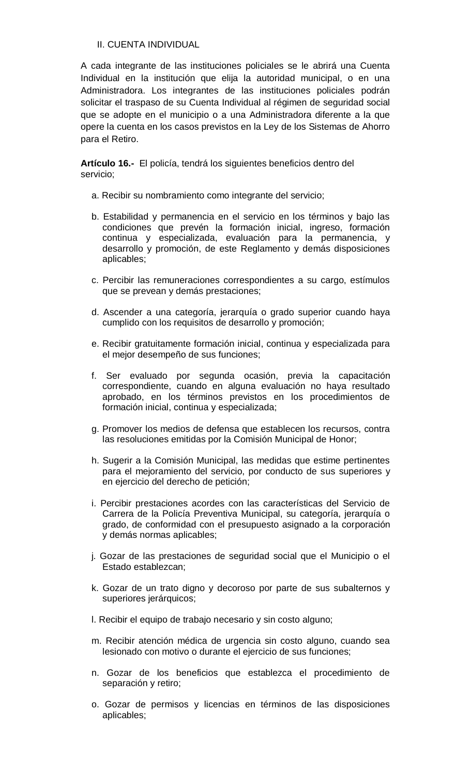#### II. CUENTA INDIVIDUAL

A cada integrante de las instituciones policiales se le abrirá una Cuenta Individual en la institución que elija la autoridad municipal, o en una Administradora. Los integrantes de las instituciones policiales podrán solicitar el traspaso de su Cuenta Individual al régimen de seguridad social que se adopte en el municipio o a una Administradora diferente a la que opere la cuenta en los casos previstos en la Ley de los Sistemas de Ahorro para el Retiro.

**Artículo 16.-** El policía, tendrá los siguientes beneficios dentro del servicio;

- a. Recibir su nombramiento como integrante del servicio;
- b. Estabilidad y permanencia en el servicio en los términos y bajo las condiciones que prevén la formación inicial, ingreso, formación continua y especializada, evaluación para la permanencia, y desarrollo y promoción, de este Reglamento y demás disposiciones aplicables;
- c. Percibir las remuneraciones correspondientes a su cargo, estímulos que se prevean y demás prestaciones;
- d. Ascender a una categoría, jerarquía o grado superior cuando haya cumplido con los requisitos de desarrollo y promoción;
- e. Recibir gratuitamente formación inicial, continua y especializada para el mejor desempeño de sus funciones;
- f. Ser evaluado por segunda ocasión, previa la capacitación correspondiente, cuando en alguna evaluación no haya resultado aprobado, en los términos previstos en los procedimientos de formación inicial, continua y especializada;
- g. Promover los medios de defensa que establecen los recursos, contra las resoluciones emitidas por la Comisión Municipal de Honor;
- h. Sugerir a la Comisión Municipal, las medidas que estime pertinentes para el mejoramiento del servicio, por conducto de sus superiores y en ejercicio del derecho de petición;
- i. Percibir prestaciones acordes con las características del Servicio de Carrera de la Policía Preventiva Municipal, su categoría, jerarquía o grado, de conformidad con el presupuesto asignado a la corporación y demás normas aplicables;
- j. Gozar de las prestaciones de seguridad social que el Municipio o el Estado establezcan;
- k. Gozar de un trato digno y decoroso por parte de sus subalternos y superiores jerárquicos;
- l. Recibir el equipo de trabajo necesario y sin costo alguno;
- m. Recibir atención médica de urgencia sin costo alguno, cuando sea lesionado con motivo o durante el ejercicio de sus funciones;
- n. Gozar de los beneficios que establezca el procedimiento de separación y retiro;
- o. Gozar de permisos y licencias en términos de las disposiciones aplicables;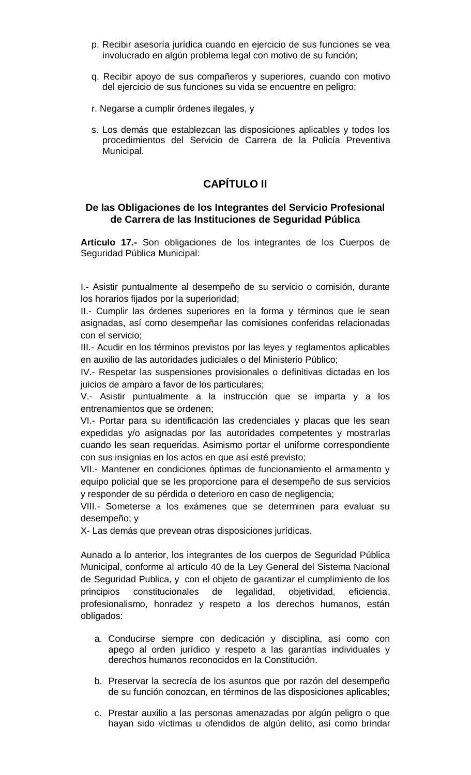- p. Recibir asesoría jurídica cuando en ejercicio de sus funciones se vea involucrado en algún problema legal con motivo de su función;
- q. Recibir apoyo de sus compañeros y superiores, cuando con motivo del ejercicio de sus funciones su vida se encuentre en peligro;
- r. Negarse a cumplir órdenes ilegales, y
- s. Los demás que establezcan las disposiciones aplicables y todos los procedimientos del Servicio de Carrera de la Policía Preventiva Municipal.

## **CAPÍTULO II**

## **De las Obligaciones de los Integrantes del Servicio Profesional de Carrera de las Instituciones de Seguridad Pública**

**Artículo 17.-** Son obligaciones de los integrantes de los Cuerpos de Seguridad Pública Municipal:

I.- Asistir puntualmente al desempeño de su servicio o comisión, durante los horarios fijados por la superioridad;

II.- Cumplir las órdenes superiores en la forma y términos que le sean asignadas, así como desempeñar las comisiones conferidas relacionadas con el servicio;

III.- Acudir en los términos previstos por las leyes y reglamentos aplicables en auxilio de las autoridades judiciales o del Ministerio Público;

IV.- Respetar las suspensiones provisionales o definitivas dictadas en los juicios de amparo a favor de los particulares;

V.- Asistir puntualmente a la instrucción que se imparta y a los entrenamientos que se ordenen;

VI.- Portar para su identificación las credenciales y placas que les sean expedidas y/o asignadas por las autoridades competentes y mostrarlas cuando les sean requeridas. Asimismo portar el uniforme correspondiente con sus insignias en los actos en que así esté previsto;

VII.- Mantener en condiciones óptimas de funcionamiento el armamento y equipo policial que se les proporcione para el desempeño de sus servicios y responder de su pérdida o deterioro en caso de negligencia;

VIII.- Someterse a los exámenes que se determinen para evaluar su desempeño; y

X- Las demás que prevean otras disposiciones jurídicas.

Aunado a lo anterior, los integrantes de los cuerpos de Seguridad Pública Municipal, conforme al artículo 40 de la Ley General del Sistema Nacional de Seguridad Publica, y con el objeto de garantizar el cumplimiento de los principios constitucionales de legalidad, objetividad, eficiencia, profesionalismo, honradez y respeto a los derechos humanos, están obligados:

- a. Conducirse siempre con dedicación y disciplina, así como con apego al orden jurídico y respeto a las garantías individuales y derechos humanos reconocidos en la Constitución.
- b. Preservar la secrecía de los asuntos que por razón del desempeño de su función conozcan, en términos de las disposiciones aplicables;
- c. Prestar auxilio a las personas amenazadas por algún peligro o que hayan sido víctimas u ofendidos de algún delito, así como brindar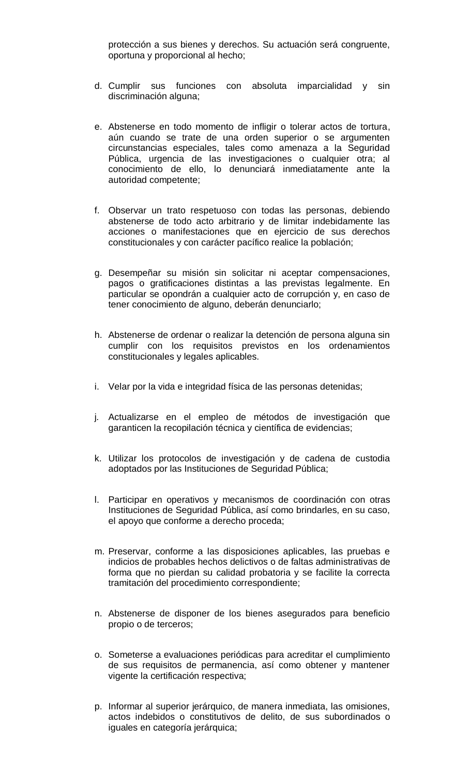protección a sus bienes y derechos. Su actuación será congruente, oportuna y proporcional al hecho;

- d. Cumplir sus funciones con absoluta imparcialidad y sin discriminación alguna;
- e. Abstenerse en todo momento de infligir o tolerar actos de tortura, aún cuando se trate de una orden superior o se argumenten circunstancias especiales, tales como amenaza a la Seguridad Pública, urgencia de las investigaciones o cualquier otra; al conocimiento de ello, lo denunciará inmediatamente ante la autoridad competente;
- f. Observar un trato respetuoso con todas las personas, debiendo abstenerse de todo acto arbitrario y de limitar indebidamente las acciones o manifestaciones que en ejercicio de sus derechos constitucionales y con carácter pacífico realice la población;
- g. Desempeñar su misión sin solicitar ni aceptar compensaciones, pagos o gratificaciones distintas a las previstas legalmente. En particular se opondrán a cualquier acto de corrupción y, en caso de tener conocimiento de alguno, deberán denunciarlo;
- h. Abstenerse de ordenar o realizar la detención de persona alguna sin cumplir con los requisitos previstos en los ordenamientos constitucionales y legales aplicables.
- i. Velar por la vida e integridad física de las personas detenidas;
- j. Actualizarse en el empleo de métodos de investigación que garanticen la recopilación técnica y científica de evidencias;
- k. Utilizar los protocolos de investigación y de cadena de custodia adoptados por las Instituciones de Seguridad Pública;
- l. Participar en operativos y mecanismos de coordinación con otras Instituciones de Seguridad Pública, así como brindarles, en su caso, el apoyo que conforme a derecho proceda;
- m. Preservar, conforme a las disposiciones aplicables, las pruebas e indicios de probables hechos delictivos o de faltas administrativas de forma que no pierdan su calidad probatoria y se facilite la correcta tramitación del procedimiento correspondiente;
- n. Abstenerse de disponer de los bienes asegurados para beneficio propio o de terceros;
- o. Someterse a evaluaciones periódicas para acreditar el cumplimiento de sus requisitos de permanencia, así como obtener y mantener vigente la certificación respectiva;
- p. Informar al superior jerárquico, de manera inmediata, las omisiones, actos indebidos o constitutivos de delito, de sus subordinados o iguales en categoría jerárquica;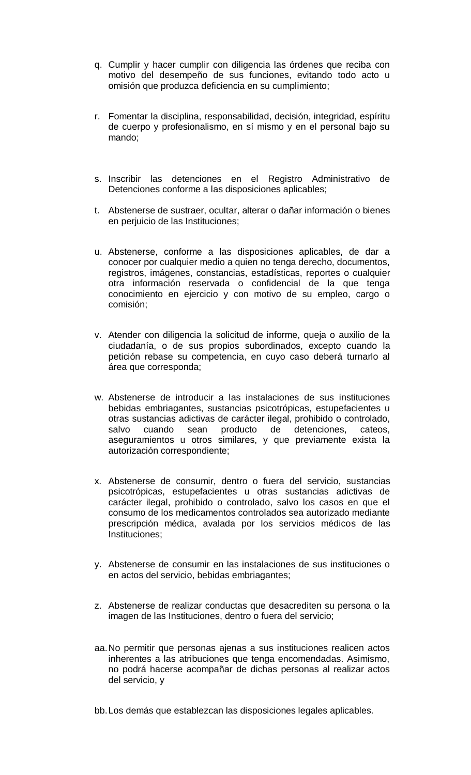- q. Cumplir y hacer cumplir con diligencia las órdenes que reciba con motivo del desempeño de sus funciones, evitando todo acto u omisión que produzca deficiencia en su cumplimiento;
- r. Fomentar la disciplina, responsabilidad, decisión, integridad, espíritu de cuerpo y profesionalismo, en sí mismo y en el personal bajo su mando;
- s. Inscribir las detenciones en el Registro Administrativo de Detenciones conforme a las disposiciones aplicables;
- t. Abstenerse de sustraer, ocultar, alterar o dañar información o bienes en perjuicio de las Instituciones;
- u. Abstenerse, conforme a las disposiciones aplicables, de dar a conocer por cualquier medio a quien no tenga derecho, documentos, registros, imágenes, constancias, estadísticas, reportes o cualquier otra información reservada o confidencial de la que tenga conocimiento en ejercicio y con motivo de su empleo, cargo o comisión;
- v. Atender con diligencia la solicitud de informe, queja o auxilio de la ciudadanía, o de sus propios subordinados, excepto cuando la petición rebase su competencia, en cuyo caso deberá turnarlo al área que corresponda;
- w. Abstenerse de introducir a las instalaciones de sus instituciones bebidas embriagantes, sustancias psicotrópicas, estupefacientes u otras sustancias adictivas de carácter ilegal, prohibido o controlado, salvo cuando sean producto de detenciones, cateos, aseguramientos u otros similares, y que previamente exista la autorización correspondiente;
- x. Abstenerse de consumir, dentro o fuera del servicio, sustancias psicotrópicas, estupefacientes u otras sustancias adictivas de carácter ilegal, prohibido o controlado, salvo los casos en que el consumo de los medicamentos controlados sea autorizado mediante prescripción médica, avalada por los servicios médicos de las Instituciones;
- y. Abstenerse de consumir en las instalaciones de sus instituciones o en actos del servicio, bebidas embriagantes;
- z. Abstenerse de realizar conductas que desacrediten su persona o la imagen de las Instituciones, dentro o fuera del servicio;
- aa.No permitir que personas ajenas a sus instituciones realicen actos inherentes a las atribuciones que tenga encomendadas. Asimismo, no podrá hacerse acompañar de dichas personas al realizar actos del servicio, y

bb.Los demás que establezcan las disposiciones legales aplicables.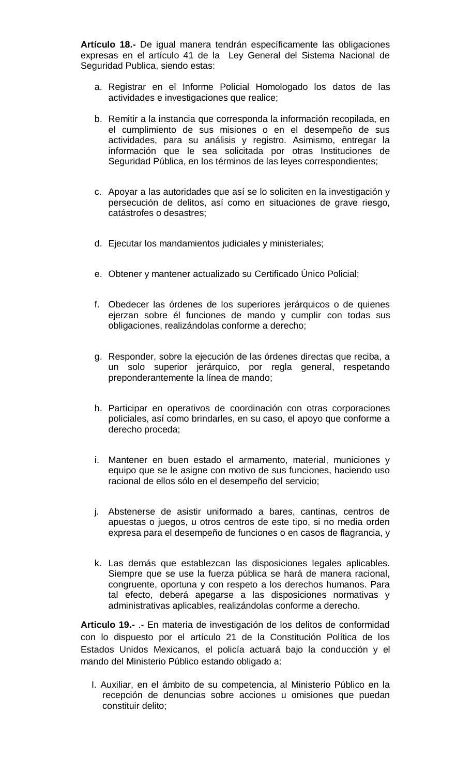**Artículo 18.-** De igual manera tendrán específicamente las obligaciones expresas en el artículo 41 de la Ley General del Sistema Nacional de Seguridad Publica, siendo estas:

- a. Registrar en el Informe Policial Homologado los datos de las actividades e investigaciones que realice;
- b. Remitir a la instancia que corresponda la información recopilada, en el cumplimiento de sus misiones o en el desempeño de sus actividades, para su análisis y registro. Asimismo, entregar la información que le sea solicitada por otras Instituciones de Seguridad Pública, en los términos de las leyes correspondientes;
- c. Apoyar a las autoridades que así se lo soliciten en la investigación y persecución de delitos, así como en situaciones de grave riesgo, catástrofes o desastres;
- d. Ejecutar los mandamientos judiciales y ministeriales;
- e. Obtener y mantener actualizado su Certificado Único Policial;
- f. Obedecer las órdenes de los superiores jerárquicos o de quienes ejerzan sobre él funciones de mando y cumplir con todas sus obligaciones, realizándolas conforme a derecho;
- g. Responder, sobre la ejecución de las órdenes directas que reciba, a un solo superior jerárquico, por regla general, respetando preponderantemente la línea de mando;
- h. Participar en operativos de coordinación con otras corporaciones policiales, así como brindarles, en su caso, el apoyo que conforme a derecho proceda;
- i. Mantener en buen estado el armamento, material, municiones y equipo que se le asigne con motivo de sus funciones, haciendo uso racional de ellos sólo en el desempeño del servicio;
- j. Abstenerse de asistir uniformado a bares, cantinas, centros de apuestas o juegos, u otros centros de este tipo, si no media orden expresa para el desempeño de funciones o en casos de flagrancia, y
- k. Las demás que establezcan las disposiciones legales aplicables. Siempre que se use la fuerza pública se hará de manera racional, congruente, oportuna y con respeto a los derechos humanos. Para tal efecto, deberá apegarse a las disposiciones normativas y administrativas aplicables, realizándolas conforme a derecho.

**Articulo 19.-** .- En materia de investigación de los delitos de conformidad con lo dispuesto por el artículo 21 de la Constitución Política de los Estados Unidos Mexicanos, el policía actuará bajo la conducción y el mando del Ministerio Público estando obligado a:

I. Auxiliar, en el ámbito de su competencia, al Ministerio Público en la recepción de denuncias sobre acciones u omisiones que puedan constituir delito;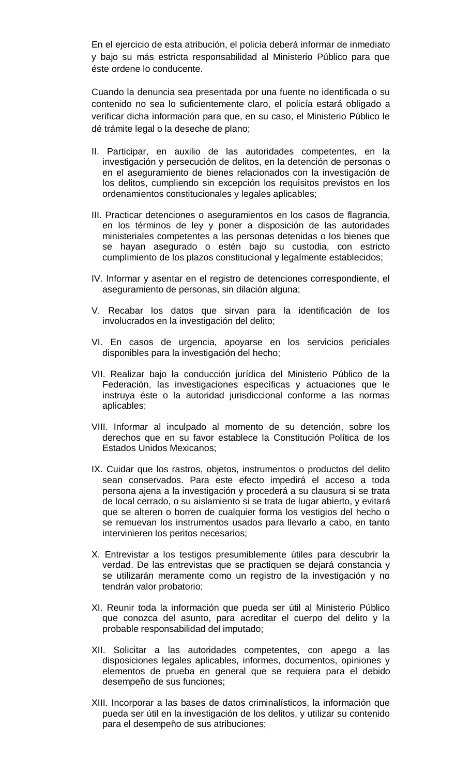En el ejercicio de esta atribución, el policía deberá informar de inmediato y bajo su más estricta responsabilidad al Ministerio Público para que éste ordene lo conducente.

Cuando la denuncia sea presentada por una fuente no identificada o su contenido no sea lo suficientemente claro, el policía estará obligado a verificar dicha información para que, en su caso, el Ministerio Público le dé trámite legal o la deseche de plano;

- II. Participar, en auxilio de las autoridades competentes, en la investigación y persecución de delitos, en la detención de personas o en el aseguramiento de bienes relacionados con la investigación de los delitos, cumpliendo sin excepción los requisitos previstos en los ordenamientos constitucionales y legales aplicables;
- III. Practicar detenciones o aseguramientos en los casos de flagrancia, en los términos de ley y poner a disposición de las autoridades ministeriales competentes a las personas detenidas o los bienes que se hayan asegurado o estén bajo su custodia, con estricto cumplimiento de los plazos constitucional y legalmente establecidos;
- IV. Informar y asentar en el registro de detenciones correspondiente, el aseguramiento de personas, sin dilación alguna;
- V. Recabar los datos que sirvan para la identificación de los involucrados en la investigación del delito;
- VI. En casos de urgencia, apoyarse en los servicios periciales disponibles para la investigación del hecho;
- VII. Realizar bajo la conducción jurídica del Ministerio Público de la Federación, las investigaciones específicas y actuaciones que le instruya éste o la autoridad jurisdiccional conforme a las normas aplicables;
- VIII. Informar al inculpado al momento de su detención, sobre los derechos que en su favor establece la Constitución Política de los Estados Unidos Mexicanos;
- IX. Cuidar que los rastros, objetos, instrumentos o productos del delito sean conservados. Para este efecto impedirá el acceso a toda persona ajena a la investigación y procederá a su clausura si se trata de local cerrado, o su aislamiento si se trata de lugar abierto, y evitará que se alteren o borren de cualquier forma los vestigios del hecho o se remuevan los instrumentos usados para llevarlo a cabo, en tanto intervinieren los peritos necesarios;
- X. Entrevistar a los testigos presumiblemente útiles para descubrir la verdad. De las entrevistas que se practiquen se dejará constancia y se utilizarán meramente como un registro de la investigación y no tendrán valor probatorio;
- XI. Reunir toda la información que pueda ser útil al Ministerio Público que conozca del asunto, para acreditar el cuerpo del delito y la probable responsabilidad del imputado;
- XII. Solicitar a las autoridades competentes, con apego a las disposiciones legales aplicables, informes, documentos, opiniones y elementos de prueba en general que se requiera para el debido desempeño de sus funciones;
- XIII. Incorporar a las bases de datos criminalísticos, la información que pueda ser útil en la investigación de los delitos, y utilizar su contenido para el desempeño de sus atribuciones;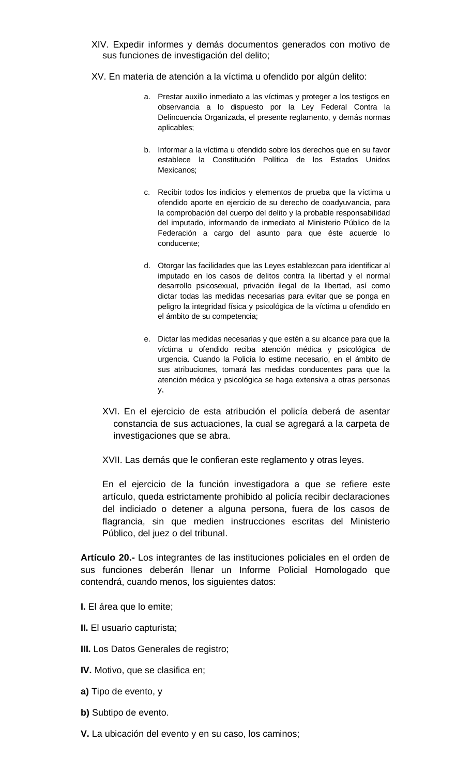- XIV. Expedir informes y demás documentos generados con motivo de sus funciones de investigación del delito;
- XV. En materia de atención a la víctima u ofendido por algún delito:
	- a. Prestar auxilio inmediato a las víctimas y proteger a los testigos en observancia a lo dispuesto por la Ley Federal Contra la Delincuencia Organizada, el presente reglamento, y demás normas aplicables;
	- b. Informar a la víctima u ofendido sobre los derechos que en su favor establece la Constitución Política de los Estados Unidos Mexicanos;
	- c. Recibir todos los indicios y elementos de prueba que la víctima u ofendido aporte en ejercicio de su derecho de coadyuvancia, para la comprobación del cuerpo del delito y la probable responsabilidad del imputado, informando de inmediato al Ministerio Público de la Federación a cargo del asunto para que éste acuerde lo conducente;
	- d. Otorgar las facilidades que las Leyes establezcan para identificar al imputado en los casos de delitos contra la libertad y el normal desarrollo psicosexual, privación ilegal de la libertad, así como dictar todas las medidas necesarias para evitar que se ponga en peligro la integridad física y psicológica de la víctima u ofendido en el ámbito de su competencia;
	- e. Dictar las medidas necesarias y que estén a su alcance para que la víctima u ofendido reciba atención médica y psicológica de urgencia. Cuando la Policía lo estime necesario, en el ámbito de sus atribuciones, tomará las medidas conducentes para que la atención médica y psicológica se haga extensiva a otras personas y,
	- XVI. En el ejercicio de esta atribución el policía deberá de asentar constancia de sus actuaciones, la cual se agregará a la carpeta de investigaciones que se abra.
	- XVII. Las demás que le confieran este reglamento y otras leyes.

En el ejercicio de la función investigadora a que se refiere este artículo, queda estrictamente prohibido al policía recibir declaraciones del indiciado o detener a alguna persona, fuera de los casos de flagrancia, sin que medien instrucciones escritas del Ministerio Público, del juez o del tribunal.

**Artículo 20.-** Los integrantes de las instituciones policiales en el orden de sus funciones deberán llenar un Informe Policial Homologado que contendrá, cuando menos, los siguientes datos:

- **I.** El área que lo emite;
- **II.** El usuario capturista;
- **III.** Los Datos Generales de registro;
- **IV.** Motivo, que se clasifica en;
- **a)** Tipo de evento, y
- **b)** Subtipo de evento.
- **V.** La ubicación del evento y en su caso, los caminos;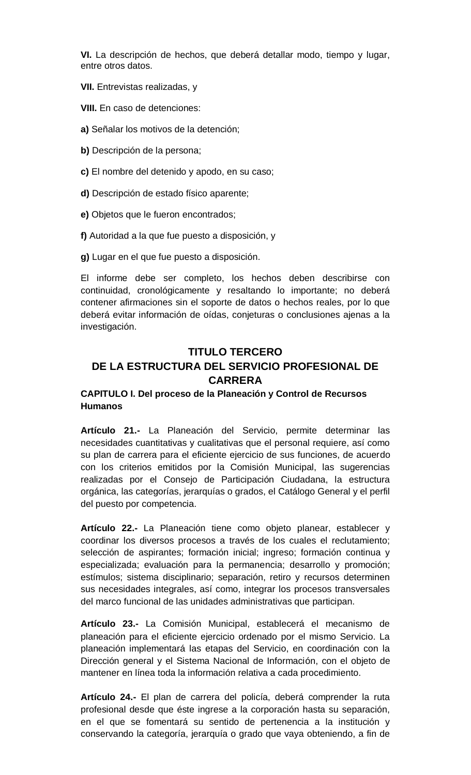**VI.** La descripción de hechos, que deberá detallar modo, tiempo y lugar, entre otros datos.

**VII.** Entrevistas realizadas, y

**VIII.** En caso de detenciones:

**a)** Señalar los motivos de la detención;

**b)** Descripción de la persona;

**c)** El nombre del detenido y apodo, en su caso;

**d)** Descripción de estado físico aparente;

**e)** Objetos que le fueron encontrados;

**f)** Autoridad a la que fue puesto a disposición, y

**g)** Lugar en el que fue puesto a disposición.

El informe debe ser completo, los hechos deben describirse con continuidad, cronológicamente y resaltando lo importante; no deberá contener afirmaciones sin el soporte de datos o hechos reales, por lo que deberá evitar información de oídas, conjeturas o conclusiones ajenas a la investigación.

## **TITULO TERCERO**

# **DE LA ESTRUCTURA DEL SERVICIO PROFESIONAL DE CARRERA**

## **CAPITULO I. Del proceso de la Planeación y Control de Recursos Humanos**

**Artículo 21.-** La Planeación del Servicio, permite determinar las necesidades cuantitativas y cualitativas que el personal requiere, así como su plan de carrera para el eficiente ejercicio de sus funciones, de acuerdo con los criterios emitidos por la Comisión Municipal, las sugerencias realizadas por el Consejo de Participación Ciudadana, la estructura orgánica, las categorías, jerarquías o grados, el Catálogo General y el perfil del puesto por competencia.

**Artículo 22.-** La Planeación tiene como objeto planear, establecer y coordinar los diversos procesos a través de los cuales el reclutamiento; selección de aspirantes; formación inicial; ingreso; formación continua y especializada; evaluación para la permanencia; desarrollo y promoción; estímulos; sistema disciplinario; separación, retiro y recursos determinen sus necesidades integrales, así como, integrar los procesos transversales del marco funcional de las unidades administrativas que participan.

**Artículo 23.-** La Comisión Municipal, establecerá el mecanismo de planeación para el eficiente ejercicio ordenado por el mismo Servicio. La planeación implementará las etapas del Servicio, en coordinación con la Dirección general y el Sistema Nacional de Información, con el objeto de mantener en línea toda la información relativa a cada procedimiento.

**Artículo 24.-** El plan de carrera del policía, deberá comprender la ruta profesional desde que éste ingrese a la corporación hasta su separación, en el que se fomentará su sentido de pertenencia a la institución y conservando la categoría, jerarquía o grado que vaya obteniendo, a fin de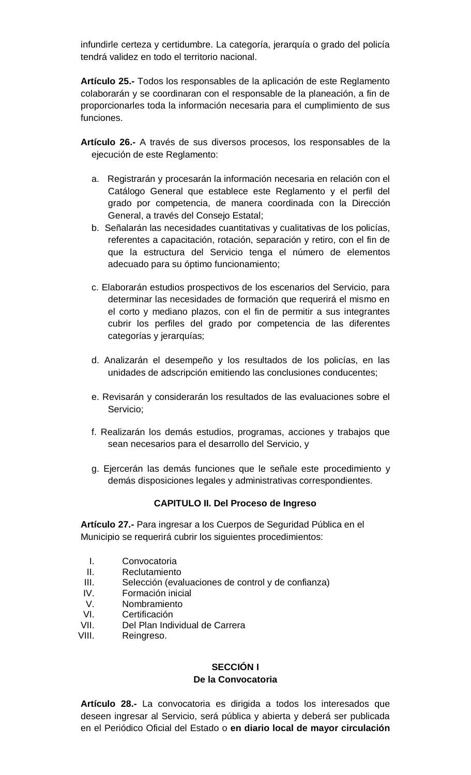infundirle certeza y certidumbre. La categoría, jerarquía o grado del policía tendrá validez en todo el territorio nacional.

**Artículo 25.-** Todos los responsables de la aplicación de este Reglamento colaborarán y se coordinaran con el responsable de la planeación, a fin de proporcionarles toda la información necesaria para el cumplimiento de sus funciones.

- **Artículo 26.-** A través de sus diversos procesos, los responsables de la ejecución de este Reglamento:
	- a. Registrarán y procesarán la información necesaria en relación con el Catálogo General que establece este Reglamento y el perfil del grado por competencia, de manera coordinada con la Dirección General, a través del Consejo Estatal;
	- b. Señalarán las necesidades cuantitativas y cualitativas de los policías, referentes a capacitación, rotación, separación y retiro, con el fin de que la estructura del Servicio tenga el número de elementos adecuado para su óptimo funcionamiento;
	- c. Elaborarán estudios prospectivos de los escenarios del Servicio, para determinar las necesidades de formación que requerirá el mismo en el corto y mediano plazos, con el fin de permitir a sus integrantes cubrir los perfiles del grado por competencia de las diferentes categorías y jerarquías;
	- d. Analizarán el desempeño y los resultados de los policías, en las unidades de adscripción emitiendo las conclusiones conducentes;
	- e. Revisarán y considerarán los resultados de las evaluaciones sobre el Servicio;
	- f. Realizarán los demás estudios, programas, acciones y trabajos que sean necesarios para el desarrollo del Servicio, y
	- g. Ejercerán las demás funciones que le señale este procedimiento y demás disposiciones legales y administrativas correspondientes.

## **CAPITULO II. Del Proceso de Ingreso**

**Artículo 27.-** Para ingresar a los Cuerpos de Seguridad Pública en el Municipio se requerirá cubrir los siguientes procedimientos:

- I. Convocatoria
- II. Reclutamiento
- III. Selección (evaluaciones de control y de confianza)
- IV. Formación inicial
- V. Nombramiento
- VI. Certificación
- VII. Del Plan Individual de Carrera
- VIII. Reingreso.

## **SECCIÓN I De la Convocatoria**

**Artículo 28.-** La convocatoria es dirigida a todos los interesados que deseen ingresar al Servicio, será pública y abierta y deberá ser publicada en el Periódico Oficial del Estado o **en diario local de mayor circulación**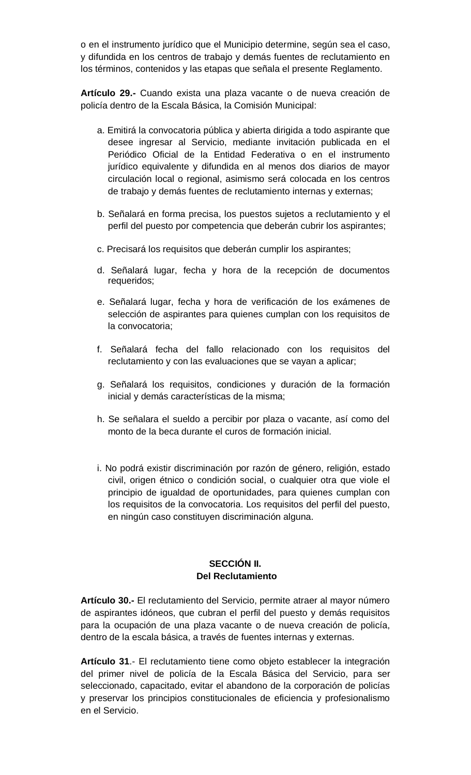o en el instrumento jurídico que el Municipio determine, según sea el caso, y difundida en los centros de trabajo y demás fuentes de reclutamiento en los términos, contenidos y las etapas que señala el presente Reglamento.

**Artículo 29.-** Cuando exista una plaza vacante o de nueva creación de policía dentro de la Escala Básica, la Comisión Municipal:

- a. Emitirá la convocatoria pública y abierta dirigida a todo aspirante que desee ingresar al Servicio, mediante invitación publicada en el Periódico Oficial de la Entidad Federativa o en el instrumento jurídico equivalente y difundida en al menos dos diarios de mayor circulación local o regional, asimismo será colocada en los centros de trabajo y demás fuentes de reclutamiento internas y externas;
- b. Señalará en forma precisa, los puestos sujetos a reclutamiento y el perfil del puesto por competencia que deberán cubrir los aspirantes;
- c. Precisará los requisitos que deberán cumplir los aspirantes;
- d. Señalará lugar, fecha y hora de la recepción de documentos requeridos;
- e. Señalará lugar, fecha y hora de verificación de los exámenes de selección de aspirantes para quienes cumplan con los requisitos de la convocatoria;
- f. Señalará fecha del fallo relacionado con los requisitos del reclutamiento y con las evaluaciones que se vayan a aplicar;
- g. Señalará los requisitos, condiciones y duración de la formación inicial y demás características de la misma;
- h. Se señalara el sueldo a percibir por plaza o vacante, así como del monto de la beca durante el curos de formación inicial.
- i. No podrá existir discriminación por razón de género, religión, estado civil, origen étnico o condición social, o cualquier otra que viole el principio de igualdad de oportunidades, para quienes cumplan con los requisitos de la convocatoria. Los requisitos del perfil del puesto, en ningún caso constituyen discriminación alguna.

## **SECCIÓN II. Del Reclutamiento**

**Artículo 30.-** El reclutamiento del Servicio, permite atraer al mayor número de aspirantes idóneos, que cubran el perfil del puesto y demás requisitos para la ocupación de una plaza vacante o de nueva creación de policía, dentro de la escala básica, a través de fuentes internas y externas.

**Artículo 31**.- El reclutamiento tiene como objeto establecer la integración del primer nivel de policía de la Escala Básica del Servicio, para ser seleccionado, capacitado, evitar el abandono de la corporación de policías y preservar los principios constitucionales de eficiencia y profesionalismo en el Servicio.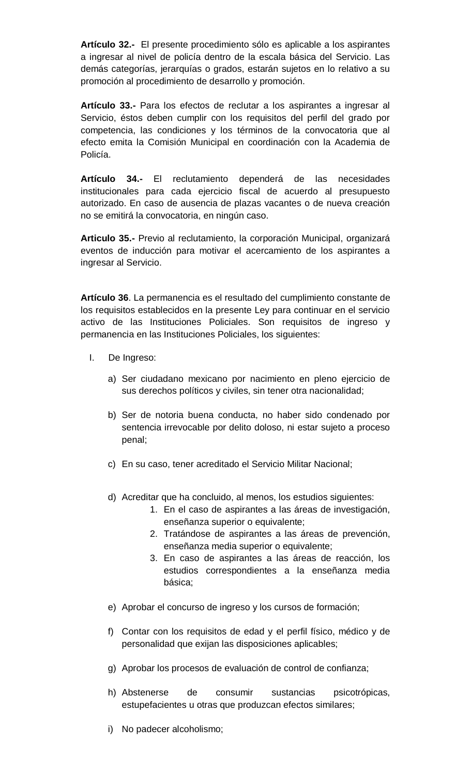**Artículo 32.-** El presente procedimiento sólo es aplicable a los aspirantes a ingresar al nivel de policía dentro de la escala básica del Servicio. Las demás categorías, jerarquías o grados, estarán sujetos en lo relativo a su promoción al procedimiento de desarrollo y promoción.

**Artículo 33.-** Para los efectos de reclutar a los aspirantes a ingresar al Servicio, éstos deben cumplir con los requisitos del perfil del grado por competencia, las condiciones y los términos de la convocatoria que al efecto emita la Comisión Municipal en coordinación con la Academia de Policía.

**Artículo 34.-** El reclutamiento dependerá de las necesidades institucionales para cada ejercicio fiscal de acuerdo al presupuesto autorizado. En caso de ausencia de plazas vacantes o de nueva creación no se emitirá la convocatoria, en ningún caso.

**Articulo 35.-** Previo al reclutamiento, la corporación Municipal, organizará eventos de inducción para motivar el acercamiento de los aspirantes a ingresar al Servicio.

**Artículo 36**. La permanencia es el resultado del cumplimiento constante de los requisitos establecidos en la presente Ley para continuar en el servicio activo de las Instituciones Policiales. Son requisitos de ingreso y permanencia en las Instituciones Policiales, los siguientes:

- I. De Ingreso:
	- a) Ser ciudadano mexicano por nacimiento en pleno ejercicio de sus derechos políticos y civiles, sin tener otra nacionalidad;
	- b) Ser de notoria buena conducta, no haber sido condenado por sentencia irrevocable por delito doloso, ni estar sujeto a proceso penal;
	- c) En su caso, tener acreditado el Servicio Militar Nacional;
	- d) Acreditar que ha concluido, al menos, los estudios siguientes:
		- 1. En el caso de aspirantes a las áreas de investigación, enseñanza superior o equivalente;
		- 2. Tratándose de aspirantes a las áreas de prevención, enseñanza media superior o equivalente;
		- 3. En caso de aspirantes a las áreas de reacción, los estudios correspondientes a la enseñanza media básica;
	- e) Aprobar el concurso de ingreso y los cursos de formación;
	- f) Contar con los requisitos de edad y el perfil físico, médico y de personalidad que exijan las disposiciones aplicables;
	- g) Aprobar los procesos de evaluación de control de confianza;
	- h) Abstenerse de consumir sustancias psicotrópicas, estupefacientes u otras que produzcan efectos similares;
	- i) No padecer alcoholismo;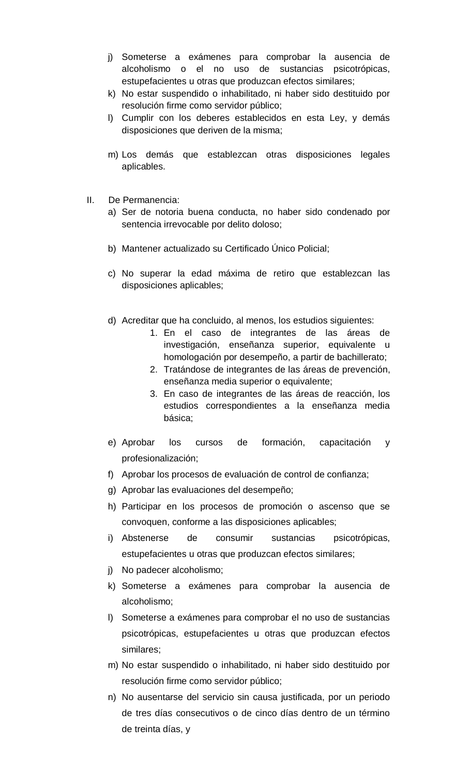- j) Someterse a exámenes para comprobar la ausencia de alcoholismo o el no uso de sustancias psicotrópicas, estupefacientes u otras que produzcan efectos similares;
- k) No estar suspendido o inhabilitado, ni haber sido destituido por resolución firme como servidor público;
- l) Cumplir con los deberes establecidos en esta Ley, y demás disposiciones que deriven de la misma;
- m) Los demás que establezcan otras disposiciones legales aplicables.
- II. De Permanencia:
	- a) Ser de notoria buena conducta, no haber sido condenado por sentencia irrevocable por delito doloso;
	- b) Mantener actualizado su Certificado Único Policial;
	- c) No superar la edad máxima de retiro que establezcan las disposiciones aplicables;
	- d) Acreditar que ha concluido, al menos, los estudios siguientes:
		- 1. En el caso de integrantes de las áreas de investigación, enseñanza superior, equivalente u homologación por desempeño, a partir de bachillerato;
		- 2. Tratándose de integrantes de las áreas de prevención, enseñanza media superior o equivalente;
		- 3. En caso de integrantes de las áreas de reacción, los estudios correspondientes a la enseñanza media básica;
	- e) Aprobar los cursos de formación, capacitación y profesionalización;
	- f) Aprobar los procesos de evaluación de control de confianza;
	- g) Aprobar las evaluaciones del desempeño;
	- h) Participar en los procesos de promoción o ascenso que se convoquen, conforme a las disposiciones aplicables;
	- i) Abstenerse de consumir sustancias psicotrópicas, estupefacientes u otras que produzcan efectos similares;
	- j) No padecer alcoholismo;
	- k) Someterse a exámenes para comprobar la ausencia de alcoholismo;
	- l) Someterse a exámenes para comprobar el no uso de sustancias psicotrópicas, estupefacientes u otras que produzcan efectos similares;
	- m) No estar suspendido o inhabilitado, ni haber sido destituido por resolución firme como servidor público;
	- n) No ausentarse del servicio sin causa justificada, por un periodo de tres días consecutivos o de cinco días dentro de un término de treinta días, y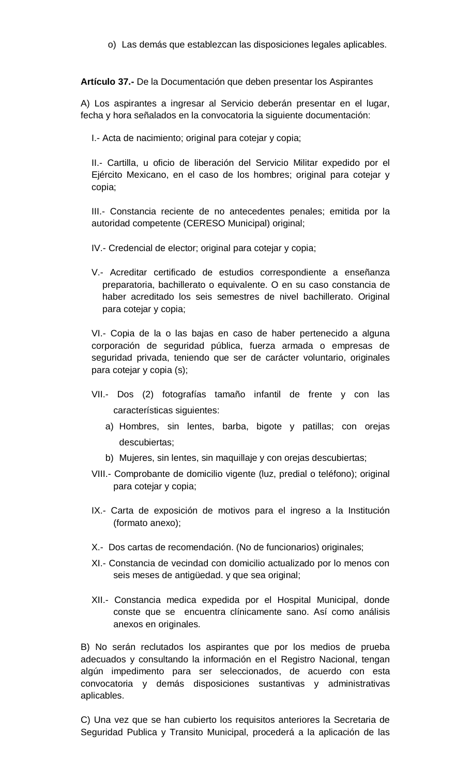o) Las demás que establezcan las disposiciones legales aplicables.

**Artículo 37.-** De la Documentación que deben presentar los Aspirantes

A) Los aspirantes a ingresar al Servicio deberán presentar en el lugar, fecha y hora señalados en la convocatoria la siguiente documentación:

I.- Acta de nacimiento; original para cotejar y copia;

II.- Cartilla, u oficio de liberación del Servicio Militar expedido por el Ejército Mexicano, en el caso de los hombres; original para cotejar y copia;

III.- Constancia reciente de no antecedentes penales; emitida por la autoridad competente (CERESO Municipal) original;

IV.- Credencial de elector; original para cotejar y copia;

V.- Acreditar certificado de estudios correspondiente a enseñanza preparatoria, bachillerato o equivalente. O en su caso constancia de haber acreditado los seis semestres de nivel bachillerato. Original para cotejar y copia;

VI.- Copia de la o las bajas en caso de haber pertenecido a alguna corporación de seguridad pública, fuerza armada o empresas de seguridad privada, teniendo que ser de carácter voluntario, originales para cotejar y copia (s);

- VII.- Dos (2) fotografías tamaño infantil de frente y con las características siguientes:
	- a) Hombres, sin lentes, barba, bigote y patillas; con orejas descubiertas;
	- b) Mujeres, sin lentes, sin maquillaje y con orejas descubiertas;
- VIII.- Comprobante de domicilio vigente (luz, predial o teléfono); original para cotejar y copia;
- IX.- Carta de exposición de motivos para el ingreso a la Institución (formato anexo);
- X.- Dos cartas de recomendación. (No de funcionarios) originales;
- XI.- Constancia de vecindad con domicilio actualizado por lo menos con seis meses de antigüedad. y que sea original;
- XII.- Constancia medica expedida por el Hospital Municipal, donde conste que se encuentra clínicamente sano. Así como análisis anexos en originales.

B) No serán reclutados los aspirantes que por los medios de prueba adecuados y consultando la información en el Registro Nacional, tengan algún impedimento para ser seleccionados, de acuerdo con esta convocatoria y demás disposiciones sustantivas y administrativas aplicables.

C) Una vez que se han cubierto los requisitos anteriores la Secretaria de Seguridad Publica y Transito Municipal, procederá a la aplicación de las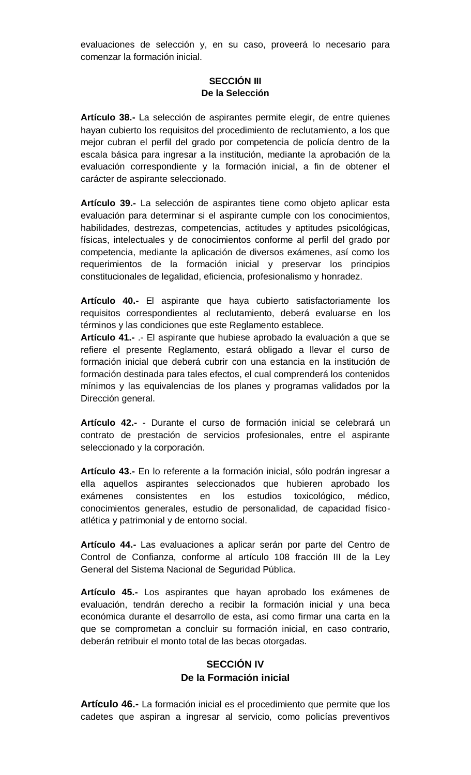evaluaciones de selección y, en su caso, proveerá lo necesario para comenzar la formación inicial.

## **SECCIÓN III De la Selección**

**Artículo 38.-** La selección de aspirantes permite elegir, de entre quienes hayan cubierto los requisitos del procedimiento de reclutamiento, a los que mejor cubran el perfil del grado por competencia de policía dentro de la escala básica para ingresar a la institución, mediante la aprobación de la evaluación correspondiente y la formación inicial, a fin de obtener el carácter de aspirante seleccionado.

**Artículo 39.-** La selección de aspirantes tiene como objeto aplicar esta evaluación para determinar si el aspirante cumple con los conocimientos, habilidades, destrezas, competencias, actitudes y aptitudes psicológicas, físicas, intelectuales y de conocimientos conforme al perfil del grado por competencia, mediante la aplicación de diversos exámenes, así como los requerimientos de la formación inicial y preservar los principios constitucionales de legalidad, eficiencia, profesionalismo y honradez.

**Artículo 40.-** El aspirante que haya cubierto satisfactoriamente los requisitos correspondientes al reclutamiento, deberá evaluarse en los términos y las condiciones que este Reglamento establece.

**Artículo 41.-** .- El aspirante que hubiese aprobado la evaluación a que se refiere el presente Reglamento, estará obligado a llevar el curso de formación inicial que deberá cubrir con una estancia en la institución de formación destinada para tales efectos, el cual comprenderá los contenidos mínimos y las equivalencias de los planes y programas validados por la Dirección general.

**Artículo 42.-** - Durante el curso de formación inicial se celebrará un contrato de prestación de servicios profesionales, entre el aspirante seleccionado y la corporación.

**Artículo 43.-** En lo referente a la formación inicial, sólo podrán ingresar a ella aquellos aspirantes seleccionados que hubieren aprobado los exámenes consistentes en los estudios toxicológico, médico, conocimientos generales, estudio de personalidad, de capacidad físicoatlética y patrimonial y de entorno social.

**Artículo 44.-** Las evaluaciones a aplicar serán por parte del Centro de Control de Confianza, conforme al artículo 108 fracción III de la Ley General del Sistema Nacional de Seguridad Pública.

**Artículo 45.-** Los aspirantes que hayan aprobado los exámenes de evaluación, tendrán derecho a recibir la formación inicial y una beca económica durante el desarrollo de esta, así como firmar una carta en la que se comprometan a concluir su formación inicial, en caso contrario, deberán retribuir el monto total de las becas otorgadas.

## **SECCIÓN IV De la Formación inicial**

**Artículo 46.-** La formación inicial es el procedimiento que permite que los cadetes que aspiran a ingresar al servicio, como policías preventivos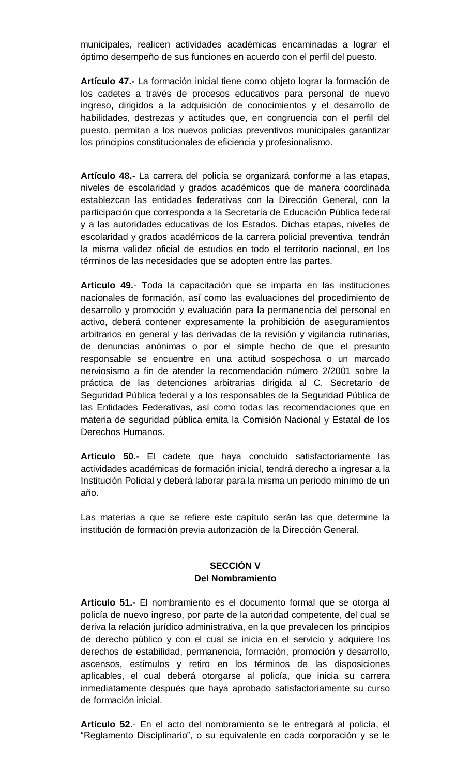municipales, realicen actividades académicas encaminadas a lograr el óptimo desempeño de sus funciones en acuerdo con el perfil del puesto.

**Artículo 47.-** La formación inicial tiene como objeto lograr la formación de los cadetes a través de procesos educativos para personal de nuevo ingreso, dirigidos a la adquisición de conocimientos y el desarrollo de habilidades, destrezas y actitudes que, en congruencia con el perfil del puesto, permitan a los nuevos policías preventivos municipales garantizar los principios constitucionales de eficiencia y profesionalismo.

**Artículo 48.**- La carrera del policía se organizará conforme a las etapas, niveles de escolaridad y grados académicos que de manera coordinada establezcan las entidades federativas con la Dirección General, con la participación que corresponda a la Secretaría de Educación Pública federal y a las autoridades educativas de los Estados. Dichas etapas, niveles de escolaridad y grados académicos de la carrera policial preventiva tendrán la misma validez oficial de estudios en todo el territorio nacional, en los términos de las necesidades que se adopten entre las partes.

**Artículo 49.**- Toda la capacitación que se imparta en las instituciones nacionales de formación, así como las evaluaciones del procedimiento de desarrollo y promoción y evaluación para la permanencia del personal en activo, deberá contener expresamente la prohibición de aseguramientos arbitrarios en general y las derivadas de la revisión y vigilancia rutinarias, de denuncias anónimas o por el simple hecho de que el presunto responsable se encuentre en una actitud sospechosa o un marcado nerviosismo a fin de atender la recomendación número 2/2001 sobre la práctica de las detenciones arbitrarias dirigida al C. Secretario de Seguridad Pública federal y a los responsables de la Seguridad Pública de las Entidades Federativas, así como todas las recomendaciones que en materia de seguridad pública emita la Comisión Nacional y Estatal de los Derechos Humanos.

**Artículo 50.-** El cadete que haya concluido satisfactoriamente las actividades académicas de formación inicial, tendrá derecho a ingresar a la Institución Policial y deberá laborar para la misma un periodo mínimo de un año.

Las materias a que se refiere este capítulo serán las que determine la institución de formación previa autorización de la Dirección General.

## **SECCIÓN V Del Nombramiento**

**Artículo 51.-** El nombramiento es el documento formal que se otorga al policía de nuevo ingreso, por parte de la autoridad competente, del cual se deriva la relación jurídico administrativa, en la que prevalecen los principios de derecho público y con el cual se inicia en el servicio y adquiere los derechos de estabilidad, permanencia, formación, promoción y desarrollo, ascensos, estímulos y retiro en los términos de las disposiciones aplicables, el cual deberá otorgarse al policía, que inicia su carrera inmediatamente después que haya aprobado satisfactoriamente su curso de formación inicial.

**Artículo 52**.- En el acto del nombramiento se le entregará al policía, el "Reglamento Disciplinario", o su equivalente en cada corporación y se le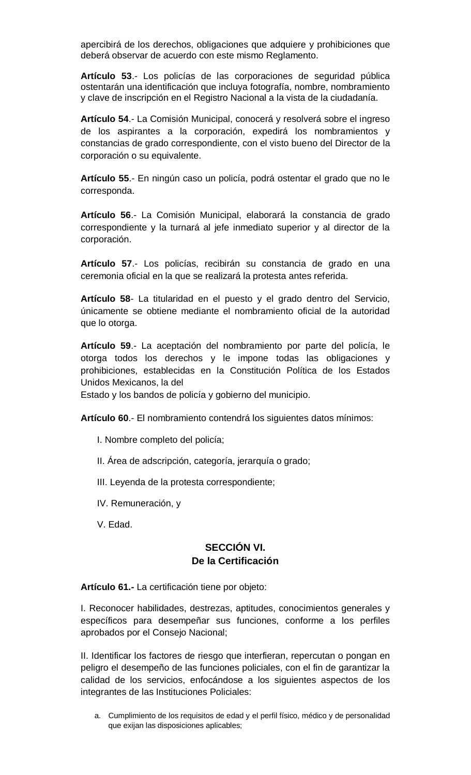apercibirá de los derechos, obligaciones que adquiere y prohibiciones que deberá observar de acuerdo con este mismo Reglamento.

**Artículo 53**.- Los policías de las corporaciones de seguridad pública ostentarán una identificación que incluya fotografía, nombre, nombramiento y clave de inscripción en el Registro Nacional a la vista de la ciudadanía.

**Artículo 54**.- La Comisión Municipal, conocerá y resolverá sobre el ingreso de los aspirantes a la corporación, expedirá los nombramientos y constancias de grado correspondiente, con el visto bueno del Director de la corporación o su equivalente.

**Artículo 55**.- En ningún caso un policía, podrá ostentar el grado que no le corresponda.

**Artículo 56**.- La Comisión Municipal, elaborará la constancia de grado correspondiente y la turnará al jefe inmediato superior y al director de la corporación.

**Artículo 57**.- Los policías, recibirán su constancia de grado en una ceremonia oficial en la que se realizará la protesta antes referida.

**Artículo 58**- La titularidad en el puesto y el grado dentro del Servicio, únicamente se obtiene mediante el nombramiento oficial de la autoridad que lo otorga.

**Artículo 59**.- La aceptación del nombramiento por parte del policía, le otorga todos los derechos y le impone todas las obligaciones y prohibiciones, establecidas en la Constitución Política de los Estados Unidos Mexicanos, la del

Estado y los bandos de policía y gobierno del municipio.

**Artículo 60**.- El nombramiento contendrá los siguientes datos mínimos:

- I. Nombre completo del policía;
- II. Área de adscripción, categoría, jerarquía o grado;
- III. Leyenda de la protesta correspondiente;
- IV. Remuneración, y
- V. Edad.

## **SECCIÓN VI. De la Certificación**

**Artículo 61.-** La certificación tiene por objeto:

I. Reconocer habilidades, destrezas, aptitudes, conocimientos generales y específicos para desempeñar sus funciones, conforme a los perfiles aprobados por el Consejo Nacional;

II. Identificar los factores de riesgo que interfieran, repercutan o pongan en peligro el desempeño de las funciones policiales, con el fin de garantizar la calidad de los servicios, enfocándose a los siguientes aspectos de los integrantes de las Instituciones Policiales:

a. Cumplimiento de los requisitos de edad y el perfil físico, médico y de personalidad que exijan las disposiciones aplicables;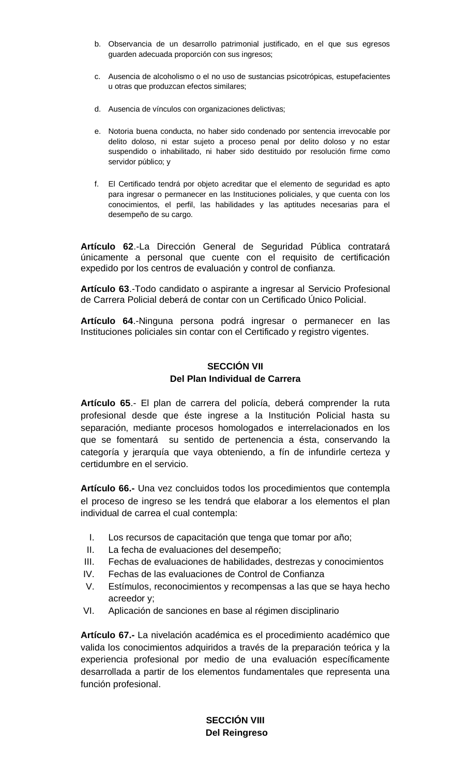- b. Observancia de un desarrollo patrimonial justificado, en el que sus egresos guarden adecuada proporción con sus ingresos;
- c. Ausencia de alcoholismo o el no uso de sustancias psicotrópicas, estupefacientes u otras que produzcan efectos similares;
- d. Ausencia de vínculos con organizaciones delictivas;
- e. Notoria buena conducta, no haber sido condenado por sentencia irrevocable por delito doloso, ni estar sujeto a proceso penal por delito doloso y no estar suspendido o inhabilitado, ni haber sido destituido por resolución firme como servidor público; y
- f. El Certificado tendrá por objeto acreditar que el elemento de seguridad es apto para ingresar o permanecer en las Instituciones policiales, y que cuenta con los conocimientos, el perfil, las habilidades y las aptitudes necesarias para el desempeño de su cargo.

**Artículo 62**.-La Dirección General de Seguridad Pública contratará únicamente a personal que cuente con el requisito de certificación expedido por los centros de evaluación y control de confianza.

**Artículo 63**.-Todo candidato o aspirante a ingresar al Servicio Profesional de Carrera Policial deberá de contar con un Certificado Único Policial.

**Artículo 64**.-Ninguna persona podrá ingresar o permanecer en las Instituciones policiales sin contar con el Certificado y registro vigentes.

## **SECCIÓN VII Del Plan Individual de Carrera**

**Artículo 65**.- El plan de carrera del policía, deberá comprender la ruta profesional desde que éste ingrese a la Institución Policial hasta su separación, mediante procesos homologados e interrelacionados en los que se fomentará su sentido de pertenencia a ésta, conservando la categoría y jerarquía que vaya obteniendo, a fín de infundirle certeza y certidumbre en el servicio.

**Artículo 66.-** Una vez concluidos todos los procedimientos que contempla el proceso de ingreso se les tendrá que elaborar a los elementos el plan individual de carrea el cual contempla:

- I. Los recursos de capacitación que tenga que tomar por año;
- II. La fecha de evaluaciones del desempeño;
- III. Fechas de evaluaciones de habilidades, destrezas y conocimientos
- IV. Fechas de las evaluaciones de Control de Confianza
- V. Estímulos, reconocimientos y recompensas a las que se haya hecho acreedor y;
- VI. Aplicación de sanciones en base al régimen disciplinario

**Artículo 67.-** La nivelación académica es el procedimiento académico que valida los conocimientos adquiridos a través de la preparación teórica y la experiencia profesional por medio de una evaluación específicamente desarrollada a partir de los elementos fundamentales que representa una función profesional.

> **SECCIÓN VIII Del Reingreso**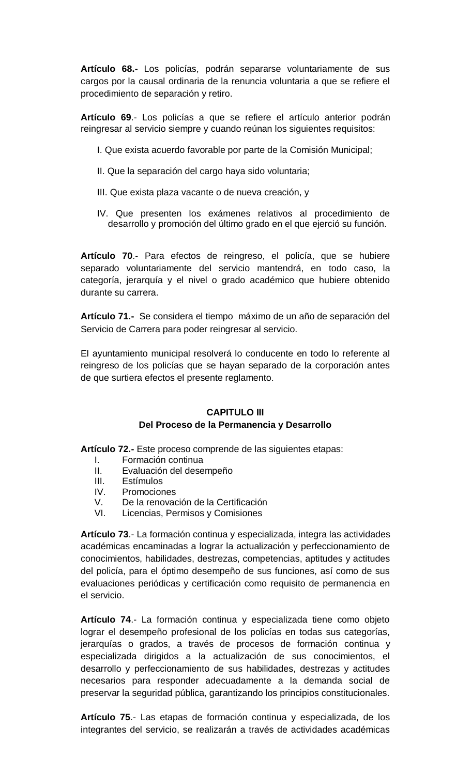**Artículo 68.-** Los policías, podrán separarse voluntariamente de sus cargos por la causal ordinaria de la renuncia voluntaria a que se refiere el procedimiento de separación y retiro.

**Artículo 69**.- Los policías a que se refiere el artículo anterior podrán reingresar al servicio siempre y cuando reúnan los siguientes requisitos:

- I. Que exista acuerdo favorable por parte de la Comisión Municipal;
- II. Que la separación del cargo haya sido voluntaria;
- III. Que exista plaza vacante o de nueva creación, y
- IV. Que presenten los exámenes relativos al procedimiento de desarrollo y promoción del último grado en el que ejerció su función.

**Artículo 70**.- Para efectos de reingreso, el policía, que se hubiere separado voluntariamente del servicio mantendrá, en todo caso, la categoría, jerarquía y el nivel o grado académico que hubiere obtenido durante su carrera.

**Artículo 71.-** Se considera el tiempo máximo de un año de separación del Servicio de Carrera para poder reingresar al servicio.

El ayuntamiento municipal resolverá lo conducente en todo lo referente al reingreso de los policías que se hayan separado de la corporación antes de que surtiera efectos el presente reglamento.

#### **CAPITULO III Del Proceso de la Permanencia y Desarrollo**

**Artículo 72.-** Este proceso comprende de las siguientes etapas:

- I. Formación continua
- II. Evaluación del desempeño
- III. Estímulos<br>IV. Promocior
- Promociones
- V. De la renovación de la Certificación
- VI. Licencias, Permisos y Comisiones

**Artículo 73**.- La formación continua y especializada, integra las actividades académicas encaminadas a lograr la actualización y perfeccionamiento de conocimientos, habilidades, destrezas, competencias, aptitudes y actitudes del policía, para el óptimo desempeño de sus funciones, así como de sus evaluaciones periódicas y certificación como requisito de permanencia en el servicio.

**Artículo 74**.- La formación continua y especializada tiene como objeto lograr el desempeño profesional de los policías en todas sus categorías, jerarquías o grados, a través de procesos de formación continua y especializada dirigidos a la actualización de sus conocimientos, el desarrollo y perfeccionamiento de sus habilidades, destrezas y actitudes necesarios para responder adecuadamente a la demanda social de preservar la seguridad pública, garantizando los principios constitucionales.

**Artículo 75**.- Las etapas de formación continua y especializada, de los integrantes del servicio, se realizarán a través de actividades académicas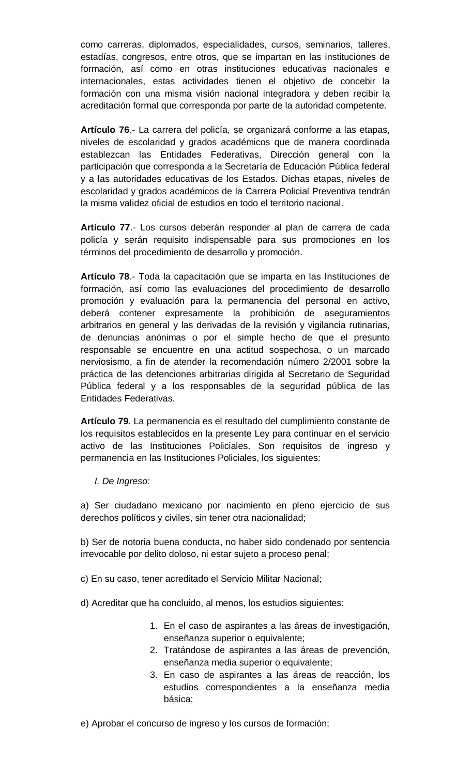como carreras, diplomados, especialidades, cursos, seminarios, talleres, estadías, congresos, entre otros, que se impartan en las instituciones de formación, así como en otras instituciones educativas nacionales e internacionales, estas actividades tienen el objetivo de concebir la formación con una misma visión nacional integradora y deben recibir la acreditación formal que corresponda por parte de la autoridad competente.

**Artículo 76**.- La carrera del policía, se organizará conforme a las etapas, niveles de escolaridad y grados académicos que de manera coordinada establezcan las Entidades Federativas, Dirección general con la participación que corresponda a la Secretaría de Educación Pública federal y a las autoridades educativas de los Estados. Dichas etapas, niveles de escolaridad y grados académicos de la Carrera Policial Preventiva tendrán la misma validez oficial de estudios en todo el territorio nacional.

**Artículo 77**.- Los cursos deberán responder al plan de carrera de cada policía y serán requisito indispensable para sus promociones en los términos del procedimiento de desarrollo y promoción.

**Artículo 78**.- Toda la capacitación que se imparta en las Instituciones de formación, así como las evaluaciones del procedimiento de desarrollo promoción y evaluación para la permanencia del personal en activo, deberá contener expresamente la prohibición de aseguramientos arbitrarios en general y las derivadas de la revisión y vigilancia rutinarias, de denuncias anónimas o por el simple hecho de que el presunto responsable se encuentre en una actitud sospechosa, o un marcado nerviosismo, a fin de atender la recomendación número 2/2001 sobre la práctica de las detenciones arbitrarias dirigida al Secretario de Seguridad Pública federal y a los responsables de la seguridad pública de las Entidades Federativas.

**Artículo 79**. La permanencia es el resultado del cumplimiento constante de los requisitos establecidos en la presente Ley para continuar en el servicio activo de las Instituciones Policiales. Son requisitos de ingreso y permanencia en las Instituciones Policiales, los siguientes:

## *I. De Ingreso:*

a) Ser ciudadano mexicano por nacimiento en pleno ejercicio de sus derechos políticos y civiles, sin tener otra nacionalidad;

b) Ser de notoria buena conducta, no haber sido condenado por sentencia irrevocable por delito doloso, ni estar sujeto a proceso penal;

- c) En su caso, tener acreditado el Servicio Militar Nacional;
- d) Acreditar que ha concluido, al menos, los estudios siguientes:
	- 1. En el caso de aspirantes a las áreas de investigación, enseñanza superior o equivalente;
	- 2. Tratándose de aspirantes a las áreas de prevención, enseñanza media superior o equivalente;
	- 3. En caso de aspirantes a las áreas de reacción, los estudios correspondientes a la enseñanza media básica;
- e) Aprobar el concurso de ingreso y los cursos de formación;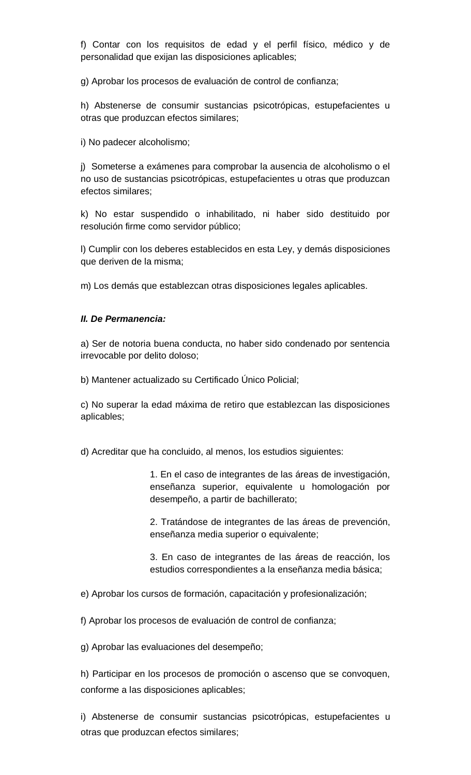f) Contar con los requisitos de edad y el perfil físico, médico y de personalidad que exijan las disposiciones aplicables;

g) Aprobar los procesos de evaluación de control de confianza;

h) Abstenerse de consumir sustancias psicotrópicas, estupefacientes u otras que produzcan efectos similares;

i) No padecer alcoholismo;

j) Someterse a exámenes para comprobar la ausencia de alcoholismo o el no uso de sustancias psicotrópicas, estupefacientes u otras que produzcan efectos similares;

k) No estar suspendido o inhabilitado, ni haber sido destituido por resolución firme como servidor público;

l) Cumplir con los deberes establecidos en esta Ley, y demás disposiciones que deriven de la misma;

m) Los demás que establezcan otras disposiciones legales aplicables.

#### *II. De Permanencia:*

a) Ser de notoria buena conducta, no haber sido condenado por sentencia irrevocable por delito doloso;

b) Mantener actualizado su Certificado Único Policial;

c) No superar la edad máxima de retiro que establezcan las disposiciones aplicables;

d) Acreditar que ha concluido, al menos, los estudios siguientes:

1. En el caso de integrantes de las áreas de investigación, enseñanza superior, equivalente u homologación por desempeño, a partir de bachillerato;

2. Tratándose de integrantes de las áreas de prevención, enseñanza media superior o equivalente;

3. En caso de integrantes de las áreas de reacción, los estudios correspondientes a la enseñanza media básica;

e) Aprobar los cursos de formación, capacitación y profesionalización;

f) Aprobar los procesos de evaluación de control de confianza;

g) Aprobar las evaluaciones del desempeño;

h) Participar en los procesos de promoción o ascenso que se convoquen, conforme a las disposiciones aplicables;

i) Abstenerse de consumir sustancias psicotrópicas, estupefacientes u otras que produzcan efectos similares;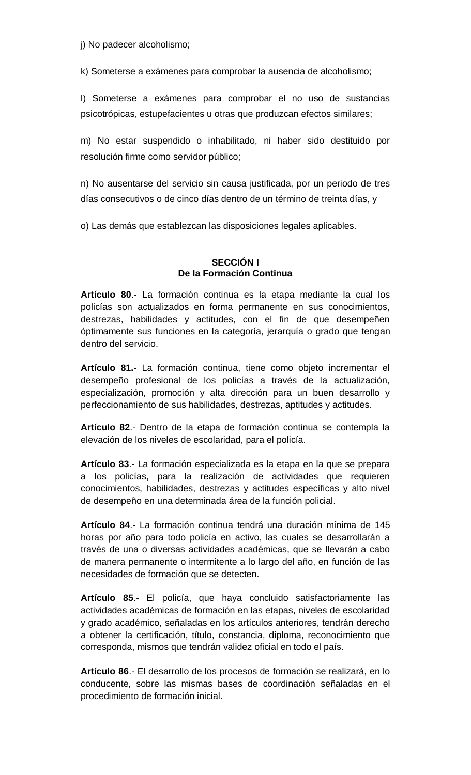j) No padecer alcoholismo;

k) Someterse a exámenes para comprobar la ausencia de alcoholismo;

l) Someterse a exámenes para comprobar el no uso de sustancias psicotrópicas, estupefacientes u otras que produzcan efectos similares;

m) No estar suspendido o inhabilitado, ni haber sido destituido por resolución firme como servidor público;

n) No ausentarse del servicio sin causa justificada, por un periodo de tres días consecutivos o de cinco días dentro de un término de treinta días, y

o) Las demás que establezcan las disposiciones legales aplicables.

#### **SECCIÓN I De la Formación Continua**

**Artículo 80**.- La formación continua es la etapa mediante la cual los policías son actualizados en forma permanente en sus conocimientos, destrezas, habilidades y actitudes, con el fin de que desempeñen óptimamente sus funciones en la categoría, jerarquía o grado que tengan dentro del servicio.

**Artículo 81.-** La formación continua, tiene como objeto incrementar el desempeño profesional de los policías a través de la actualización, especialización, promoción y alta dirección para un buen desarrollo y perfeccionamiento de sus habilidades, destrezas, aptitudes y actitudes.

**Artículo 82**.- Dentro de la etapa de formación continua se contempla la elevación de los niveles de escolaridad, para el policía.

**Artículo 83**.- La formación especializada es la etapa en la que se prepara a los policías, para la realización de actividades que requieren conocimientos, habilidades, destrezas y actitudes específicas y alto nivel de desempeño en una determinada área de la función policial.

**Artículo 84**.- La formación continua tendrá una duración mínima de 145 horas por año para todo policía en activo, las cuales se desarrollarán a través de una o diversas actividades académicas, que se llevarán a cabo de manera permanente o intermitente a lo largo del año, en función de las necesidades de formación que se detecten.

**Artículo 85**.- El policía, que haya concluido satisfactoriamente las actividades académicas de formación en las etapas, niveles de escolaridad y grado académico, señaladas en los artículos anteriores, tendrán derecho a obtener la certificación, título, constancia, diploma, reconocimiento que corresponda, mismos que tendrán validez oficial en todo el país.

**Artículo 86**.- El desarrollo de los procesos de formación se realizará, en lo conducente, sobre las mismas bases de coordinación señaladas en el procedimiento de formación inicial.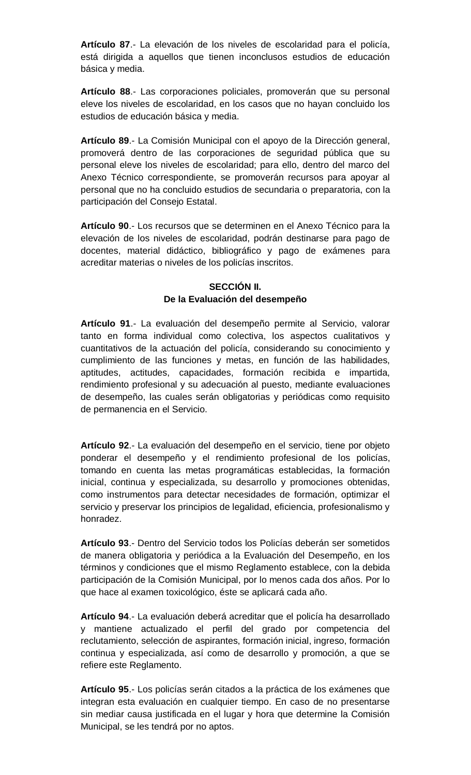**Artículo 87**.- La elevación de los niveles de escolaridad para el policía, está dirigida a aquellos que tienen inconclusos estudios de educación básica y media.

**Artículo 88**.- Las corporaciones policiales, promoverán que su personal eleve los niveles de escolaridad, en los casos que no hayan concluido los estudios de educación básica y media.

**Artículo 89**.- La Comisión Municipal con el apoyo de la Dirección general, promoverá dentro de las corporaciones de seguridad pública que su personal eleve los niveles de escolaridad; para ello, dentro del marco del Anexo Técnico correspondiente, se promoverán recursos para apoyar al personal que no ha concluido estudios de secundaria o preparatoria, con la participación del Consejo Estatal.

**Artículo 90**.- Los recursos que se determinen en el Anexo Técnico para la elevación de los niveles de escolaridad, podrán destinarse para pago de docentes, material didáctico, bibliográfico y pago de exámenes para acreditar materias o niveles de los policías inscritos.

## **SECCIÓN II. De la Evaluación del desempeño**

**Artículo 91**.- La evaluación del desempeño permite al Servicio, valorar tanto en forma individual como colectiva, los aspectos cualitativos y cuantitativos de la actuación del policía, considerando su conocimiento y cumplimiento de las funciones y metas, en función de las habilidades, aptitudes, actitudes, capacidades, formación recibida e impartida, rendimiento profesional y su adecuación al puesto, mediante evaluaciones de desempeño, las cuales serán obligatorias y periódicas como requisito de permanencia en el Servicio.

**Artículo 92**.- La evaluación del desempeño en el servicio, tiene por objeto ponderar el desempeño y el rendimiento profesional de los policías, tomando en cuenta las metas programáticas establecidas, la formación inicial, continua y especializada, su desarrollo y promociones obtenidas, como instrumentos para detectar necesidades de formación, optimizar el servicio y preservar los principios de legalidad, eficiencia, profesionalismo y honradez.

**Artículo 93**.- Dentro del Servicio todos los Policías deberán ser sometidos de manera obligatoria y periódica a la Evaluación del Desempeño, en los términos y condiciones que el mismo Reglamento establece, con la debida participación de la Comisión Municipal, por lo menos cada dos años. Por lo que hace al examen toxicológico, éste se aplicará cada año.

**Artículo 94**.- La evaluación deberá acreditar que el policía ha desarrollado y mantiene actualizado el perfil del grado por competencia del reclutamiento, selección de aspirantes, formación inicial, ingreso, formación continua y especializada, así como de desarrollo y promoción, a que se refiere este Reglamento.

**Artículo 95**.- Los policías serán citados a la práctica de los exámenes que integran esta evaluación en cualquier tiempo. En caso de no presentarse sin mediar causa justificada en el lugar y hora que determine la Comisión Municipal, se les tendrá por no aptos.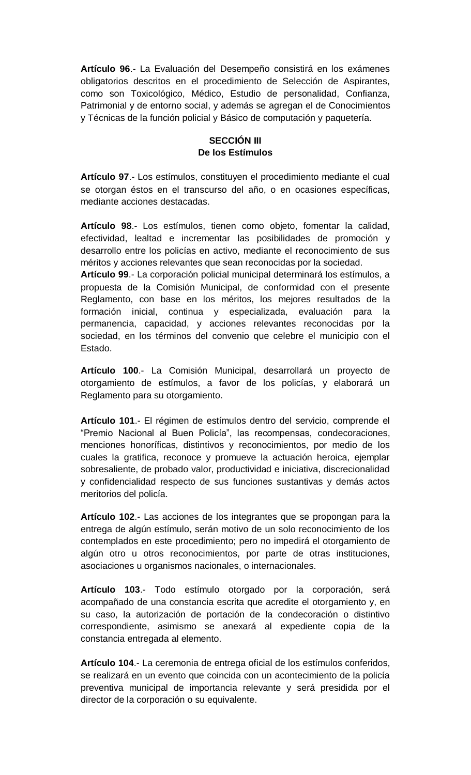**Artículo 96**.- La Evaluación del Desempeño consistirá en los exámenes obligatorios descritos en el procedimiento de Selección de Aspirantes, como son Toxicológico, Médico, Estudio de personalidad, Confianza, Patrimonial y de entorno social, y además se agregan el de Conocimientos y Técnicas de la función policial y Básico de computación y paquetería.

## **SECCIÓN III De los Estímulos**

**Artículo 97**.- Los estímulos, constituyen el procedimiento mediante el cual se otorgan éstos en el transcurso del año, o en ocasiones específicas, mediante acciones destacadas.

**Artículo 98**.- Los estímulos, tienen como objeto, fomentar la calidad, efectividad, lealtad e incrementar las posibilidades de promoción y desarrollo entre los policías en activo, mediante el reconocimiento de sus méritos y acciones relevantes que sean reconocidas por la sociedad.

**Artículo 99**.- La corporación policial municipal determinará los estímulos, a propuesta de la Comisión Municipal, de conformidad con el presente Reglamento, con base en los méritos, los mejores resultados de la formación inicial, continua y especializada, evaluación para la permanencia, capacidad, y acciones relevantes reconocidas por la sociedad, en los términos del convenio que celebre el municipio con el Estado.

**Artículo 100**.- La Comisión Municipal, desarrollará un proyecto de otorgamiento de estímulos, a favor de los policías, y elaborará un Reglamento para su otorgamiento.

**Artículo 101**.- El régimen de estímulos dentro del servicio, comprende el "Premio Nacional al Buen Policía", las recompensas, condecoraciones, menciones honoríficas, distintivos y reconocimientos, por medio de los cuales la gratifica, reconoce y promueve la actuación heroica, ejemplar sobresaliente, de probado valor, productividad e iniciativa, discrecionalidad y confidencialidad respecto de sus funciones sustantivas y demás actos meritorios del policía.

**Artículo 102**.- Las acciones de los integrantes que se propongan para la entrega de algún estímulo, serán motivo de un solo reconocimiento de los contemplados en este procedimiento; pero no impedirá el otorgamiento de algún otro u otros reconocimientos, por parte de otras instituciones, asociaciones u organismos nacionales, o internacionales.

**Artículo 103**.- Todo estímulo otorgado por la corporación, será acompañado de una constancia escrita que acredite el otorgamiento y, en su caso, la autorización de portación de la condecoración o distintivo correspondiente, asimismo se anexará al expediente copia de la constancia entregada al elemento.

**Artículo 104**.- La ceremonia de entrega oficial de los estímulos conferidos, se realizará en un evento que coincida con un acontecimiento de la policía preventiva municipal de importancia relevante y será presidida por el director de la corporación o su equivalente.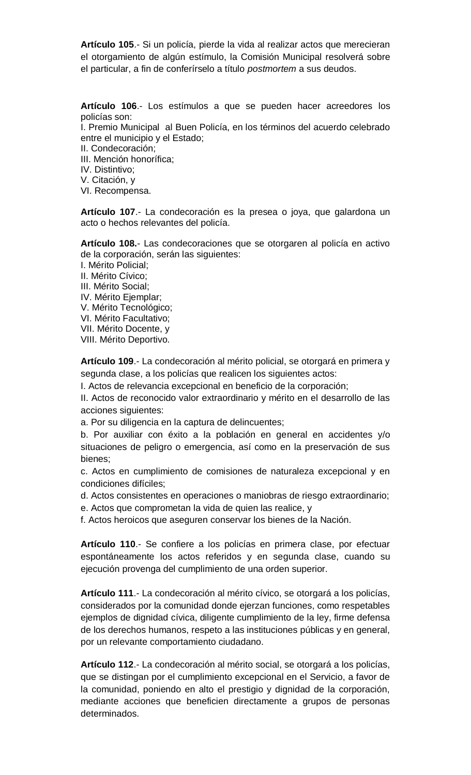**Artículo 105**.- Si un policía, pierde la vida al realizar actos que merecieran el otorgamiento de algún estímulo, la Comisión Municipal resolverá sobre el particular, a fin de conferírselo a título *postmortem* a sus deudos.

**Artículo 106**.- Los estímulos a que se pueden hacer acreedores los policías son:

I. Premio Municipal al Buen Policía, en los términos del acuerdo celebrado entre el municipio y el Estado;

- II. Condecoración;
- III. Mención honorífica;
- IV. Distintivo;
- V. Citación, y
- VI. Recompensa.

**Artículo 107**.- La condecoración es la presea o joya, que galardona un acto o hechos relevantes del policía.

**Artículo 108.**- Las condecoraciones que se otorgaren al policía en activo de la corporación, serán las siguientes:

I. Mérito Policial; II. Mérito Cívico; III. Mérito Social; IV. Mérito Ejemplar; V. Mérito Tecnológico;

- VI. Mérito Facultativo;
- VII. Mérito Docente, y
- VIII. Mérito Deportivo.

**Artículo 109**.- La condecoración al mérito policial, se otorgará en primera y segunda clase, a los policías que realicen los siguientes actos:

I. Actos de relevancia excepcional en beneficio de la corporación;

II. Actos de reconocido valor extraordinario y mérito en el desarrollo de las acciones siguientes:

a. Por su diligencia en la captura de delincuentes;

b. Por auxiliar con éxito a la población en general en accidentes y/o situaciones de peligro o emergencia, así como en la preservación de sus bienes;

c. Actos en cumplimiento de comisiones de naturaleza excepcional y en condiciones difíciles;

d. Actos consistentes en operaciones o maniobras de riesgo extraordinario;

e. Actos que comprometan la vida de quien las realice, y

f. Actos heroicos que aseguren conservar los bienes de la Nación.

**Artículo 110**.- Se confiere a los policías en primera clase, por efectuar espontáneamente los actos referidos y en segunda clase, cuando su ejecución provenga del cumplimiento de una orden superior.

**Artículo 111**.- La condecoración al mérito cívico, se otorgará a los policías, considerados por la comunidad donde ejerzan funciones, como respetables ejemplos de dignidad cívica, diligente cumplimiento de la ley, firme defensa de los derechos humanos, respeto a las instituciones públicas y en general, por un relevante comportamiento ciudadano.

**Artículo 112**.- La condecoración al mérito social, se otorgará a los policías, que se distingan por el cumplimiento excepcional en el Servicio, a favor de la comunidad, poniendo en alto el prestigio y dignidad de la corporación, mediante acciones que beneficien directamente a grupos de personas determinados.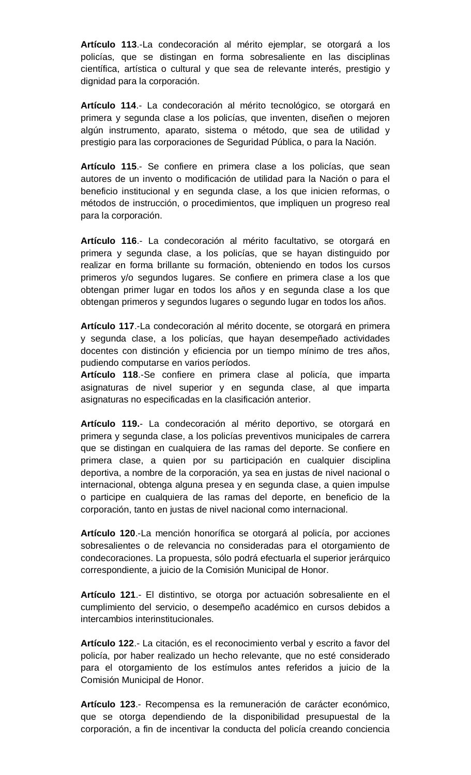**Artículo 113**.-La condecoración al mérito ejemplar, se otorgará a los policías, que se distingan en forma sobresaliente en las disciplinas científica, artística o cultural y que sea de relevante interés, prestigio y dignidad para la corporación.

**Artículo 114**.- La condecoración al mérito tecnológico, se otorgará en primera y segunda clase a los policías, que inventen, diseñen o mejoren algún instrumento, aparato, sistema o método, que sea de utilidad y prestigio para las corporaciones de Seguridad Pública, o para la Nación.

**Artículo 115**.- Se confiere en primera clase a los policías, que sean autores de un invento o modificación de utilidad para la Nación o para el beneficio institucional y en segunda clase, a los que inicien reformas, o métodos de instrucción, o procedimientos, que impliquen un progreso real para la corporación.

**Artículo 116**.- La condecoración al mérito facultativo, se otorgará en primera y segunda clase, a los policías, que se hayan distinguido por realizar en forma brillante su formación, obteniendo en todos los cursos primeros y/o segundos lugares. Se confiere en primera clase a los que obtengan primer lugar en todos los años y en segunda clase a los que obtengan primeros y segundos lugares o segundo lugar en todos los años.

**Artículo 117**.-La condecoración al mérito docente, se otorgará en primera y segunda clase, a los policías, que hayan desempeñado actividades docentes con distinción y eficiencia por un tiempo mínimo de tres años, pudiendo computarse en varios períodos.

**Artículo 118**.-Se confiere en primera clase al policía, que imparta asignaturas de nivel superior y en segunda clase, al que imparta asignaturas no especificadas en la clasificación anterior.

**Artículo 119.**- La condecoración al mérito deportivo, se otorgará en primera y segunda clase, a los policías preventivos municipales de carrera que se distingan en cualquiera de las ramas del deporte. Se confiere en primera clase, a quien por su participación en cualquier disciplina deportiva, a nombre de la corporación, ya sea en justas de nivel nacional o internacional, obtenga alguna presea y en segunda clase, a quien impulse o participe en cualquiera de las ramas del deporte, en beneficio de la corporación, tanto en justas de nivel nacional como internacional.

**Artículo 120**.-La mención honorífica se otorgará al policía, por acciones sobresalientes o de relevancia no consideradas para el otorgamiento de condecoraciones. La propuesta, sólo podrá efectuarla el superior jerárquico correspondiente, a juicio de la Comisión Municipal de Honor.

**Artículo 121**.- El distintivo, se otorga por actuación sobresaliente en el cumplimiento del servicio, o desempeño académico en cursos debidos a intercambios interinstitucionales.

**Artículo 122**.- La citación, es el reconocimiento verbal y escrito a favor del policía, por haber realizado un hecho relevante, que no esté considerado para el otorgamiento de los estímulos antes referidos a juicio de la Comisión Municipal de Honor.

**Artículo 123**.- Recompensa es la remuneración de carácter económico, que se otorga dependiendo de la disponibilidad presupuestal de la corporación, a fin de incentivar la conducta del policía creando conciencia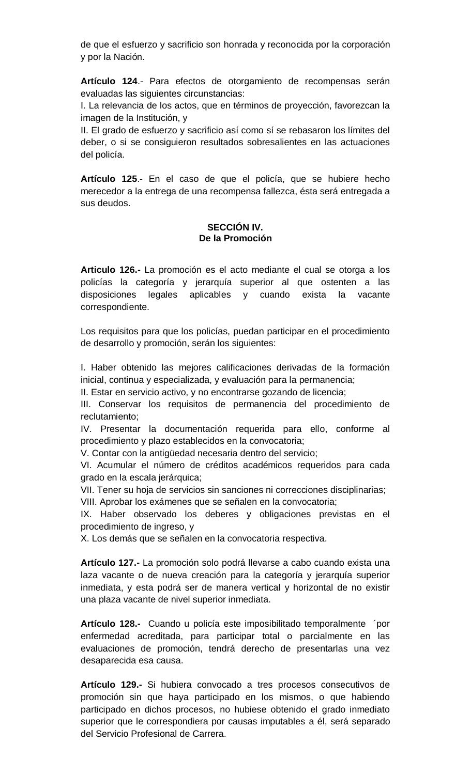de que el esfuerzo y sacrificio son honrada y reconocida por la corporación y por la Nación.

**Artículo 124**.- Para efectos de otorgamiento de recompensas serán evaluadas las siguientes circunstancias:

I. La relevancia de los actos, que en términos de proyección, favorezcan la imagen de la Institución, y

II. El grado de esfuerzo y sacrificio así como sí se rebasaron los límites del deber, o si se consiguieron resultados sobresalientes en las actuaciones del policía.

**Artículo 125**.- En el caso de que el policía, que se hubiere hecho merecedor a la entrega de una recompensa fallezca, ésta será entregada a sus deudos.

#### **SECCIÓN IV. De la Promoción**

**Articulo 126.-** La promoción es el acto mediante el cual se otorga a los policías la categoría y jerarquía superior al que ostenten a las disposiciones legales aplicables y cuando exista la vacante correspondiente.

Los requisitos para que los policías, puedan participar en el procedimiento de desarrollo y promoción, serán los siguientes:

I. Haber obtenido las mejores calificaciones derivadas de la formación inicial, continua y especializada, y evaluación para la permanencia;

II. Estar en servicio activo, y no encontrarse gozando de licencia;

III. Conservar los requisitos de permanencia del procedimiento de reclutamiento;

IV. Presentar la documentación requerida para ello, conforme al procedimiento y plazo establecidos en la convocatoria;

V. Contar con la antigüedad necesaria dentro del servicio;

VI. Acumular el número de créditos académicos requeridos para cada grado en la escala jerárquica;

VII. Tener su hoja de servicios sin sanciones ni correcciones disciplinarias; VIII. Aprobar los exámenes que se señalen en la convocatoria;

IX. Haber observado los deberes y obligaciones previstas en el procedimiento de ingreso, y

X. Los demás que se señalen en la convocatoria respectiva.

**Artículo 127.-** La promoción solo podrá llevarse a cabo cuando exista una laza vacante o de nueva creación para la categoría y jerarquía superior inmediata, y esta podrá ser de manera vertical y horizontal de no existir una plaza vacante de nivel superior inmediata.

**Artículo 128.-** Cuando u policía este imposibilitado temporalmente ´por enfermedad acreditada, para participar total o parcialmente en las evaluaciones de promoción, tendrá derecho de presentarlas una vez desaparecida esa causa.

**Artículo 129.-** Si hubiera convocado a tres procesos consecutivos de promoción sin que haya participado en los mismos, o que habiendo participado en dichos procesos, no hubiese obtenido el grado inmediato superior que le correspondiera por causas imputables a él, será separado del Servicio Profesional de Carrera.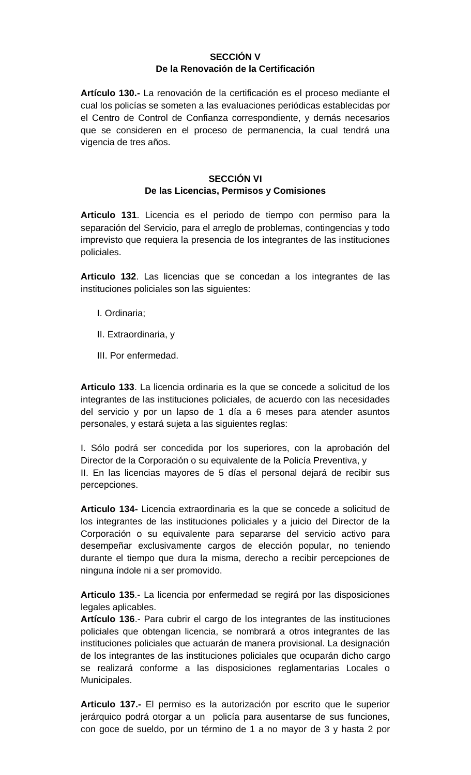## **SECCIÓN V De la Renovación de la Certificación**

**Artículo 130.-** La renovación de la certificación es el proceso mediante el cual los policías se someten a las evaluaciones periódicas establecidas por el Centro de Control de Confianza correspondiente, y demás necesarios que se consideren en el proceso de permanencia, la cual tendrá una vigencia de tres años.

## **SECCIÓN VI De las Licencias, Permisos y Comisiones**

**Articulo 131**. Licencia es el periodo de tiempo con permiso para la separación del Servicio, para el arreglo de problemas, contingencias y todo imprevisto que requiera la presencia de los integrantes de las instituciones policiales.

**Articulo 132**. Las licencias que se concedan a los integrantes de las instituciones policiales son las siguientes:

- I. Ordinaria;
- II. Extraordinaria, y
- III. Por enfermedad.

**Articulo 133**. La licencia ordinaria es la que se concede a solicitud de los integrantes de las instituciones policiales, de acuerdo con las necesidades del servicio y por un lapso de 1 día a 6 meses para atender asuntos personales, y estará sujeta a las siguientes reglas:

I. Sólo podrá ser concedida por los superiores, con la aprobación del Director de la Corporación o su equivalente de la Policía Preventiva, y II. En las licencias mayores de 5 días el personal dejará de recibir sus percepciones.

**Articulo 134-** Licencia extraordinaria es la que se concede a solicitud de los integrantes de las instituciones policiales y a juicio del Director de la Corporación o su equivalente para separarse del servicio activo para desempeñar exclusivamente cargos de elección popular, no teniendo durante el tiempo que dura la misma, derecho a recibir percepciones de ninguna índole ni a ser promovido.

**Articulo 135**.- La licencia por enfermedad se regirá por las disposiciones legales aplicables.

**Artículo 136**.- Para cubrir el cargo de los integrantes de las instituciones policiales que obtengan licencia, se nombrará a otros integrantes de las instituciones policiales que actuarán de manera provisional. La designación de los integrantes de las instituciones policiales que ocuparán dicho cargo se realizará conforme a las disposiciones reglamentarias Locales o Municipales.

**Articulo 137.-** El permiso es la autorización por escrito que le superior jerárquico podrá otorgar a un policía para ausentarse de sus funciones, con goce de sueldo, por un término de 1 a no mayor de 3 y hasta 2 por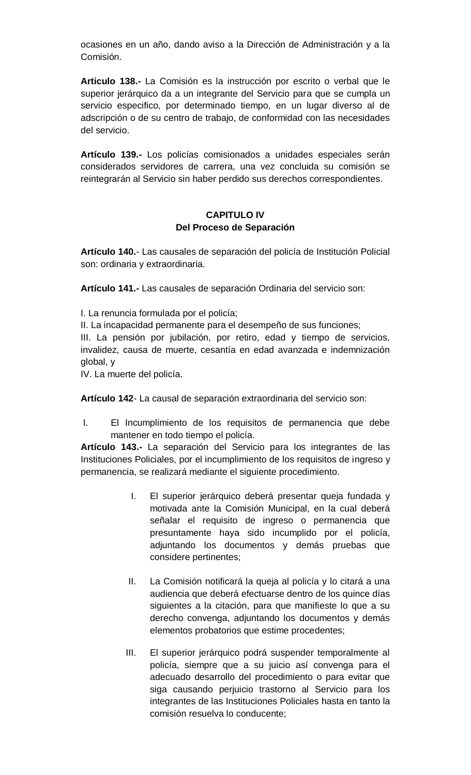ocasiones en un año, dando aviso a la Dirección de Administración y a la Comisión.

**Articulo 138.-** La Comisión es la instrucción por escrito o verbal que le superior jerárquico da a un integrante del Servicio para que se cumpla un servicio especifico, por determinado tiempo, en un lugar diverso al de adscripción o de su centro de trabajo, de conformidad con las necesidades del servicio.

**Artículo 139.-** Los policías comisionados a unidades especiales serán considerados servidores de carrera, una vez concluida su comisión se reintegrarán al Servicio sin haber perdido sus derechos correspondientes.

## **CAPITULO IV Del Proceso de Separación**

**Artículo 140.**- Las causales de separación del policía de Institución Policial son: ordinaria y extraordinaria.

**Artículo 141.-** Las causales de separación Ordinaria del servicio son:

I. La renuncia formulada por el policía;

II. La incapacidad permanente para el desempeño de sus funciones;

III. La pensión por jubilación, por retiro, edad y tiempo de servicios, invalidez, causa de muerte, cesantía en edad avanzada e indemnización global, y

IV. La muerte del policía.

**Artículo 142**- La causal de separación extraordinaria del servicio son:

I. El Incumplimiento de los requisitos de permanencia que debe mantener en todo tiempo el policía.

**Artículo 143.-** La separación del Servicio para los integrantes de las Instituciones Policiales, por el incumplimiento de los requisitos de ingreso y permanencia, se realizará mediante el siguiente procedimiento.

- I. El superior jerárquico deberá presentar queja fundada y motivada ante la Comisión Municipal, en la cual deberá señalar el requisito de ingreso o permanencia que presuntamente haya sido incumplido por el policía, adjuntando los documentos y demás pruebas que considere pertinentes;
- II. La Comisión notificará la queja al policía y lo citará a una audiencia que deberá efectuarse dentro de los quince días siguientes a la citación, para que manifieste lo que a su derecho convenga, adjuntando los documentos y demás elementos probatorios que estime procedentes;
- III. El superior jerárquico podrá suspender temporalmente al policía, siempre que a su juicio así convenga para el adecuado desarrollo del procedimiento o para evitar que siga causando perjuicio trastorno al Servicio para los integrantes de las Instituciones Policiales hasta en tanto la comisión resuelva lo conducente;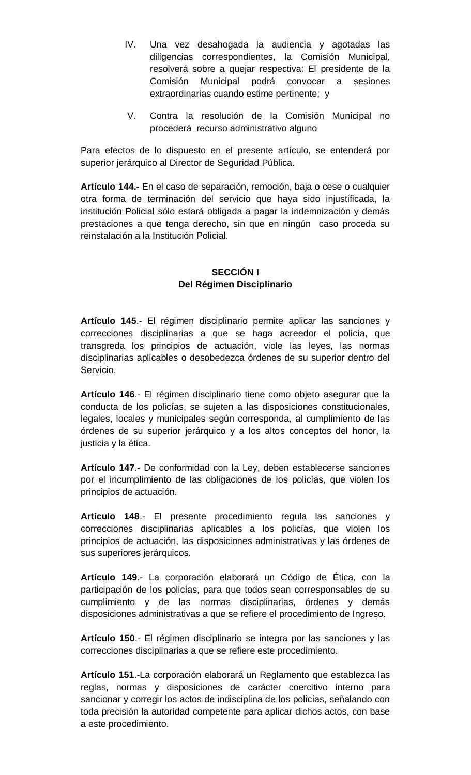- IV. Una vez desahogada la audiencia y agotadas las diligencias correspondientes, la Comisión Municipal, resolverá sobre a quejar respectiva: El presidente de la Comisión Municipal podrá convocar a sesiones extraordinarias cuando estime pertinente; y
- V. Contra la resolución de la Comisión Municipal no procederá recurso administrativo alguno

Para efectos de lo dispuesto en el presente artículo, se entenderá por superior jerárquico al Director de Seguridad Pública.

**Artículo 144.-** En el caso de separación, remoción, baja o cese o cualquier otra forma de terminación del servicio que haya sido injustificada, la institución Policial sólo estará obligada a pagar la indemnización y demás prestaciones a que tenga derecho, sin que en ningún caso proceda su reinstalación a la Institución Policial.

## **SECCIÓN I Del Régimen Disciplinario**

**Artículo 145**.- El régimen disciplinario permite aplicar las sanciones y correcciones disciplinarias a que se haga acreedor el policía, que transgreda los principios de actuación, viole las leyes, las normas disciplinarias aplicables o desobedezca órdenes de su superior dentro del Servicio.

**Artículo 146**.- El régimen disciplinario tiene como objeto asegurar que la conducta de los policías, se sujeten a las disposiciones constitucionales, legales, locales y municipales según corresponda, al cumplimiento de las órdenes de su superior jerárquico y a los altos conceptos del honor, la justicia y la ética.

**Artículo 147**.- De conformidad con la Ley, deben establecerse sanciones por el incumplimiento de las obligaciones de los policías, que violen los principios de actuación.

**Artículo 148**.- El presente procedimiento regula las sanciones y correcciones disciplinarias aplicables a los policías, que violen los principios de actuación, las disposiciones administrativas y las órdenes de sus superiores jerárquicos.

**Artículo 149**.- La corporación elaborará un Código de Ética, con la participación de los policías, para que todos sean corresponsables de su cumplimiento y de las normas disciplinarias, órdenes y demás disposiciones administrativas a que se refiere el procedimiento de Ingreso.

**Artículo 150**.- El régimen disciplinario se integra por las sanciones y las correcciones disciplinarias a que se refiere este procedimiento.

**Artículo 151**.-La corporación elaborará un Reglamento que establezca las reglas, normas y disposiciones de carácter coercitivo interno para sancionar y corregir los actos de indisciplina de los policías, señalando con toda precisión la autoridad competente para aplicar dichos actos, con base a este procedimiento.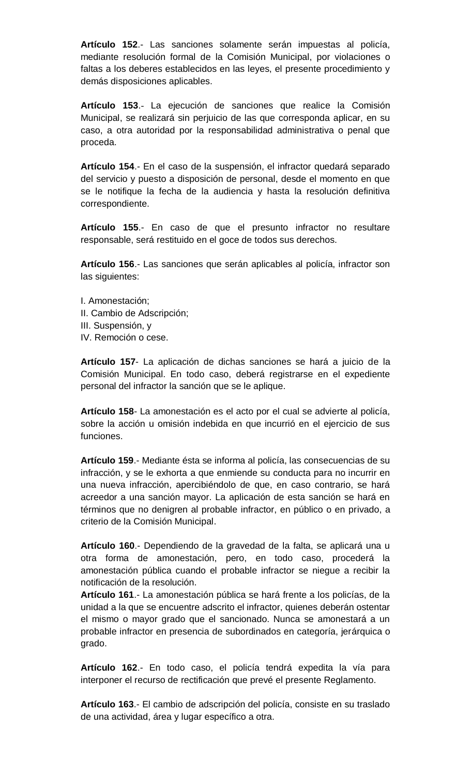**Artículo 152**.- Las sanciones solamente serán impuestas al policía, mediante resolución formal de la Comisión Municipal, por violaciones o faltas a los deberes establecidos en las leyes, el presente procedimiento y demás disposiciones aplicables.

**Artículo 153**.- La ejecución de sanciones que realice la Comisión Municipal, se realizará sin perjuicio de las que corresponda aplicar, en su caso, a otra autoridad por la responsabilidad administrativa o penal que proceda.

**Artículo 154**.- En el caso de la suspensión, el infractor quedará separado del servicio y puesto a disposición de personal, desde el momento en que se le notifique la fecha de la audiencia y hasta la resolución definitiva correspondiente.

**Artículo 155**.- En caso de que el presunto infractor no resultare responsable, será restituido en el goce de todos sus derechos.

**Artículo 156**.- Las sanciones que serán aplicables al policía, infractor son las siguientes:

I. Amonestación; II. Cambio de Adscripción; III. Suspensión, y IV. Remoción o cese.

**Artículo 157**- La aplicación de dichas sanciones se hará a juicio de la Comisión Municipal. En todo caso, deberá registrarse en el expediente personal del infractor la sanción que se le aplique.

**Artículo 158**- La amonestación es el acto por el cual se advierte al policía, sobre la acción u omisión indebida en que incurrió en el ejercicio de sus funciones.

**Artículo 159**.- Mediante ésta se informa al policía, las consecuencias de su infracción, y se le exhorta a que enmiende su conducta para no incurrir en una nueva infracción, apercibiéndolo de que, en caso contrario, se hará acreedor a una sanción mayor. La aplicación de esta sanción se hará en términos que no denigren al probable infractor, en público o en privado, a criterio de la Comisión Municipal.

**Artículo 160**.- Dependiendo de la gravedad de la falta, se aplicará una u otra forma de amonestación, pero, en todo caso, procederá la amonestación pública cuando el probable infractor se niegue a recibir la notificación de la resolución.

**Artículo 161**.- La amonestación pública se hará frente a los policías, de la unidad a la que se encuentre adscrito el infractor, quienes deberán ostentar el mismo o mayor grado que el sancionado. Nunca se amonestará a un probable infractor en presencia de subordinados en categoría, jerárquica o grado.

**Artículo 162**.- En todo caso, el policía tendrá expedita la vía para interponer el recurso de rectificación que prevé el presente Reglamento.

**Artículo 163**.- El cambio de adscripción del policía, consiste en su traslado de una actividad, área y lugar específico a otra.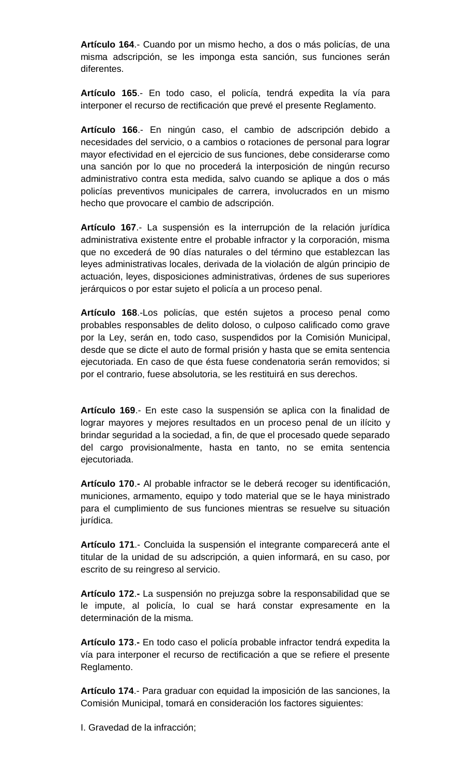**Artículo 164**.- Cuando por un mismo hecho, a dos o más policías, de una misma adscripción, se les imponga esta sanción, sus funciones serán diferentes.

**Artículo 165**.- En todo caso, el policía, tendrá expedita la vía para interponer el recurso de rectificación que prevé el presente Reglamento.

**Artículo 166**.- En ningún caso, el cambio de adscripción debido a necesidades del servicio, o a cambios o rotaciones de personal para lograr mayor efectividad en el ejercicio de sus funciones, debe considerarse como una sanción por lo que no procederá la interposición de ningún recurso administrativo contra esta medida, salvo cuando se aplique a dos o más policías preventivos municipales de carrera, involucrados en un mismo hecho que provocare el cambio de adscripción.

**Artículo 167**.- La suspensión es la interrupción de la relación jurídica administrativa existente entre el probable infractor y la corporación, misma que no excederá de 90 días naturales o del término que establezcan las leyes administrativas locales, derivada de la violación de algún principio de actuación, leyes, disposiciones administrativas, órdenes de sus superiores jerárquicos o por estar sujeto el policía a un proceso penal.

**Artículo 168**.-Los policías, que estén sujetos a proceso penal como probables responsables de delito doloso, o culposo calificado como grave por la Ley, serán en, todo caso, suspendidos por la Comisión Municipal, desde que se dicte el auto de formal prisión y hasta que se emita sentencia ejecutoriada. En caso de que ésta fuese condenatoria serán removidos; si por el contrario, fuese absolutoria, se les restituirá en sus derechos.

**Artículo 169**.- En este caso la suspensión se aplica con la finalidad de lograr mayores y mejores resultados en un proceso penal de un ilícito y brindar seguridad a la sociedad, a fin, de que el procesado quede separado del cargo provisionalmente, hasta en tanto, no se emita sentencia ejecutoriada.

**Artículo 170**.**-** Al probable infractor se le deberá recoger su identificación, municiones, armamento, equipo y todo material que se le haya ministrado para el cumplimiento de sus funciones mientras se resuelve su situación jurídica.

**Artículo 171**.- Concluida la suspensión el integrante comparecerá ante el titular de la unidad de su adscripción, a quien informará, en su caso, por escrito de su reingreso al servicio.

**Artículo 172**.**-** La suspensión no prejuzga sobre la responsabilidad que se le impute, al policía, lo cual se hará constar expresamente en la determinación de la misma.

**Artículo 173**.**-** En todo caso el policía probable infractor tendrá expedita la vía para interponer el recurso de rectificación a que se refiere el presente Reglamento.

**Artículo 174**.- Para graduar con equidad la imposición de las sanciones, la Comisión Municipal, tomará en consideración los factores siguientes:

I. Gravedad de la infracción;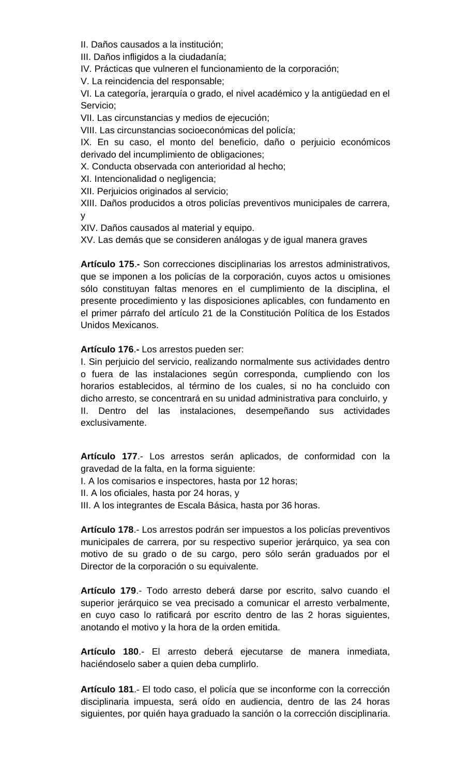II. Daños causados a la institución;

III. Daños infligidos a la ciudadanía;

IV. Prácticas que vulneren el funcionamiento de la corporación;

V. La reincidencia del responsable;

VI. La categoría, jerarquía o grado, el nivel académico y la antigüedad en el Servicio;

VII. Las circunstancias y medios de ejecución;

VIII. Las circunstancias socioeconómicas del policía;

IX. En su caso, el monto del beneficio, daño o perjuicio económicos derivado del incumplimiento de obligaciones;

X. Conducta observada con anterioridad al hecho;

XI. Intencionalidad o negligencia;

XII. Perjuicios originados al servicio;

XIII. Daños producidos a otros policías preventivos municipales de carrera, y

XIV. Daños causados al material y equipo.

XV. Las demás que se consideren análogas y de igual manera graves

**Artículo 175**.**-** Son correcciones disciplinarias los arrestos administrativos, que se imponen a los policías de la corporación, cuyos actos u omisiones sólo constituyan faltas menores en el cumplimiento de la disciplina, el presente procedimiento y las disposiciones aplicables, con fundamento en el primer párrafo del artículo 21 de la Constitución Política de los Estados Unidos Mexicanos.

**Artículo 176**.**-** Los arrestos pueden ser:

I. Sin perjuicio del servicio, realizando normalmente sus actividades dentro o fuera de las instalaciones según corresponda, cumpliendo con los horarios establecidos, al término de los cuales, si no ha concluido con dicho arresto, se concentrará en su unidad administrativa para concluirlo, y II. Dentro del las instalaciones, desempeñando sus actividades exclusivamente.

**Artículo 177**.- Los arrestos serán aplicados, de conformidad con la gravedad de la falta, en la forma siguiente:

I. A los comisarios e inspectores, hasta por 12 horas;

II. A los oficiales, hasta por 24 horas, y

III. A los integrantes de Escala Básica, hasta por 36 horas.

**Artículo 178**.- Los arrestos podrán ser impuestos a los policías preventivos municipales de carrera, por su respectivo superior jerárquico, ya sea con motivo de su grado o de su cargo, pero sólo serán graduados por el Director de la corporación o su equivalente.

**Artículo 179**.- Todo arresto deberá darse por escrito, salvo cuando el superior jerárquico se vea precisado a comunicar el arresto verbalmente, en cuyo caso lo ratificará por escrito dentro de las 2 horas siguientes, anotando el motivo y la hora de la orden emitida.

**Artículo 180**.- El arresto deberá ejecutarse de manera inmediata, haciéndoselo saber a quien deba cumplirlo.

**Artículo 181**.- El todo caso, el policía que se inconforme con la corrección disciplinaria impuesta, será oído en audiencia, dentro de las 24 horas siguientes, por quién haya graduado la sanción o la corrección disciplinaria.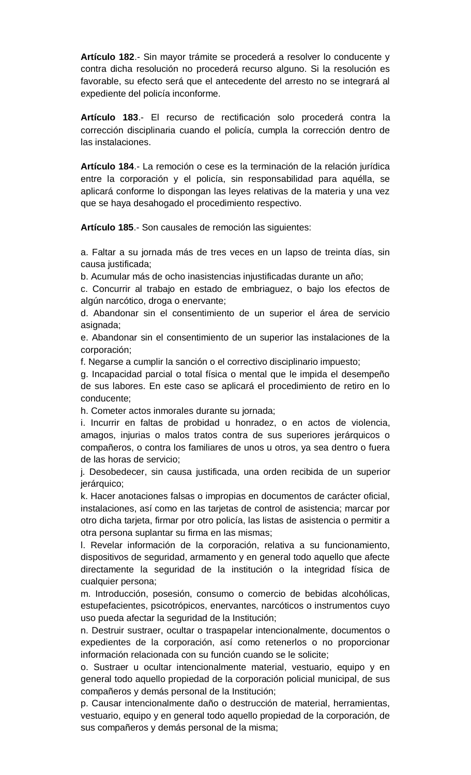**Artículo 182**.- Sin mayor trámite se procederá a resolver lo conducente y contra dicha resolución no procederá recurso alguno. Si la resolución es favorable, su efecto será que el antecedente del arresto no se integrará al expediente del policía inconforme.

**Artículo 183**.- El recurso de rectificación solo procederá contra la corrección disciplinaria cuando el policía, cumpla la corrección dentro de las instalaciones.

**Artículo 184**.- La remoción o cese es la terminación de la relación jurídica entre la corporación y el policía, sin responsabilidad para aquélla, se aplicará conforme lo dispongan las leyes relativas de la materia y una vez que se haya desahogado el procedimiento respectivo.

**Artículo 185**.- Son causales de remoción las siguientes:

a. Faltar a su jornada más de tres veces en un lapso de treinta días, sin causa justificada;

b. Acumular más de ocho inasistencias injustificadas durante un año;

c. Concurrir al trabajo en estado de embriaguez, o bajo los efectos de algún narcótico, droga o enervante;

d. Abandonar sin el consentimiento de un superior el área de servicio asignada;

e. Abandonar sin el consentimiento de un superior las instalaciones de la corporación;

f. Negarse a cumplir la sanción o el correctivo disciplinario impuesto;

g. Incapacidad parcial o total física o mental que le impida el desempeño de sus labores. En este caso se aplicará el procedimiento de retiro en lo conducente;

h. Cometer actos inmorales durante su jornada;

i. Incurrir en faltas de probidad u honradez, o en actos de violencia, amagos, injurias o malos tratos contra de sus superiores jerárquicos o compañeros, o contra los familiares de unos u otros, ya sea dentro o fuera de las horas de servicio;

j. Desobedecer, sin causa justificada, una orden recibida de un superior jerárquico;

k. Hacer anotaciones falsas o impropias en documentos de carácter oficial, instalaciones, así como en las tarjetas de control de asistencia; marcar por otro dicha tarjeta, firmar por otro policía, las listas de asistencia o permitir a otra persona suplantar su firma en las mismas;

l. Revelar información de la corporación, relativa a su funcionamiento, dispositivos de seguridad, armamento y en general todo aquello que afecte directamente la seguridad de la institución o la integridad física de cualquier persona;

m. Introducción, posesión, consumo o comercio de bebidas alcohólicas, estupefacientes, psicotrópicos, enervantes, narcóticos o instrumentos cuyo uso pueda afectar la seguridad de la Institución;

n. Destruir sustraer, ocultar o traspapelar intencionalmente, documentos o expedientes de la corporación, así como retenerlos o no proporcionar información relacionada con su función cuando se le solicite;

o. Sustraer u ocultar intencionalmente material, vestuario, equipo y en general todo aquello propiedad de la corporación policial municipal, de sus compañeros y demás personal de la Institución;

p. Causar intencionalmente daño o destrucción de material, herramientas, vestuario, equipo y en general todo aquello propiedad de la corporación, de sus compañeros y demás personal de la misma;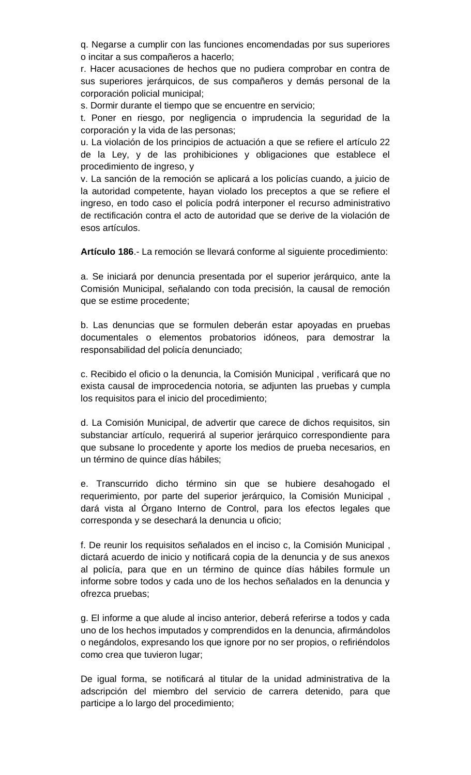q. Negarse a cumplir con las funciones encomendadas por sus superiores o incitar a sus compañeros a hacerlo;

r. Hacer acusaciones de hechos que no pudiera comprobar en contra de sus superiores jerárquicos, de sus compañeros y demás personal de la corporación policial municipal;

s. Dormir durante el tiempo que se encuentre en servicio;

t. Poner en riesgo, por negligencia o imprudencia la seguridad de la corporación y la vida de las personas;

u. La violación de los principios de actuación a que se refiere el artículo 22 de la Ley, y de las prohibiciones y obligaciones que establece el procedimiento de ingreso, y

v. La sanción de la remoción se aplicará a los policías cuando, a juicio de la autoridad competente, hayan violado los preceptos a que se refiere el ingreso, en todo caso el policía podrá interponer el recurso administrativo de rectificación contra el acto de autoridad que se derive de la violación de esos artículos.

**Artículo 186**.- La remoción se llevará conforme al siguiente procedimiento:

a. Se iniciará por denuncia presentada por el superior jerárquico, ante la Comisión Municipal, señalando con toda precisión, la causal de remoción que se estime procedente;

b. Las denuncias que se formulen deberán estar apoyadas en pruebas documentales o elementos probatorios idóneos, para demostrar la responsabilidad del policía denunciado;

c. Recibido el oficio o la denuncia, la Comisión Municipal , verificará que no exista causal de improcedencia notoria, se adjunten las pruebas y cumpla los requisitos para el inicio del procedimiento;

d. La Comisión Municipal, de advertir que carece de dichos requisitos, sin substanciar artículo, requerirá al superior jerárquico correspondiente para que subsane lo procedente y aporte los medios de prueba necesarios, en un término de quince días hábiles;

e. Transcurrido dicho término sin que se hubiere desahogado el requerimiento, por parte del superior jerárquico, la Comisión Municipal , dará vista al Órgano Interno de Control, para los efectos legales que corresponda y se desechará la denuncia u oficio;

f. De reunir los requisitos señalados en el inciso c, la Comisión Municipal , dictará acuerdo de inicio y notificará copia de la denuncia y de sus anexos al policía, para que en un término de quince días hábiles formule un informe sobre todos y cada uno de los hechos señalados en la denuncia y ofrezca pruebas;

g. El informe a que alude al inciso anterior, deberá referirse a todos y cada uno de los hechos imputados y comprendidos en la denuncia, afirmándolos o negándolos, expresando los que ignore por no ser propios, o refiriéndolos como crea que tuvieron lugar;

De igual forma, se notificará al titular de la unidad administrativa de la adscripción del miembro del servicio de carrera detenido, para que participe a lo largo del procedimiento;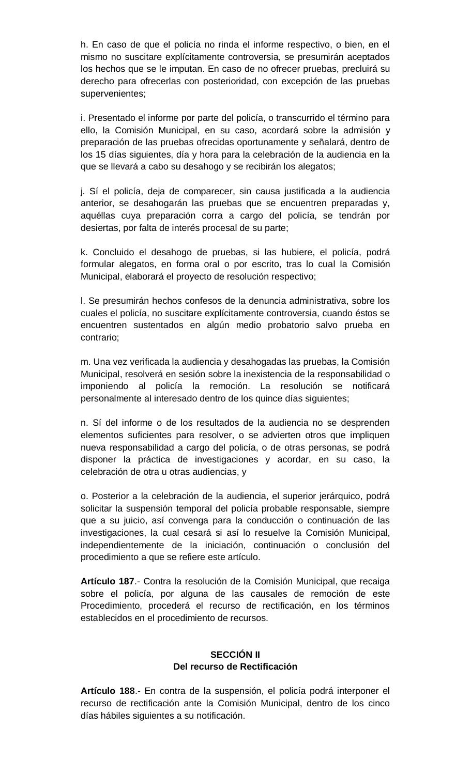h. En caso de que el policía no rinda el informe respectivo, o bien, en el mismo no suscitare explícitamente controversia, se presumirán aceptados los hechos que se le imputan. En caso de no ofrecer pruebas, precluirá su derecho para ofrecerlas con posterioridad, con excepción de las pruebas supervenientes;

i. Presentado el informe por parte del policía, o transcurrido el término para ello, la Comisión Municipal, en su caso, acordará sobre la admisión y preparación de las pruebas ofrecidas oportunamente y señalará, dentro de los 15 días siguientes, día y hora para la celebración de la audiencia en la que se llevará a cabo su desahogo y se recibirán los alegatos;

j. Sí el policía, deja de comparecer, sin causa justificada a la audiencia anterior, se desahogarán las pruebas que se encuentren preparadas y, aquéllas cuya preparación corra a cargo del policía, se tendrán por desiertas, por falta de interés procesal de su parte;

k. Concluido el desahogo de pruebas, si las hubiere, el policía, podrá formular alegatos, en forma oral o por escrito, tras lo cual la Comisión Municipal, elaborará el proyecto de resolución respectivo;

l. Se presumirán hechos confesos de la denuncia administrativa, sobre los cuales el policía, no suscitare explícitamente controversia, cuando éstos se encuentren sustentados en algún medio probatorio salvo prueba en contrario;

m. Una vez verificada la audiencia y desahogadas las pruebas, la Comisión Municipal, resolverá en sesión sobre la inexistencia de la responsabilidad o imponiendo al policía la remoción. La resolución se notificará personalmente al interesado dentro de los quince días siguientes;

n. Sí del informe o de los resultados de la audiencia no se desprenden elementos suficientes para resolver, o se advierten otros que impliquen nueva responsabilidad a cargo del policía, o de otras personas, se podrá disponer la práctica de investigaciones y acordar, en su caso, la celebración de otra u otras audiencias, y

o. Posterior a la celebración de la audiencia, el superior jerárquico, podrá solicitar la suspensión temporal del policía probable responsable, siempre que a su juicio, así convenga para la conducción o continuación de las investigaciones, la cual cesará si así lo resuelve la Comisión Municipal, independientemente de la iniciación, continuación o conclusión del procedimiento a que se refiere este artículo.

**Artículo 187**.- Contra la resolución de la Comisión Municipal, que recaiga sobre el policía, por alguna de las causales de remoción de este Procedimiento, procederá el recurso de rectificación, en los términos establecidos en el procedimiento de recursos.

## **SECCIÓN II Del recurso de Rectificación**

**Artículo 188**.- En contra de la suspensión, el policía podrá interponer el recurso de rectificación ante la Comisión Municipal, dentro de los cinco días hábiles siguientes a su notificación.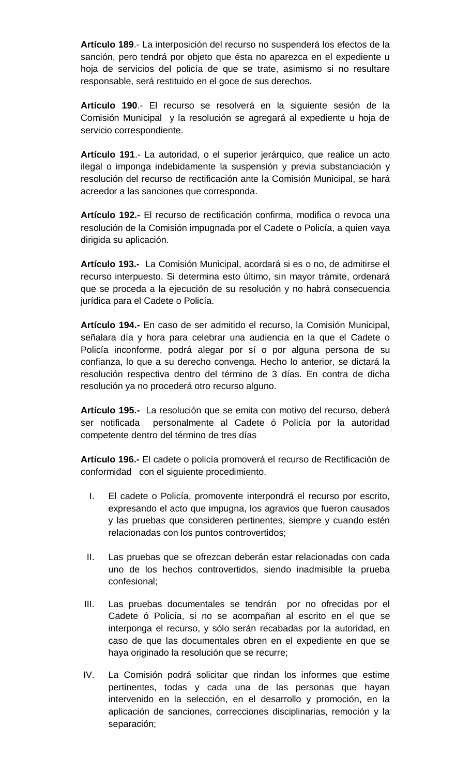**Artículo 189**.- La interposición del recurso no suspenderá los efectos de la sanción, pero tendrá por objeto que ésta no aparezca en el expediente u hoja de servicios del policía de que se trate, asimismo si no resultare responsable, será restituido en el goce de sus derechos.

**Artículo 190**.- El recurso se resolverá en la siguiente sesión de la Comisión Municipal y la resolución se agregará al expediente u hoja de servicio correspondiente.

**Artículo 191**.- La autoridad, o el superior jerárquico, que realice un acto ilegal o imponga indebidamente la suspensión y previa substanciación y resolución del recurso de rectificación ante la Comisión Municipal, se hará acreedor a las sanciones que corresponda.

**Artículo 192.-** El recurso de rectificación confirma, modifica o revoca una resolución de la Comisión impugnada por el Cadete o Policía, a quien vaya dirigida su aplicación.

**Artículo 193.-** La Comisión Municipal, acordará si es o no, de admitirse el recurso interpuesto. Si determina esto último, sin mayor trámite, ordenará que se proceda a la ejecución de su resolución y no habrá consecuencia jurídica para el Cadete o Policía.

**Artículo 194.-** En caso de ser admitido el recurso, la Comisión Municipal, señalara día y hora para celebrar una audiencia en la que el Cadete o Policía inconforme, podrá alegar por sí o por alguna persona de su confianza, lo que a su derecho convenga. Hecho lo anterior, se dictará la resolución respectiva dentro del término de 3 días. En contra de dicha resolución ya no procederá otro recurso alguno.

**Artículo 195.-** La resolución que se emita con motivo del recurso, deberá ser notificada personalmente al Cadete ó Policía por la autoridad competente dentro del término de tres días

**Artículo 196.-** El cadete o policía promoverá el recurso de Rectificación de conformidad con el siguiente procedimiento.

- I. El cadete o Policía, promovente interpondrá el recurso por escrito, expresando el acto que impugna, los agravios que fueron causados y las pruebas que consideren pertinentes, siempre y cuando estén relacionadas con los puntos controvertidos;
- II. Las pruebas que se ofrezcan deberán estar relacionadas con cada uno de los hechos controvertidos, siendo inadmisible la prueba confesional;
- III. Las pruebas documentales se tendrán por no ofrecidas por el Cadete ó Policía, si no se acompañan al escrito en el que se interponga el recurso, y sólo serán recabadas por la autoridad, en caso de que las documentales obren en el expediente en que se haya originado la resolución que se recurre;
- IV. La Comisión podrá solicitar que rindan los informes que estime pertinentes, todas y cada una de las personas que hayan intervenido en la selección, en el desarrollo y promoción, en la aplicación de sanciones, correcciones disciplinarias, remoción y la separación;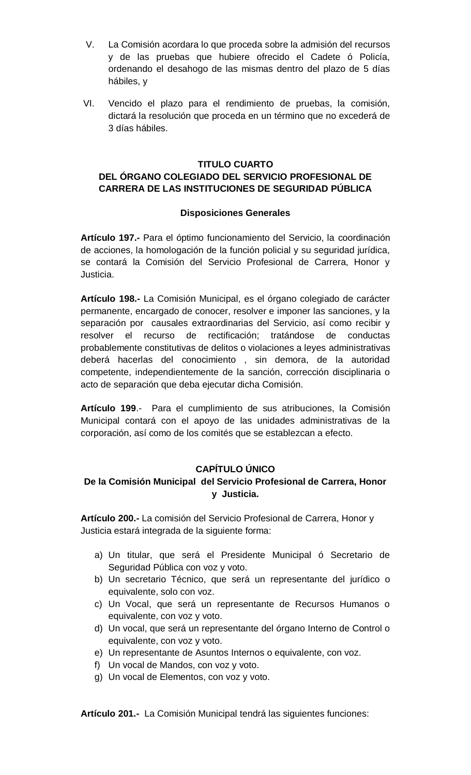- V. La Comisión acordara lo que proceda sobre la admisión del recursos y de las pruebas que hubiere ofrecido el Cadete ó Policía, ordenando el desahogo de las mismas dentro del plazo de 5 días hábiles, y
- VI. Vencido el plazo para el rendimiento de pruebas, la comisión, dictará la resolución que proceda en un término que no excederá de 3 días hábiles.

### **TITULO CUARTO DEL ÓRGANO COLEGIADO DEL SERVICIO PROFESIONAL DE CARRERA DE LAS INSTITUCIONES DE SEGURIDAD PÚBLICA**

## **Disposiciones Generales**

**Artículo 197.-** Para el óptimo funcionamiento del Servicio, la coordinación de acciones, la homologación de la función policial y su seguridad jurídica, se contará la Comisión del Servicio Profesional de Carrera, Honor y Justicia.

**Artículo 198.-** La Comisión Municipal, es el órgano colegiado de carácter permanente, encargado de conocer, resolver e imponer las sanciones, y la separación por causales extraordinarias del Servicio, así como recibir y resolver el recurso de rectificación; tratándose de conductas probablemente constitutivas de delitos o violaciones a leyes administrativas deberá hacerlas del conocimiento , sin demora, de la autoridad competente, independientemente de la sanción, corrección disciplinaria o acto de separación que deba ejecutar dicha Comisión.

**Artículo 199**.- Para el cumplimiento de sus atribuciones, la Comisión Municipal contará con el apoyo de las unidades administrativas de la corporación, así como de los comités que se establezcan a efecto.

## **CAPÍTULO ÚNICO**

## **De la Comisión Municipal del Servicio Profesional de Carrera, Honor y Justicia.**

**Artículo 200.-** La comisión del Servicio Profesional de Carrera, Honor y Justicia estará integrada de la siguiente forma:

- a) Un titular, que será el Presidente Municipal ó Secretario de Seguridad Pública con voz y voto.
- b) Un secretario Técnico, que será un representante del jurídico o equivalente, solo con voz.
- c) Un Vocal, que será un representante de Recursos Humanos o equivalente, con voz y voto.
- d) Un vocal, que será un representante del órgano Interno de Control o equivalente, con voz y voto.
- e) Un representante de Asuntos Internos o equivalente, con voz.
- f) Un vocal de Mandos, con voz y voto.
- g) Un vocal de Elementos, con voz y voto.

**Artículo 201.-** La Comisión Municipal tendrá las siguientes funciones: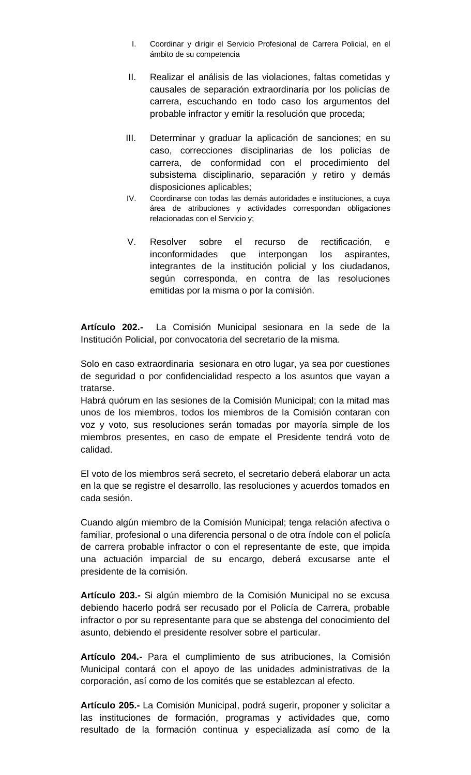- I. Coordinar y dirigir el Servicio Profesional de Carrera Policial, en el ámbito de su competencia
- II. Realizar el análisis de las violaciones, faltas cometidas y causales de separación extraordinaria por los policías de carrera, escuchando en todo caso los argumentos del probable infractor y emitir la resolución que proceda;
- III. Determinar y graduar la aplicación de sanciones; en su caso, correcciones disciplinarias de los policías de carrera, de conformidad con el procedimiento del subsistema disciplinario, separación y retiro y demás disposiciones aplicables;
- IV. Coordinarse con todas las demás autoridades e instituciones, a cuya área de atribuciones y actividades correspondan obligaciones relacionadas con el Servicio y;
- V. Resolver sobre el recurso de rectificación, e inconformidades que interpongan los aspirantes, integrantes de la institución policial y los ciudadanos, según corresponda, en contra de las resoluciones emitidas por la misma o por la comisión.

**Artículo 202.-** La Comisión Municipal sesionara en la sede de la Institución Policial, por convocatoria del secretario de la misma.

Solo en caso extraordinaria sesionara en otro lugar, ya sea por cuestiones de seguridad o por confidencialidad respecto a los asuntos que vayan a tratarse.

Habrá quórum en las sesiones de la Comisión Municipal; con la mitad mas unos de los miembros, todos los miembros de la Comisión contaran con voz y voto, sus resoluciones serán tomadas por mayoría simple de los miembros presentes, en caso de empate el Presidente tendrá voto de calidad.

El voto de los miembros será secreto, el secretario deberá elaborar un acta en la que se registre el desarrollo, las resoluciones y acuerdos tomados en cada sesión.

Cuando algún miembro de la Comisión Municipal; tenga relación afectiva o familiar, profesional o una diferencia personal o de otra índole con el policía de carrera probable infractor o con el representante de este, que impida una actuación imparcial de su encargo, deberá excusarse ante el presidente de la comisión.

**Artículo 203.-** Si algún miembro de la Comisión Municipal no se excusa debiendo hacerlo podrá ser recusado por el Policía de Carrera, probable infractor o por su representante para que se abstenga del conocimiento del asunto, debiendo el presidente resolver sobre el particular.

**Artículo 204.-** Para el cumplimiento de sus atribuciones, la Comisión Municipal contará con el apoyo de las unidades administrativas de la corporación, así como de los comités que se establezcan al efecto.

**Artículo 205.-** La Comisión Municipal, podrá sugerir, proponer y solicitar a las instituciones de formación, programas y actividades que, como resultado de la formación continua y especializada así como de la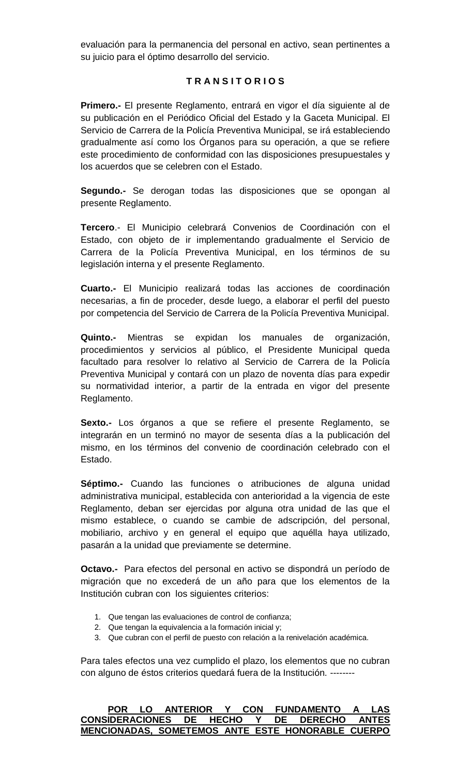evaluación para la permanencia del personal en activo, sean pertinentes a su juicio para el óptimo desarrollo del servicio.

### **T R A N S I T O R I O S**

**Primero.-** El presente Reglamento, entrará en vigor el día siguiente al de su publicación en el Periódico Oficial del Estado y la Gaceta Municipal. El Servicio de Carrera de la Policía Preventiva Municipal, se irá estableciendo gradualmente así como los Órganos para su operación, a que se refiere este procedimiento de conformidad con las disposiciones presupuestales y los acuerdos que se celebren con el Estado.

**Segundo.-** Se derogan todas las disposiciones que se opongan al presente Reglamento.

**Tercero**.- El Municipio celebrará Convenios de Coordinación con el Estado, con objeto de ir implementando gradualmente el Servicio de Carrera de la Policía Preventiva Municipal, en los términos de su legislación interna y el presente Reglamento.

**Cuarto.-** El Municipio realizará todas las acciones de coordinación necesarias, a fin de proceder, desde luego, a elaborar el perfil del puesto por competencia del Servicio de Carrera de la Policía Preventiva Municipal.

**Quinto.-** Mientras se expidan los manuales de organización, procedimientos y servicios al público, el Presidente Municipal queda facultado para resolver lo relativo al Servicio de Carrera de la Policía Preventiva Municipal y contará con un plazo de noventa días para expedir su normatividad interior, a partir de la entrada en vigor del presente Reglamento.

**Sexto.-** Los órganos a que se refiere el presente Reglamento, se integrarán en un terminó no mayor de sesenta días a la publicación del mismo, en los términos del convenio de coordinación celebrado con el Estado.

**Séptimo.-** Cuando las funciones o atribuciones de alguna unidad administrativa municipal, establecida con anterioridad a la vigencia de este Reglamento, deban ser ejercidas por alguna otra unidad de las que el mismo establece, o cuando se cambie de adscripción, del personal, mobiliario, archivo y en general el equipo que aquélla haya utilizado, pasarán a la unidad que previamente se determine.

**Octavo.-** Para efectos del personal en activo se dispondrá un período de migración que no excederá de un año para que los elementos de la Institución cubran con los siguientes criterios:

- 1. Que tengan las evaluaciones de control de confianza;
- 2. Que tengan la equivalencia a la formación inicial y;
- 3. Que cubran con el perfil de puesto con relación a la renivelación académica.

Para tales efectos una vez cumplido el plazo, los elementos que no cubran con alguno de éstos criterios quedará fuera de la Institución. --------

**POR LO ANTERIOR Y CON FUNDAMENTO A LAS CONSIDERACIONES DE HECHO Y DE DERECHO ANTES MENCIONADAS, SOMETEMOS ANTE ESTE HONORABLE CUERPO**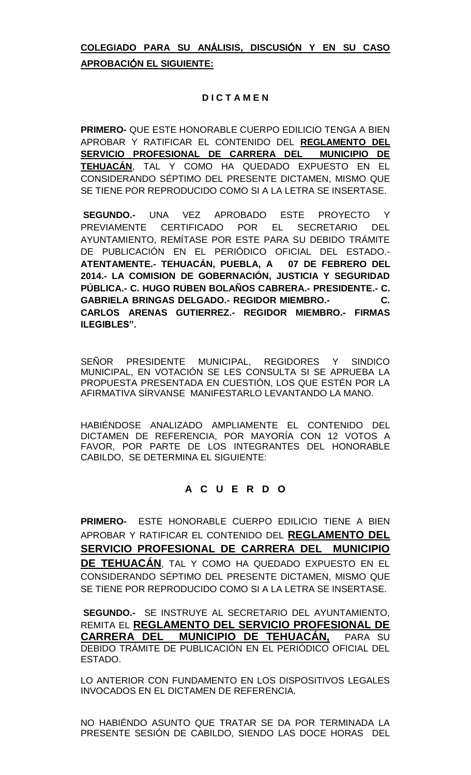# **COLEGIADO PARA SU AN**Á**LISIS, DISCUSI**Ó**N Y EN SU CASO APROBACI**Ó**N EL SIGUIENTE:**

## **D I C T A M E N**

**PRIMERO-** QUE ESTE HONORABLE CUERPO EDILICIO TENGA A BIEN APROBAR Y RATIFICAR EL CONTENIDO DEL **REGLAMENTO DEL SERVICIO PROFESIONAL DE CARRERA DEL MUNICIPIO DE TEHUACÁN**, TAL Y COMO HA QUEDADO EXPUESTO EN EL CONSIDERANDO SÉPTIMO DEL PRESENTE DICTAMEN, MISMO QUE SE TIENE POR REPRODUCIDO COMO SI A LA LETRA SE INSERTASE.

**SEGUNDO.-** UNA VEZ APROBADO ESTE PROYECTO Y PREVIAMENTE CERTIFICADO POR EL SECRETARIO DEL AYUNTAMIENTO, REMÍTASE POR ESTE PARA SU DEBIDO TRÁMITE DE PUBLICACIÓN EN EL PERIÓDICO OFICIAL DEL ESTADO.- **ATENTAMENTE.- TEHUACÁN, PUEBLA, A 07 DE FEBRERO DEL 2014.- LA COMISION DE GOBERNACIÓN, JUSTICIA Y SEGURIDAD PÚBLICA.- C. HUGO RUBEN BOLAÑOS CABRERA.- PRESIDENTE.- C. GABRIELA BRINGAS DELGADO.- REGIDOR MIEMBRO.- C. CARLOS ARENAS GUTIERREZ.- REGIDOR MIEMBRO.- FIRMAS ILEGIBLES".**

SEÑOR PRESIDENTE MUNICIPAL, REGIDORES Y SINDICO MUNICIPAL, EN VOTACIÓN SE LES CONSULTA SI SE APRUEBA LA PROPUESTA PRESENTADA EN CUESTIÓN, LOS QUE ESTÉN POR LA AFIRMATIVA SÍRVANSE MANIFESTARLO LEVANTANDO LA MANO.

HABIÉNDOSE ANALIZADO AMPLIAMENTE EL CONTENIDO DEL DICTAMEN DE REFERENCIA, POR MAYORÍA CON 12 VOTOS A FAVOR, POR PARTE DE LOS INTEGRANTES DEL HONORABLE CABILDO, SE DETERMINA EL SIGUIENTE:

## **A C U E R D O**

**PRIMERO-** ESTE HONORABLE CUERPO EDILICIO TIENE A BIEN APROBAR Y RATIFICAR EL CONTENIDO DEL **REGLAMENTO DEL SERVICIO PROFESIONAL DE CARRERA DEL MUNICIPIO DE TEHUACÁN**, TAL Y COMO HA QUEDADO EXPUESTO EN EL CONSIDERANDO SÉPTIMO DEL PRESENTE DICTAMEN, MISMO QUE SE TIENE POR REPRODUCIDO COMO SI A LA LETRA SE INSERTASE.

**SEGUNDO.-** SE INSTRUYE AL SECRETARIO DEL AYUNTAMIENTO, REMITA EL **REGLAMENTO DEL SERVICIO PROFESIONAL DE CARRERA DEL MUNICIPIO DE TEHUACÁN,** PARA SU DEBIDO TRÁMITE DE PUBLICACIÓN EN EL PERIÓDICO OFICIAL DEL ESTADO.

LO ANTERIOR CON FUNDAMENTO EN LOS DISPOSITIVOS LEGALES INVOCADOS EN EL DICTAMEN DE REFERENCIA.

NO HABIÉNDO ASUNTO QUE TRATAR SE DA POR TERMINADA LA PRESENTE SESIÓN DE CABILDO, SIENDO LAS DOCE HORAS DEL